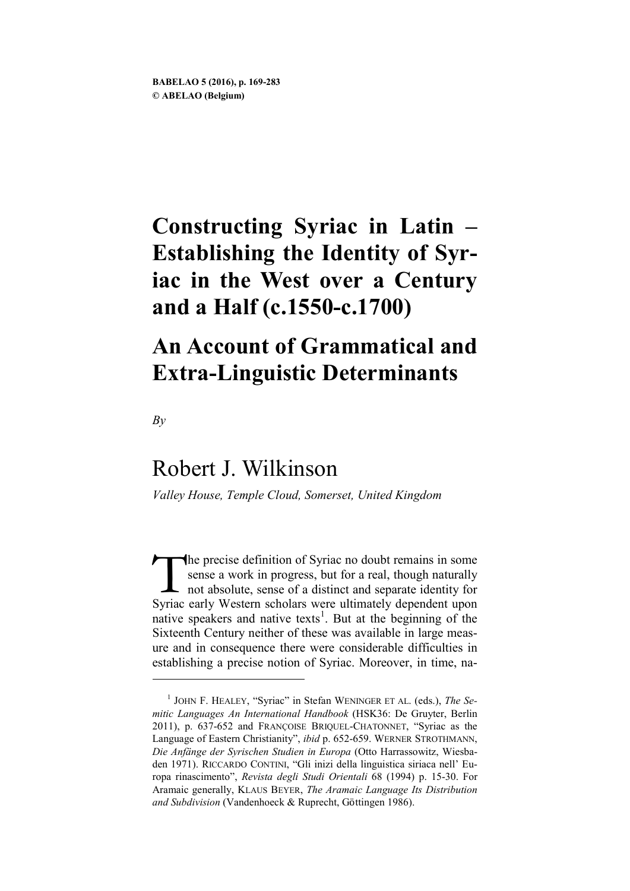# **Constructing Syriac in Latin – Establishing the Identity of Syriac in the West over a Century and a Half (c.1550-c.1700)**

# **An Account of Grammatical and Extra-Linguistic Determinants**

*By*

<u>.</u>

# Robert J. Wilkinson

*Valley House, Temple Cloud, Somerset, United Kingdom*

he precise definition of Syriac no doubt remains in some sense a work in progress, but for a real, though naturally not absolute, sense of a distinct and separate identity for Syriac early Western scholars were ultimately dependent upon native speakers and native texts<sup>[1](#page-0-0)</sup>. But at the beginning of the Sixteenth Century neither of these was available in large measure and in consequence there were considerable difficulties in establishing a precise notion of Syriac. Moreover, in time, na- T<br>Svriac

<span id="page-0-0"></span><sup>1</sup> JOHN F. HEALEY, "Syriac" in Stefan WENINGER ET AL. (eds.), *The Semitic Languages An International Handbook* (HSK36: De Gruyter, Berlin 2011), p. 637-652 and FRANÇOISE BRIQUEL-CHATONNET, "Syriac as the Language of Eastern Christianity", *ibid* p. 652-659. WERNER STROTHMANN, *Die Anfänge der Syrischen Studien in Europa* (Otto Harrassowitz, Wiesbaden 1971). RICCARDO CONTINI, "Gli inizi della linguistica siriaca nell' Europa rinascimento", *Revista degli Studi Orientali* 68 (1994) p. 15-30. For Aramaic generally, KLAUS BEYER, *The Aramaic Language Its Distribution and Subdivision* (Vandenhoeck & Ruprecht, Göttingen 1986).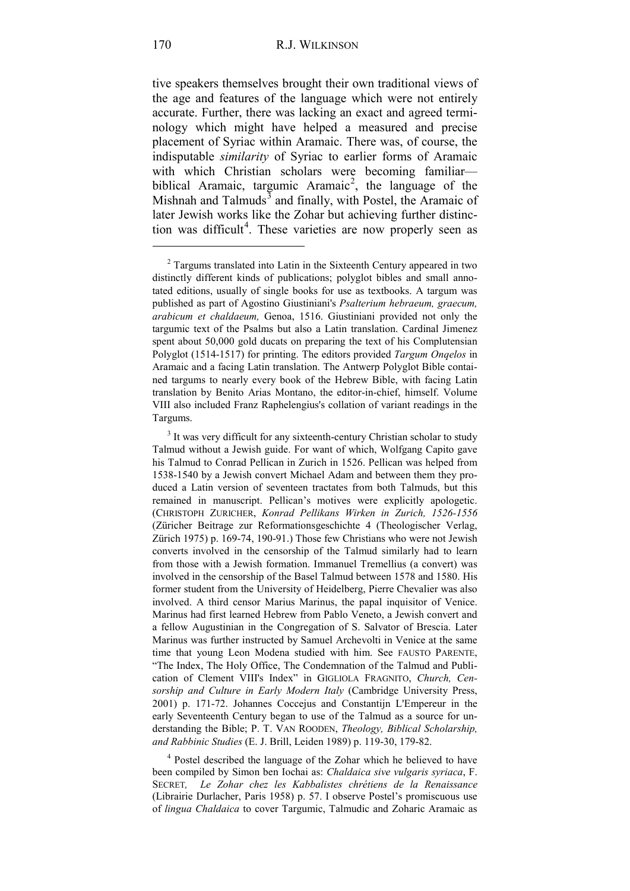tive speakers themselves brought their own traditional views of the age and features of the language which were not entirely accurate. Further, there was lacking an exact and agreed terminology which might have helped a measured and precise placement of Syriac within Aramaic. There was, of course, the indisputable *similarity* of Syriac to earlier forms of Aramaic with which Christian scholars were becoming familiar— biblical Aramaic, targumic Aramaic<sup>[2](#page-1-0)</sup>, the language of the Mishnah and Talmuds<sup>[3](#page-1-1)</sup> and finally, with Postel, the Aramaic of later Jewish works like the Zohar but achieving further distinc-tion was difficult<sup>[4](#page-1-2)</sup>. These varieties are now properly seen as

<span id="page-1-2"></span><sup>4</sup> Postel described the language of the Zohar which he believed to have been compiled by Simon ben Iochai as: *Chaldaica sive vulgaris syriaca*, F. SECRET*, Le Zohar chez les Kabbalistes chrétiens de la Renaissance* (Librairie Durlacher, Paris 1958) p. 57. I observe Postel's promiscuous use of *lingua Chaldaica* to cover Targumic, Talmudic and Zoharic Aramaic as

<u>.</u>

<span id="page-1-0"></span><sup>&</sup>lt;sup>2</sup> Targums translated into Latin in the Sixteenth Century appeared in two distinctly different kinds of publications; polyglot bibles and small annotated editions, usually of single books for use as textbooks. A targum was published as part of Agostino Giustiniani's *Psalterium hebraeum, graecum, arabicum et chaldaeum,* Genoa, 1516. Giustiniani provided not only the targumic text of the Psalms but also a Latin translation. Cardinal Jimenez spent about 50,000 gold ducats on preparing the text of his Complutensian Polyglot (1514-1517) for printing. The editors provided *Targum Onqelos* in Aramaic and a facing Latin translation. The Antwerp Polyglot Bible contained targums to nearly every book of the Hebrew Bible, with facing Latin translation by Benito Arias Montano, the editor-in-chief, himself. Volume VIII also included Franz Raphelengius's collation of variant readings in the Targums.

<span id="page-1-1"></span> $3$  It was very difficult for any sixteenth-century Christian scholar to study Talmud without a Jewish guide. For want of which, Wolfgang Capito gave his Talmud to Conrad Pellican in Zurich in 1526. Pellican was helped from 1538-1540 by a Jewish convert Michael Adam and between them they produced a Latin version of seventeen tractates from both Talmuds, but this remained in manuscript. Pellican's motives were explicitly apologetic. (CHRISTOPH ZURICHER, *Konrad Pellikans Wirken in Zurich, 1526-1556*  (Züricher Beitrage zur Reformationsgeschichte 4 (Theologischer Verlag, Zürich 1975) p. 169-74, 190-91.) Those few Christians who were not Jewish converts involved in the censorship of the Talmud similarly had to learn from those with a Jewish formation. Immanuel Tremellius (a convert) was involved in the censorship of the Basel Talmud between 1578 and 1580. His former student from the University of Heidelberg, Pierre Chevalier was also involved. A third censor Marius Marinus, the papal inquisitor of Venice. Marinus had first learned Hebrew from Pablo Veneto, a Jewish convert and a fellow Augustinian in the Congregation of S. Salvator of Brescia. Later Marinus was further instructed by Samuel Archevolti in Venice at the same time that young Leon Modena studied with him. See FAUSTO PARENTE, "The Index, The Holy Office, The Condemnation of the Talmud and Publication of Clement VIII's Index" in GIGLIOLA FRAGNITO, *Church, Censorship and Culture in Early Modern Italy* (Cambridge University Press, 2001) p. 171-72. Johannes Coccejus and Constantijn L'Empereur in the early Seventeenth Century began to use of the Talmud as a source for understanding the Bible; P. T. VAN ROODEN, *Theology, Biblical Scholarship, and Rabbinic Studies* (E. J. Brill, Leiden 1989) p. 119-30, 179-82.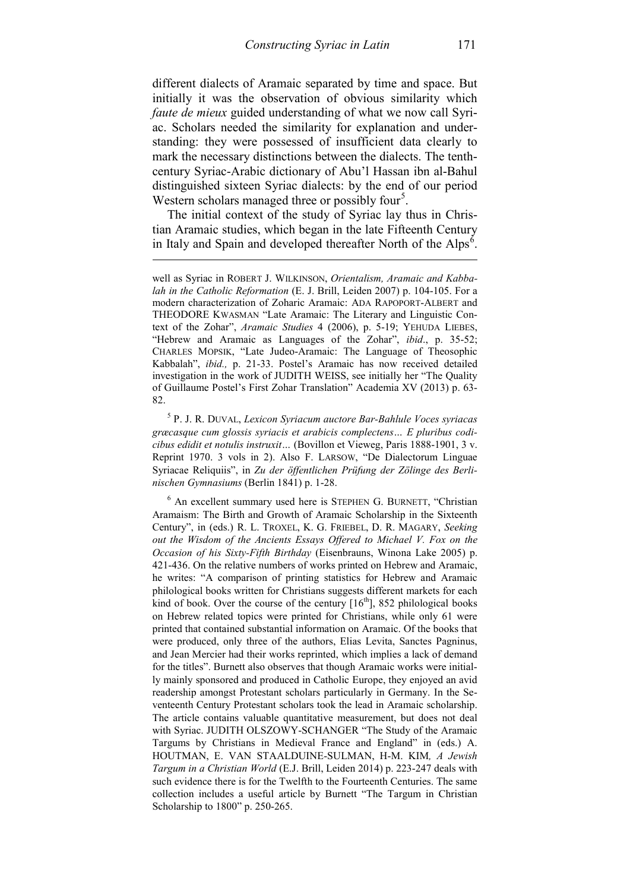different dialects of Aramaic separated by time and space. But initially it was the observation of obvious similarity which *faute de mieux* guided understanding of what we now call Syriac. Scholars needed the similarity for explanation and understanding: they were possessed of insufficient data clearly to mark the necessary distinctions between the dialects. The tenthcentury Syriac-Arabic dictionary of Abu'l Hassan ibn al-Bahul distinguished sixteen Syriac dialects: by the end of our period Western scholars managed three or possibly four<sup>[5](#page-2-0)</sup>.

The initial context of the study of Syriac lay thus in Christian Aramaic studies, which began in the late Fifteenth Century in Italy and Spain and developed thereafter North of the  $Alps<sup>6</sup>$  $Alps<sup>6</sup>$  $Alps<sup>6</sup>$ .

-

<span id="page-2-0"></span><sup>5</sup> P. J. R. DUVAL, *Lexicon Syriacum auctore Bar-Bahlule Voces syriacas græcasque cum glossis syriacis et arabicis complectens… E pluribus codicibus edidit et notulis instruxit…* (Bovillon et Vieweg, Paris 1888-1901, 3 v. Reprint 1970. 3 vols in 2). Also F. LARSOW, "De Dialectorum Linguae Syriacae Reliquiis", in *Zu der öffentlichen Prüfung der Zölinge des Berlinischen Gymnasiums* (Berlin 1841) p. 1-28.

<span id="page-2-1"></span><sup>6</sup> An excellent summary used here is STEPHEN G. BURNETT, "Christian Aramaism: The Birth and Growth of Aramaic Scholarship in the Sixteenth Century", in (eds.) R. L. TROXEL, K. G. FRIEBEL, D. R. MAGARY, *Seeking out the Wisdom of the Ancients Essays Offered to Michael V. Fox on the Occasion of his Sixty-Fifth Birthday* (Eisenbrauns, Winona Lake 2005) p. 421-436. On the relative numbers of works printed on Hebrew and Aramaic, he writes: "A comparison of printing statistics for Hebrew and Aramaic philological books written for Christians suggests different markets for each kind of book. Over the course of the century  $[16<sup>th</sup>]$ , 852 philological books on Hebrew related topics were printed for Christians, while only 61 were printed that contained substantial information on Aramaic. Of the books that were produced, only three of the authors, Elias Levita, Sanctes Pagninus, and Jean Mercier had their works reprinted, which implies a lack of demand for the titles". Burnett also observes that though Aramaic works were initially mainly sponsored and produced in Catholic Europe, they enjoyed an avid readership amongst Protestant scholars particularly in Germany. In the Seventeenth Century Protestant scholars took the lead in Aramaic scholarship. The article contains valuable quantitative measurement, but does not deal with Syriac. JUDITH OLSZOWY-SCHANGER "The Study of the Aramaic Targums by Christians in Medieval France and England" in (eds.) A. HOUTMAN, E. VAN STAALDUINE-SULMAN, H-M. KIM*, A Jewish Targum in a Christian World* (E.J. Brill, Leiden 2014) p. 223-247 deals with such evidence there is for the Twelfth to the Fourteenth Centuries. The same collection includes a useful article by Burnett "The Targum in Christian Scholarship to 1800" p. 250-265.

well as Syriac in ROBERT J. WILKINSON, *Orientalism, Aramaic and Kabbalah in the Catholic Reformation* (E. J. Brill, Leiden 2007) p. 104-105. For a modern characterization of Zoharic Aramaic: ADA RAPOPORT-ALBERT and THEODORE KWASMAN "Late Aramaic: The Literary and Linguistic Context of the Zohar", *Aramaic Studies* 4 (2006), p. 5-19; YEHUDA LIEBES, "Hebrew and Aramaic as Languages of the Zohar", *ibid*., p. 35-52; CHARLES MOPSIK, "Late Judeo-Aramaic: The Language of Theosophic Kabbalah", *ibid.,* p. 21-33. Postel's Aramaic has now received detailed investigation in the work of JUDITH WEISS, see initially her "The Quality of Guillaume Postel's First Zohar Translation" Academia XV (2013) p. 63- 82.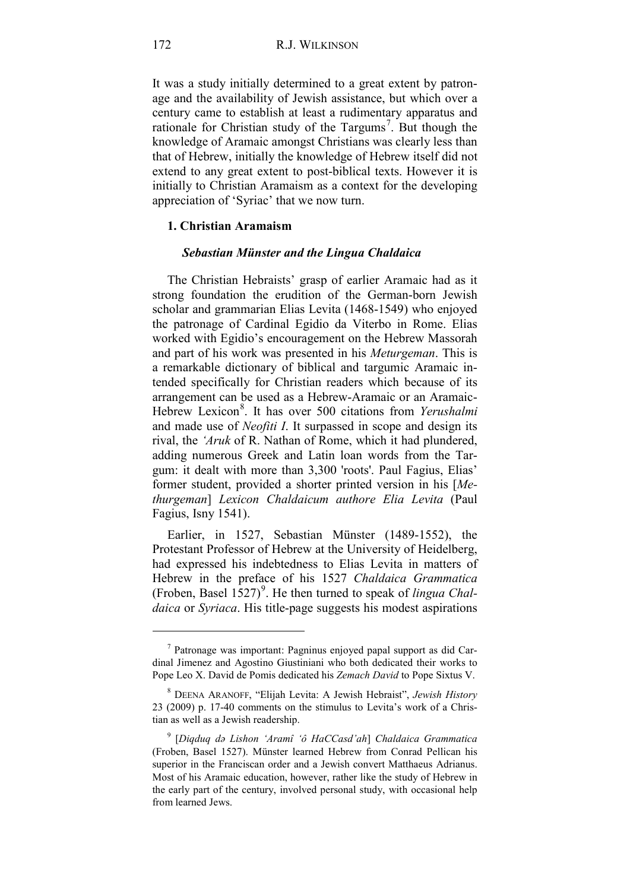It was a study initially determined to a great extent by patronage and the availability of Jewish assistance, but which over a century came to establish at least a rudimentary apparatus and rationale for Christian study of the Targums<sup>[7](#page-3-0)</sup>. But though the knowledge of Aramaic amongst Christians was clearly less than that of Hebrew, initially the knowledge of Hebrew itself did not extend to any great extent to post-biblical texts. However it is initially to Christian Aramaism as a context for the developing appreciation of 'Syriac' that we now turn.

#### **1. Christian Aramaism**

#### *Sebastian Münster and the Lingua Chaldaica*

The Christian Hebraists' grasp of earlier Aramaic had as it strong foundation the erudition of the German-born Jewish scholar and grammarian Elias Levita (1468-1549) who enjoyed the patronage of Cardinal Egidio da Viterbo in Rome. Elias worked with Egidio's encouragement on the Hebrew Massorah and part of his work was presented in his *Meturgeman*. This is a remarkable dictionary of biblical and targumic Aramaic intended specifically for Christian readers which because of its arrangement can be used as a Hebrew-Aramaic or an Aramaic-Hebrew Lexicon<sup>[8](#page-3-1)</sup>. It has over 500 citations from *Yerushalmi* and made use of *Neofiti I*. It surpassed in scope and design its rival, the *'Aruk* of R. Nathan of Rome, which it had plundered, adding numerous Greek and Latin loan words from the Targum: it dealt with more than 3,300 'roots'. Paul Fagius, Elias' former student, provided a shorter printed version in his [*Methurgeman*] *Lexicon Chaldaicum authore Elia Levita* (Paul Fagius, Isny 1541).

Earlier, in 1527, Sebastian Münster (1489-1552), the Protestant Professor of Hebrew at the University of Heidelberg, had expressed his indebtedness to Elias Levita in matters of Hebrew in the preface of his 1527 *Chaldaica Grammatica* (Froben, Basel 1527)<sup>[9](#page-3-2)</sup>. He then turned to speak of *lingua Chaldaica* or *Syriaca*. His title-page suggests his modest aspirations

<span id="page-3-0"></span><sup>7</sup> Patronage was important: Pagninus enjoyed papal support as did Cardinal Jimenez and Agostino Giustiniani who both dedicated their works to Pope Leo X. David de Pomis dedicated his *Zemach David* to Pope Sixtus V.

<span id="page-3-1"></span><sup>8</sup> DEENA ARANOFF, "Elijah Levita: A Jewish Hebraist", *Jewish History* 23 (2009) p. 17-40 comments on the stimulus to Levita's work of a Christian as well as a Jewish readership.

<span id="page-3-2"></span><sup>9</sup> [*Diqduq dǝ Lishon 'Aramî 'ô HaCCasd'ah*] *Chaldaica Grammatica* (Froben, Basel 1527). Münster learned Hebrew from Conrad Pellican his superior in the Franciscan order and a Jewish convert Matthaeus Adrianus. Most of his Aramaic education, however, rather like the study of Hebrew in the early part of the century, involved personal study, with occasional help from learned Jews.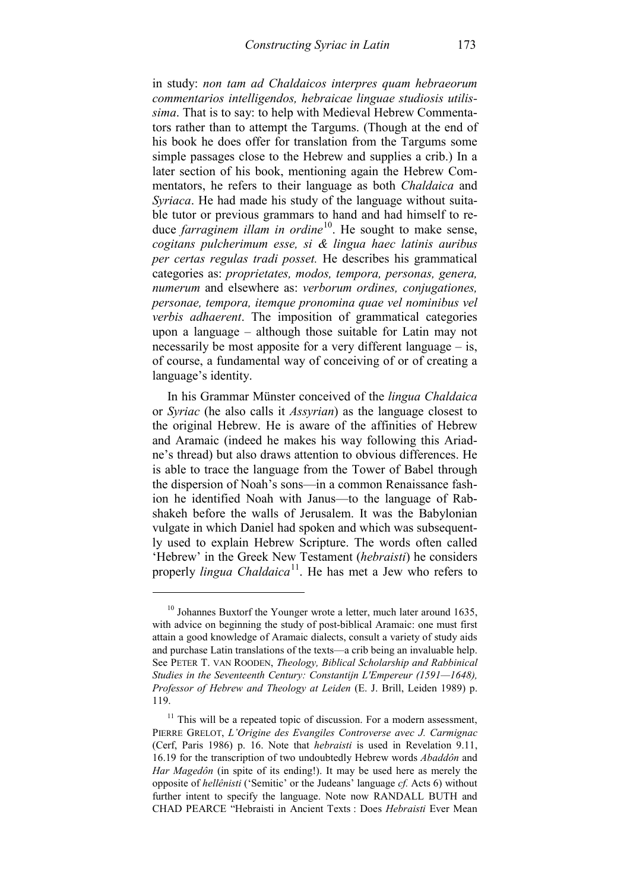in study: *non tam ad Chaldaicos interpres quam hebraeorum commentarios intelligendos, hebraicae linguae studiosis utilissima*. That is to say: to help with Medieval Hebrew Commentators rather than to attempt the Targums. (Though at the end of his book he does offer for translation from the Targums some simple passages close to the Hebrew and supplies a crib.) In a later section of his book, mentioning again the Hebrew Commentators, he refers to their language as both *Chaldaica* and *Syriaca*. He had made his study of the language without suitable tutor or previous grammars to hand and had himself to reduce *farraginem illam in ordine*<sup>[10](#page-4-0)</sup>. He sought to make sense, *cogitans pulcherimum esse, si & lingua haec latinis auribus per certas regulas tradi posset.* He describes his grammatical categories as: *proprietates, modos, tempora, personas, genera, numerum* and elsewhere as: *verborum ordines, conjugationes, personae, tempora, itemque pronomina quae vel nominibus vel verbis adhaerent*. The imposition of grammatical categories upon a language – although those suitable for Latin may not necessarily be most apposite for a very different language – is, of course, a fundamental way of conceiving of or of creating a language's identity.

In his Grammar Münster conceived of the *lingua Chaldaica* or *Syriac* (he also calls it *Assyrian*) as the language closest to the original Hebrew. He is aware of the affinities of Hebrew and Aramaic (indeed he makes his way following this Ariadne's thread) but also draws attention to obvious differences. He is able to trace the language from the Tower of Babel through the dispersion of Noah's sons—in a common Renaissance fashion he identified Noah with Janus—to the language of Rabshakeh before the walls of Jerusalem. It was the Babylonian vulgate in which Daniel had spoken and which was subsequently used to explain Hebrew Scripture. The words often called 'Hebrew' in the Greek New Testament (*hebraisti*) he considers properly *lingua Chaldaica*<sup>[11](#page-4-1)</sup>. He has met a Jew who refers to

<span id="page-4-0"></span> $10$  Johannes Buxtorf the Younger wrote a letter, much later around 1635, with advice on beginning the study of post-biblical Aramaic: one must first attain a good knowledge of Aramaic dialects, consult a variety of study aids and purchase Latin translations of the texts—a crib being an invaluable help. See PETER T. VAN ROODEN, *Theology, Biblical Scholarship and Rabbinical Studies in the Seventeenth Century: Constantijn L'Empereur (1591—1648), Professor of Hebrew and Theology at Leiden* (E. J. Brill, Leiden 1989) p. 119.

<span id="page-4-1"></span> $11$  This will be a repeated topic of discussion. For a modern assessment, PIERRE GRELOT, *L'Origine des Evangiles Controverse avec J. Carmignac*  (Cerf, Paris 1986) p. 16. Note that *hebraisti* is used in Revelation 9.11, 16.19 for the transcription of two undoubtedly Hebrew words *Abaddôn* and *Har Magedôn* (in spite of its ending!). It may be used here as merely the opposite of *hellênisti* ('Semitic' or the Judeans' language *cf.* Acts 6) without further intent to specify the language. Note now RANDALL BUTH and CHAD PEARCE "Hebraisti in Ancient Texts : Does *Hebraisti* Ever Mean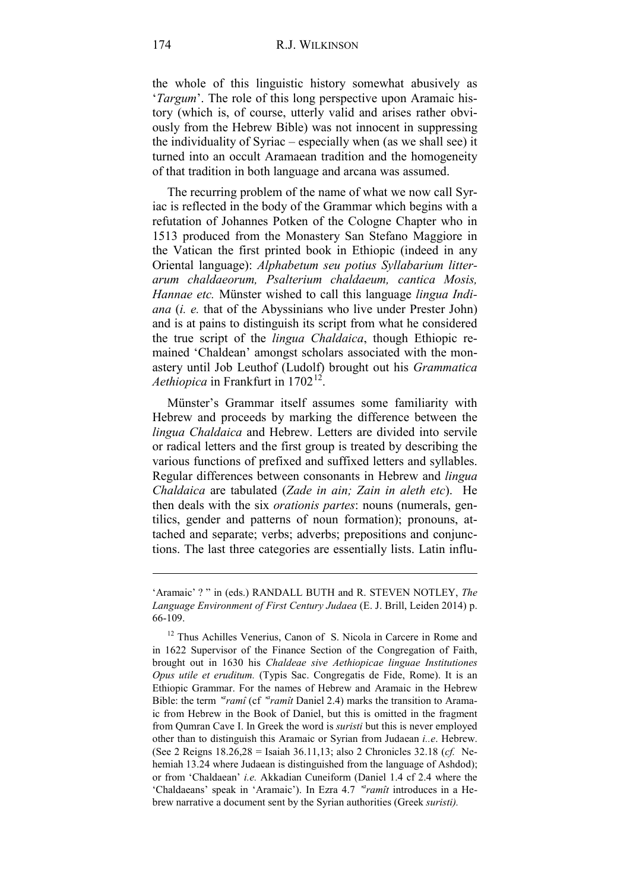the whole of this linguistic history somewhat abusively as '*Targum*'. The role of this long perspective upon Aramaic history (which is, of course, utterly valid and arises rather obviously from the Hebrew Bible) was not innocent in suppressing the individuality of Syriac – especially when (as we shall see) it turned into an occult Aramaean tradition and the homogeneity of that tradition in both language and arcana was assumed.

The recurring problem of the name of what we now call Syriac is reflected in the body of the Grammar which begins with a refutation of Johannes Potken of the Cologne Chapter who in 1513 produced from the Monastery San Stefano Maggiore in the Vatican the first printed book in Ethiopic (indeed in any Oriental language): *Alphabetum seu potius Syllabarium litterarum chaldaeorum, Psalterium chaldaeum, cantica Mosis, Hannae etc.* Münster wished to call this language *lingua Indiana* (*i. e.* that of the Abyssinians who live under Prester John) and is at pains to distinguish its script from what he considered the true script of the *lingua Chaldaica*, though Ethiopic remained 'Chaldean' amongst scholars associated with the monastery until Job Leuthof (Ludolf) brought out his *Grammatica Aethiopica* in Frankfurt in 1702<sup>12</sup>.

Münster's Grammar itself assumes some familiarity with Hebrew and proceeds by marking the difference between the *lingua Chaldaica* and Hebrew. Letters are divided into servile or radical letters and the first group is treated by describing the various functions of prefixed and suffixed letters and syllables. Regular differences between consonants in Hebrew and *lingua Chaldaica* are tabulated (*Zade in ain; Zain in aleth etc*). He then deals with the six *orationis partes*: nouns (numerals, gentilics, gender and patterns of noun formation); pronouns, attached and separate; verbs; adverbs; prepositions and conjunctions. The last three categories are essentially lists. Latin influ-

<sup>&#</sup>x27;Aramaic' ? " in (eds.) RANDALL BUTH and R. STEVEN NOTLEY, *The Language Environment of First Century Judaea* (E. J. Brill, Leiden 2014) p. 66-109.

<span id="page-5-0"></span><sup>&</sup>lt;sup>12</sup> Thus Achilles Venerius, Canon of S. Nicola in Carcere in Rome and in 1622 Supervisor of the Finance Section of the Congregation of Faith, brought out in 1630 his *Chaldeae sive Aethiopicae linguae Institutiones Opus utile et eruditum.* (Typis Sac. Congregatis de Fide, Rome). It is an Ethiopic Grammar. For the names of Hebrew and Aramaic in the Hebrew Bible: the term <sup>*d*</sup> ramît</sup> (cf <sup>*d*</sup> ramît Daniel 2.4) marks the transition to Aramaic from Hebrew in the Book of Daniel, but this is omitted in the fragment from Qumran Cave I. In Greek the word is *suristi* but this is never employed other than to distinguish this Aramaic or Syrian from Judaean *i..e*. Hebrew. (See 2 Reigns 18.26,28 = Isaiah 36.11,13; also 2 Chronicles 32.18 (*cf.* Nehemiah 13.24 where Judaean is distinguished from the language of Ashdod); or from 'Chaldaean' *i.e.* Akkadian Cuneiform (Daniel 1.4 cf 2.4 where the 'Chaldaeans' speak in 'Aramaic'). In Ezra 4.7 <sup>*a*</sup>ramît introduces in a Hebrew narrative a document sent by the Syrian authorities (Greek *suristi).*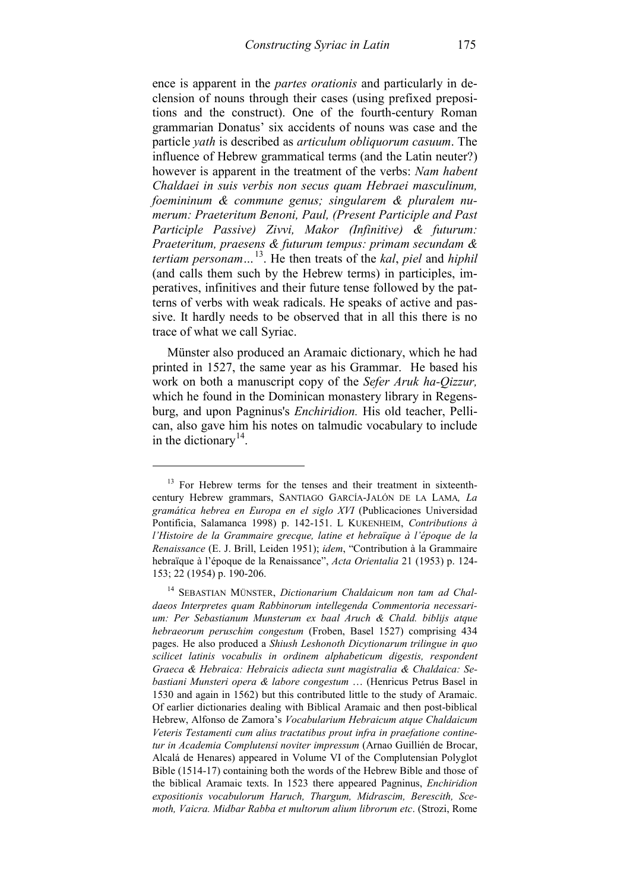ence is apparent in the *partes orationis* and particularly in declension of nouns through their cases (using prefixed prepositions and the construct). One of the fourth-century Roman grammarian Donatus' six accidents of nouns was case and the particle *yath* is described as *articulum obliquorum casuum*. The influence of Hebrew grammatical terms (and the Latin neuter?) however is apparent in the treatment of the verbs: *Nam habent Chaldaei in suis verbis non secus quam Hebraei masculinum, foemininum & commune genus; singularem & pluralem numerum: Praeteritum Benoni, Paul, (Present Participle and Past Participle Passive) Zivvi, Makor (Infinitive) & futurum: Praeteritum, praesens & futurum tempus: primam secundam & tertiam personam…*[13](#page-6-0). He then treats of the *kal*, *piel* and *hiphil* (and calls them such by the Hebrew terms) in participles, imperatives, infinitives and their future tense followed by the patterns of verbs with weak radicals. He speaks of active and passive. It hardly needs to be observed that in all this there is no trace of what we call Syriac.

Münster also produced an Aramaic dictionary, which he had printed in 1527, the same year as his Grammar. He based his work on both a manuscript copy of the *Sefer Aruk ha-Qizzur,*  which he found in the Dominican monastery library in Regensburg, and upon Pagninus's *Enchiridion.* His old teacher, Pellican, also gave him his notes on talmudic vocabulary to include in the dictionary<sup>[14](#page-6-1)</sup>.

<span id="page-6-0"></span><sup>&</sup>lt;sup>13</sup> For Hebrew terms for the tenses and their treatment in sixteenthcentury Hebrew grammars, SANTIAGO GARCÍA-JALÓN DE LA LAMA*, La gramática hebrea en Europa en el siglo XVI* (Publicaciones Universidad Pontificia, Salamanca 1998) p. 142-151. L KUKENHEIM, *Contributions à l'Histoire de la Grammaire grecque, latine et hebraïque à l'époque de la Renaissance* (E. J. Brill, Leiden 1951); *idem*, "Contribution à la Grammaire hebraïque à l'époque de la Renaissance", *Acta Orientalia* 21 (1953) p. 124- 153; 22 (1954) p. 190-206.

<span id="page-6-1"></span><sup>14</sup> SEBASTIAN MÜNSTER, *Dictionarium Chaldaicum non tam ad Chaldaeos Interpretes quam Rabbinorum intellegenda Commentoria necessarium: Per Sebastianum Munsterum ex baal Aruch & Chald. biblijs atque hebraeorum peruschim congestum* (Froben, Basel 1527) comprising 434 pages. He also produced a *Shiush Leshonoth Dicytionarum trilingue in quo scilicet latinis vocabulis in ordinem alphabeticum digestis, respondent Graeca & Hebraica: Hebraicis adiecta sunt magistralia & Chaldaica: Sebastiani Munsteri opera & labore congestum* … (Henricus Petrus Basel in 1530 and again in 1562) but this contributed little to the study of Aramaic. Of earlier dictionaries dealing with Biblical Aramaic and then post-biblical Hebrew, Alfonso de Zamora's *Vocabularium Hebraicum atque Chaldaicum Veteris Testamenti cum alius tractatibus prout infra in praefatione continetur in Academia Complutensi noviter impressum* (Arnao Guillién de Brocar, Alcalá de Henares) appeared in Volume VI of the Complutensian Polyglot Bible (1514-17) containing both the words of the Hebrew Bible and those of the biblical Aramaic texts. In 1523 there appeared Pagninus, *Enchiridion expositionis vocabulorum Haruch, Thargum, Midrascim, Berescith, Scemoth, Vaicra. Midbar Rabba et multorum alium librorum etc*. (Strozi, Rome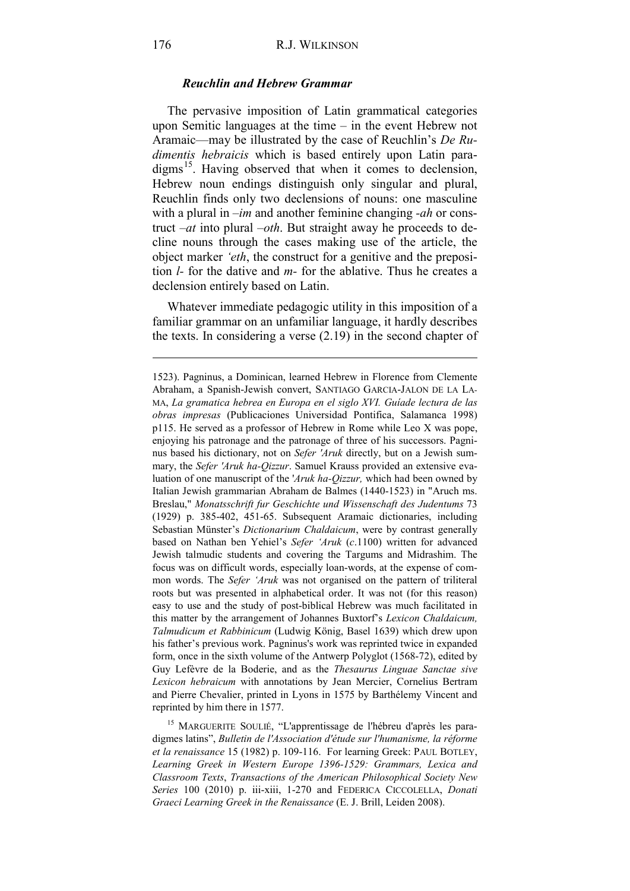### *Reuchlin and Hebrew Grammar*

The pervasive imposition of Latin grammatical categories upon Semitic languages at the time – in the event Hebrew not Aramaic—may be illustrated by the case of Reuchlin's *De Rudimentis hebraicis* which is based entirely upon Latin para-digms<sup>[15](#page-7-0)</sup>. Having observed that when it comes to declension, Hebrew noun endings distinguish only singular and plural, Reuchlin finds only two declensions of nouns: one masculine with a plural in *–im* and another feminine changing *-ah* or construct *–at* into plural *–oth*. But straight away he proceeds to decline nouns through the cases making use of the article, the object marker *'eth*, the construct for a genitive and the preposition *l-* for the dative and *m-* for the ablative. Thus he creates a declension entirely based on Latin.

Whatever immediate pedagogic utility in this imposition of a familiar grammar on an unfamiliar language, it hardly describes the texts. In considering a verse (2.19) in the second chapter of

<span id="page-7-0"></span><sup>15</sup> MARGUERITE SOULIÉ, "L'apprentissage de l'hébreu d'après les paradigmes latins", *Bulletin de l'Association d'étude sur l'humanisme, la réforme et la renaissance* 15 (1982) p. 109-116. For learning Greek: PAUL BOTLEY, *Learning Greek in Western Europe 1396-1529: Grammars, Lexica and Classroom Texts*, *Transactions of the American Philosophical Society New Series* 100 (2010) p. iii-xiii, 1-270 and FEDERICA CICCOLELLA, *Donati Graeci Learning Greek in the Renaissance* (E. J. Brill, Leiden 2008).

<sup>1523).</sup> Pagninus, a Dominican, learned Hebrew in Florence from Clemente Abraham, a Spanish-Jewish convert, SANTIAGO GARCIA-JALON DE LA LA-MA, *La gramatica hebrea en Europa en el siglo XVI. Guíade lectura de las obras impresas* (Publicaciones Universidad Pontifica, Salamanca 1998) p115. He served as a professor of Hebrew in Rome while Leo X was pope, enjoying his patronage and the patronage of three of his successors. Pagninus based his dictionary, not on *Sefer 'Aruk* directly, but on a Jewish summary, the *Sefer 'Aruk ha-Qizzur*. Samuel Krauss provided an extensive evaluation of one manuscript of the '*Aruk ha-Qizzur,* which had been owned by Italian Jewish grammarian Abraham de Balmes (1440-1523) in "Aruch ms. Breslau," *Monatsschrift fur Geschichte und Wissenschaft des Judentums* 73 (1929) p. 385-402, 451-65. Subsequent Aramaic dictionaries, including Sebastian Münster's *Dictionarium Chaldaicum*, were by contrast generally based on Nathan ben Yehiel's *Sefer 'Aruk* (*c*.1100) written for advanced Jewish talmudic students and covering the Targums and Midrashim. The focus was on difficult words, especially loan-words, at the expense of common words. The *Sefer 'Aruk* was not organised on the pattern of triliteral roots but was presented in alphabetical order. It was not (for this reason) easy to use and the study of post-biblical Hebrew was much facilitated in this matter by the arrangement of Johannes Buxtorf's *Lexicon Chaldaicum, Talmudicum et Rabbinicum* (Ludwig König, Basel 1639) which drew upon his father's previous work. Pagninus's work was reprinted twice in expanded form, once in the sixth volume of the Antwerp Polyglot (1568-72), edited by Guy Lefèvre de la Boderie, and as the *Thesaurus Linguae Sanctae sive Lexicon hebraicum* with annotations by Jean Mercier, Cornelius Bertram and Pierre Chevalier, printed in Lyons in 1575 by Barthélemy Vincent and reprinted by him there in 1577.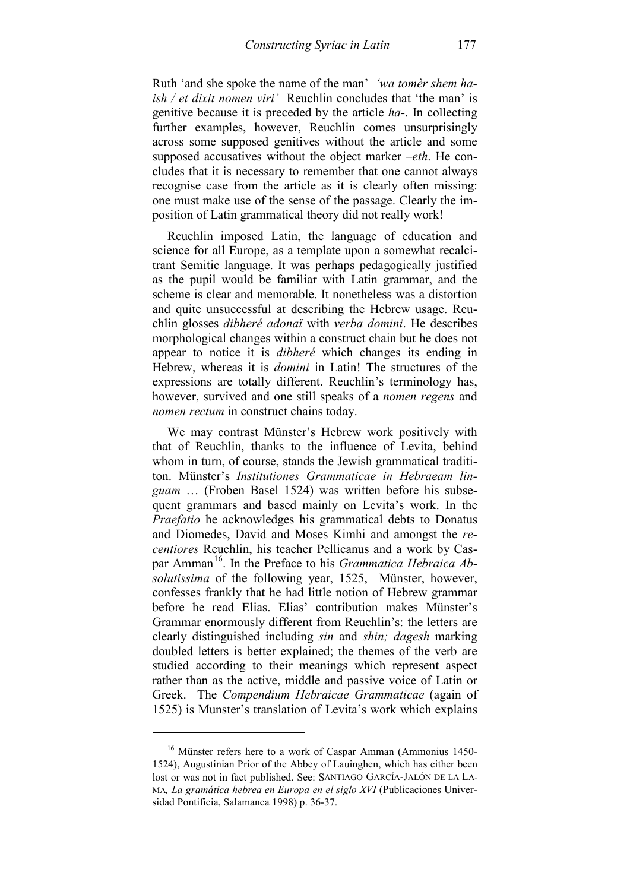Ruth 'and she spoke the name of the man' *'wa tomèr shem haish / et dixit nomen viri'* Reuchlin concludes that 'the man' is genitive because it is preceded by the article *ha-*. In collecting further examples, however, Reuchlin comes unsurprisingly across some supposed genitives without the article and some supposed accusatives without the object marker *–eth*. He concludes that it is necessary to remember that one cannot always recognise case from the article as it is clearly often missing: one must make use of the sense of the passage. Clearly the imposition of Latin grammatical theory did not really work!

Reuchlin imposed Latin, the language of education and science for all Europe, as a template upon a somewhat recalcitrant Semitic language. It was perhaps pedagogically justified as the pupil would be familiar with Latin grammar, and the scheme is clear and memorable. It nonetheless was a distortion and quite unsuccessful at describing the Hebrew usage. Reuchlin glosses *dibheré adonaï* with *verba domini*. He describes morphological changes within a construct chain but he does not appear to notice it is *dibheré* which changes its ending in Hebrew, whereas it is *domini* in Latin! The structures of the expressions are totally different. Reuchlin's terminology has, however, survived and one still speaks of a *nomen regens* and *nomen rectum* in construct chains today.

We may contrast Münster's Hebrew work positively with that of Reuchlin, thanks to the influence of Levita, behind whom in turn, of course, stands the Jewish grammatical tradititon. Münster's *Institutiones Grammaticae in Hebraeam linguam* … (Froben Basel 1524) was written before his subsequent grammars and based mainly on Levita's work. In the *Praefatio* he acknowledges his grammatical debts to Donatus and Diomedes, David and Moses Kimhi and amongst the *recentiores* Reuchlin, his teacher Pellicanus and a work by Cas-par Amman<sup>[16](#page-8-0)</sup>. In the Preface to his *Grammatica Hebraica Absolutissima* of the following year, 1525, Münster, however, confesses frankly that he had little notion of Hebrew grammar before he read Elias. Elias' contribution makes Münster's Grammar enormously different from Reuchlin's: the letters are clearly distinguished including *sin* and *shin; dagesh* marking doubled letters is better explained; the themes of the verb are studied according to their meanings which represent aspect rather than as the active, middle and passive voice of Latin or Greek. The *Compendium Hebraicae Grammaticae* (again of 1525) is Munster's translation of Levita's work which explains

<span id="page-8-0"></span><sup>&</sup>lt;sup>16</sup> Münster refers here to a work of Caspar Amman (Ammonius 1450-1524), Augustinian Prior of the Abbey of Lauinghen, which has either been lost or was not in fact published. See: SANTIAGO GARCÍA-JALÓN DE LA LA-MA*, La gramática hebrea en Europa en el siglo XVI* (Publicaciones Universidad Pontificia, Salamanca 1998) p. 36-37.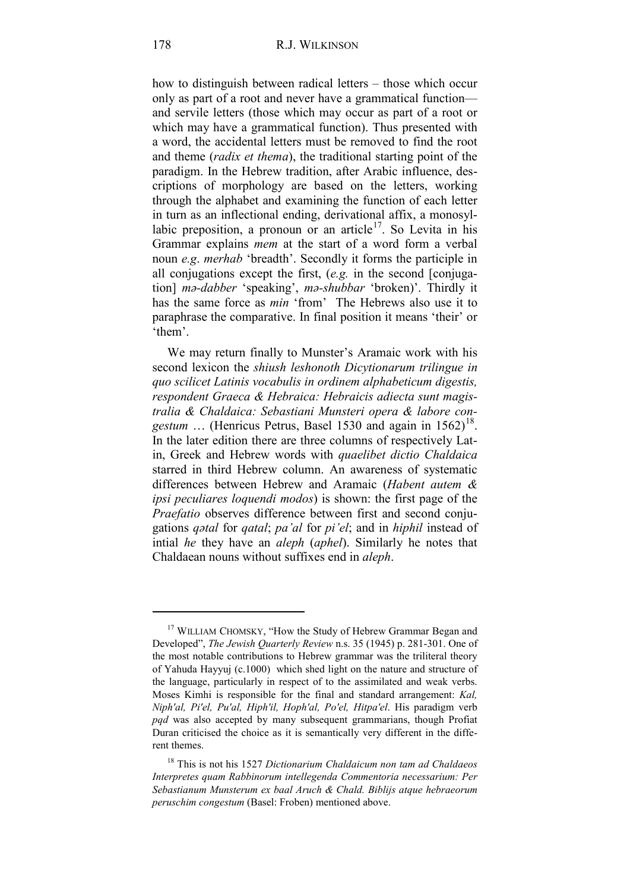how to distinguish between radical letters – those which occur only as part of a root and never have a grammatical function and servile letters (those which may occur as part of a root or which may have a grammatical function). Thus presented with a word, the accidental letters must be removed to find the root and theme (*radix et thema*), the traditional starting point of the paradigm. In the Hebrew tradition, after Arabic influence, descriptions of morphology are based on the letters, working through the alphabet and examining the function of each letter in turn as an inflectional ending, derivational affix, a monosyllabic preposition, a pronoun or an article<sup>17</sup>. So Levita in his Grammar explains *mem* at the start of a word form a verbal noun *e.g*. *merhab* 'breadth'. Secondly it forms the participle in all conjugations except the first, (*e.g.* in the second [conjugation] *mǝ-dabber* 'speaking', *mǝ-shubbar* 'broken)'. Thirdly it has the same force as *min* 'from' The Hebrews also use it to paraphrase the comparative. In final position it means 'their' or 'them'.

We may return finally to Munster's Aramaic work with his second lexicon the *shiush leshonoth Dicytionarum trilingue in quo scilicet Latinis vocabulis in ordinem alphabeticum digestis, respondent Graeca & Hebraica: Hebraicis adiecta sunt magistralia & Chaldaica: Sebastiani Munsteri opera & labore con-*gestum ... (Henricus Petrus, Basel 1530 and again in 1562)<sup>[18](#page-9-1)</sup>. In the later edition there are three columns of respectively Latin, Greek and Hebrew words with *quaelibet dictio Chaldaica* starred in third Hebrew column. An awareness of systematic differences between Hebrew and Aramaic (*Habent autem & ipsi peculiares loquendi modos*) is shown: the first page of the *Praefatio* observes difference between first and second conjugations *qǝtal* for *qatal*; *pa'al* for *pi'el*; and in *hiphil* instead of intial *he* they have an *aleph* (*aphel*). Similarly he notes that Chaldaean nouns without suffixes end in *aleph*.

<span id="page-9-0"></span><sup>&</sup>lt;sup>17</sup> WILLIAM CHOMSKY, "How the Study of Hebrew Grammar Began and Developed", *The Jewish Quarterly Review* n.s. 35 (1945) p. 281-301. One of the most notable contributions to Hebrew grammar was the triliteral theory of Yahuda Hayyuj (c.1000) which shed light on the nature and structure of the language, particularly in respect of to the assimilated and weak verbs. Moses Kimhi is responsible for the final and standard arrangement: *Kal, Niph'al, Pi'el, Pu'al, Hiph'il, Hoph'al, Po'el, Hitpa'el*. His paradigm verb *pqd* was also accepted by many subsequent grammarians, though Profiat Duran criticised the choice as it is semantically very different in the different themes.

<span id="page-9-1"></span><sup>18</sup> This is not his 1527 *Dictionarium Chaldaicum non tam ad Chaldaeos Interpretes quam Rabbinorum intellegenda Commentoria necessarium: Per Sebastianum Munsterum ex baal Aruch & Chald. Biblijs atque hebraeorum peruschim congestum* (Basel: Froben) mentioned above.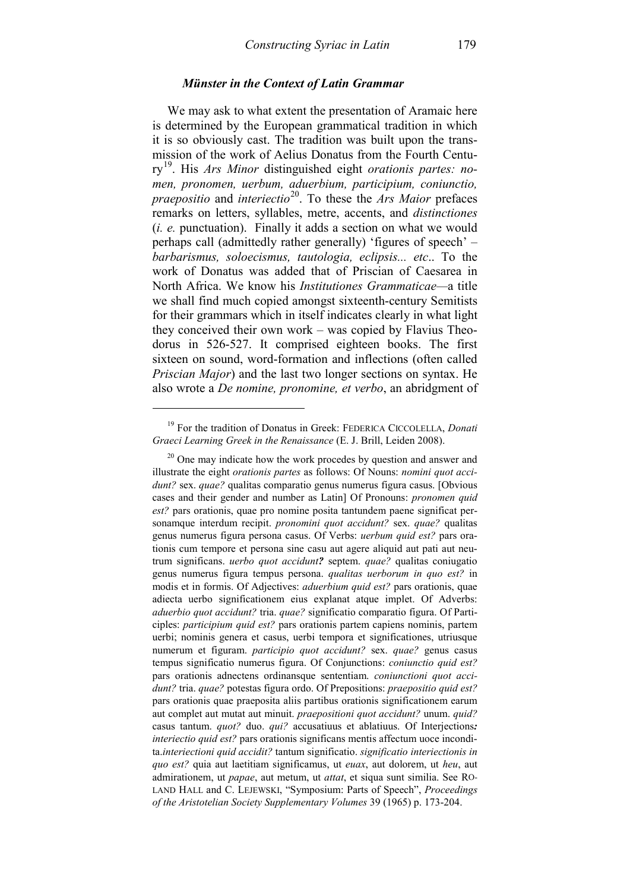#### *Münster in the Context of Latin Grammar*

We may ask to what extent the presentation of Aramaic here is determined by the European grammatical tradition in which it is so obviously cast. The tradition was built upon the transmission of the work of Aelius Donatus from the Fourth Century[19.](#page-10-0) His *Ars Minor* distinguished eight *orationis partes: nomen, pronomen, uerbum, aduerbium, participium, coniunctio, praepositio* and *interiectio*[20.](#page-10-1) To these the *Ars Maior* prefaces remarks on letters, syllables, metre, accents, and *distinctiones* (*i. e.* punctuation). Finally it adds a section on what we would perhaps call (admittedly rather generally) 'figures of speech' – *barbarismus, soloecismus, tautologia, eclipsis... etc*.. To the work of Donatus was added that of Priscian of Caesarea in North Africa. We know his *Institutiones Grammaticae—*a title we shall find much copied amongst sixteenth-century Semitists for their grammars which in itself indicates clearly in what light they conceived their own work – was copied by Flavius Theodorus in 526-527. It comprised eighteen books. The first sixteen on sound, word-formation and inflections (often called *Priscian Major*) and the last two longer sections on syntax. He also wrote a *De nomine, pronomine, et verbo*, an abridgment of

<span id="page-10-0"></span><sup>19</sup> For the tradition of Donatus in Greek: FEDERICA CICCOLELLA, *Donati Graeci Learning Greek in the Renaissance* (E. J. Brill, Leiden 2008).

<span id="page-10-1"></span> $20$  One may indicate how the work procedes by question and answer and illustrate the eight *orationis partes* as follows: Of Nouns: *nomini quot accidunt?* sex. *quae?* qualitas comparatio genus numerus figura casus. [Obvious cases and their gender and number as Latin] Of Pronouns: *pronomen quid est?* pars orationis, quae pro nomine posita tantundem paene significat personamque interdum recipit. *pronomini quot accidunt?* sex. *quae?* qualitas genus numerus figura persona casus. Of Verbs: *uerbum quid est?* pars orationis cum tempore et persona sine casu aut agere aliquid aut pati aut neutrum significans. *uerbo quot accidunt?* septem. *quae?* qualitas coniugatio genus numerus figura tempus persona. *qualitas uerborum in quo est?* in modis et in formis. Of Adjectives: *aduerbium quid est?* pars orationis, quae adiecta uerbo significationem eius explanat atque implet. Of Adverbs: *aduerbio quot accidunt?* tria. *quae?* significatio comparatio figura. Of Participles: *participium quid est?* pars orationis partem capiens nominis, partem uerbi; nominis genera et casus, uerbi tempora et significationes, utriusque numerum et figuram. *participio quot accidunt?* sex. *quae?* genus casus tempus significatio numerus figura. Of Conjunctions: *coniunctio quid est?* pars orationis adnectens ordinansque sententiam. *coniunctioni quot accidunt?* tria. *quae?* potestas figura ordo. Of Prepositions: *praepositio quid est?* pars orationis quae praeposita aliis partibus orationis significationem earum aut complet aut mutat aut minuit. *praepositioni quot accidunt?* unum. *quid?* casus tantum. *quot?* duo. *qui?* accusatiuus et ablatiuus. Of Interjections*: interiectio quid est?* pars orationis significans mentis affectum uoce incondita.*interiectioni quid accidit?* tantum significatio. *significatio interiectionis in quo est?* quia aut laetitiam significamus, ut *euax*, aut dolorem, ut *heu*, aut admirationem, ut *papae*, aut metum, ut *attat*, et siqua sunt similia. See RO-LAND HALL and C. LEJEWSKI, "Symposium: Parts of Speech", *Proceedings of the Aristotelian Society Supplementary Volumes* 39 (1965) p. 173-204.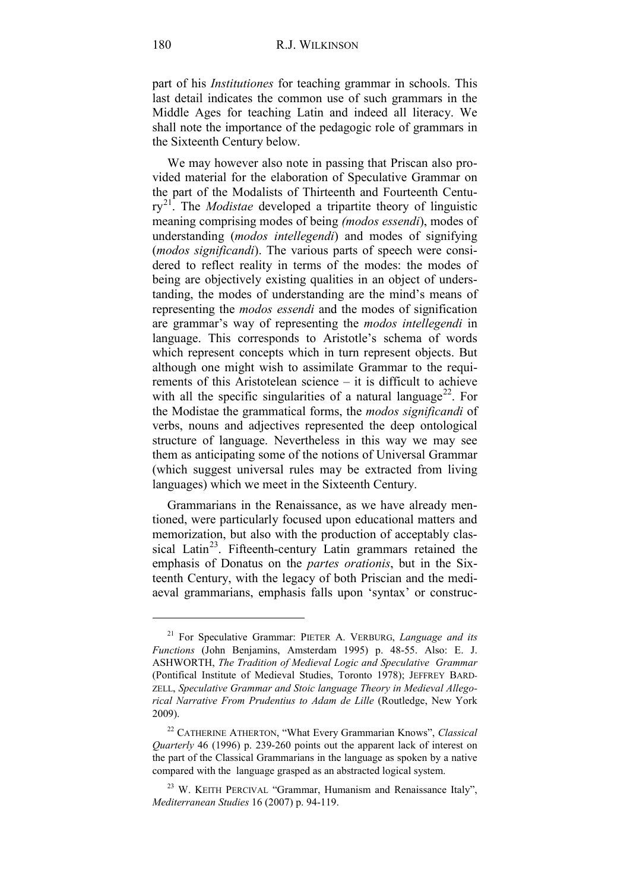part of his *Institutiones* for teaching grammar in schools. This last detail indicates the common use of such grammars in the Middle Ages for teaching Latin and indeed all literacy. We shall note the importance of the pedagogic role of grammars in the Sixteenth Century below.

We may however also note in passing that Priscan also provided material for the elaboration of Speculative Grammar on the part of the Modalists of Thirteenth and Fourteenth Century[21.](#page-11-0) The *Modistae* developed a tripartite theory of linguistic meaning comprising modes of being *(modos essendi*), modes of understanding (*modos intellegendi*) and modes of signifying (*modos significandi*). The various parts of speech were considered to reflect reality in terms of the modes: the modes of being are objectively existing qualities in an object of understanding, the modes of understanding are the mind's means of representing the *modos essendi* and the modes of signification are grammar's way of representing the *modos intellegendi* in language. This corresponds to Aristotle's schema of words which represent concepts which in turn represent objects. But although one might wish to assimilate Grammar to the requirements of this Aristotelean science – it is difficult to achieve with all the specific singularities of a natural language<sup>[22](#page-11-1)</sup>. For the Modistae the grammatical forms, the *modos significandi* of verbs, nouns and adjectives represented the deep ontological structure of language. Nevertheless in this way we may see them as anticipating some of the notions of Universal Grammar (which suggest universal rules may be extracted from living languages) which we meet in the Sixteenth Century.

Grammarians in the Renaissance, as we have already mentioned, were particularly focused upon educational matters and memorization, but also with the production of acceptably clas-sical Latin<sup>[23](#page-11-2)</sup>. Fifteenth-century Latin grammars retained the emphasis of Donatus on the *partes orationis*, but in the Sixteenth Century, with the legacy of both Priscian and the mediaeval grammarians, emphasis falls upon 'syntax' or construc-

<span id="page-11-0"></span><sup>21</sup> For Speculative Grammar: PIETER A. VERBURG, *Language and its Functions* (John Benjamins, Amsterdam 1995) p. 48-55. Also: E. J. ASHWORTH, *The Tradition of Medieval Logic and Speculative Grammar*  (Pontifical Institute of Medieval Studies, Toronto 1978); JEFFREY BARD-ZELL, *Speculative Grammar and Stoic language Theory in Medieval Allegorical Narrative From Prudentius to Adam de Lille* (Routledge, New York 2009).

<span id="page-11-1"></span><sup>22</sup> CATHERINE ATHERTON, "What Every Grammarian Knows", *Classical Quarterly* 46 (1996) p. 239-260 points out the apparent lack of interest on the part of the Classical Grammarians in the language as spoken by a native compared with the language grasped as an abstracted logical system.

<span id="page-11-2"></span><sup>&</sup>lt;sup>23</sup> W. KEITH PERCIVAL "Grammar, Humanism and Renaissance Italy", *Mediterranean Studies* 16 (2007) p. 94-119.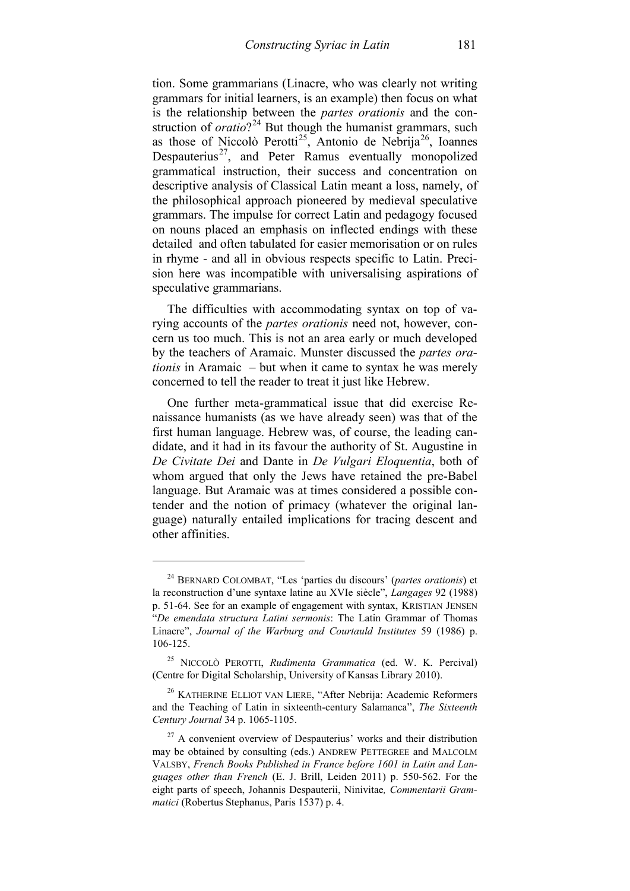tion. Some grammarians (Linacre, who was clearly not writing grammars for initial learners, is an example) then focus on what is the relationship between the *partes orationis* and the construction of *oratio*?<sup>[24](#page-12-0)</sup> But though the humanist grammars, such as those of Niccolò Perotti<sup>25</sup>, Antonio de Nebrija<sup>26</sup>, Ioannes Despauterius<sup>[27](#page-12-3)</sup>, and Peter Ramus eventually monopolized grammatical instruction, their success and concentration on descriptive analysis of Classical Latin meant a loss, namely, of the philosophical approach pioneered by medieval speculative grammars. The impulse for correct Latin and pedagogy focused on nouns placed an emphasis on inflected endings with these detailed and often tabulated for easier memorisation or on rules in rhyme - and all in obvious respects specific to Latin. Precision here was incompatible with universalising aspirations of speculative grammarians.

The difficulties with accommodating syntax on top of varying accounts of the *partes orationis* need not, however, concern us too much. This is not an area early or much developed by the teachers of Aramaic. Munster discussed the *partes orationis* in Aramaic – but when it came to syntax he was merely concerned to tell the reader to treat it just like Hebrew.

One further meta-grammatical issue that did exercise Renaissance humanists (as we have already seen) was that of the first human language. Hebrew was, of course, the leading candidate, and it had in its favour the authority of St. Augustine in *De Civitate Dei* and Dante in *De Vulgari Eloquentia*, both of whom argued that only the Jews have retained the pre-Babel language. But Aramaic was at times considered a possible contender and the notion of primacy (whatever the original language) naturally entailed implications for tracing descent and other affinities.

<span id="page-12-0"></span><sup>24</sup> BERNARD COLOMBAT, "Les 'parties du discours' (*partes orationis*) et la reconstruction d'une syntaxe latine au XVIe siècle", *Langages* 92 (1988) p. 51-64. See for an example of engagement with syntax, KRISTIAN JENSEN "*De emendata structura Latini sermonis*: The Latin Grammar of Thomas Linacre", *Journal of the Warburg and Courtauld Institutes* 59 (1986) p. 106-125.

<span id="page-12-1"></span><sup>25</sup> NICCOLÒ PEROTTI, *Rudimenta Grammatica* (ed. W. K. Percival) (Centre for Digital Scholarship, University of Kansas Library 2010).

<span id="page-12-2"></span><sup>26</sup> KATHERINE ELLIOT VAN LIERE, "After Nebrija: Academic Reformers and the Teaching of Latin in sixteenth-century Salamanca", *The Sixteenth Century Journal* 34 p. 1065-1105.

<span id="page-12-3"></span> $27$  A convenient overview of Despauterius' works and their distribution may be obtained by consulting (eds.) ANDREW PETTEGREE and MALCOLM VALSBY, *French Books Published in France before 1601 in Latin and Languages other than French* (E. J. Brill, Leiden 2011) p. 550-562. For the eight parts of speech, Johannis Despauterii, Ninivitae*, Commentarii Grammatici* (Robertus Stephanus, Paris 1537) p. 4.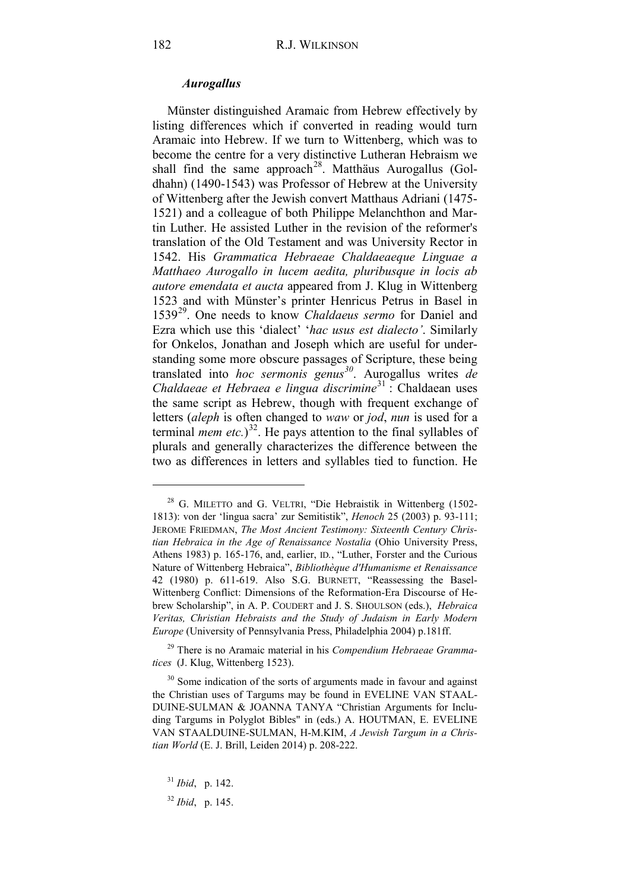#### *Aurogallus*

Münster distinguished Aramaic from Hebrew effectively by listing differences which if converted in reading would turn Aramaic into Hebrew. If we turn to Wittenberg, which was to become the centre for a very distinctive Lutheran Hebraism we shall find the same approach<sup>28</sup>. Matthäus Aurogallus (Goldhahn) (1490-1543) was Professor of Hebrew at the University of Wittenberg after the Jewish convert Matthaus Adriani (1475- 1521) and a colleague of both Philippe Melanchthon and Martin Luther. He assisted Luther in the revision of the reformer's translation of the Old Testament and was University Rector in 1542. His *Grammatica Hebraeae Chaldaeaeque Linguae a Matthaeo Aurogallo in lucem aedita, pluribusque in locis ab autore emendata et aucta* appeared from J. Klug in Wittenberg 1523 and with Münster's printer Henricus Petrus in Basel in 1539[29.](#page-13-1) One needs to know *Chaldaeus sermo* for Daniel and Ezra which use this 'dialect' '*hac usus est dialecto'*. Similarly for Onkelos, Jonathan and Joseph which are useful for understanding some more obscure passages of Scripture, these being translated into *hoc sermonis genus[30](#page-13-2)*. Aurogallus writes *de Chaldaeae et Hebraea e lingua discrimine*<sup>[31](#page-13-3)</sup> : Chaldaean uses the same script as Hebrew, though with frequent exchange of letters (*aleph* is often changed to *waw* or *jod*, *nun* is used for a terminal *mem etc.*) [32.](#page-13-4) He pays attention to the final syllables of plurals and generally characterizes the difference between the two as differences in letters and syllables tied to function. He

<span id="page-13-0"></span><sup>&</sup>lt;sup>28</sup> G. MILETTO and G. VELTRI, "Die Hebraistik in Wittenberg (1502-1813): von der 'lingua sacra' zur Semitistik", *Henoch* 25 (2003) p. 93-111; JEROME FRIEDMAN, *The Most Ancient Testimony: Sixteenth Century Christian Hebraica in the Age of Renaissance Nostalia* (Ohio University Press, Athens 1983) p. 165-176, and, earlier, ID*.*, "Luther, Forster and the Curious Nature of Wittenberg Hebraica", *Bibliothèque d'Humanisme et Renaissance* 42 (1980) p. 611-619. Also S.G. BURNETT, "Reassessing the Basel-Wittenberg Conflict: Dimensions of the Reformation-Era Discourse of Hebrew Scholarship", in A. P. COUDERT and J. S. SHOULSON (eds.), *Hebraica Veritas, Christian Hebraists and the Study of Judaism in Early Modern Europe* (University of Pennsylvania Press, Philadelphia 2004) p.181ff.

<span id="page-13-1"></span><sup>29</sup> There is no Aramaic material in his *Compendium Hebraeae Grammatices* (J. Klug, Wittenberg 1523).

<span id="page-13-2"></span><sup>&</sup>lt;sup>30</sup> Some indication of the sorts of arguments made in favour and against the Christian uses of Targums may be found in EVELINE VAN STAAL-DUINE-SULMAN & JOANNA TANYA "Christian Arguments for Including Targums in Polyglot Bibles" in (eds.) A. HOUTMAN, E. EVELINE VAN STAALDUINE-SULMAN, H-M.KIM, *A Jewish Targum in a Christian World* (E. J. Brill, Leiden 2014) p. 208-222.

<sup>31</sup> *Ibid*, p. 142.

<span id="page-13-4"></span><span id="page-13-3"></span><sup>32</sup> *Ibid*, p. 145.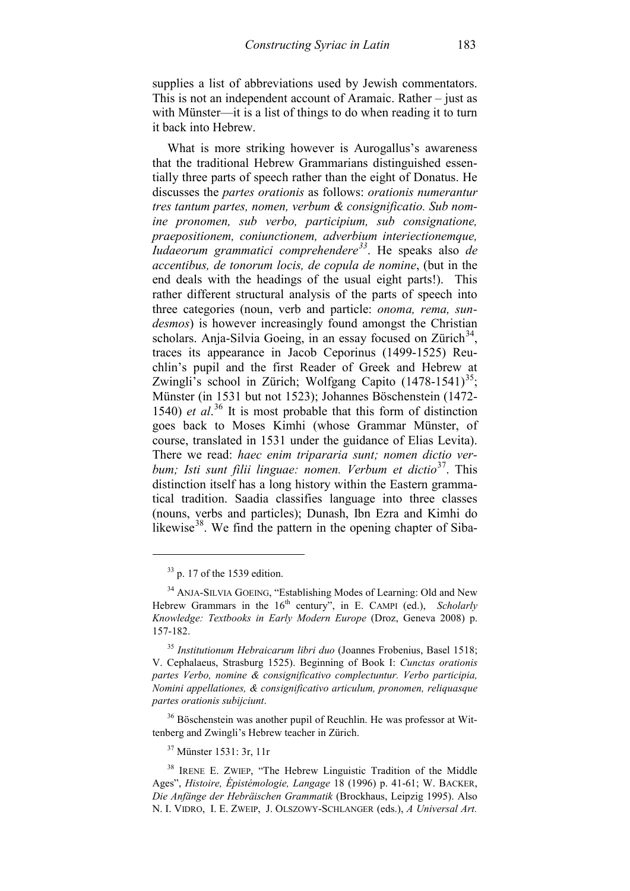supplies a list of abbreviations used by Jewish commentators. This is not an independent account of Aramaic. Rather – just as with Münster—it is a list of things to do when reading it to turn it back into Hebrew.

What is more striking however is Aurogallus's awareness that the traditional Hebrew Grammarians distinguished essentially three parts of speech rather than the eight of Donatus. He discusses the *partes orationis* as follows: *orationis numerantur tres tantum partes, nomen, verbum & consignificatio. Sub nomine pronomen, sub verbo, participium, sub consignatione, praepositionem, coniunctionem, adverbium interiectionemque, Iudaeorum grammatici comprehendere[33](#page-14-0)*. He speaks also *de accentibus, de tonorum locis, de copula de nomine*, (but in the end deals with the headings of the usual eight parts!). This rather different structural analysis of the parts of speech into three categories (noun, verb and particle: *onoma, rema, sundesmos*) is however increasingly found amongst the Christian scholars. Anja-Silvia Goeing, in an essay focused on Zürich $34$ , traces its appearance in Jacob Ceporinus (1499-1525) Reuchlin's pupil and the first Reader of Greek and Hebrew at Zwingli's school in Zürich; Wolfgang Capito  $(1478-1541)^{35}$  $(1478-1541)^{35}$  $(1478-1541)^{35}$ ; Münster (in 1531 but not 1523); Johannes Böschenstein (1472- 1540) *et al*. [36](#page-14-3) It is most probable that this form of distinction goes back to Moses Kimhi (whose Grammar Münster, of course, translated in 1531 under the guidance of Elias Levita). There we read: *haec enim tripararia sunt; nomen dictio verbum; Isti sunt filii linguae: nomen. Verbum et dictio*<sup>37</sup>. This distinction itself has a long history within the Eastern grammatical tradition. Saadia classifies language into three classes (nouns, verbs and particles); Dunash, Ibn Ezra and Kimhi do likewise $38$ . We find the pattern in the opening chapter of Siba-

-

<span id="page-14-3"></span><sup>36</sup> Böschenstein was another pupil of Reuchlin. He was professor at Wittenberg and Zwingli's Hebrew teacher in Zürich.

<sup>37</sup> Münster 1531: 3r, 11r

 $33$  p. 17 of the 1539 edition.

<span id="page-14-1"></span><span id="page-14-0"></span><sup>&</sup>lt;sup>34</sup> ANJA-SILVIA GOEING, "Establishing Modes of Learning: Old and New Hebrew Grammars in the 16<sup>th</sup> century", in E. CAMPI (ed.), *Scholarly Knowledge: Textbooks in Early Modern Europe* (Droz, Geneva 2008) p. 157-182.

<span id="page-14-2"></span><sup>35</sup> *Institutionum Hebraicarum libri duo* (Joannes Frobenius, Basel 1518; V. Cephalaeus, Strasburg 1525). Beginning of Book I: *Cunctas orationis partes Verbo, nomine & consignificativo complectuntur. Verbo participia, Nomini appellationes, & consignificativo articulum, pronomen, reliquasque partes orationis subijciunt*.

<span id="page-14-5"></span><span id="page-14-4"></span><sup>38</sup> IRENE E. ZWIEP, "The Hebrew Linguistic Tradition of the Middle Ages", *Histoire, Épistémologie, Langage* 18 (1996) p. 41-61; W. BACKER, *Die Anfänge der Hebräischen Grammatik* (Brockhaus, Leipzig 1995). Also N. I. VIDRO, I. E. ZWEIP, J. OLSZOWY-SCHLANGER (eds.), *A Universal Art.*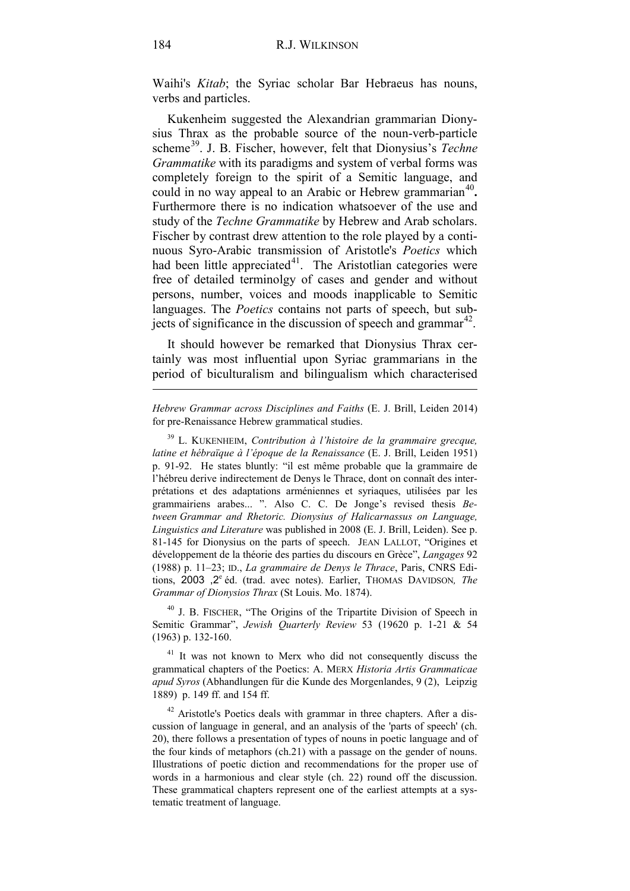Waihi's *Kitab*; the Syriac scholar Bar Hebraeus has nouns, verbs and particles.

Kukenheim suggested the Alexandrian grammarian Dionysius Thrax as the probable source of the noun-verb-particle scheme<sup>39</sup>. J. B. Fischer, however, felt that Dionysius's *Techne Grammatike* with its paradigms and system of verbal forms was completely foreign to the spirit of a Semitic language, and could in no way appeal to an Arabic or Hebrew grammarian<sup>[40](#page-15-1)</sup>. Furthermore there is no indication whatsoever of the use and study of the *Techne Grammatike* by Hebrew and Arab scholars. Fischer by contrast drew attention to the role played by a continuous Syro-Arabic transmission of Aristotle's *Poetics* which had been little appreciated $4^1$ . The Aristotlian categories were free of detailed terminolgy of cases and gender and without persons, number, voices and moods inapplicable to Semitic languages. The *Poetics* contains not parts of speech, but subjects of significance in the discussion of speech and grammar $42$ .

It should however be remarked that Dionysius Thrax certainly was most influential upon Syriac grammarians in the period of biculturalism and bilingualism which characterised

*Hebrew Grammar across Disciplines and Faiths* (E. J. Brill, Leiden 2014) for pre-Renaissance Hebrew grammatical studies.

<span id="page-15-1"></span><sup>40</sup> J. B. FISCHER, "The Origins of the Tripartite Division of Speech in Semitic Grammar", *Jewish Quarterly Review* 53 (19620 p. 1-21 & 54 (1963) p. 132-160.

<span id="page-15-2"></span><sup>41</sup> It was not known to Merx who did not consequently discuss the grammatical chapters of the Poetics: A. MERX *Historia Artis Grammaticae apud Syros* (Abhandlungen für die Kunde des Morgenlandes, 9 (2), Leipzig 1889) p. 149 ff. and 154 ff.

<span id="page-15-3"></span>Aristotle's Poetics deals with grammar in three chapters. After a discussion of language in general, and an analysis of the 'parts of speech' (ch. 20), there follows a presentation of types of nouns in poetic language and of the four kinds of metaphors (ch.21) with a passage on the gender of nouns. Illustrations of poetic diction and recommendations for the proper use of words in a harmonious and clear style (ch. 22) round off the discussion. These grammatical chapters represent one of the earliest attempts at a systematic treatment of language.

<span id="page-15-0"></span><sup>39</sup> L. KUKENHEIM, *Contribution à l'histoire de la grammaire grecque, latine et hébraïque à l'époque de la Renaissance* (E. J. Brill, Leiden 1951) p. 91-92. He states bluntly: "il est même probable que la grammaire de l'hébreu derive indirectement de Denys le Thrace, dont on connaît des interprétations et des adaptations arméniennes et syriaques, utilisées par les grammairiens arabes... ". Also C. C. De Jonge's revised thesis *Between Grammar and Rhetoric. Dionysius of Halicarnassus on Language, Linguistics and Literature* was published in 2008 (E. J. Brill, Leiden). See p. 81-145 for Dionysius on the parts of speech. JEAN LALLOT, "Origines et développement de la théorie des parties du discours en Grèce", *Langages* 92 (1988) p. 11–23; ID., *La grammaire de Denys le Thrace*, Paris, CNRS Editions, 2003 ,2<sup>e</sup> éd. (trad. avec notes). Earlier, THOMAS DAVIDSON, The *Grammar of Dionysios Thrax* (St Louis. Mo. 1874).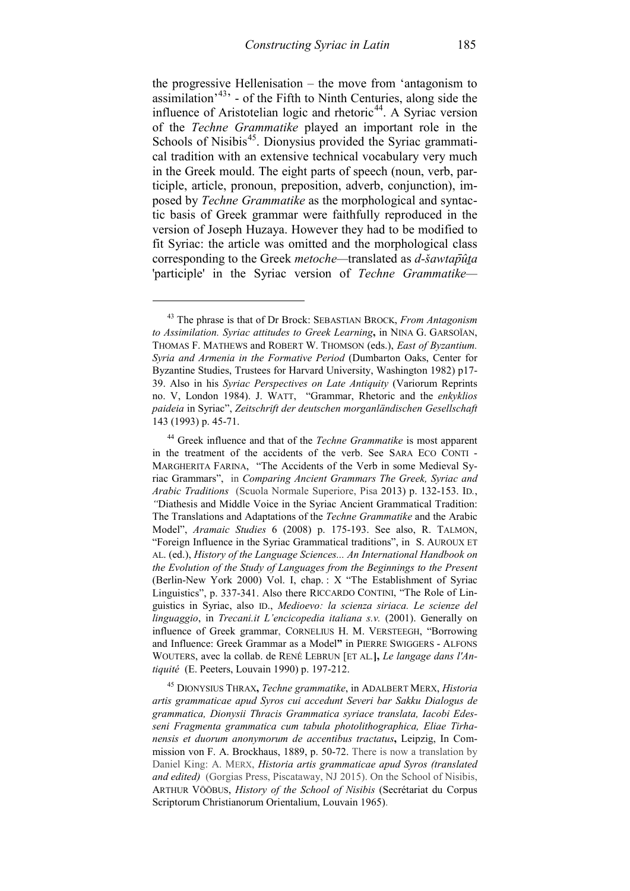the progressive Hellenisation – the move from 'antagonism to assimilation<sup> $43$ </sup> - of the Fifth to Ninth Centuries, along side the influence of Aristotelian logic and rhetoric<sup>[44](#page-16-1)</sup>. A Syriac version of the *Techne Grammatike* played an important role in the Schools of Nisibis<sup>[45](#page-16-2)</sup>. Dionysius provided the Syriac grammatical tradition with an extensive technical vocabulary very much in the Greek mould. The eight parts of speech (noun, verb, participle, article, pronoun, preposition, adverb, conjunction), imposed by *Techne Grammatike* as the morphological and syntactic basis of Greek grammar were faithfully reproduced in the version of Joseph Huzaya. However they had to be modified to fit Syriac: the article was omitted and the morphological class corresponding to the Greek *metoche—*translated as *d-šawtap̄ûṯa* 'participle' in the Syriac version of *Techne Grammatike—*

-

<span id="page-16-2"></span><sup>45</sup> DIONYSIUS THRAX**,** *Techne grammatike*, in ADALBERT MERX, *Historia artis grammaticae apud Syros cui accedunt Severi bar Sakku Dialogus de grammatica, Dionysii Thracis Grammatica syriace translata, Iacobi Edesseni Fragmenta grammatica cum tabula photolithographica, Eliae Tirhanensis et duorum anonymorum de accentibus tractatus***,** Leipzig, In Commission von F. A. Brockhaus, 1889, p. 50-72. There is now a translation by Daniel King: A. MERX, *Historia artis grammaticae apud Syros (translated and edited)* (Gorgias Press, Piscataway, NJ 2015). On the School of Nisibis, ARTHUR VÖÖBUS, *History of the School of Nisibis* (Secrétariat du Corpus Scriptorum Christianorum Orientalium, Louvain 1965).

<span id="page-16-0"></span><sup>43</sup> The phrase is that of Dr Brock: SEBASTIAN BROCK, *From Antagonism to Assimilation. Syriac attitudes to Greek Learning***,** in NINA G. GARSOÏAN, THOMAS F. MATHEWS and ROBERT W. THOMSON (eds.), *East of Byzantium. Syria and Armenia in the Formative Period* (Dumbarton Oaks, Center for Byzantine Studies, Trustees for Harvard University, Washington 1982) p17- 39. Also in his *Syriac Perspectives on Late Antiquity* (Variorum Reprints no. V, London 1984). J. WATT, "Grammar, Rhetoric and the *enkyklios paideia* in Syriac", *Zeitschrift der deutschen morganländischen Gesellschaft* 143 (1993) p. 45-71.

<span id="page-16-1"></span><sup>44</sup> Greek influence and that of the *Techne Grammatike* is most apparent in the treatment of the accidents of the verb. See SARA ECO CONTI - MARGHERITA FARINA, "The Accidents of the Verb in some Medieval Syriac Grammars", in *Comparing Ancient Grammars The Greek, Syriac and Arabic Traditions* (Scuola Normale Superiore, Pisa 2013) p. 132-153. ID*.*, *"*Diathesis and Middle Voice in the Syriac Ancient Grammatical Tradition: The Translations and Adaptations of the *Techne Grammatike* and the Arabic Model", *Aramaic Studies* 6 (2008) p. 175-193. See also, R. TALMON, "Foreign Influence in the Syriac Grammatical traditions", in S. AUROUX ET AL. (ed.), *History of the Language Sciences... An International Handbook on the Evolution of the Study of Languages from the Beginnings to the Present* (Berlin-New York 2000) Vol. I, chap. : X "The Establishment of Syriac Linguistics", p. 337-341. Also there RICCARDO CONTINI, "The Role of Linguistics in Syriac, also ID., *Medioevo: la scienza siriaca. Le scienze del linguaggio*, in *Trecani.it L'encicopedia italiana s.v.* (2001). Generally on influence of Greek grammar, CORNELIUS H. M. VERSTEEGH, "Borrowing and Influence: Greek Grammar as a Model**"** in PIERRE SWIGGERS - ALFONS WOUTERS, avec la collab. de RENÉ LEBRUN [ET AL*.***],** *Le langage dans l'Antiquité* (E. Peeters, Louvain 1990) p. 197-212.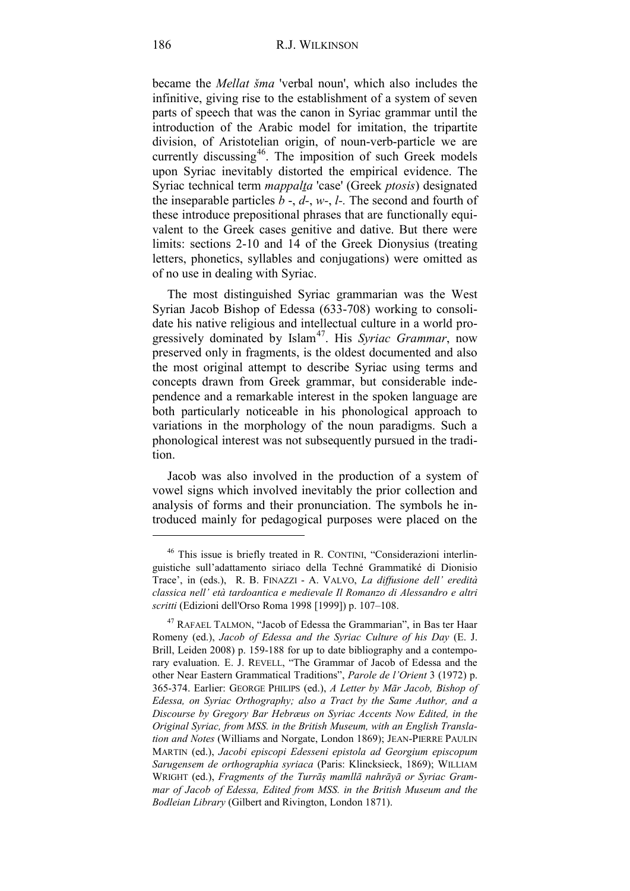became the *Mellat šma* 'verbal noun', which also includes the infinitive, giving rise to the establishment of a system of seven parts of speech that was the canon in Syriac grammar until the introduction of the Arabic model for imitation, the tripartite division, of Aristotelian origin, of noun-verb-particle we are currently discussing<sup>[46](#page-17-0)</sup>. The imposition of such Greek models upon Syriac inevitably distorted the empirical evidence. The Syriac technical term *mappalṯa* 'case' (Greek *ptosis*) designated the inseparable particles *b* -, *d-*, *w-*, *l-.* The second and fourth of these introduce prepositional phrases that are functionally equivalent to the Greek cases genitive and dative. But there were limits: sections 2-10 and 14 of the Greek Dionysius (treating letters, phonetics, syllables and conjugations) were omitted as of no use in dealing with Syriac.

The most distinguished Syriac grammarian was the West Syrian Jacob Bishop of Edessa (633-708) working to consolidate his native religious and intellectual culture in a world progressively dominated by Islam<sup>47</sup>. His *Syriac Grammar*, now preserved only in fragments, is the oldest documented and also the most original attempt to describe Syriac using terms and concepts drawn from Greek grammar, but considerable independence and a remarkable interest in the spoken language are both particularly noticeable in his phonological approach to variations in the morphology of the noun paradigms. Such a phonological interest was not subsequently pursued in the tradition.

Jacob was also involved in the production of a system of vowel signs which involved inevitably the prior collection and analysis of forms and their pronunciation. The symbols he introduced mainly for pedagogical purposes were placed on the

<span id="page-17-0"></span><sup>&</sup>lt;sup>46</sup> This issue is briefly treated in R. CONTINI, "Considerazioni interlinguistiche sull'adattamento siriaco della Techné Grammatiké di Dionisio Trace', in (eds.), R. B. FINAZZI - A. VALVO, *La diffusione dell' eredità classica nell' età tardoantica e medievale Il Romanzo di Alessandro e altri scritti* (Edizioni dell'Orso Roma 1998 [1999]) p. 107–108.

<span id="page-17-1"></span><sup>&</sup>lt;sup>47</sup> RAFAEL TALMON, "Jacob of Edessa the Grammarian", in Bas ter Haar Romeny (ed.), *Jacob of Edessa and the Syriac Culture of his Day* (E. J. Brill, Leiden 2008) p. 159-188 for up to date bibliography and a contemporary evaluation. E. J. REVELL, "The Grammar of Jacob of Edessa and the other Near Eastern Grammatical Traditions", *Parole de l'Orient* 3 (1972) p. 365-374. Earlier: GEORGE PHILIPS (ed.), *A Letter by Mār Jacob, Bishop of Edessa, on Syriac Orthography; also a Tract by the Same Author, and a Discourse by Gregory Bar Hebræus on Syriac Accents Now Edited, in the Original Syriac, from MSS. in the British Museum, with an English Translation and Notes* (Williams and Norgate, London 1869); JEAN-PIERRE PAULIN MARTIN (ed.), *Jacobi episcopi Edesseni epistola ad Georgium episcopum Sarugensem de orthographia syriaca* (Paris: Klincksieck, 1869); WILLIAM WRIGHT (ed.), *Fragments of the Turrāṣ mamllā nahrāyā or Syriac Grammar of Jacob of Edessa, Edited from MSS. in the British Museum and the Bodleian Library* (Gilbert and Rivington, London 1871).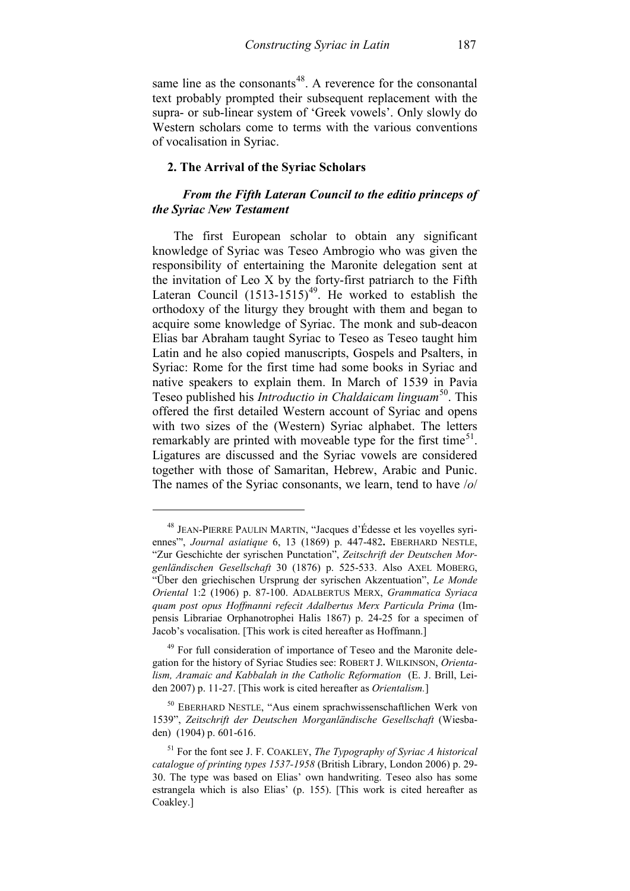same line as the consonants<sup>[48](#page-18-0)</sup>. A reverence for the consonantal text probably prompted their subsequent replacement with the supra- or sub-linear system of 'Greek vowels'. Only slowly do Western scholars come to terms with the various conventions of vocalisation in Syriac.

### **2. The Arrival of the Syriac Scholars**

# *From the Fifth Lateran Council to the editio princeps of the Syriac New Testament*

 The first European scholar to obtain any significant knowledge of Syriac was Teseo Ambrogio who was given the responsibility of entertaining the Maronite delegation sent at the invitation of Leo X by the forty-first patriarch to the Fifth Lateran Council  $(1513-1515)^{49}$  $(1513-1515)^{49}$  $(1513-1515)^{49}$ . He worked to establish the orthodoxy of the liturgy they brought with them and began to acquire some knowledge of Syriac. The monk and sub-deacon Elias bar Abraham taught Syriac to Teseo as Teseo taught him Latin and he also copied manuscripts, Gospels and Psalters, in Syriac: Rome for the first time had some books in Syriac and native speakers to explain them. In March of 1539 in Pavia Teseo published his *Introductio in Chaldaicam linguam*<sup>50</sup>. This offered the first detailed Western account of Syriac and opens with two sizes of the (Western) Syriac alphabet. The letters remarkably are printed with moveable type for the first time<sup>[51](#page-18-3)</sup>. Ligatures are discussed and the Syriac vowels are considered together with those of Samaritan, Hebrew, Arabic and Punic. The names of the Syriac consonants, we learn, tend to have /*o*/

<span id="page-18-0"></span><sup>48</sup> JEAN-PIERRE PAULIN MARTIN, "Jacques d'Édesse et les voyelles syriennes"', *Journal asiatique* 6, 13 (1869) p. 447-482**.** EBERHARD NESTLE, "Zur Geschichte der syrischen Punctation", *Zeitschrift der Deutschen Morgenländischen Gesellschaft* 30 (1876) p. 525-533. Also AXEL MOBERG, "Über den griechischen Ursprung der syrischen Akzentuation", *Le Monde Oriental* 1:2 (1906) p. 87-100. ADALBERTUS MERX, *Grammatica Syriaca quam post opus Hoffmanni refecit Adalbertus Merx Particula Prima* (Impensis Librariae Orphanotrophei Halis 1867) p. 24-25 for a specimen of Jacob's vocalisation. [This work is cited hereafter as Hoffmann.]

<span id="page-18-1"></span><sup>&</sup>lt;sup>49</sup> For full consideration of importance of Teseo and the Maronite delegation for the history of Syriac Studies see: ROBERT J. WILKINSON, *Orientalism, Aramaic and Kabbalah in the Catholic Reformation* (E. J. Brill, Leiden 2007) p. 11-27. [This work is cited hereafter as *Orientalism.*]

<span id="page-18-2"></span><sup>50</sup> EBERHARD NESTLE, "Aus einem sprachwissenschaftlichen Werk von 1539", *Zeitschrift der Deutschen Morganländische Gesellschaft* (Wiesbaden) (1904) p. 601-616.

<span id="page-18-3"></span><sup>51</sup> For the font see J. F. COAKLEY, *The Typography of Syriac A historical catalogue of printing types 1537-1958* (British Library, London 2006) p. 29- 30. The type was based on Elias' own handwriting. Teseo also has some estrangela which is also Elias' (p. 155). [This work is cited hereafter as Coakley.]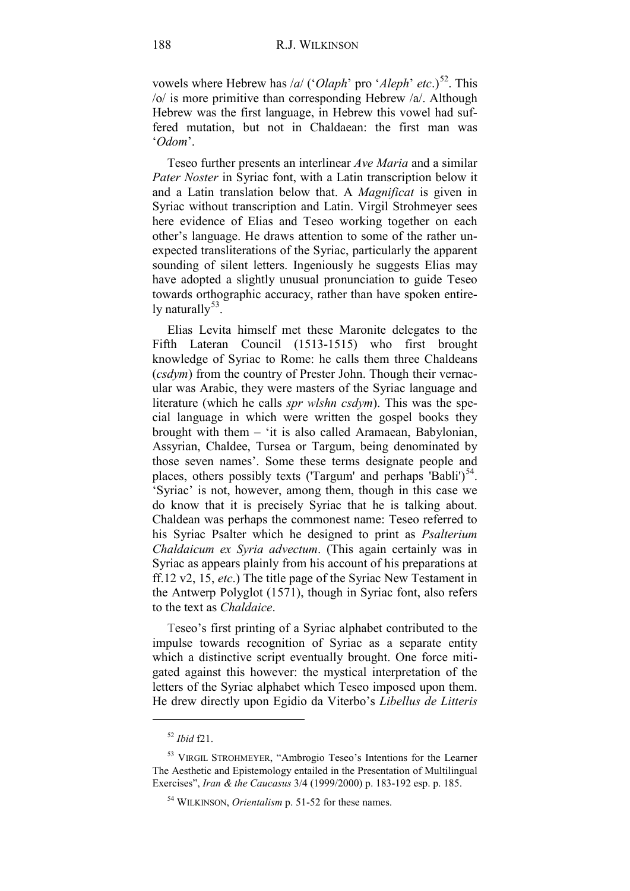vowels where Hebrew has /*a*/ ('*Olaph*' pro '*Aleph*' *etc*.)<sup>52</sup>. This /o/ is more primitive than corresponding Hebrew /a/. Although Hebrew was the first language, in Hebrew this vowel had suffered mutation, but not in Chaldaean: the first man was '*Odom*'.

Teseo further presents an interlinear *Ave Maria* and a similar *Pater Noster* in Syriac font, with a Latin transcription below it and a Latin translation below that. A *Magnificat* is given in Syriac without transcription and Latin. Virgil Strohmeyer sees here evidence of Elias and Teseo working together on each other's language. He draws attention to some of the rather unexpected transliterations of the Syriac, particularly the apparent sounding of silent letters. Ingeniously he suggests Elias may have adopted a slightly unusual pronunciation to guide Teseo towards orthographic accuracy, rather than have spoken entirely naturally  $53$ .

Elias Levita himself met these Maronite delegates to the Fifth Lateran Council (1513-1515) who first brought knowledge of Syriac to Rome: he calls them three Chaldeans (*csdym*) from the country of Prester John. Though their vernacular was Arabic, they were masters of the Syriac language and literature (which he calls *spr wlshn csdym*). This was the special language in which were written the gospel books they brought with them – 'it is also called Aramaean, Babylonian, Assyrian, Chaldee, Tursea or Targum, being denominated by those seven names'. Some these terms designate people and places, others possibly texts ('Targum' and perhaps 'Babli') $54$ . 'Syriac' is not, however, among them, though in this case we do know that it is precisely Syriac that he is talking about. Chaldean was perhaps the commonest name: Teseo referred to his Syriac Psalter which he designed to print as *Psalterium Chaldaicum ex Syria advectum*. (This again certainly was in Syriac as appears plainly from his account of his preparations at ff.12 v2, 15, *etc*.) The title page of the Syriac New Testament in the Antwerp Polyglot (1571), though in Syriac font, also refers to the text as *Chaldaice*.

Teseo's first printing of a Syriac alphabet contributed to the impulse towards recognition of Syriac as a separate entity which a distinctive script eventually brought. One force mitigated against this however: the mystical interpretation of the letters of the Syriac alphabet which Teseo imposed upon them. He drew directly upon Egidio da Viterbo's *Libellus de Litteris* 

<sup>52</sup> *Ibid* f21.

<span id="page-19-2"></span><span id="page-19-1"></span><span id="page-19-0"></span><sup>53</sup> VIRGIL STROHMEYER, "Ambrogio Teseo's Intentions for the Learner The Aesthetic and Epistemology entailed in the Presentation of Multilingual Exercises", *Iran & the Caucasus* 3/4 (1999/2000) p. 183-192 esp. p. 185.

<sup>54</sup> WILKINSON, *Orientalism* p. 51-52 for these names.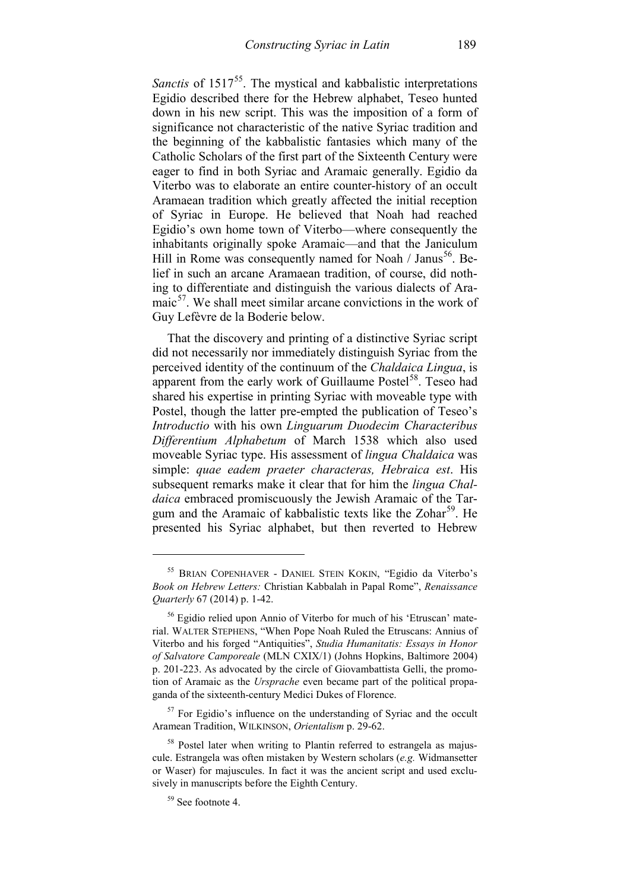*Sanctis* of 1517<sup>55</sup>. The mystical and kabbalistic interpretations Egidio described there for the Hebrew alphabet, Teseo hunted down in his new script. This was the imposition of a form of significance not characteristic of the native Syriac tradition and the beginning of the kabbalistic fantasies which many of the Catholic Scholars of the first part of the Sixteenth Century were eager to find in both Syriac and Aramaic generally. Egidio da Viterbo was to elaborate an entire counter-history of an occult Aramaean tradition which greatly affected the initial reception of Syriac in Europe. He believed that Noah had reached Egidio's own home town of Viterbo—where consequently the inhabitants originally spoke Aramaic—and that the Janiculum Hill in Rome was consequently named for Noah / Janus<sup>[56](#page-20-1)</sup>. Belief in such an arcane Aramaean tradition, of course, did nothing to differentiate and distinguish the various dialects of Ara- $maic<sup>57</sup>$  $maic<sup>57</sup>$  $maic<sup>57</sup>$ . We shall meet similar arcane convictions in the work of Guy Lefèvre de la Boderie below.

That the discovery and printing of a distinctive Syriac script did not necessarily nor immediately distinguish Syriac from the perceived identity of the continuum of the *Chaldaica Lingua*, is apparent from the early work of Guillaume Postel<sup>[58](#page-20-3)</sup>. Teseo had shared his expertise in printing Syriac with moveable type with Postel, though the latter pre-empted the publication of Teseo's *Introductio* with his own *Linguarum Duodecim Characteribus Differentium Alphabetum* of March 1538 which also used moveable Syriac type. His assessment of *lingua Chaldaica* was simple: *quae eadem praeter characteras, Hebraica est*. His subsequent remarks make it clear that for him the *lingua Chaldaica* embraced promiscuously the Jewish Aramaic of the Targum and the Aramaic of kabbalistic texts like the  $Zohar<sup>59</sup>$  $Zohar<sup>59</sup>$  $Zohar<sup>59</sup>$ . He presented his Syriac alphabet, but then reverted to Hebrew

<span id="page-20-0"></span><sup>55</sup> BRIAN COPENHAVER - DANIEL STEIN KOKIN, "Egidio da Viterbo's *Book on Hebrew Letters:* Christian Kabbalah in Papal Rome", *Renaissance Quarterly* 67 (2014) p. 1-42.

<span id="page-20-1"></span><sup>56</sup> Egidio relied upon Annio of Viterbo for much of his 'Etruscan' material. WALTER STEPHENS, "When Pope Noah Ruled the Etruscans: Annius of Viterbo and his forged "Antiquities", *Studia Humanitatis: Essays in Honor of Salvatore Camporeale* (MLN CXIX/1) (Johns Hopkins, Baltimore 2004) p. 201-223. As advocated by the circle of Giovambattista Gelli, the promotion of Aramaic as the *Ursprache* even became part of the political propaganda of the sixteenth-century Medici Dukes of Florence.

<span id="page-20-2"></span><sup>&</sup>lt;sup>57</sup> For Egidio's influence on the understanding of Syriac and the occult Aramean Tradition, WILKINSON, *Orientalism* p. 29-62.

<span id="page-20-4"></span><span id="page-20-3"></span><sup>&</sup>lt;sup>58</sup> Postel later when writing to Plantin referred to estrangela as majuscule. Estrangela was often mistaken by Western scholars (*e.g.* Widmansetter or Waser) for majuscules. In fact it was the ancient script and used exclusively in manuscripts before the Eighth Century.

<sup>59</sup> See footnote 4.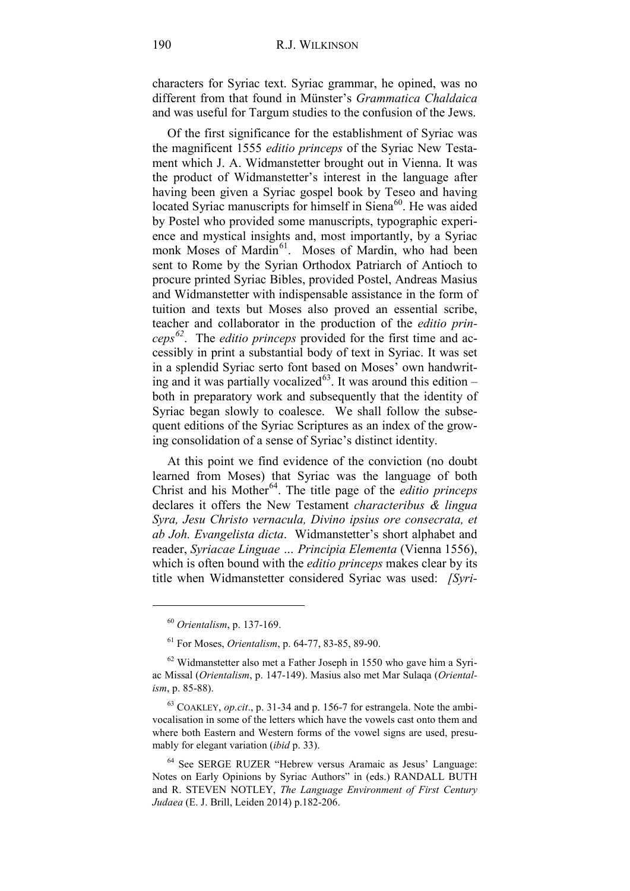characters for Syriac text. Syriac grammar, he opined, was no different from that found in Münster's *Grammatica Chaldaica* and was useful for Targum studies to the confusion of the Jews.

Of the first significance for the establishment of Syriac was the magnificent 1555 *editio princeps* of the Syriac New Testament which J. A. Widmanstetter brought out in Vienna. It was the product of Widmanstetter's interest in the language after having been given a Syriac gospel book by Teseo and having located Syriac manuscripts for himself in Siena<sup>60</sup>. He was aided by Postel who provided some manuscripts, typographic experience and mystical insights and, most importantly, by a Syriac monk Moses of Mardin<sup>[61](#page-21-1)</sup>. Moses of Mardin, who had been sent to Rome by the Syrian Orthodox Patriarch of Antioch to procure printed Syriac Bibles, provided Postel, Andreas Masius and Widmanstetter with indispensable assistance in the form of tuition and texts but Moses also proved an essential scribe, teacher and collaborator in the production of the *editio princeps [62](#page-21-2)*. The *editio princeps* provided for the first time and accessibly in print a substantial body of text in Syriac. It was set in a splendid Syriac serto font based on Moses' own handwriting and it was partially vocalized<sup>63</sup>. It was around this edition – both in preparatory work and subsequently that the identity of Syriac began slowly to coalesce. We shall follow the subsequent editions of the Syriac Scriptures as an index of the growing consolidation of a sense of Syriac's distinct identity.

At this point we find evidence of the conviction (no doubt learned from Moses) that Syriac was the language of both Christ and his Mother<sup>64</sup>. The title page of the *editio princeps* declares it offers the New Testament *characteribus & lingua Syra, Jesu Christo vernacula, Divino ipsius ore consecrata, et ab Joh. Evangelista dicta*. Widmanstetter's short alphabet and reader, *Syriacae Linguae … Principia Elementa* (Vienna 1556), which is often bound with the *editio princeps* makes clear by its title when Widmanstetter considered Syriac was used: *[Syri-*

<sup>60</sup> *Orientalism*, p. 137-169.

<sup>61</sup> For Moses, *Orientalism*, p. 64-77, 83-85, 89-90.

<span id="page-21-2"></span><span id="page-21-1"></span><span id="page-21-0"></span> $62$  Widmanstetter also met a Father Joseph in 1550 who gave him a Syriac Missal (*Orientalism*, p. 147-149). Masius also met Mar Sulaqa (*Orientalism*, p. 85-88).

<span id="page-21-3"></span><sup>63</sup> COAKLEY, *op.cit*., p. 31-34 and p. 156-7 for estrangela. Note the ambivocalisation in some of the letters which have the vowels cast onto them and where both Eastern and Western forms of the vowel signs are used, presumably for elegant variation (*ibid* p. 33).

<span id="page-21-4"></span><sup>64</sup> See SERGE RUZER "Hebrew versus Aramaic as Jesus' Language: Notes on Early Opinions by Syriac Authors" in (eds.) RANDALL BUTH and R. STEVEN NOTLEY, *The Language Environment of First Century Judaea* (E. J. Brill, Leiden 2014) p.182-206.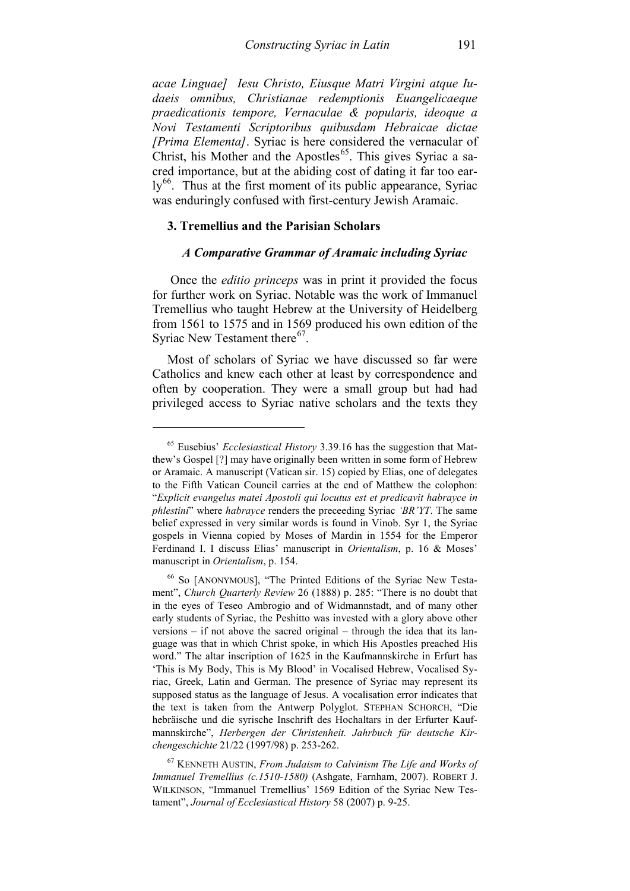*acae Linguae] Iesu Christo, Eiusque Matri Virgini atque Iudaeis omnibus, Christianae redemptionis Euangelicaeque praedicationis tempore, Vernaculae & popularis, ideoque a Novi Testamenti Scriptoribus quibusdam Hebraicae dictae [Prima Elementa]*. Syriac is here considered the vernacular of Christ, his Mother and the Apostles<sup>[65](#page-22-0)</sup>. This gives Syriac a sacred importance, but at the abiding cost of dating it far too ear- $\mathrm{lv}^{66}$  $\mathrm{lv}^{66}$  $\mathrm{lv}^{66}$ . Thus at the first moment of its public appearance, Syriac was enduringly confused with first-century Jewish Aramaic.

#### **3. Tremellius and the Parisian Scholars**

-

### *A Comparative Grammar of Aramaic including Syriac*

Once the *editio princeps* was in print it provided the focus for further work on Syriac. Notable was the work of Immanuel Tremellius who taught Hebrew at the University of Heidelberg from 1561 to 1575 and in 1569 produced his own edition of the Syriac New Testament there<sup>67</sup>.

Most of scholars of Syriac we have discussed so far were Catholics and knew each other at least by correspondence and often by cooperation. They were a small group but had had privileged access to Syriac native scholars and the texts they

<span id="page-22-0"></span><sup>65</sup> Eusebius' *Ecclesiastical History* 3.39.16 has the suggestion that Matthew's Gospel [?] may have originally been written in some form of Hebrew or Aramaic. A manuscript (Vatican sir. 15) copied by Elias, one of delegates to the Fifth Vatican Council carries at the end of Matthew the colophon: "*Explicit evangelus matei Apostoli qui locutus est et predicavit habrayce in phlestini*" where *habrayce* renders the preceeding Syriac *'BR'YT*. The same belief expressed in very similar words is found in Vinob. Syr 1, the Syriac gospels in Vienna copied by Moses of Mardin in 1554 for the Emperor Ferdinand I. I discuss Elias' manuscript in *Orientalism*, p. 16 & Moses' manuscript in *Orientalism*, p. 154.

<span id="page-22-1"></span><sup>66</sup> So [ANONYMOUS], "The Printed Editions of the Syriac New Testament", *Church Quarterly Review* 26 (1888) p. 285: "There is no doubt that in the eyes of Teseo Ambrogio and of Widmannstadt, and of many other early students of Syriac, the Peshitto was invested with a glory above other versions – if not above the sacred original – through the idea that its language was that in which Christ spoke, in which His Apostles preached His word." The altar inscription of 1625 in the Kaufmannskirche in Erfurt has 'This is My Body, This is My Blood' in Vocalised Hebrew, Vocalised Syriac, Greek, Latin and German. The presence of Syriac may represent its supposed status as the language of Jesus. A vocalisation error indicates that the text is taken from the Antwerp Polyglot. STEPHAN SCHORCH, "Die hebräische und die syrische Inschrift des Hochaltars in der Erfurter Kaufmannskirche", *Herbergen der Christenheit. Jahrbuch für deutsche Kirchengeschichte* 21/22 (1997/98) p. 253-262.

<span id="page-22-2"></span><sup>67</sup> KENNETH AUSTIN, *From Judaism to Calvinism The Life and Works of Immanuel Tremellius (c.1510-1580)* (Ashgate, Farnham, 2007). ROBERT J. WILKINSON, "Immanuel Tremellius' 1569 Edition of the Syriac New Testament", *Journal of Ecclesiastical History* 58 (2007) p. 9-25.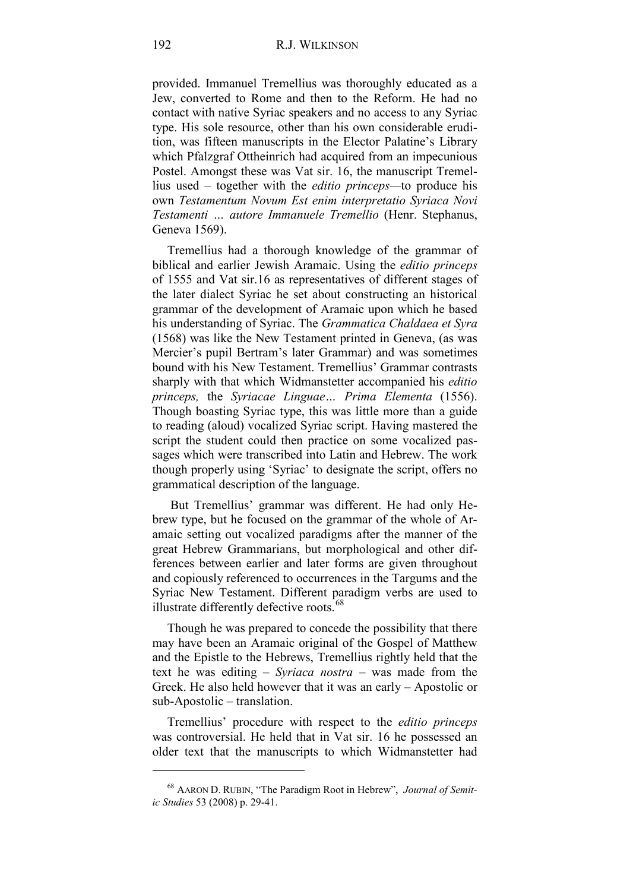provided. Immanuel Tremellius was thoroughly educated as a Jew, converted to Rome and then to the Reform. He had no contact with native Syriac speakers and no access to any Syriac type. His sole resource, other than his own considerable erudition, was fifteen manuscripts in the Elector Palatine's Library which Pfalzgraf Ottheinrich had acquired from an impecunious Postel. Amongst these was Vat sir. 16, the manuscript Tremellius used – together with the *editio princeps—*to produce his own *Testamentum Novum Est enim interpretatio Syriaca Novi Testamenti … autore Immanuele Tremellio* (Henr. Stephanus, Geneva 1569).

Tremellius had a thorough knowledge of the grammar of biblical and earlier Jewish Aramaic. Using the *editio princeps* of 1555 and Vat sir.16 as representatives of different stages of the later dialect Syriac he set about constructing an historical grammar of the development of Aramaic upon which he based his understanding of Syriac. The *Grammatica Chaldaea et Syra* (1568) was like the New Testament printed in Geneva, (as was Mercier's pupil Bertram's later Grammar) and was sometimes bound with his New Testament. Tremellius' Grammar contrasts sharply with that which Widmanstetter accompanied his *editio princeps,* the *Syriacae Linguae… Prima Elementa* (1556). Though boasting Syriac type, this was little more than a guide to reading (aloud) vocalized Syriac script. Having mastered the script the student could then practice on some vocalized passages which were transcribed into Latin and Hebrew. The work though properly using 'Syriac' to designate the script, offers no grammatical description of the language.

But Tremellius' grammar was different. He had only Hebrew type, but he focused on the grammar of the whole of Aramaic setting out vocalized paradigms after the manner of the great Hebrew Grammarians, but morphological and other differences between earlier and later forms are given throughout and copiously referenced to occurrences in the Targums and the Syriac New Testament. Different paradigm verbs are used to illustrate differently defective roots.<sup>[68](#page-23-0)</sup>

Though he was prepared to concede the possibility that there may have been an Aramaic original of the Gospel of Matthew and the Epistle to the Hebrews, Tremellius rightly held that the text he was editing – *Syriaca nostra* – was made from the Greek. He also held however that it was an early – Apostolic or sub-Apostolic – translation.

Tremellius' procedure with respect to the *editio princeps* was controversial. He held that in Vat sir. 16 he possessed an older text that the manuscripts to which Widmanstetter had

<span id="page-23-0"></span><sup>68</sup> AARON D. RUBIN, "The Paradigm Root in Hebrew", *Journal of Semitic Studies* 53 (2008) p. 29-41.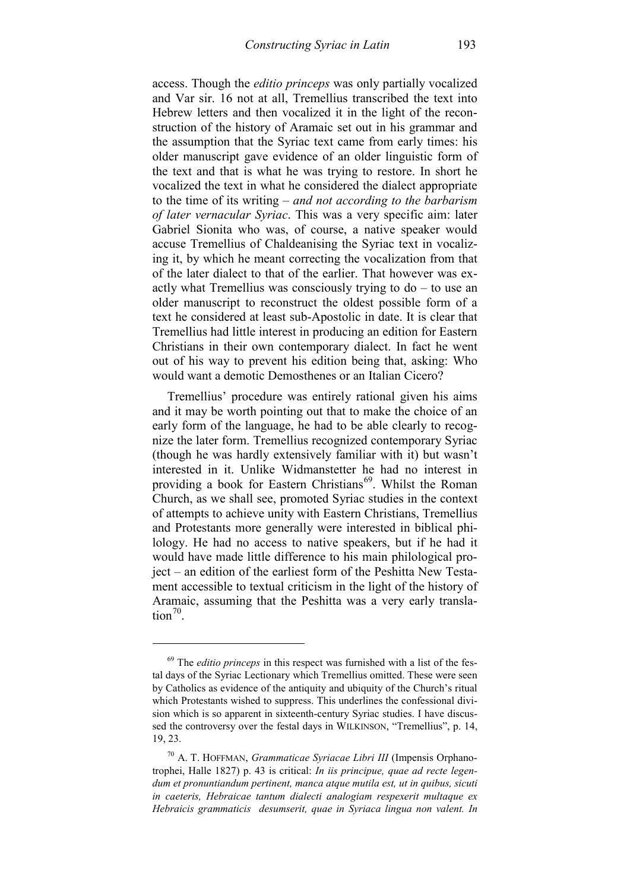access. Though the *editio princeps* was only partially vocalized and Var sir. 16 not at all, Tremellius transcribed the text into Hebrew letters and then vocalized it in the light of the reconstruction of the history of Aramaic set out in his grammar and the assumption that the Syriac text came from early times: his older manuscript gave evidence of an older linguistic form of the text and that is what he was trying to restore. In short he vocalized the text in what he considered the dialect appropriate to the time of its writing – *and not according to the barbarism of later vernacular Syriac*. This was a very specific aim: later Gabriel Sionita who was, of course, a native speaker would accuse Tremellius of Chaldeanising the Syriac text in vocalizing it, by which he meant correcting the vocalization from that of the later dialect to that of the earlier. That however was exactly what Tremellius was consciously trying to do – to use an older manuscript to reconstruct the oldest possible form of a text he considered at least sub-Apostolic in date. It is clear that Tremellius had little interest in producing an edition for Eastern Christians in their own contemporary dialect. In fact he went out of his way to prevent his edition being that, asking: Who would want a demotic Demosthenes or an Italian Cicero?

Tremellius' procedure was entirely rational given his aims and it may be worth pointing out that to make the choice of an early form of the language, he had to be able clearly to recognize the later form. Tremellius recognized contemporary Syriac (though he was hardly extensively familiar with it) but wasn't interested in it. Unlike Widmanstetter he had no interest in providing a book for Eastern Christians<sup>[69](#page-24-0)</sup>. Whilst the Roman Church, as we shall see, promoted Syriac studies in the context of attempts to achieve unity with Eastern Christians, Tremellius and Protestants more generally were interested in biblical philology. He had no access to native speakers, but if he had it would have made little difference to his main philological project – an edition of the earliest form of the Peshitta New Testament accessible to textual criticism in the light of the history of Aramaic, assuming that the Peshitta was a very early translation $70$ .

<span id="page-24-0"></span><sup>69</sup> The *editio princeps* in this respect was furnished with a list of the festal days of the Syriac Lectionary which Tremellius omitted. These were seen by Catholics as evidence of the antiquity and ubiquity of the Church's ritual which Protestants wished to suppress. This underlines the confessional division which is so apparent in sixteenth-century Syriac studies. I have discussed the controversy over the festal days in WILKINSON, "Tremellius", p. 14, 19, 23.

<span id="page-24-1"></span><sup>70</sup> A. T. HOFFMAN, *Grammaticae Syriacae Libri III* (Impensis Orphanotrophei, Halle 1827) p. 43 is critical: *In iis principue, quae ad recte legendum et pronuntiandum pertinent, manca atque mutila est, ut in quibus, sicuti in caeteris, Hebraicae tantum dialecti analogiam respexerit multaque ex Hebraicis grammaticis desumserit, quae in Syriaca lingua non valent. In*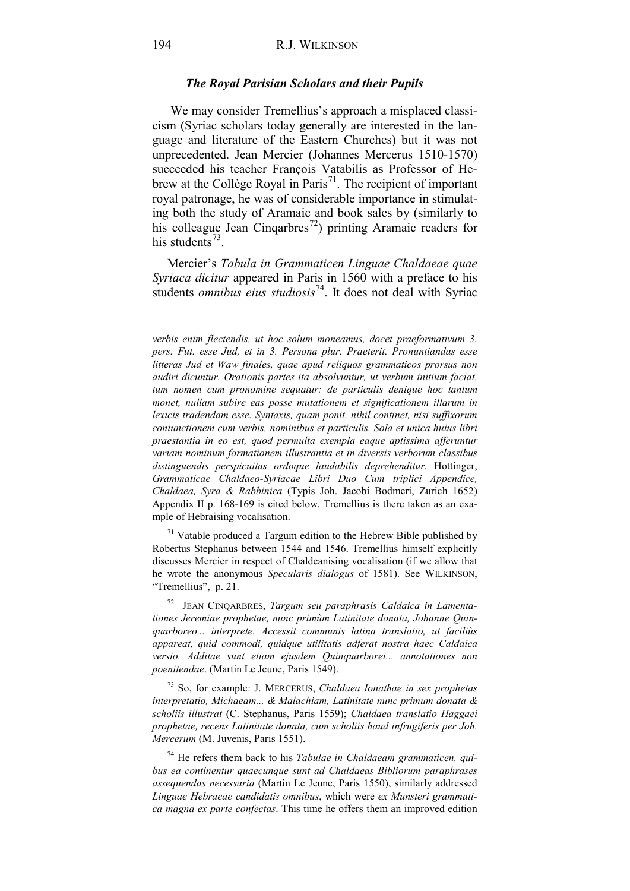#### *The Royal Parisian Scholars and their Pupils*

We may consider Tremellius's approach a misplaced classicism (Syriac scholars today generally are interested in the language and literature of the Eastern Churches) but it was not unprecedented. Jean Mercier (Johannes Mercerus 1510-1570) succeeded his teacher François Vatabilis as Professor of He-brew at the Collège Royal in Paris<sup>[71](#page-25-0)</sup>. The recipient of important royal patronage, he was of considerable importance in stimulating both the study of Aramaic and book sales by (similarly to his colleague Jean Cinqarbres<sup>72</sup>) printing Aramaic readers for his students<sup>[73](#page-25-2)</sup>.

Mercier's *Tabula in Grammaticen Linguae Chaldaeae quae Syriaca dicitur* appeared in Paris in 1560 with a preface to his students *omnibus eius studiosis*<sup>74</sup>. It does not deal with Syriac

<span id="page-25-0"></span> $71$  Vatable produced a Targum edition to the Hebrew Bible published by Robertus Stephanus between 1544 and 1546. Tremellius himself explicitly discusses Mercier in respect of Chaldeanising vocalisation (if we allow that he wrote the anonymous *Specularis dialogus* of 1581). See WILKINSON, "Tremellius", p. 21.

<span id="page-25-1"></span>72 JEAN CINQARBRES, *Targum seu paraphrasis Caldaica in Lamentationes Jeremiae prophetae, nunc primùm Latinitate donata, Johanne Quinquarboreo... interprete. Accessit communis latina translatio, ut faciliùs appareat, quid commodi, quidque utilitatis adferat nostra haec Caldaica versio. Additae sunt etiam ejusdem Quinquarborei... annotationes non poenitendae*. (Martin Le Jeune, Paris 1549).

<span id="page-25-2"></span><sup>73</sup> So, for example: J. MERCERUS, *Chaldaea Ionathae in sex prophetas interpretatio, Michaeam... & Malachiam, Latinitate nunc primum donata & scholiis illustrat* (C. Stephanus, Paris 1559); *Chaldaea translatio Haggaei prophetae, recens Latinitate donata, cum scholiis haud infrugiferis per Joh. Mercerum* (M. Juvenis, Paris 1551).

<span id="page-25-3"></span><sup>74</sup> He refers them back to his *Tabulae in Chaldaeam grammaticen, quibus ea continentur quaecunque sunt ad Chaldaeas Bibliorum paraphrases assequendas necessaria* (Martin Le Jeune, Paris 1550), similarly addressed *Linguae Hebraeae candidatis omnibus*, which were *ex Munsteri grammatica magna ex parte confectas*. This time he offers them an improved edition

*verbis enim flectendis, ut hoc solum moneamus, docet praeformativum 3. pers. Fut. esse Jud, et in 3. Persona plur. Praeterit. Pronuntiandas esse litteras Jud et Waw finales, quae apud reliquos grammaticos prorsus non audiri dicuntur. Orationis partes ita absolvuntur, ut verbum initium faciat, tum nomen cum pronomine sequatur: de particulis denique hoc tantum monet, nullam subire eas posse mutationem et significationem illarum in lexicis tradendam esse. Syntaxis, quam ponit, nihil continet, nisi suffixorum coniunctionem cum verbis, nominibus et particulis. Sola et unica huius libri praestantia in eo est, quod permulta exempla eaque aptissima afferuntur variam nominum formationem illustrantia et in diversis verborum classibus distinguendis perspicuitas ordoque laudabilis deprehenditur.* Hottinger, *Grammaticae Chaldaeo-Syriacae Libri Duo Cum triplici Appendice, Chaldaea, Syra & Rabbinica* (Typis Joh. Jacobi Bodmeri, Zurich 1652) Appendix II p. 168-169 is cited below. Tremellius is there taken as an example of Hebraising vocalisation.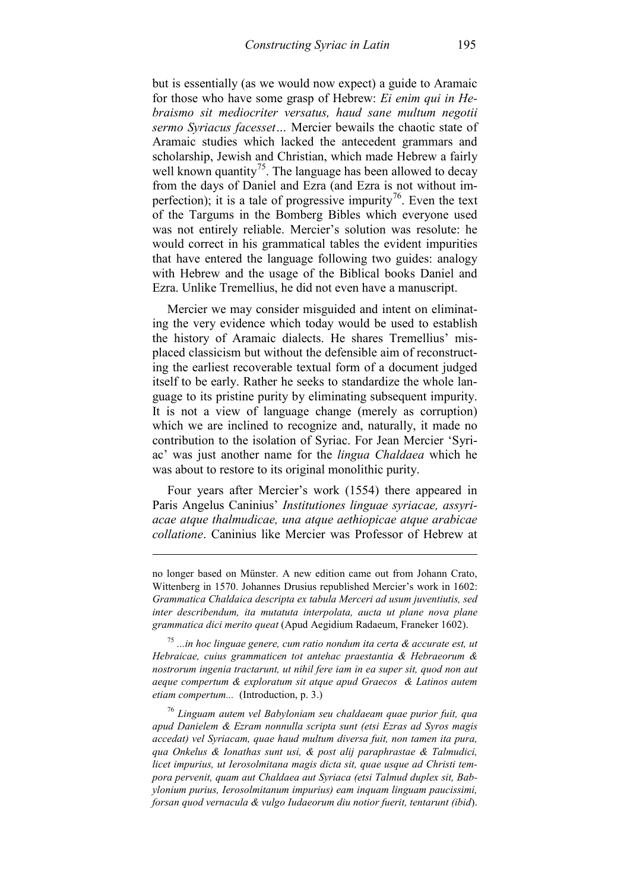but is essentially (as we would now expect) a guide to Aramaic for those who have some grasp of Hebrew: *Ei enim qui in Hebraismo sit mediocriter versatus, haud sane multum negotii sermo Syriacus facesset…* Mercier bewails the chaotic state of Aramaic studies which lacked the antecedent grammars and scholarship, Jewish and Christian, which made Hebrew a fairly well known quantity<sup>[75](#page-26-0)</sup>. The language has been allowed to decay from the days of Daniel and Ezra (and Ezra is not without imperfection); it is a tale of progressive impurity<sup>76</sup>. Even the text of the Targums in the Bomberg Bibles which everyone used was not entirely reliable. Mercier's solution was resolute: he would correct in his grammatical tables the evident impurities that have entered the language following two guides: analogy with Hebrew and the usage of the Biblical books Daniel and Ezra. Unlike Tremellius, he did not even have a manuscript.

Mercier we may consider misguided and intent on eliminating the very evidence which today would be used to establish the history of Aramaic dialects. He shares Tremellius' misplaced classicism but without the defensible aim of reconstructing the earliest recoverable textual form of a document judged itself to be early. Rather he seeks to standardize the whole language to its pristine purity by eliminating subsequent impurity. It is not a view of language change (merely as corruption) which we are inclined to recognize and, naturally, it made no contribution to the isolation of Syriac. For Jean Mercier 'Syriac' was just another name for the *lingua Chaldaea* which he was about to restore to its original monolithic purity.

Four years after Mercier's work (1554) there appeared in Paris Angelus Caninius' *Institutiones linguae syriacae, assyriacae atque thalmudicae, una atque aethiopicae atque arabicae collatione*. Caninius like Mercier was Professor of Hebrew at

-

<span id="page-26-0"></span><sup>75</sup> *...in hoc linguae genere, cum ratio nondum ita certa & accurate est, ut Hebraicae, cuius grammaticen tot antehac praestantia & Hebraeorum & nostrorum ingenia tractarunt, ut nihil fere iam in ea super sit, quod non aut aeque compertum & exploratum sit atque apud Graecos & Latinos autem etiam compertum...* (Introduction, p. 3.)

<span id="page-26-1"></span><sup>76</sup> *Linguam autem vel Babyloniam seu chaldaeam quae purior fuit, qua apud Danielem & Ezram nonnulla scripta sunt (etsi Ezras ad Syros magis accedat) vel Syriacam, quae haud multum diversa fuit, non tamen ita pura, qua Onkelus & Ionathas sunt usi, & post alij paraphrastae & Talmudici, licet impurius, ut Ierosolmitana magis dicta sit, quae usque ad Christi tempora pervenit, quam aut Chaldaea aut Syriaca (etsi Talmud duplex sit, Babylonium purius, Ierosolmitanum impurius) eam inquam linguam paucissimi, forsan quod vernacula & vulgo Iudaeorum diu notior fuerit, tentarunt (ibid*).

no longer based on Münster. A new edition came out from Johann Crato, Wittenberg in 1570. Johannes Drusius republished Mercier's work in 1602: *Grammatica Chaldaica descripta ex tabula Merceri ad usum juventiutis, sed inter describendum, ita mutatuta interpolata, aucta ut plane nova plane grammatica dici merito queat* (Apud Aegidium Radaeum, Franeker 1602).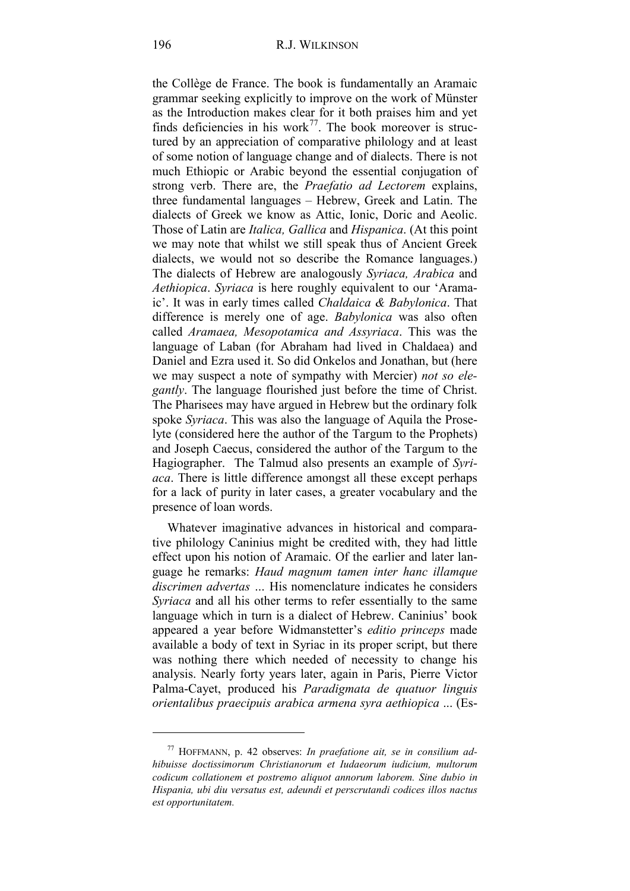the Collège de France. The book is fundamentally an Aramaic grammar seeking explicitly to improve on the work of Münster as the Introduction makes clear for it both praises him and yet finds deficiencies in his work $^{77}$ . The book moreover is structured by an appreciation of comparative philology and at least of some notion of language change and of dialects. There is not much Ethiopic or Arabic beyond the essential conjugation of strong verb. There are, the *Praefatio ad Lectorem* explains, three fundamental languages – Hebrew, Greek and Latin. The dialects of Greek we know as Attic, Ionic, Doric and Aeolic. Those of Latin are *Italica, Gallica* and *Hispanica*. (At this point we may note that whilst we still speak thus of Ancient Greek dialects, we would not so describe the Romance languages.) The dialects of Hebrew are analogously *Syriaca, Arabica* and *Aethiopica*. *Syriaca* is here roughly equivalent to our 'Aramaic'. It was in early times called *Chaldaica & Babylonica*. That difference is merely one of age. *Babylonica* was also often called *Aramaea, Mesopotamica and Assyriaca*. This was the language of Laban (for Abraham had lived in Chaldaea) and Daniel and Ezra used it. So did Onkelos and Jonathan, but (here we may suspect a note of sympathy with Mercier) *not so elegantly*. The language flourished just before the time of Christ. The Pharisees may have argued in Hebrew but the ordinary folk spoke *Syriaca*. This was also the language of Aquila the Proselyte (considered here the author of the Targum to the Prophets) and Joseph Caecus, considered the author of the Targum to the Hagiographer. The Talmud also presents an example of *Syriaca*. There is little difference amongst all these except perhaps for a lack of purity in later cases, a greater vocabulary and the presence of loan words.

Whatever imaginative advances in historical and comparative philology Caninius might be credited with, they had little effect upon his notion of Aramaic. Of the earlier and later language he remarks: *Haud magnum tamen inter hanc illamque discrimen advertas …* His nomenclature indicates he considers *Syriaca* and all his other terms to refer essentially to the same language which in turn is a dialect of Hebrew. Caninius' book appeared a year before Widmanstetter's *editio princeps* made available a body of text in Syriac in its proper script, but there was nothing there which needed of necessity to change his analysis. Nearly forty years later, again in Paris, Pierre Victor Palma-Cayet, produced his *Paradigmata de quatuor linguis orientalibus praecipuis arabica armena syra aethiopica* ... (Es-

<span id="page-27-0"></span><sup>77</sup> HOFFMANN, p. 42 observes: *In praefatione ait, se in consilium adhibuisse doctissimorum Christianorum et Iudaeorum iudicium, multorum codicum collationem et postremo aliquot annorum laborem. Sine dubio in Hispania, ubi diu versatus est, adeundi et perscrutandi codices illos nactus est opportunitatem.*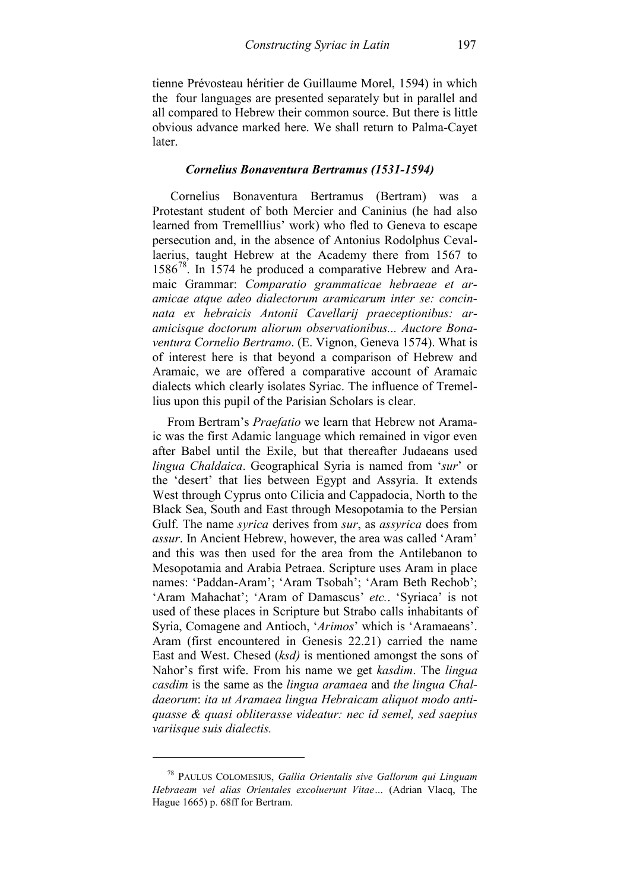tienne Prévosteau héritier de Guillaume Morel, 1594) in which the four languages are presented separately but in parallel and all compared to Hebrew their common source. But there is little obvious advance marked here. We shall return to Palma-Cayet later.

### *Cornelius Bonaventura Bertramus (1531-1594)*

Cornelius Bonaventura Bertramus (Bertram) was a Protestant student of both Mercier and Caninius (he had also learned from Tremelllius' work) who fled to Geneva to escape persecution and, in the absence of Antonius Rodolphus Cevallaerius, taught Hebrew at the Academy there from 1567 to  $1586^{78}$ . In 1574 he produced a comparative Hebrew and Aramaic Grammar: *Comparatio grammaticae hebraeae et aramicae atque adeo dialectorum aramicarum inter se: concinnata ex hebraicis Antonii Cavellarij praeceptionibus: aramicisque doctorum aliorum observationibus... Auctore Bonaventura Cornelio Bertramo*. (E. Vignon, Geneva 1574). What is of interest here is that beyond a comparison of Hebrew and Aramaic, we are offered a comparative account of Aramaic dialects which clearly isolates Syriac. The influence of Tremellius upon this pupil of the Parisian Scholars is clear.

From Bertram's *Praefatio* we learn that Hebrew not Aramaic was the first Adamic language which remained in vigor even after Babel until the Exile, but that thereafter Judaeans used *lingua Chaldaica*. Geographical Syria is named from '*sur*' or the 'desert' that lies between Egypt and Assyria. It extends West through Cyprus onto Cilicia and Cappadocia, North to the Black Sea, South and East through Mesopotamia to the Persian Gulf. The name *syrica* derives from *sur*, as *assyrica* does from *assur*. In Ancient Hebrew, however, the area was called 'Aram' and this was then used for the area from the Antilebanon to Mesopotamia and Arabia Petraea. Scripture uses Aram in place names: 'Paddan-Aram'; 'Aram Tsobah'; 'Aram Beth Rechob'; 'Aram Mahachat'; 'Aram of Damascus' *etc.*. 'Syriaca' is not used of these places in Scripture but Strabo calls inhabitants of Syria, Comagene and Antioch, '*Arimos*' which is 'Aramaeans'. Aram (first encountered in Genesis 22.21) carried the name East and West. Chesed (*ksd)* is mentioned amongst the sons of Nahor's first wife. From his name we get *kasdim*. The *lingua casdim* is the same as the *lingua aramaea* and *the lingua Chaldaeorum*: *ita ut Aramaea lingua Hebraicam aliquot modo antiquasse & quasi obliterasse videatur: nec id semel, sed saepius variisque suis dialectis.*

<span id="page-28-0"></span><sup>78</sup> PAULUS COLOMESIUS, *Gallia Orientalis sive Gallorum qui Linguam Hebraeam vel alias Orientales excoluerunt Vitae…* (Adrian Vlacq, The Hague 1665) p. 68ff for Bertram.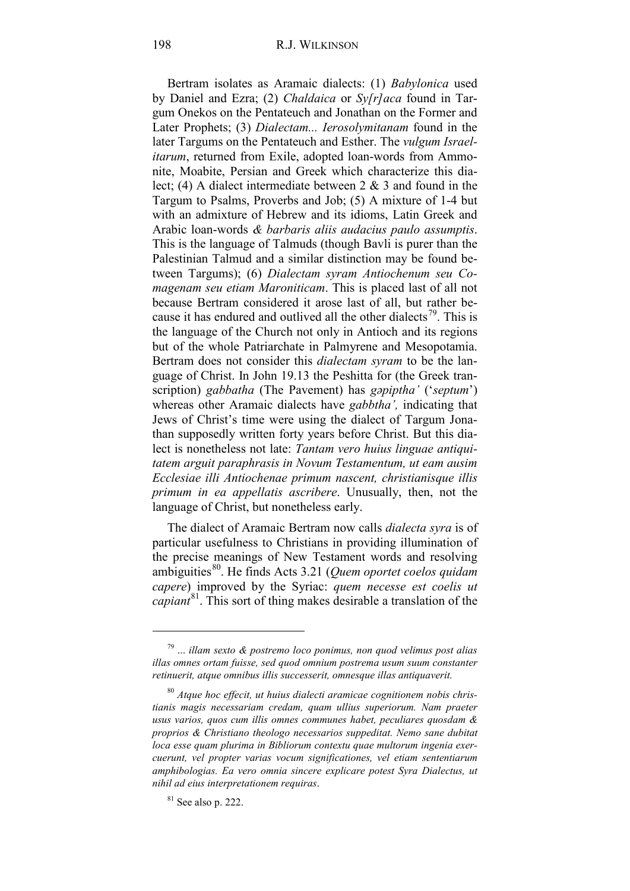Bertram isolates as Aramaic dialects: (1) *Babylonica* used by Daniel and Ezra; (2) *Chaldaica* or *Sy[r]aca* found in Targum Onekos on the Pentateuch and Jonathan on the Former and Later Prophets; (3) *Dialectam... Ierosolymitanam* found in the later Targums on the Pentateuch and Esther. The *vulgum Israelitarum*, returned from Exile, adopted loan-words from Ammonite, Moabite, Persian and Greek which characterize this dialect; (4) A dialect intermediate between 2 & 3 and found in the Targum to Psalms, Proverbs and Job; (5) A mixture of 1-4 but with an admixture of Hebrew and its idioms, Latin Greek and Arabic loan-words *& barbaris aliis audacius paulo assumptis*. This is the language of Talmuds (though Bavli is purer than the Palestinian Talmud and a similar distinction may be found between Targums); (6) *Dialectam syram Antiochenum seu Comagenam seu etiam Maroniticam*. This is placed last of all not because Bertram considered it arose last of all, but rather be-cause it has endured and outlived all the other dialects<sup>[79](#page-29-0)</sup>. This is the language of the Church not only in Antioch and its regions but of the whole Patriarchate in Palmyrene and Mesopotamia. Bertram does not consider this *dialectam syram* to be the language of Christ. In John 19.13 the Peshitta for (the Greek transcription) *gabbatha* (The Pavement) has *gǝpiptha'* ('*septum*') whereas other Aramaic dialects have *gabbtha',* indicating that Jews of Christ's time were using the dialect of Targum Jonathan supposedly written forty years before Christ. But this dialect is nonetheless not late: *Tantam vero huius linguae antiquitatem arguit paraphrasis in Novum Testamentum, ut eam ausim Ecclesiae illi Antiochenae primum nascent, christianisque illis primum in ea appellatis ascribere*. Unusually, then, not the language of Christ, but nonetheless early.

The dialect of Aramaic Bertram now calls *dialecta syra* is of particular usefulness to Christians in providing illumination of the precise meanings of New Testament words and resolving ambiguities<sup>80</sup>. He finds Acts 3.21 (*Quem oportet coelos quidam capere*) improved by the Syriac: *quem necesse est coelis ut capiant*[81.](#page-29-2) This sort of thing makes desirable a translation of the

<span id="page-29-0"></span><sup>79</sup> ... *illam sexto & postremo loco ponimus, non quod velimus post alias illas omnes ortam fuisse, sed quod omnium postrema usum suum constanter retinuerit, atque omnibus illis successerit, omnesque illas antiquaverit.*

<span id="page-29-1"></span><sup>80</sup> *Atque hoc effecit, ut huius dialecti aramicae cognitionem nobis christianis magis necessariam credam, quam ullius superiorum. Nam praeter usus varios, quos cum illis omnes communes habet, peculiares quosdam & proprios & Christiano theologo necessarios suppeditat. Nemo sane dubitat loca esse quam plurima in Bibliorum contextu quae multorum ingenia exercuerunt, vel propter varias vocum significationes, vel etiam sententiarum amphibologias. Ea vero omnia sincere explicare potest Syra Dialectus, ut nihil ad eius interpretationem requiras*.

<span id="page-29-2"></span> $81$  See also p. 222.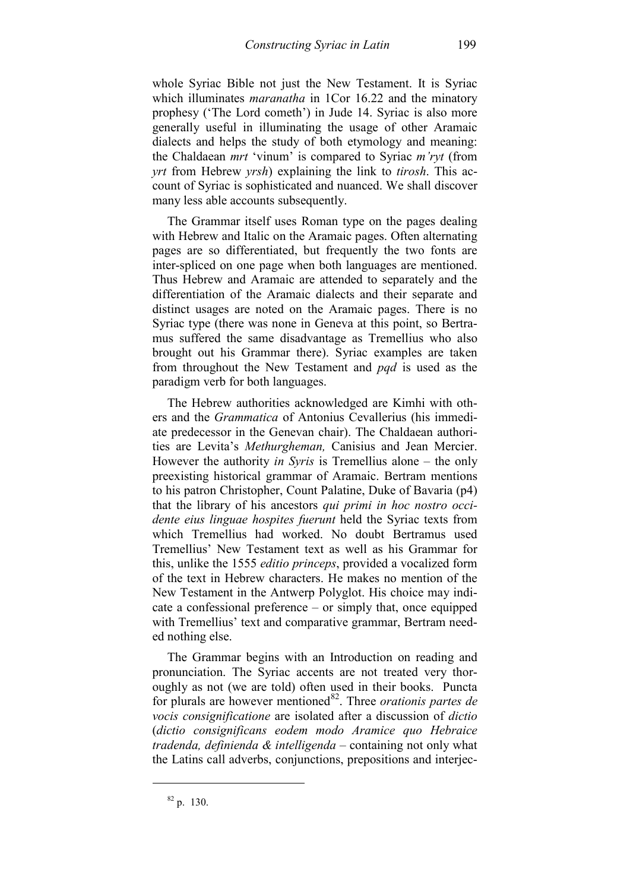whole Syriac Bible not just the New Testament. It is Syriac which illuminates *maranatha* in 1Cor 16.22 and the minatory prophesy ('The Lord cometh') in Jude 14. Syriac is also more generally useful in illuminating the usage of other Aramaic dialects and helps the study of both etymology and meaning: the Chaldaean *mrt* 'vinum' is compared to Syriac *m'ryt* (from *yrt* from Hebrew *yrsh*) explaining the link to *tirosh*. This account of Syriac is sophisticated and nuanced. We shall discover many less able accounts subsequently.

The Grammar itself uses Roman type on the pages dealing with Hebrew and Italic on the Aramaic pages. Often alternating pages are so differentiated, but frequently the two fonts are inter-spliced on one page when both languages are mentioned. Thus Hebrew and Aramaic are attended to separately and the differentiation of the Aramaic dialects and their separate and distinct usages are noted on the Aramaic pages. There is no Syriac type (there was none in Geneva at this point, so Bertramus suffered the same disadvantage as Tremellius who also brought out his Grammar there). Syriac examples are taken from throughout the New Testament and *pqd* is used as the paradigm verb for both languages.

The Hebrew authorities acknowledged are Kimhi with others and the *Grammatica* of Antonius Cevallerius (his immediate predecessor in the Genevan chair). The Chaldaean authorities are Levita's *Methurgheman,* Canisius and Jean Mercier. However the authority *in Syris* is Tremellius alone – the only preexisting historical grammar of Aramaic. Bertram mentions to his patron Christopher, Count Palatine, Duke of Bavaria (p4) that the library of his ancestors *qui primi in hoc nostro occidente eius linguae hospites fuerunt* held the Syriac texts from which Tremellius had worked. No doubt Bertramus used Tremellius' New Testament text as well as his Grammar for this, unlike the 1555 *editio princeps*, provided a vocalized form of the text in Hebrew characters. He makes no mention of the New Testament in the Antwerp Polyglot. His choice may indicate a confessional preference – or simply that, once equipped with Tremellius' text and comparative grammar, Bertram needed nothing else.

The Grammar begins with an Introduction on reading and pronunciation. The Syriac accents are not treated very thoroughly as not (we are told) often used in their books. Puncta for plurals are however mentioned<sup>82</sup>. Three *orationis partes de vocis consignificatione* are isolated after a discussion of *dictio* (*dictio consignificans eodem modo Aramice quo Hebraice tradenda, definienda & intelligenda* – containing not only what the Latins call adverbs, conjunctions, prepositions and interjec-

<span id="page-30-0"></span> $82$  p. 130.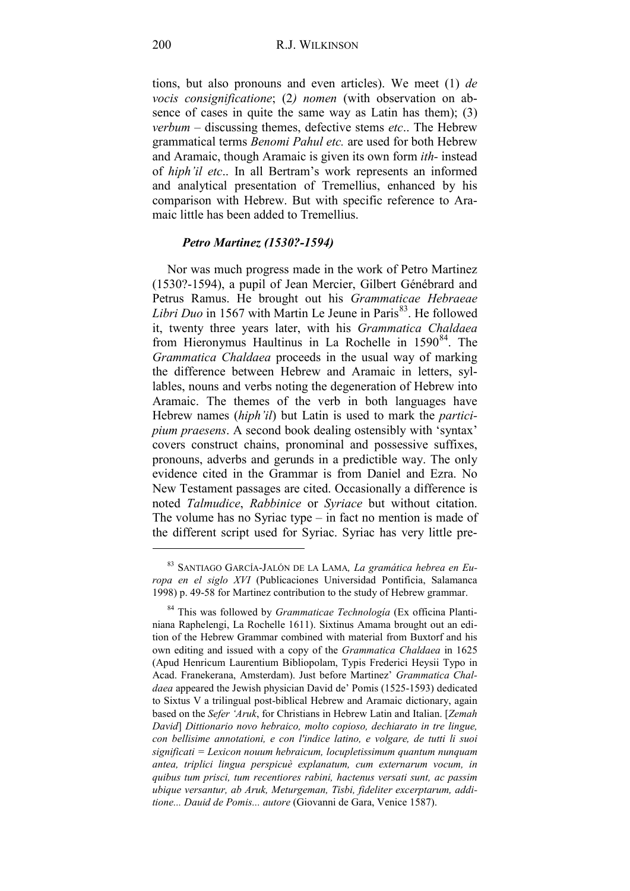tions, but also pronouns and even articles). We meet (1) *de vocis consignificatione*; (2*) nomen* (with observation on absence of cases in quite the same way as Latin has them); (3) *verbum* – discussing themes, defective stems *etc*.. The Hebrew grammatical terms *Benomi Pahul etc.* are used for both Hebrew and Aramaic, though Aramaic is given its own form *ith-* instead of *hiph'il etc*.. In all Bertram's work represents an informed and analytical presentation of Tremellius, enhanced by his comparison with Hebrew. But with specific reference to Aramaic little has been added to Tremellius.

## *Petro Martinez (1530?-1594)*

Nor was much progress made in the work of Petro Martinez (1530?-1594), a pupil of Jean Mercier, Gilbert Génébrard and Petrus Ramus. He brought out his *Grammaticae Hebraeae Libri Duo* in 1567 with Martin Le Jeune in Paris<sup>83</sup>. He followed it, twenty three years later, with his *Grammatica Chaldaea* from Hieronymus Haultinus in La Rochelle in  $1590<sup>84</sup>$ . The *Grammatica Chaldaea* proceeds in the usual way of marking the difference between Hebrew and Aramaic in letters, syllables, nouns and verbs noting the degeneration of Hebrew into Aramaic. The themes of the verb in both languages have Hebrew names (*hiph'il*) but Latin is used to mark the *participium praesens*. A second book dealing ostensibly with 'syntax' covers construct chains, pronominal and possessive suffixes, pronouns, adverbs and gerunds in a predictible way. The only evidence cited in the Grammar is from Daniel and Ezra. No New Testament passages are cited. Occasionally a difference is noted *Talmudice*, *Rabbinice* or *Syriace* but without citation. The volume has no Syriac type – in fact no mention is made of the different script used for Syriac. Syriac has very little pre-

<span id="page-31-0"></span><sup>83</sup> SANTIAGO GARCÍA-JALÓN DE LA LAMA*, La gramática hebrea en Europa en el siglo XVI* (Publicaciones Universidad Pontificia, Salamanca 1998) p. 49-58 for Martinez contribution to the study of Hebrew grammar.

<span id="page-31-1"></span><sup>84</sup> This was followed by *Grammaticae Technología* (Ex officina Plantiniana Raphelengi, La Rochelle 1611). Sixtinus Amama brought out an edition of the Hebrew Grammar combined with material from Buxtorf and his own editing and issued with a copy of the *Grammatica Chaldaea* in 1625 (Apud Henricum Laurentium Bibliopolam, Typis Frederici Heysii Typo in Acad. Franekerana, Amsterdam). Just before Martinez' *Grammatica Chaldaea* appeared the Jewish physician David de' Pomis (1525-1593) dedicated to Sixtus V a trilingual post-biblical Hebrew and Aramaic dictionary, again based on the *Sefer 'Aruk*, for Christians in Hebrew Latin and Italian. [*Zemah David*] *Dittionario novo hebraico, molto copioso, dechiarato in tre lingue, con bellisime annotationi, e con l'indice latino, e volgare, de tutti li suoi significati = Lexicon nouum hebraicum, locupletissimum quantum nunquam antea, triplici lingua perspicuè explanatum, cum externarum vocum, in quibus tum prisci, tum recentiores rabini, hactenus versati sunt, ac passim ubique versantur, ab Aruk, Meturgeman, Tisbi, fideliter excerptarum, additione... Dauid de Pomis... autore* (Giovanni de Gara, Venice 1587).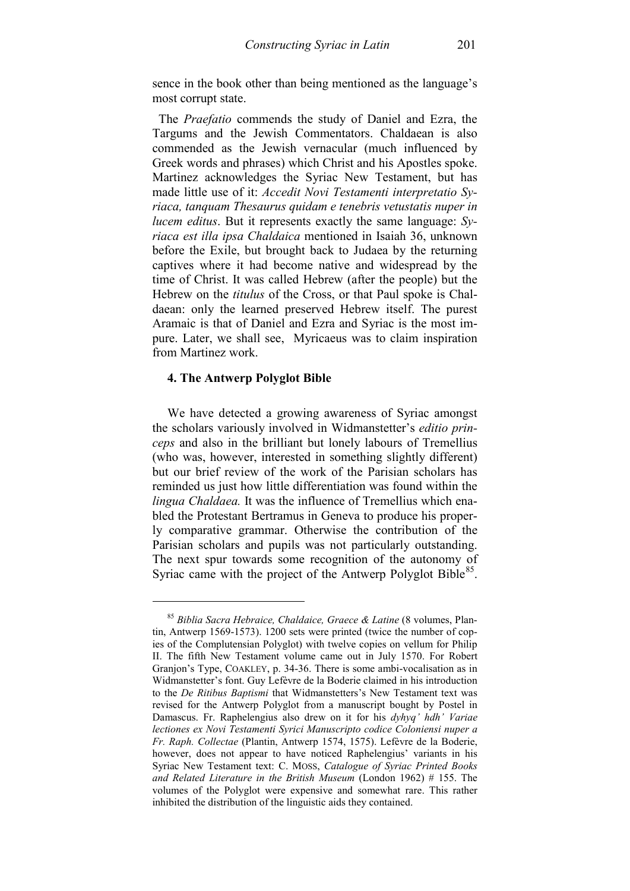sence in the book other than being mentioned as the language's most corrupt state.

 The *Praefatio* commends the study of Daniel and Ezra, the Targums and the Jewish Commentators. Chaldaean is also commended as the Jewish vernacular (much influenced by Greek words and phrases) which Christ and his Apostles spoke. Martinez acknowledges the Syriac New Testament, but has made little use of it: *Accedit Novi Testamenti interpretatio Syriaca, tanquam Thesaurus quidam e tenebris vetustatis nuper in lucem editus*. But it represents exactly the same language: *Syriaca est illa ipsa Chaldaica* mentioned in Isaiah 36, unknown before the Exile, but brought back to Judaea by the returning captives where it had become native and widespread by the time of Christ. It was called Hebrew (after the people) but the Hebrew on the *titulus* of the Cross, or that Paul spoke is Chaldaean: only the learned preserved Hebrew itself. The purest Aramaic is that of Daniel and Ezra and Syriac is the most impure. Later, we shall see, Myricaeus was to claim inspiration from Martinez work.

## **4. The Antwerp Polyglot Bible**

<u>.</u>

We have detected a growing awareness of Syriac amongst the scholars variously involved in Widmanstetter's *editio princeps* and also in the brilliant but lonely labours of Tremellius (who was, however, interested in something slightly different) but our brief review of the work of the Parisian scholars has reminded us just how little differentiation was found within the *lingua Chaldaea.* It was the influence of Tremellius which enabled the Protestant Bertramus in Geneva to produce his properly comparative grammar. Otherwise the contribution of the Parisian scholars and pupils was not particularly outstanding. The next spur towards some recognition of the autonomy of Syriac came with the project of the Antwerp Polyglot Bible $^{85}$  $^{85}$  $^{85}$ .

<span id="page-32-0"></span><sup>85</sup> *Biblia Sacra Hebraice, Chaldaice, Graece & Latine* (8 volumes, Plantin, Antwerp 1569-1573). 1200 sets were printed (twice the number of copies of the Complutensian Polyglot) with twelve copies on vellum for Philip II. The fifth New Testament volume came out in July 1570. For Robert Granjon's Type, COAKLEY, p. 34-36. There is some ambi-vocalisation as in Widmanstetter's font. Guy Lefèvre de la Boderie claimed in his introduction to the *De Ritibus Baptismi* that Widmanstetters's New Testament text was revised for the Antwerp Polyglot from a manuscript bought by Postel in Damascus. Fr. Raphelengius also drew on it for his *dyhyq' hdh' Variae lectiones ex Novi Testamenti Syrici Manuscripto codice Coloniensi nuper a Fr. Raph. Collectae* (Plantin, Antwerp 1574, 1575). Lefèvre de la Boderie, however, does not appear to have noticed Raphelengius' variants in his Syriac New Testament text: C. MOSS, *Catalogue of Syriac Printed Books and Related Literature in the British Museum* (London 1962) # 155. The volumes of the Polyglot were expensive and somewhat rare. This rather inhibited the distribution of the linguistic aids they contained.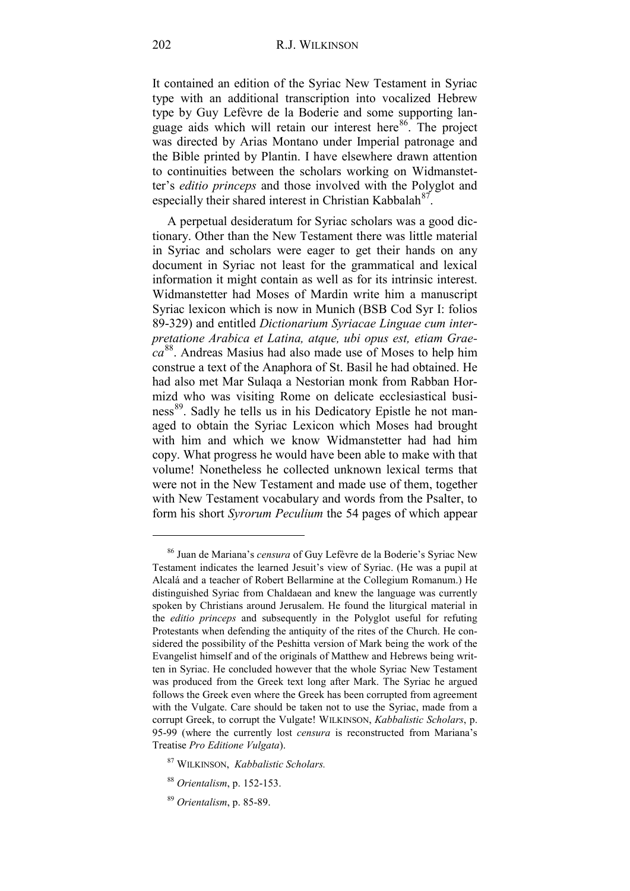It contained an edition of the Syriac New Testament in Syriac type with an additional transcription into vocalized Hebrew type by Guy Lefèvre de la Boderie and some supporting language aids which will retain our interest here<sup>86</sup>. The project was directed by Arias Montano under Imperial patronage and the Bible printed by Plantin. I have elsewhere drawn attention to continuities between the scholars working on Widmanstetter's *editio princeps* and those involved with the Polyglot and especially their shared interest in Christian Kabbalah $^{87}$ .

A perpetual desideratum for Syriac scholars was a good dictionary. Other than the New Testament there was little material in Syriac and scholars were eager to get their hands on any document in Syriac not least for the grammatical and lexical information it might contain as well as for its intrinsic interest. Widmanstetter had Moses of Mardin write him a manuscript Syriac lexicon which is now in Munich (BSB Cod Syr I: folios 89-329) and entitled *Dictionarium Syriacae Linguae cum interpretatione Arabica et Latina, atque, ubi opus est, etiam Graeca* [88](#page-33-2). Andreas Masius had also made use of Moses to help him construe a text of the Anaphora of St. Basil he had obtained. He had also met Mar Sulaqa a Nestorian monk from Rabban Hormizd who was visiting Rome on delicate ecclesiastical busi-ness<sup>[89](#page-33-3)</sup>. Sadly he tells us in his Dedicatory Epistle he not managed to obtain the Syriac Lexicon which Moses had brought with him and which we know Widmanstetter had had him copy. What progress he would have been able to make with that volume! Nonetheless he collected unknown lexical terms that were not in the New Testament and made use of them, together with New Testament vocabulary and words from the Psalter, to form his short *Syrorum Peculium* the 54 pages of which appear

- <span id="page-33-1"></span><sup>87</sup> WILKINSON, *Kabbalistic Scholars.*
- <sup>88</sup> *Orientalism*, p. 152-153.
- <span id="page-33-3"></span><span id="page-33-2"></span><sup>89</sup> *Orientalism*, p. 85-89.

<span id="page-33-0"></span><sup>86</sup> Juan de Mariana's *censura* of Guy Lefèvre de la Boderie's Syriac New Testament indicates the learned Jesuit's view of Syriac. (He was a pupil at Alcalá and a teacher of Robert Bellarmine at the Collegium Romanum.) He distinguished Syriac from Chaldaean and knew the language was currently spoken by Christians around Jerusalem. He found the liturgical material in the *editio princeps* and subsequently in the Polyglot useful for refuting Protestants when defending the antiquity of the rites of the Church. He considered the possibility of the Peshitta version of Mark being the work of the Evangelist himself and of the originals of Matthew and Hebrews being written in Syriac. He concluded however that the whole Syriac New Testament was produced from the Greek text long after Mark. The Syriac he argued follows the Greek even where the Greek has been corrupted from agreement with the Vulgate. Care should be taken not to use the Syriac, made from a corrupt Greek, to corrupt the Vulgate! WILKINSON, *Kabbalistic Scholars*, p. 95-99 (where the currently lost *censura* is reconstructed from Mariana's Treatise *Pro Editione Vulgata*).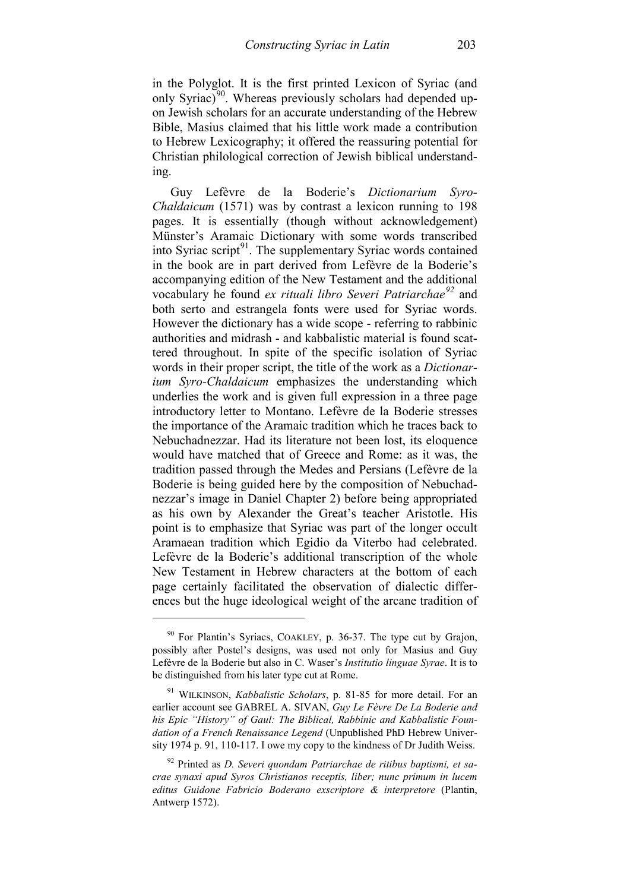in the Polyglot. It is the first printed Lexicon of Syriac (and only Syriac) $90$ . Whereas previously scholars had depended upon Jewish scholars for an accurate understanding of the Hebrew Bible, Masius claimed that his little work made a contribution to Hebrew Lexicography; it offered the reassuring potential for Christian philological correction of Jewish biblical understanding.

Guy Lefèvre de la Boderie's *Dictionarium Syro-Chaldaicum* (1571) was by contrast a lexicon running to 198 pages. It is essentially (though without acknowledgement) Münster's Aramaic Dictionary with some words transcribed into Syriac script<sup>[91](#page-34-1)</sup>. The supplementary Syriac words contained in the book are in part derived from Lefèvre de la Boderie's accompanying edition of the New Testament and the additional vocabulary he found *ex rituali libro Severi Patriarchae[92](#page-34-2)* and both serto and estrangela fonts were used for Syriac words. However the dictionary has a wide scope - referring to rabbinic authorities and midrash - and kabbalistic material is found scattered throughout. In spite of the specific isolation of Syriac words in their proper script, the title of the work as a *Dictionarium Syro-Chaldaicum* emphasizes the understanding which underlies the work and is given full expression in a three page introductory letter to Montano. Lefèvre de la Boderie stresses the importance of the Aramaic tradition which he traces back to Nebuchadnezzar. Had its literature not been lost, its eloquence would have matched that of Greece and Rome: as it was, the tradition passed through the Medes and Persians (Lefèvre de la Boderie is being guided here by the composition of Nebuchadnezzar's image in Daniel Chapter 2) before being appropriated as his own by Alexander the Great's teacher Aristotle. His point is to emphasize that Syriac was part of the longer occult Aramaean tradition which Egidio da Viterbo had celebrated. Lefèvre de la Boderie's additional transcription of the whole New Testament in Hebrew characters at the bottom of each page certainly facilitated the observation of dialectic differences but the huge ideological weight of the arcane tradition of

<span id="page-34-0"></span><sup>&</sup>lt;sup>90</sup> For Plantin's Syriacs, COAKLEY, p. 36-37. The type cut by Grajon, possibly after Postel's designs, was used not only for Masius and Guy Lefèvre de la Boderie but also in C. Waser's *Institutio linguae Syrae*. It is to be distinguished from his later type cut at Rome.

<span id="page-34-1"></span><sup>91</sup> WILKINSON, *Kabbalistic Scholars*, p. 81-85 for more detail. For an earlier account see GABREL A. SIVAN, *Guy Le Fèvre De La Boderie and his Epic "History" of Gaul: The Biblical, Rabbinic and Kabbalistic Foundation of a French Renaissance Legend* (Unpublished PhD Hebrew University 1974 p. 91, 110-117. I owe my copy to the kindness of Dr Judith Weiss.

<span id="page-34-2"></span><sup>92</sup> Printed as *D. Severi quondam Patriarchae de ritibus baptismi, et sacrae synaxi apud Syros Christianos receptis, liber; nunc primum in lucem editus Guidone Fabricio Boderano exscriptore & interpretore* (Plantin, Antwerp 1572).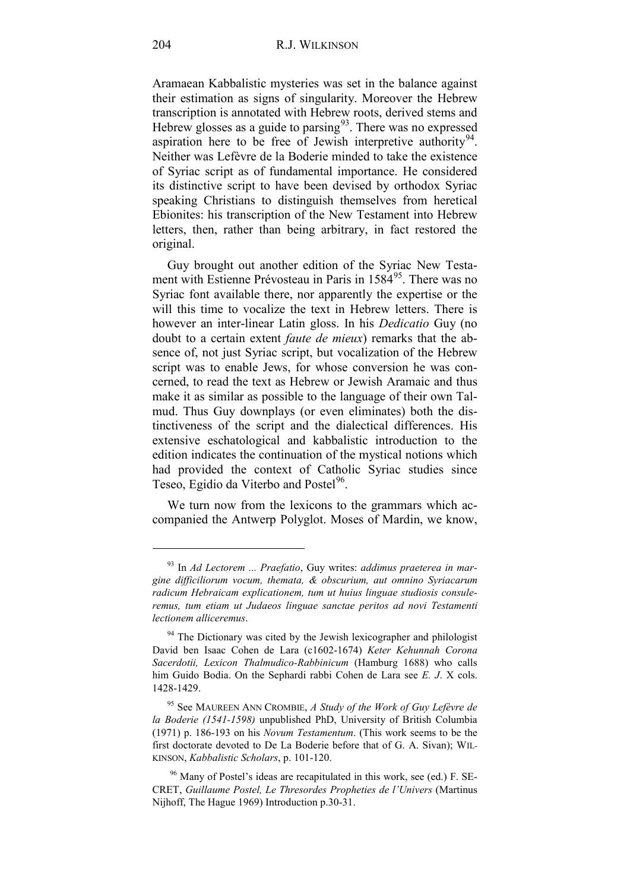Aramaean Kabbalistic mysteries was set in the balance against their estimation as signs of singularity. Moreover the Hebrew transcription is annotated with Hebrew roots, derived stems and Hebrew glosses as a guide to parsing $93$ . There was no expressed aspiration here to be free of Jewish interpretive authority<sup>[94](#page-35-1)</sup>. Neither was Lefèvre de la Boderie minded to take the existence of Syriac script as of fundamental importance. He considered its distinctive script to have been devised by orthodox Syriac speaking Christians to distinguish themselves from heretical Ebionites: his transcription of the New Testament into Hebrew letters, then, rather than being arbitrary, in fact restored the original.

Guy brought out another edition of the Syriac New Testa-ment with Estienne Prévosteau in Paris in 1584<sup>[95](#page-35-2)</sup>. There was no Syriac font available there, nor apparently the expertise or the will this time to vocalize the text in Hebrew letters. There is however an inter-linear Latin gloss. In his *Dedicatio* Guy (no doubt to a certain extent *faute de mieux*) remarks that the absence of, not just Syriac script, but vocalization of the Hebrew script was to enable Jews, for whose conversion he was concerned, to read the text as Hebrew or Jewish Aramaic and thus make it as similar as possible to the language of their own Talmud. Thus Guy downplays (or even eliminates) both the distinctiveness of the script and the dialectical differences. His extensive eschatological and kabbalistic introduction to the edition indicates the continuation of the mystical notions which had provided the context of Catholic Syriac studies since Teseo, Egidio da Viterbo and Postel<sup>96</sup>.

We turn now from the lexicons to the grammars which accompanied the Antwerp Polyglot. Moses of Mardin, we know,

<span id="page-35-0"></span><sup>93</sup> In *Ad Lectorem ... Praefatio*, Guy writes: *addimus praeterea in margine difficiliorum vocum, themata, & obscurium, aut omnino Syriacarum radicum Hebraicam explicationem, tum ut huius linguae studiosis consuleremus, tum etiam ut Judaeos linguae sanctae peritos ad novi Testamenti lectionem alliceremus*.

<span id="page-35-1"></span><sup>&</sup>lt;sup>94</sup> The Dictionary was cited by the Jewish lexicographer and philologist David ben Isaac Cohen de Lara (c1602-1674) *Keter Kehunnah Corona Sacerdotii, Lexicon Thalmudico-Rabbinicum* (Hamburg 1688) who calls him Guido Bodia. On the Sephardi rabbi Cohen de Lara see *E. J*. X cols. 1428-1429.

<span id="page-35-2"></span><sup>95</sup> See MAUREEN ANN CROMBIE, *A Study of the Work of Guy Lefèvre de la Boderie (1541-1598)* unpublished PhD, University of British Columbia (1971) p. 186-193 on his *Novum Testamentum*. (This work seems to be the first doctorate devoted to De La Boderie before that of G. A. Sivan); WIL-KINSON, *Kabbalistic Scholars*, p. 101-120.

<span id="page-35-3"></span> $96$  Many of Postel's ideas are recapitulated in this work, see (ed.) F. SE-CRET, *Guillaume Postel, Le Thresordes Propheties de l'Univers* (Martinus Nijhoff, The Hague 1969) Introduction p.30-31.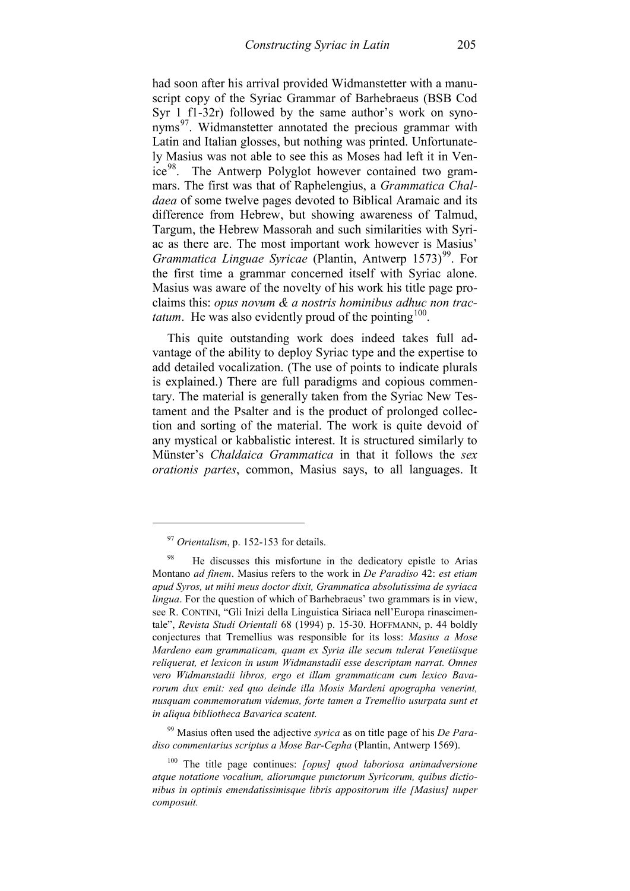had soon after his arrival provided Widmanstetter with a manuscript copy of the Syriac Grammar of Barhebraeus (BSB Cod Syr 1 f1-32r) followed by the same author's work on synonyms<sup>97</sup>. Widmanstetter annotated the precious grammar with Latin and Italian glosses, but nothing was printed. Unfortunately Masius was not able to see this as Moses had left it in Venice<sup>98</sup>. The Antwerp Polyglot however contained two grammars. The first was that of Raphelengius, a *Grammatica Chaldaea* of some twelve pages devoted to Biblical Aramaic and its difference from Hebrew, but showing awareness of Talmud, Targum, the Hebrew Massorah and such similarities with Syriac as there are. The most important work however is Masius' *Grammatica Linguae Syricae* (Plantin, Antwerp 1573)<sup>[99](#page-36-2)</sup>. For the first time a grammar concerned itself with Syriac alone. Masius was aware of the novelty of his work his title page proclaims this: *opus novum & a nostris hominibus adhuc non tractatum*. He was also evidently proud of the pointing  $100$ .

This quite outstanding work does indeed takes full advantage of the ability to deploy Syriac type and the expertise to add detailed vocalization. (The use of points to indicate plurals is explained.) There are full paradigms and copious commentary. The material is generally taken from the Syriac New Testament and the Psalter and is the product of prolonged collection and sorting of the material. The work is quite devoid of any mystical or kabbalistic interest. It is structured similarly to Münster's *Chaldaica Grammatica* in that it follows the *sex orationis partes*, common, Masius says, to all languages. It

-

<span id="page-36-2"></span><sup>99</sup> Masius often used the adjective *syrica* as on title page of his *De Paradiso commentarius scriptus a Mose Bar-Cepha* (Plantin, Antwerp 1569).

<span id="page-36-3"></span><sup>100</sup> The title page continues: *[opus] quod laboriosa animadversione atque notatione vocalium, aliorumque punctorum Syricorum, quibus dictionibus in optimis emendatissimisque libris appositorum ille [Masius] nuper composuit.*

<sup>97</sup> *Orientalism*, p. 152-153 for details.

<span id="page-36-1"></span><span id="page-36-0"></span>He discusses this misfortune in the dedicatory epistle to Arias Montano *ad finem*. Masius refers to the work in *De Paradiso* 42: *est etiam apud Syros, ut mihi meus doctor dixit, Grammatica absolutissima de syriaca lingua*. For the question of which of Barhebraeus' two grammars is in view, see R. CONTINI, "Gli Inizi della Linguistica Siriaca nell'Europa rinascimentale", *Revista Studi Orientali* 68 (1994) p. 15-30. HOFFMANN, p. 44 boldly conjectures that Tremellius was responsible for its loss: *Masius a Mose Mardeno eam grammaticam, quam ex Syria ille secum tulerat Venetiisque reliquerat, et lexicon in usum Widmanstadii esse descriptam narrat. Omnes vero Widmanstadii libros, ergo et illam grammaticam cum lexico Bavarorum dux emit: sed quo deinde illa Mosis Mardeni apographa venerint, nusquam commemoratum videmus, forte tamen a Tremellio usurpata sunt et in aliqua bibliotheca Bavarica scatent.*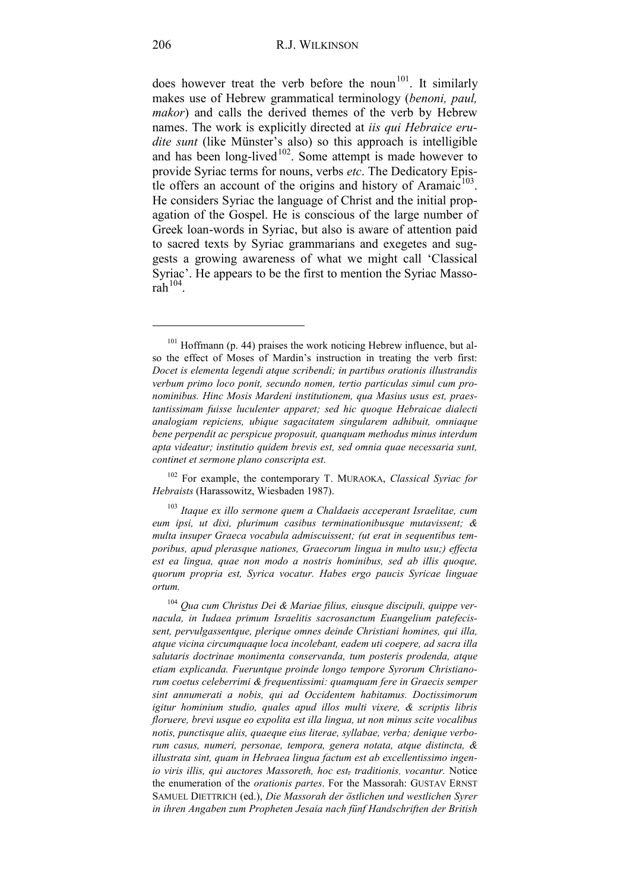does however treat the verb before the noun<sup>[101](#page-37-0)</sup>. It similarly makes use of Hebrew grammatical terminology (*benoni, paul, makor*) and calls the derived themes of the verb by Hebrew names. The work is explicitly directed at *iis qui Hebraice erudite sunt* (like Münster's also) so this approach is intelligible and has been long-lived $102$ . Some attempt is made however to provide Syriac terms for nouns, verbs *etc*. The Dedicatory Epistle offers an account of the origins and history of Aramaic $^{103}$  $^{103}$  $^{103}$ . He considers Syriac the language of Christ and the initial propagation of the Gospel. He is conscious of the large number of Greek loan-words in Syriac, but also is aware of attention paid to sacred texts by Syriac grammarians and exegetes and suggests a growing awareness of what we might call 'Classical Syriac'. He appears to be the first to mention the Syriac Massorah $104$ .

<span id="page-37-0"></span><sup>&</sup>lt;sup>101</sup> Hoffmann (p. 44) praises the work noticing Hebrew influence, but also the effect of Moses of Mardin's instruction in treating the verb first: *Docet is elementa legendi atque scribendi; in partibus orationis illustrandis verbum primo loco ponit, secundo nomen, tertio particulas simul cum pronominibus. Hinc Mosis Mardeni institutionem, qua Masius usus est, praestantissimam fuisse luculenter apparet; sed hic quoque Hebraicae dialecti analogiam repiciens, ubique sagacitatem singularem adhibuit, omniaque bene perpendit ac perspicue proposuit, quanquam methodus minus interdum apta videatur; institutio quidem brevis est, sed omnia quae necessaria sunt, continet et sermone plano conscripta est*.

<span id="page-37-1"></span><sup>102</sup> For example, the contemporary T. MURAOKA, *Classical Syriac for Hebraists* (Harassowitz, Wiesbaden 1987).

<span id="page-37-2"></span><sup>103</sup> *Itaque ex illo sermone quem a Chaldaeis acceperant Israelitae, cum eum ipsi, ut dixi, plurimum casibus terminationibusque mutavissent; & multa insuper Graeca vocabula admiscuissent; (ut erat in sequentibus temporibus, apud plerasque nationes, Graecorum lingua in multo usu;) effecta est ea lingua, quae non modo a nostris hominibus, sed ab illis quoque, quorum propria est, Syrica vocatur. Habes ergo paucis Syricae linguae ortum.*

<span id="page-37-3"></span><sup>104</sup> *Qua cum Christus Dei & Mariae filius, eiusque discipuli, quippe vernacula, in Iudaea primum Israelitis sacrosanctum Euangelium patefecissent, pervulgassentque, plerique omnes deinde Christiani homines, qui illa, atque vicina circumquaque loca incolebant, eadem uti coepere, ad sacra illa salutaris doctrinae monimenta conservanda, tum posteris prodenda, atque etiam explicanda. Fueruntque proinde longo tempore Syrorum Christianorum coetus celeberrimi & frequentissimi: quamquam fere in Graecis semper sint annumerati a nobis, qui ad Occidentem habitamus. Doctissimorum igitur hominium studio, quales apud illos multi vixere, & scriptis libris floruere, brevi usque eo expolita est illa lingua, ut non minus scite vocalibus notis, punctisque aliis, quaeque eius literae, syllabae, verba; denique verborum casus, numeri, personae, tempora, genera notata, atque distincta, & illustrata sint, quam in Hebraea lingua factum est ab excellentissimo ingenio viris illis, qui auctores Massoreth, hoc est, traditionis, vocantur.* Notice the enumeration of the *orationis partes*. For the Massorah: GUSTAV ERNST SAMUEL DIETTRICH (ed.), *Die Massorah der östlichen und westlichen Syrer in ihren Angaben zum Propheten Jesaia nach fünf Handschriften der British*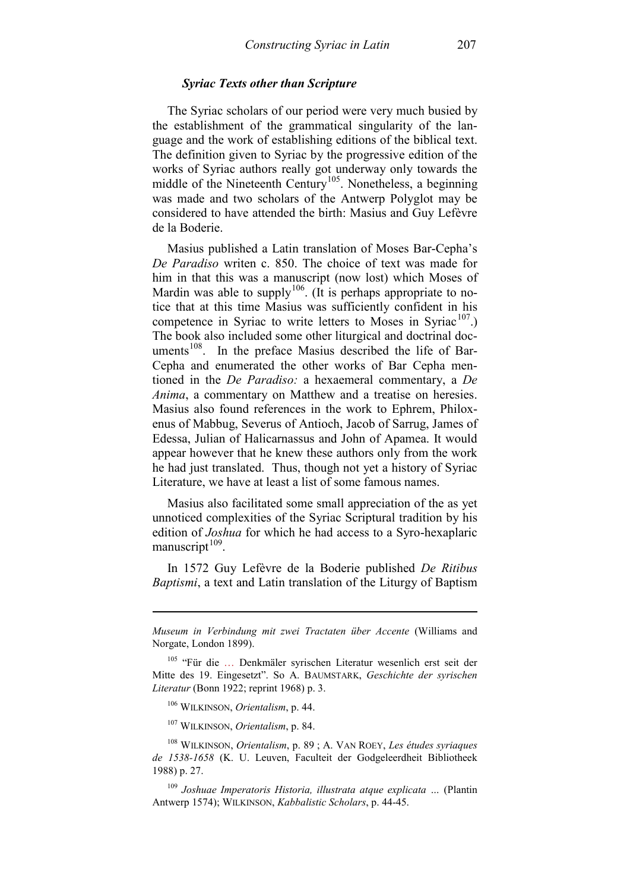### *Syriac Texts other than Scripture*

The Syriac scholars of our period were very much busied by the establishment of the grammatical singularity of the language and the work of establishing editions of the biblical text. The definition given to Syriac by the progressive edition of the works of Syriac authors really got underway only towards the middle of the Nineteenth Century<sup>105</sup>. Nonetheless, a beginning was made and two scholars of the Antwerp Polyglot may be considered to have attended the birth: Masius and Guy Lefèvre de la Boderie.

Masius published a Latin translation of Moses Bar-Cepha's *De Paradiso* writen c. 850. The choice of text was made for him in that this was a manuscript (now lost) which Moses of Mardin was able to supply<sup>[106](#page-38-1)</sup>. (It is perhaps appropriate to notice that at this time Masius was sufficiently confident in his competence in Syriac to write letters to Moses in Syriac<sup>107</sup>.) The book also included some other liturgical and doctrinal doc-uments<sup>[108](#page-38-3)</sup>. In the preface Masius described the life of Bar-Cepha and enumerated the other works of Bar Cepha mentioned in the *De Paradiso:* a hexaemeral commentary, a *De Anima*, a commentary on Matthew and a treatise on heresies. Masius also found references in the work to Ephrem, Philoxenus of Mabbug, Severus of Antioch, Jacob of Sarrug, James of Edessa, Julian of Halicarnassus and John of Apamea. It would appear however that he knew these authors only from the work he had just translated. Thus, though not yet a history of Syriac Literature, we have at least a list of some famous names.

Masius also facilitated some small appreciation of the as yet unnoticed complexities of the Syriac Scriptural tradition by his edition of *Joshua* for which he had access to a Syro-hexaplaric manuscript $109$ .

In 1572 Guy Lefèvre de la Boderie published *De Ritibus Baptismi*, a text and Latin translation of the Liturgy of Baptism

-

<sup>107</sup> WILKINSON, *Orientalism*, p. 84.

*Museum in Verbindung mit zwei Tractaten über Accente* (Williams and Norgate, London 1899).

<span id="page-38-0"></span><sup>&</sup>lt;sup>105</sup> "Für die ... Denkmäler syrischen Literatur wesenlich erst seit der Mitte des 19. Eingesetzt". So A. BAUMSTARK, *Geschichte der syrischen Literatur* (Bonn 1922; reprint 1968) p. 3.

<sup>106</sup> WILKINSON, *Orientalism*, p. 44.

<span id="page-38-3"></span><span id="page-38-2"></span><span id="page-38-1"></span><sup>108</sup> WILKINSON, *Orientalism*, p. 89 ; A. VAN ROEY, *Les études syriaques de 1538-1658* (K. U. Leuven, Faculteit der Godgeleerdheit Bibliotheek 1988) p. 27.

<span id="page-38-4"></span><sup>109</sup> *Joshuae Imperatoris Historia, illustrata atque explicata …* (Plantin Antwerp 1574); WILKINSON, *Kabbalistic Scholars*, p. 44-45.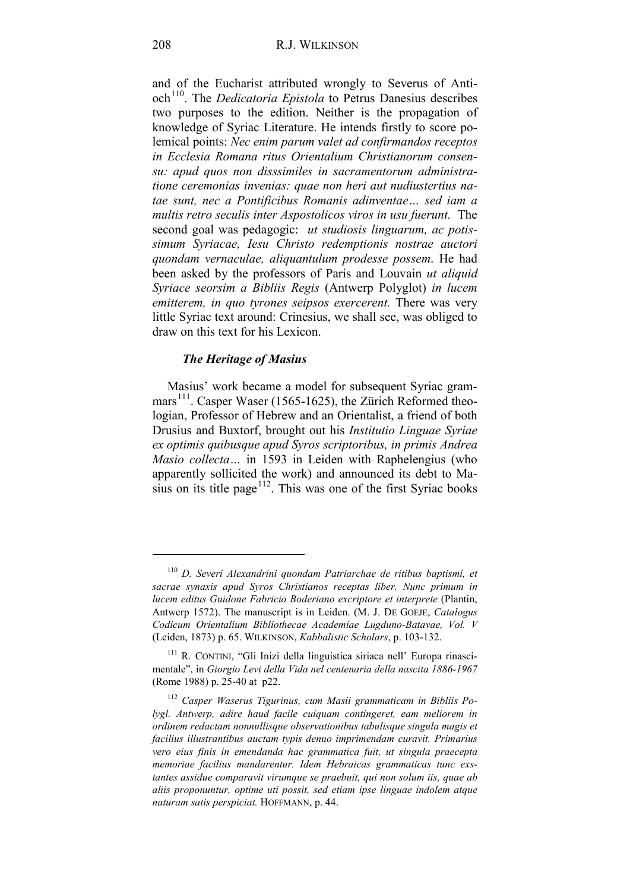and of the Eucharist attributed wrongly to Severus of Anti-och<sup>[110](#page-39-0)</sup>. The *Dedicatoria Epistola* to Petrus Danesius describes two purposes to the edition. Neither is the propagation of knowledge of Syriac Literature. He intends firstly to score polemical points: *Nec enim parum valet ad confirmandos receptos in Ecclesia Romana ritus Orientalium Christianorum consensu: apud quos non disssimiles in sacramentorum administratione ceremonias invenias: quae non heri aut nudiustertius natae sunt, nec a Pontificibus Romanis adinventae… sed iam a multis retro seculis inter Aspostolicos viros in usu fuerunt.* The second goal was pedagogic: *ut studiosis linguarum, ac potissimum Syriacae, Iesu Christo redemptionis nostrae auctori quondam vernaculae, aliquantulum prodesse possem*. He had been asked by the professors of Paris and Louvain *ut aliquid Syriace seorsim a Bibliis Regis* (Antwerp Polyglot) *in lucem emitterem, in quo tyrones seipsos exercerent.* There was very little Syriac text around: Crinesius, we shall see, was obliged to draw on this text for his Lexicon.

#### *The Heritage of Masius*

Masius' work became a model for subsequent Syriac gram-mars<sup>[111](#page-39-1)</sup>. Casper Waser (1565-1625), the Zürich Reformed theologian, Professor of Hebrew and an Orientalist, a friend of both Drusius and Buxtorf, brought out his *Institutio Linguae Syriae ex optimis quibusque apud Syros scriptoribus, in primis Andrea Masio collecta…* in 1593 in Leiden with Raphelengius (who apparently sollicited the work) and announced its debt to Masius on its title page $112$ . This was one of the first Syriac books

<span id="page-39-0"></span><sup>110</sup> *D. Severi Alexandrini quondam Patriarchae de ritibus baptismi, et sacrae synaxis apud Syros Christianos receptas liber. Nunc primum in lucem editus Guidone Fabricio Boderiano excriptore et interprete* (Plantin, Antwerp 1572). The manuscript is in Leiden. (M. J. DE GOEJE, *Catalogus Codicum Orientalium Bibliothecae Academiae Lugduno-Batavae, Vol. V* (Leiden, 1873) p. 65. WILKINSON, *Kabbalistic Scholars*, p. 103-132.

<span id="page-39-1"></span><sup>111</sup> R. CONTINI, "Gli Inizi della linguistica siriaca nell' Europa rinascimentale", in *Giorgio Levi della Vida nel centenaria della nascita 1886-1967* (Rome 1988) p. 25-40 at p22.

<span id="page-39-2"></span><sup>112</sup> *Casper Waserus Tigurinus, cum Masii grammaticam in Bibliis Polygl. Antwerp, adire haud facile cuiquam contingeret, eam meliorem in ordinem redactam nonnullisque observationibus tabulisque singula magis et facilius illustrantibus auctam typis denuo imprimendam curavit. Primarius vero eius finis in emendanda hac grammatica fuit, ut singula praecepta memoriae facilius mandarentur. Idem Hebraicas grammaticas tunc exstantes assidue comparavit virumque se praebuit, qui non solum iis, quae ab aliis proponuntur, optime uti possit, sed etiam ipse linguae indolem atque naturam satis perspiciat.* HOFFMANN, p. 44.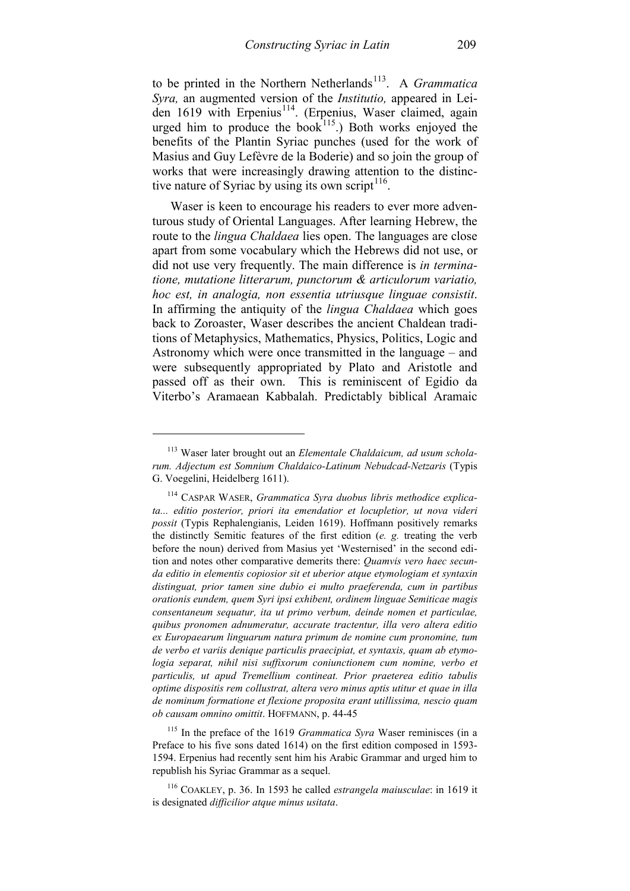to be printed in the Northern Netherlands<sup>[113](#page-40-0)</sup>. A *Grammatica Syra,* an augmented version of the *Institutio,* appeared in Leiden 1619 with Erpenius<sup>114</sup>. (Erpenius, Waser claimed, again urged him to produce the book $115$ .) Both works enjoyed the benefits of the Plantin Syriac punches (used for the work of Masius and Guy Lefèvre de la Boderie) and so join the group of works that were increasingly drawing attention to the distinc-tive nature of Syriac by using its own script<sup>[116](#page-40-3)</sup>.

Waser is keen to encourage his readers to ever more adventurous study of Oriental Languages. After learning Hebrew, the route to the *lingua Chaldaea* lies open. The languages are close apart from some vocabulary which the Hebrews did not use, or did not use very frequently. The main difference is *in terminatione, mutatione litterarum, punctorum & articulorum variatio, hoc est, in analogia, non essentia utriusque linguae consistit*. In affirming the antiquity of the *lingua Chaldaea* which goes back to Zoroaster, Waser describes the ancient Chaldean traditions of Metaphysics, Mathematics, Physics, Politics, Logic and Astronomy which were once transmitted in the language – and were subsequently appropriated by Plato and Aristotle and passed off as their own. This is reminiscent of Egidio da Viterbo's Aramaean Kabbalah. Predictably biblical Aramaic

-

<span id="page-40-2"></span><sup>115</sup> In the preface of the 1619 *Grammatica Syra* Waser reminisces (in a Preface to his five sons dated 1614) on the first edition composed in 1593- 1594. Erpenius had recently sent him his Arabic Grammar and urged him to republish his Syriac Grammar as a sequel.

<span id="page-40-0"></span><sup>113</sup> Waser later brought out an *Elementale Chaldaicum, ad usum scholarum. Adjectum est Somnium Chaldaico-Latinum Nebudcad-Netzaris* (Typis G. Voegelini, Heidelberg 1611).

<span id="page-40-1"></span>CASPAR WASER, *Grammatica Syra duobus libris methodice explicata... editio posterior, priori ita emendatior et locupletior, ut nova videri possit* (Typis Rephalengianis, Leiden 1619). Hoffmann positively remarks the distinctly Semitic features of the first edition (*e. g.* treating the verb before the noun) derived from Masius yet 'Westernised' in the second edition and notes other comparative demerits there: *Quamvis vero haec secunda editio in elementis copiosior sit et uberior atque etymologiam et syntaxin distinguat, prior tamen sine dubio ei multo praeferenda, cum in partibus orationis eundem, quem Syri ipsi exhibent, ordinem linguae Semiticae magis consentaneum sequatur, ita ut primo verbum, deinde nomen et particulae, quibus pronomen adnumeratur, accurate tractentur, illa vero altera editio ex Europaearum linguarum natura primum de nomine cum pronomine, tum de verbo et variis denique particulis praecipiat, et syntaxis, quam ab etymologia separat, nihil nisi suffixorum coniunctionem cum nomine, verbo et particulis, ut apud Tremellium contineat. Prior praeterea editio tabulis optime dispositis rem collustrat, altera vero minus aptis utitur et quae in illa de nominum formatione et flexione proposita erant utillissima, nescio quam ob causam omnino omittit*. HOFFMANN, p. 44-45

<span id="page-40-3"></span><sup>116</sup> COAKLEY, p. 36. In 1593 he called *estrangela maiusculae*: in 1619 it is designated *difficilior atque minus usitata*.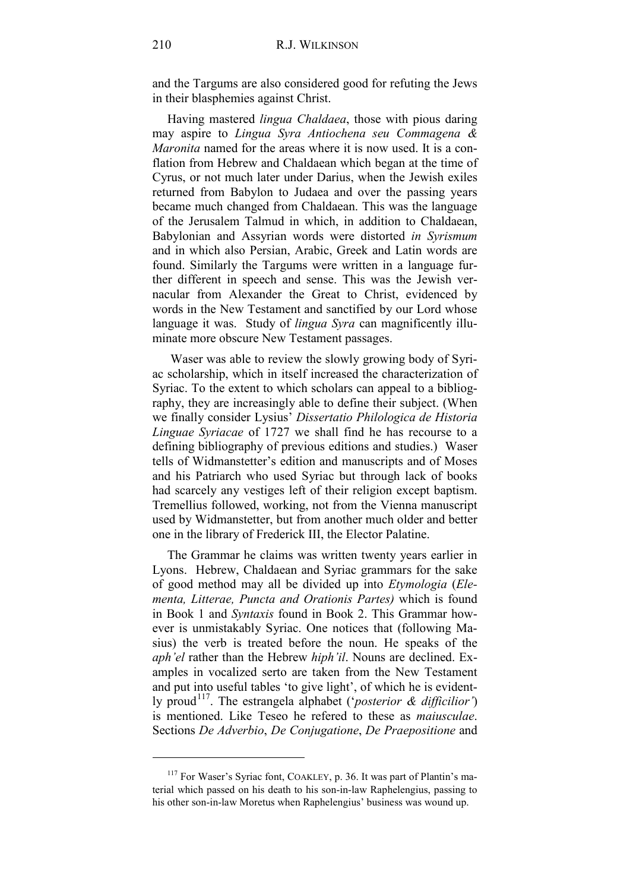and the Targums are also considered good for refuting the Jews in their blasphemies against Christ.

Having mastered *lingua Chaldaea*, those with pious daring may aspire to *Lingua Syra Antiochena seu Commagena & Maronita* named for the areas where it is now used. It is a conflation from Hebrew and Chaldaean which began at the time of Cyrus, or not much later under Darius, when the Jewish exiles returned from Babylon to Judaea and over the passing years became much changed from Chaldaean. This was the language of the Jerusalem Talmud in which, in addition to Chaldaean, Babylonian and Assyrian words were distorted *in Syrismum* and in which also Persian, Arabic, Greek and Latin words are found. Similarly the Targums were written in a language further different in speech and sense. This was the Jewish vernacular from Alexander the Great to Christ, evidenced by words in the New Testament and sanctified by our Lord whose language it was. Study of *lingua Syra* can magnificently illuminate more obscure New Testament passages.

Waser was able to review the slowly growing body of Syriac scholarship, which in itself increased the characterization of Syriac. To the extent to which scholars can appeal to a bibliography, they are increasingly able to define their subject. (When we finally consider Lysius' *Dissertatio Philologica de Historia Linguae Syriacae* of 1727 we shall find he has recourse to a defining bibliography of previous editions and studies.) Waser tells of Widmanstetter's edition and manuscripts and of Moses and his Patriarch who used Syriac but through lack of books had scarcely any vestiges left of their religion except baptism. Tremellius followed, working, not from the Vienna manuscript used by Widmanstetter, but from another much older and better one in the library of Frederick III, the Elector Palatine.

The Grammar he claims was written twenty years earlier in Lyons. Hebrew, Chaldaean and Syriac grammars for the sake of good method may all be divided up into *Etymologia* (*Elementa, Litterae, Puncta and Orationis Partes)* which is found in Book 1 and *Syntaxis* found in Book 2. This Grammar however is unmistakably Syriac. One notices that (following Masius) the verb is treated before the noun. He speaks of the *aph'el* rather than the Hebrew *hiph'il*. Nouns are declined. Examples in vocalized serto are taken from the New Testament and put into useful tables 'to give light', of which he is evidently proud<sup>117</sup>. The estrangela alphabet ('*posterior & difficilior'*) is mentioned. Like Teseo he refered to these as *maiusculae*. Sections *De Adverbio*, *De Conjugatione*, *De Praepositione* and

<span id="page-41-0"></span><sup>&</sup>lt;sup>117</sup> For Waser's Syriac font, COAKLEY, p. 36. It was part of Plantin's material which passed on his death to his son-in-law Raphelengius, passing to his other son-in-law Moretus when Raphelengius' business was wound up.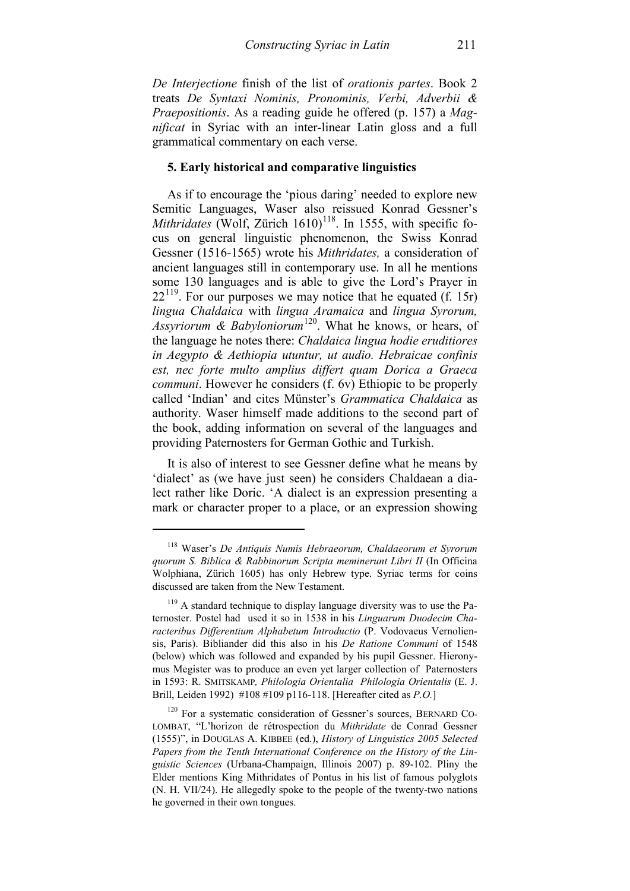*De Interjectione* finish of the list of *orationis partes*. Book 2 treats *De Syntaxi Nominis, Pronominis, Verbi, Adverbii & Praepositionis*. As a reading guide he offered (p. 157) a *Magnificat* in Syriac with an inter-linear Latin gloss and a full grammatical commentary on each verse.

### **5. Early historical and comparative linguistics**

As if to encourage the 'pious daring' needed to explore new Semitic Languages, Waser also reissued Konrad Gessner's *Mithridates* (Wolf, Zürich 1610)<sup>[118](#page-42-0)</sup>. In 1555, with specific focus on general linguistic phenomenon, the Swiss Konrad Gessner (1516-1565) wrote his *Mithridates,* a consideration of ancient languages still in contemporary use. In all he mentions some 130 languages and is able to give the Lord's Prayer in  $22^{119}$ . For our purposes we may notice that he equated (f. 15r) *lingua Chaldaica* with *lingua Aramaica* and *lingua Syrorum, Assyriorum & Babyloniorum*[120.](#page-42-2) What he knows, or hears, of the language he notes there: *Chaldaica lingua hodie eruditiores in Aegypto & Aethiopia utuntur, ut audio. Hebraicae confinis est, nec forte multo amplius differt quam Dorica a Graeca communi*. However he considers (f. 6v) Ethiopic to be properly called 'Indian' and cites Münster's *Grammatica Chaldaica* as authority. Waser himself made additions to the second part of the book, adding information on several of the languages and providing Paternosters for German Gothic and Turkish.

It is also of interest to see Gessner define what he means by 'dialect' as (we have just seen) he considers Chaldaean a dialect rather like Doric. 'A dialect is an expression presenting a mark or character proper to a place, or an expression showing

<span id="page-42-0"></span><sup>118</sup> Waser's *De Antiquis Numis Hebraeorum, Chaldaeorum et Syrorum quorum S. Biblica & Rabbinorum Scripta meminerunt Libri II* (In Officina Wolphiana, Zürich 1605) has only Hebrew type. Syriac terms for coins discussed are taken from the New Testament.

<span id="page-42-1"></span><sup>&</sup>lt;sup>119</sup> A standard technique to display language diversity was to use the Paternoster. Postel had used it so in 1538 in his *Linguarum Duodecim Characteribus Differentium Alphabetum Introductio* (P. Vodovaeus Vernoliensis, Paris). Bibliander did this also in his *De Ratione Communi* of 1548 (below) which was followed and expanded by his pupil Gessner. Hieronymus Megister was to produce an even yet larger collection of Paternosters in 1593: R. SMITSKAMP*, Philologia Orientalia Philologia Orientalis* (E. J. Brill, Leiden 1992) #108 #109 p116-118. [Hereafter cited as *P.O.*]

<span id="page-42-2"></span><sup>&</sup>lt;sup>120</sup> For a systematic consideration of Gessner's sources, BERNARD CO-LOMBAT, "L'horizon de rétrospection du *Mithridate* de Conrad Gessner (1555)", in DOUGLAS A. KIBBEE (ed.), *History of Linguistics 2005 Selected Papers from the Tenth International Conference on the History of the Linguistic Sciences* (Urbana-Champaign, Illinois 2007) p. 89-102. Pliny the Elder mentions King Mithridates of Pontus in his list of famous polyglots (N. H. VII/24). He allegedly spoke to the people of the twenty-two nations he governed in their own tongues.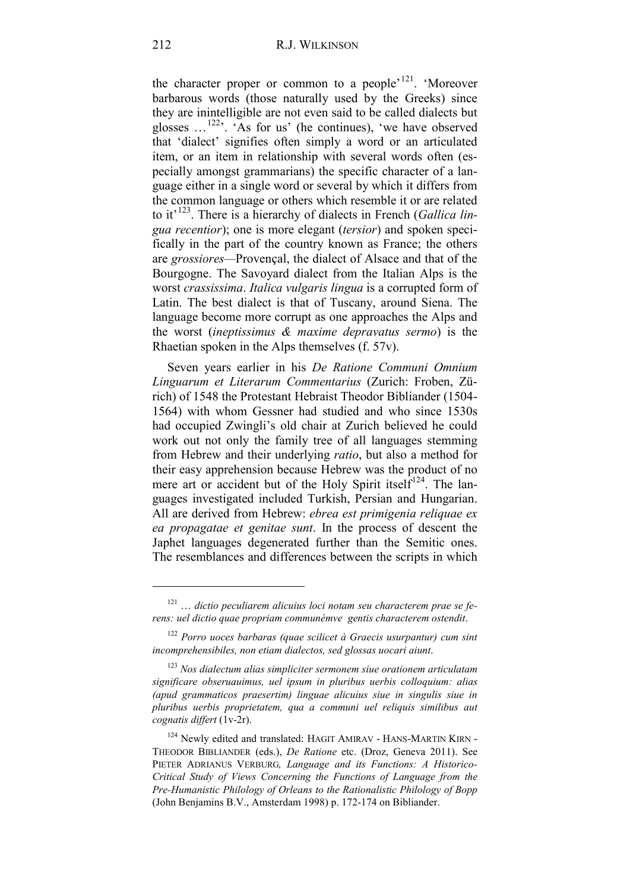the character proper or common to a people<sup> $121$ </sup>. 'Moreover barbarous words (those naturally used by the Greeks) since they are inintelligible are not even said to be called dialects but glosses …[122](#page-43-1)'. 'As for us' (he continues), 'we have observed that 'dialect' signifies often simply a word or an articulated item, or an item in relationship with several words often (especially amongst grammarians) the specific character of a language either in a single word or several by which it differs from the common language or others which resemble it or are related to it'[123](#page-43-2). There is a hierarchy of dialects in French (*Gallica lingua recentior*); one is more elegant (*tersior*) and spoken specifically in the part of the country known as France; the others are *grossiores—*Provençal, the dialect of Alsace and that of the Bourgogne. The Savoyard dialect from the Italian Alps is the worst *crassissima*. *Italica vulgaris lingua* is a corrupted form of Latin. The best dialect is that of Tuscany, around Siena. The language become more corrupt as one approaches the Alps and the worst (*ineptissimus & maxime depravatus sermo*) is the Rhaetian spoken in the Alps themselves (f. 57v).

Seven years earlier in his *De Ratione Communi Omnium Linguarum et Literarum Commentarius* (Zurich: Froben, Zürich) of 1548 the Protestant Hebraist Theodor Bibliander (1504- 1564) with whom Gessner had studied and who since 1530s had occupied Zwingli's old chair at Zurich believed he could work out not only the family tree of all languages stemming from Hebrew and their underlying *ratio*, but also a method for their easy apprehension because Hebrew was the product of no mere art or accident but of the Holy Spirit itself<sup>124</sup>. The languages investigated included Turkish, Persian and Hungarian. All are derived from Hebrew: *ebrea est primigenia reliquae ex ea propagatae et genitae sunt*. In the process of descent the Japhet languages degenerated further than the Semitic ones. The resemblances and differences between the scripts in which

<span id="page-43-0"></span><sup>121</sup> … *dictio peculiarem alicuius loci notam seu characterem prae se ferens: uel dictio quae propriam communémve gentis characterem ostendit*.

<span id="page-43-1"></span><sup>122</sup> *Porro uoces barbaras (quae scilicet à Graecis usurpantur) cum sint incomprehensibiles, non etiam dialectos, sed glossas uocari aiunt*.

<span id="page-43-2"></span><sup>123</sup> *Nos dialectum alias simpliciter sermonem siue orationem articulatam significare obseruauimus, uel ipsum in pluribus uerbis colloquium: alias (apud grammaticos praesertim) linguae alicuius siue in singulis siue in pluribus uerbis proprietatem, qua a communi uel reliquis similibus aut cognatis differt* (1v-2r).

<span id="page-43-3"></span><sup>&</sup>lt;sup>124</sup> Newly edited and translated: HAGIT AMIRAV - HANS-MARTIN KIRN -THEODOR BIBLIANDER (eds.), *De Ratione* etc. (Droz, Geneva 2011). See PIETER ADRIANUS VERBURG*, Language and its Functions: A Historico-Critical Study of Views Concerning the Functions of Language from the Pre-Humanistic Philology of Orleans to the Rationalistic Philology of Bopp* (John Benjamins B.V., Amsterdam 1998) p. 172-174 on Bibliander.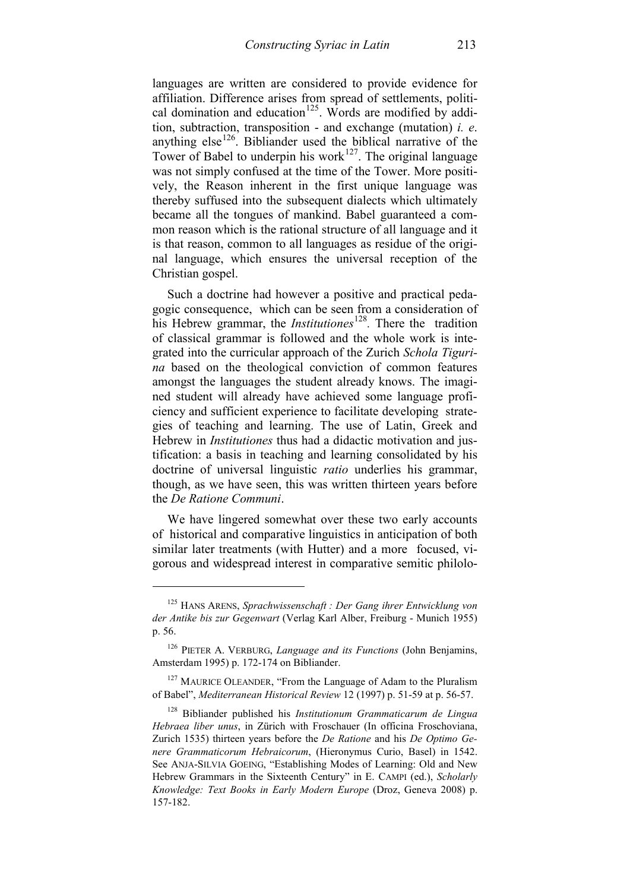languages are written are considered to provide evidence for affiliation. Difference arises from spread of settlements, political domination and education<sup>125</sup>. Words are modified by addition, subtraction, transposition - and exchange (mutation) *i. e*. anything  $else^{126}$  $else^{126}$  $else^{126}$ . Bibliander used the biblical narrative of the Tower of Babel to underpin his work $127$ . The original language was not simply confused at the time of the Tower. More positively, the Reason inherent in the first unique language was thereby suffused into the subsequent dialects which ultimately became all the tongues of mankind. Babel guaranteed a common reason which is the rational structure of all language and it is that reason, common to all languages as residue of the original language, which ensures the universal reception of the Christian gospel.

Such a doctrine had however a positive and practical pedagogic consequence, which can be seen from a consideration of his Hebrew grammar, the *Institutiones*<sup>[128](#page-44-3)</sup>. There the tradition of classical grammar is followed and the whole work is integrated into the curricular approach of the Zurich *Schola Tigurina* based on the theological conviction of common features amongst the languages the student already knows. The imagined student will already have achieved some language proficiency and sufficient experience to facilitate developing strategies of teaching and learning. The use of Latin, Greek and Hebrew in *Institutiones* thus had a didactic motivation and justification: a basis in teaching and learning consolidated by his doctrine of universal linguistic *ratio* underlies his grammar, though, as we have seen, this was written thirteen years before the *De Ratione Communi*.

We have lingered somewhat over these two early accounts of historical and comparative linguistics in anticipation of both similar later treatments (with Hutter) and a more focused, vigorous and widespread interest in comparative semitic philolo-

<span id="page-44-0"></span><sup>125</sup> HANS ARENS, *Sprachwissenschaft : Der Gang ihrer Entwicklung von der Antike bis zur Gegenwart* (Verlag Karl Alber, Freiburg - Munich 1955) p. 56.

<span id="page-44-1"></span><sup>126</sup> PIETER A. VERBURG, *Language and its Functions* (John Benjamins, Amsterdam 1995) p. 172-174 on Bibliander.

<span id="page-44-2"></span><sup>&</sup>lt;sup>127</sup> MAURICE OLEANDER, "From the Language of Adam to the Pluralism of Babel", *Mediterranean Historical Review* 12 (1997) p. 51-59 at p. 56-57.

<span id="page-44-3"></span><sup>128</sup> Bibliander published his *Institutionum Grammaticarum de Lingua Hebraea liber unus*, in Zürich with Froschauer (In officina Froschoviana, Zurich 1535) thirteen years before the *De Ratione* and his *De Optimo Genere Grammaticorum Hebraicorum*, (Hieronymus Curio, Basel) in 1542. See ANJA-SILVIA GOEING, "Establishing Modes of Learning: Old and New Hebrew Grammars in the Sixteenth Century" in E. CAMPI (ed.), *Scholarly Knowledge: Text Books in Early Modern Europe* (Droz, Geneva 2008) p. 157-182.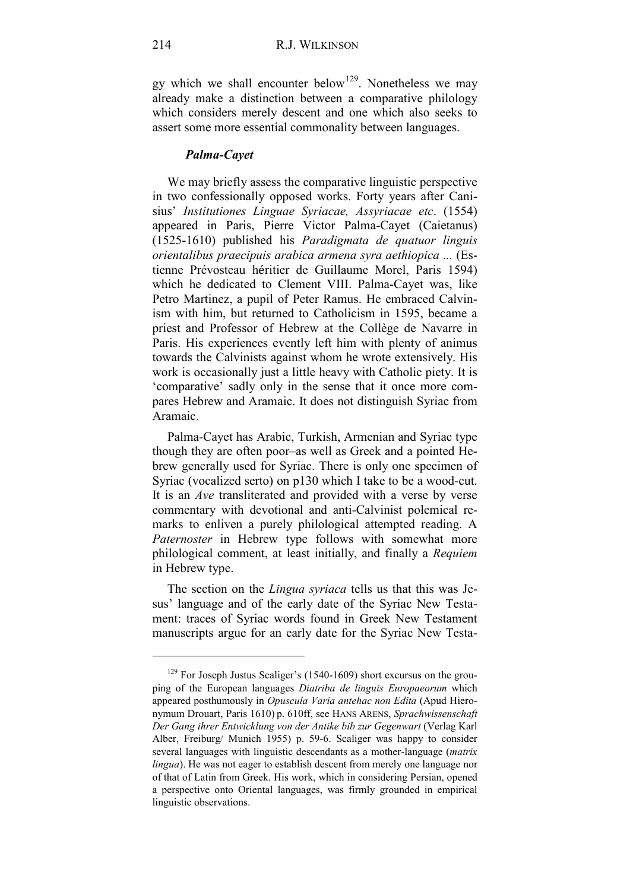gy which we shall encounter below<sup>129</sup>. Nonetheless we may already make a distinction between a comparative philology which considers merely descent and one which also seeks to assert some more essential commonality between languages.

#### *Palma-Cayet*

We may briefly assess the comparative linguistic perspective in two confessionally opposed works. Forty years after Canisius' *Institutiones Linguae Syriacae, Assyriacae etc*. (1554) appeared in Paris, Pierre Victor Palma-Cayet (Caietanus) (1525-1610) published his *Paradigmata de quatuor linguis orientalibus praecipuis arabica armena syra aethiopica ...* (Estienne Prévosteau héritier de Guillaume Morel, Paris 1594) which he dedicated to Clement VIII. Palma-Cayet was, like Petro Martinez, a pupil of Peter Ramus. He embraced Calvinism with him, but returned to Catholicism in 1595, became a priest and Professor of Hebrew at the Collège de Navarre in Paris. His experiences evently left him with plenty of animus towards the Calvinists against whom he wrote extensively. His work is occasionally just a little heavy with Catholic piety. It is 'comparative' sadly only in the sense that it once more compares Hebrew and Aramaic. It does not distinguish Syriac from Aramaic.

Palma-Cayet has Arabic, Turkish, Armenian and Syriac type though they are often poor–as well as Greek and a pointed Hebrew generally used for Syriac. There is only one specimen of Syriac (vocalized serto) on p130 which I take to be a wood-cut. It is an *Ave* transliterated and provided with a verse by verse commentary with devotional and anti-Calvinist polemical remarks to enliven a purely philological attempted reading. A *Paternoster* in Hebrew type follows with somewhat more philological comment, at least initially, and finally a *Requiem* in Hebrew type.

The section on the *Lingua syriaca* tells us that this was Jesus' language and of the early date of the Syriac New Testament: traces of Syriac words found in Greek New Testament manuscripts argue for an early date for the Syriac New Testa-

<span id="page-45-0"></span> $129$  For Joseph Justus Scaliger's (1540-1609) short excursus on the grouping of the European languages *Diatriba de linguis Europaeorum* which appeared posthumously in *Opuscula Varia antehac non Edita* (Apud Hieronymum Drouart, Paris 1610) p. 610ff, see HANS ARENS, *Sprachwissenschaft Der Gang ihrer Entwicklung von der Antike bib zur Gegenwart* (Verlag Karl Alber, Freiburg/ Munich 1955) p. 59-6. Scaliger was happy to consider several languages with linguistic descendants as a mother-language (*matrix lingua*). He was not eager to establish descent from merely one language nor of that of Latin from Greek. His work, which in considering Persian, opened a perspective onto Oriental languages, was firmly grounded in empirical linguistic observations.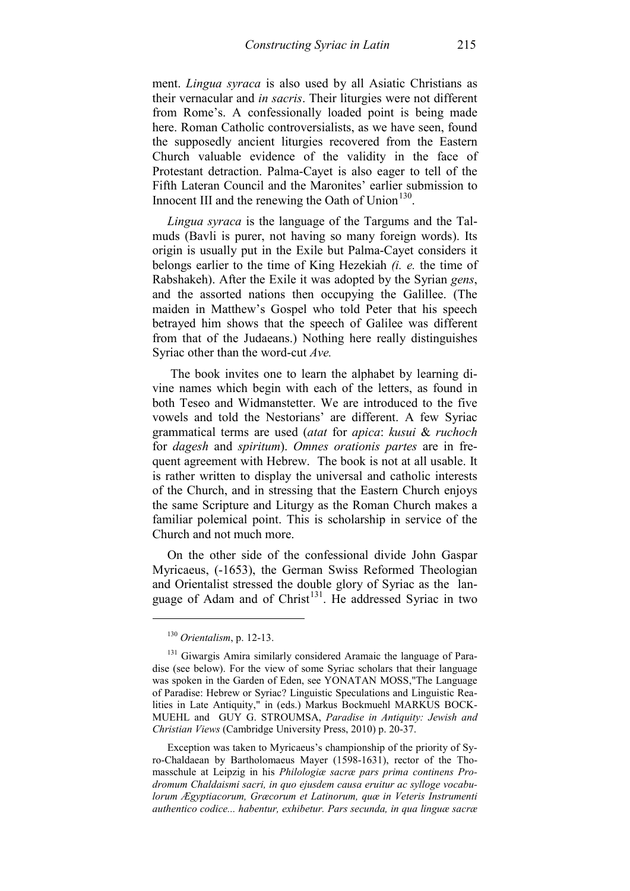ment. *Lingua syraca* is also used by all Asiatic Christians as their vernacular and *in sacris*. Their liturgies were not different from Rome's. A confessionally loaded point is being made here. Roman Catholic controversialists, as we have seen, found the supposedly ancient liturgies recovered from the Eastern Church valuable evidence of the validity in the face of Protestant detraction. Palma-Cayet is also eager to tell of the Fifth Lateran Council and the Maronites' earlier submission to Innocent III and the renewing the Oath of Union $130$ .

*Lingua syraca* is the language of the Targums and the Talmuds (Bavli is purer, not having so many foreign words). Its origin is usually put in the Exile but Palma-Cayet considers it belongs earlier to the time of King Hezekiah *(i. e.* the time of Rabshakeh). After the Exile it was adopted by the Syrian *gens*, and the assorted nations then occupying the Galillee. (The maiden in Matthew's Gospel who told Peter that his speech betrayed him shows that the speech of Galilee was different from that of the Judaeans.) Nothing here really distinguishes Syriac other than the word-cut *Ave.*

The book invites one to learn the alphabet by learning divine names which begin with each of the letters, as found in both Teseo and Widmanstetter. We are introduced to the five vowels and told the Nestorians' are different. A few Syriac grammatical terms are used (*atat* for *apica*: *kusui* & *ruchoch* for *dagesh* and *spiritum*). *Omnes orationis partes* are in frequent agreement with Hebrew. The book is not at all usable. It is rather written to display the universal and catholic interests of the Church, and in stressing that the Eastern Church enjoys the same Scripture and Liturgy as the Roman Church makes a familiar polemical point. This is scholarship in service of the Church and not much more.

On the other side of the confessional divide John Gaspar Myricaeus, (-1653), the German Swiss Reformed Theologian and Orientalist stressed the double glory of Syriac as the language of Adam and of  $Christ<sup>131</sup>$  $Christ<sup>131</sup>$  $Christ<sup>131</sup>$ . He addressed Syriac in two

-

Exception was taken to Myricaeus's championship of the priority of Syro-Chaldaean by Bartholomaeus Mayer (1598-1631), rector of the Thomasschule at Leipzig in his *Philologiæ sacræ pars prima continens Prodromum Chaldaismi sacri, in quo ejusdem causa eruitur ac sylloge vocabulorum Ægyptiacorum, Græcorum et Latinorum, quæ in Veteris Instrumenti authentico codice... habentur, exhibetur. Pars secunda, in qua linguæ sacræ* 

<sup>130</sup> *Orientalism*, p. 12-13.

<span id="page-46-1"></span><span id="page-46-0"></span><sup>&</sup>lt;sup>131</sup> Giwargis Amira similarly considered Aramaic the language of Paradise (see below). For the view of some Syriac scholars that their language was spoken in the Garden of Eden, see YONATAN MOSS,"The Language of Paradise: Hebrew or Syriac? Linguistic Speculations and Linguistic Realities in Late Antiquity," in (eds.) Markus Bockmuehl MARKUS BOCK-MUEHL and GUY G. STROUMSA, *Paradise in Antiquity: Jewish and Christian Views* (Cambridge University Press, 2010) p. 20-37.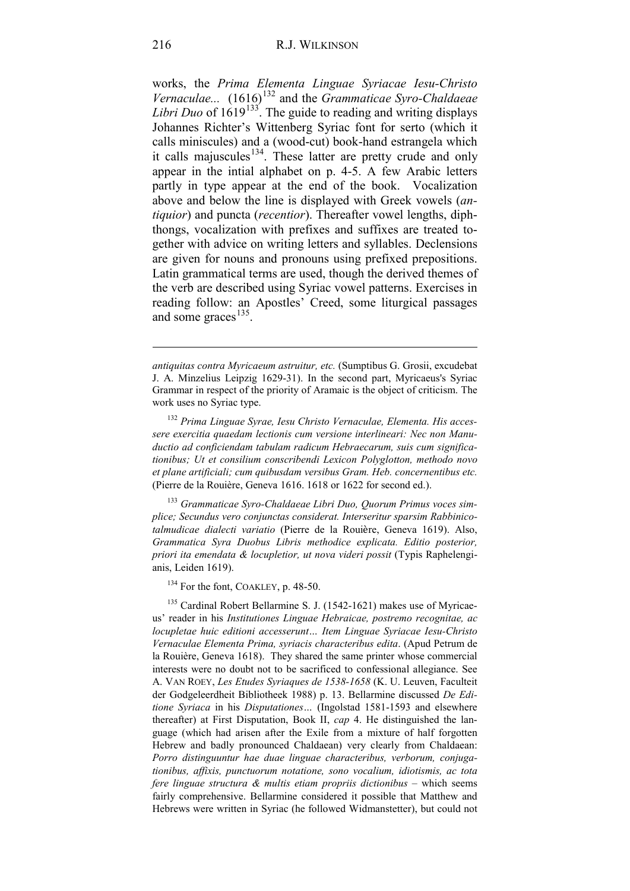works, the *Prima Elementa Linguae Syriacae Iesu-Christo Vernaculae...*  $(1616)^{132}$  $(1616)^{132}$  $(1616)^{132}$  and the *Grammaticae Syro-Chaldaeae Libri Duo* of  $1619^{133}$ . The guide to reading and writing displays Johannes Richter's Wittenberg Syriac font for serto (which it calls miniscules) and a (wood-cut) book-hand estrangela which it calls majuscules<sup>[134](#page-47-2)</sup>. These latter are pretty crude and only appear in the intial alphabet on p. 4-5. A few Arabic letters partly in type appear at the end of the book. Vocalization above and below the line is displayed with Greek vowels (*antiquior*) and puncta (*recentior*). Thereafter vowel lengths, diphthongs, vocalization with prefixes and suffixes are treated together with advice on writing letters and syllables. Declensions are given for nouns and pronouns using prefixed prepositions. Latin grammatical terms are used, though the derived themes of the verb are described using Syriac vowel patterns. Exercises in reading follow: an Apostles' Creed, some liturgical passages and some graces<sup>[135](#page-47-3)</sup>.

<span id="page-47-1"></span><sup>133</sup> *Grammaticae Syro-Chaldaeae Libri Duo, Quorum Primus voces simplice; Secundus vero conjunctas considerat. Interseritur sparsim Rabbinicotalmudicae dialecti variatio* (Pierre de la Rouière, Geneva 1619). Also, *Grammatica Syra Duobus Libris methodice explicata. Editio posterior, priori ita emendata & locupletior, ut nova videri possit* (Typis Raphelengianis, Leiden 1619).

 $134$  For the font, COAKLEY, p. 48-50.

<span id="page-47-3"></span><span id="page-47-2"></span><sup>135</sup> Cardinal Robert Bellarmine S. J. (1542-1621) makes use of Myricaeus' reader in his *Institutiones Linguae Hebraicae, postremo recognitae, ac locupletae huic editioni accesserunt… Item Linguae Syriacae Iesu-Christo Vernaculae Elementa Prima, syriacis characteribus edita*. (Apud Petrum de la Rouière, Geneva 1618). They shared the same printer whose commercial interests were no doubt not to be sacrificed to confessional allegiance. See A. VAN ROEY, *Les Etudes Syriaques de 1538-1658* (K. U. Leuven, Faculteit der Godgeleerdheit Bibliotheek 1988) p. 13. Bellarmine discussed *De Editione Syriaca* in his *Disputationes…* (Ingolstad 1581-1593 and elsewhere thereafter) at First Disputation, Book II, *cap* 4. He distinguished the language (which had arisen after the Exile from a mixture of half forgotten Hebrew and badly pronounced Chaldaean) very clearly from Chaldaean: *Porro distinguuntur hae duae linguae characteribus, verborum, conjugationibus, affixis, punctuorum notatione, sono vocalium, idiotismis, ac tota fere linguae structura & multis etiam propriis dictionibus* – which seems fairly comprehensive. Bellarmine considered it possible that Matthew and Hebrews were written in Syriac (he followed Widmanstetter), but could not

*antiquitas contra Myricaeum astruitur, etc.* (Sumptibus G. Grosii, excudebat J. A. Minzelius Leipzig 1629-31). In the second part, Myricaeus's Syriac Grammar in respect of the priority of Aramaic is the object of criticism. The work uses no Syriac type.

<span id="page-47-0"></span><sup>132</sup> *Prima Linguae Syrae, Iesu Christo Vernaculae, Elementa. His accessere exercitia quaedam lectionis cum versione interlineari: Nec non Manuductio ad conficiendam tabulam radicum Hebraecarum, suis cum significationibus; Ut et consilium conscribendi Lexicon Polyglotton, methodo novo et plane artificiali; cum quibusdam versibus Gram. Heb. concernentibus etc.* (Pierre de la Rouière, Geneva 1616. 1618 or 1622 for second ed.).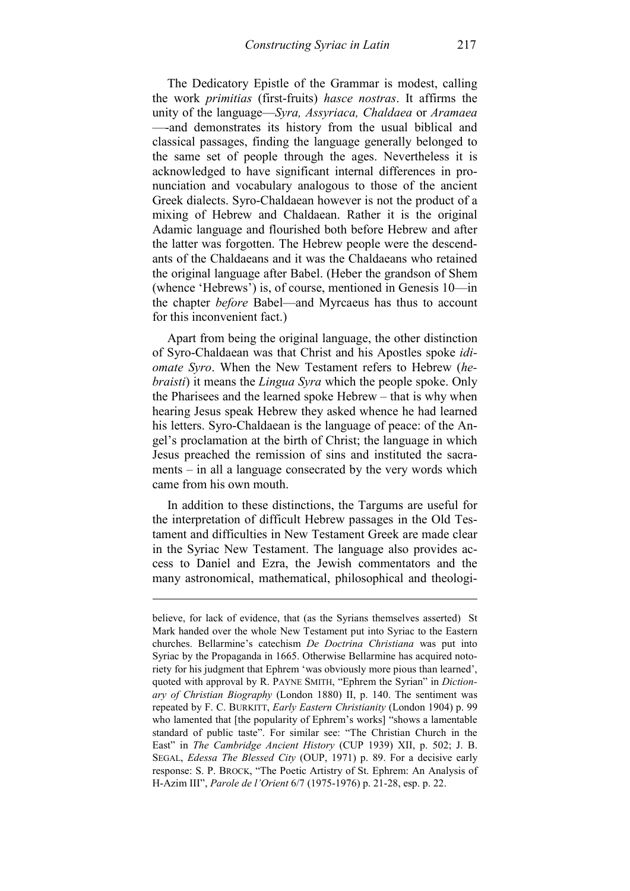The Dedicatory Epistle of the Grammar is modest, calling the work *primitias* (first-fruits) *hasce nostras*. It affirms the unity of the language—*Syra, Assyriaca, Chaldaea* or *Aramaea* —-and demonstrates its history from the usual biblical and classical passages, finding the language generally belonged to the same set of people through the ages. Nevertheless it is acknowledged to have significant internal differences in pronunciation and vocabulary analogous to those of the ancient Greek dialects. Syro-Chaldaean however is not the product of a mixing of Hebrew and Chaldaean. Rather it is the original Adamic language and flourished both before Hebrew and after the latter was forgotten. The Hebrew people were the descendants of the Chaldaeans and it was the Chaldaeans who retained the original language after Babel. (Heber the grandson of Shem (whence 'Hebrews') is, of course, mentioned in Genesis 10—in the chapter *before* Babel—and Myrcaeus has thus to account for this inconvenient fact.)

Apart from being the original language, the other distinction of Syro-Chaldaean was that Christ and his Apostles spoke *idiomate Syro*. When the New Testament refers to Hebrew (*hebraisti*) it means the *Lingua Syra* which the people spoke. Only the Pharisees and the learned spoke Hebrew – that is why when hearing Jesus speak Hebrew they asked whence he had learned his letters. Syro-Chaldaean is the language of peace: of the Angel's proclamation at the birth of Christ; the language in which Jesus preached the remission of sins and instituted the sacraments – in all a language consecrated by the very words which came from his own mouth.

In addition to these distinctions, the Targums are useful for the interpretation of difficult Hebrew passages in the Old Testament and difficulties in New Testament Greek are made clear in the Syriac New Testament. The language also provides access to Daniel and Ezra, the Jewish commentators and the many astronomical, mathematical, philosophical and theologi-

believe, for lack of evidence, that (as the Syrians themselves asserted) St Mark handed over the whole New Testament put into Syriac to the Eastern churches. Bellarmine's catechism *De Doctrina Christiana* was put into Syriac by the Propaganda in 1665. Otherwise Bellarmine has acquired notoriety for his judgment that Ephrem 'was obviously more pious than learned', quoted with approval by R. PAYNE SMITH, "Ephrem the Syrian" in *Dictionary of Christian Biography* (London 1880) II, p. 140. The sentiment was repeated by F. C. BURKITT, *Early Eastern Christianity* (London 1904) p. 99 who lamented that [the popularity of Ephrem's works] "shows a lamentable standard of public taste". For similar see: "The Christian Church in the East" in *The Cambridge Ancient History* (CUP 1939) XII, p. 502; J. B. SEGAL, *Edessa The Blessed City* (OUP, 1971) p. 89. For a decisive early response: S. P. BROCK, "The Poetic Artistry of St. Ephrem: An Analysis of H-Azim III", *Parole de l'Orient* 6/7 (1975-1976) p. 21-28, esp. p. 22.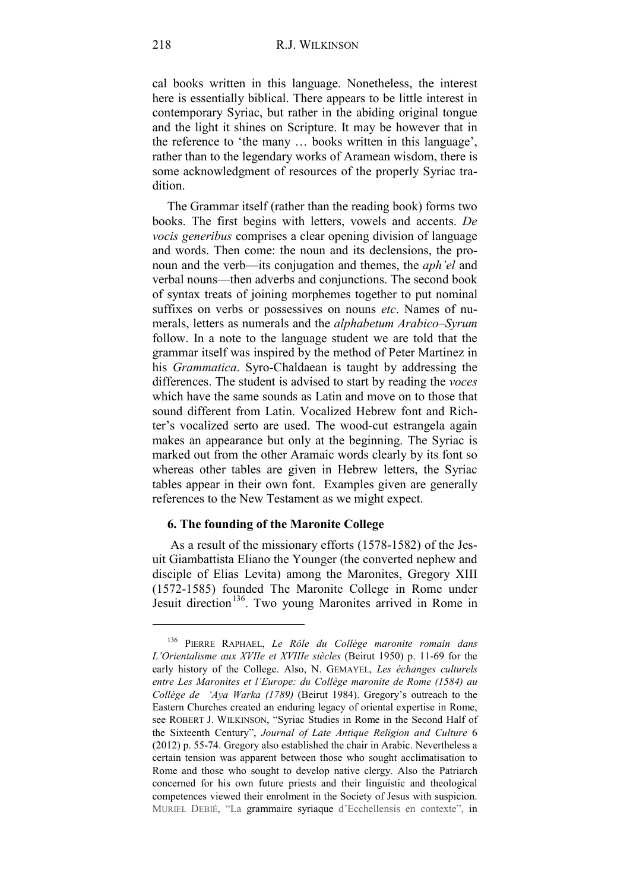cal books written in this language. Nonetheless, the interest here is essentially biblical. There appears to be little interest in contemporary Syriac, but rather in the abiding original tongue and the light it shines on Scripture. It may be however that in the reference to 'the many … books written in this language', rather than to the legendary works of Aramean wisdom, there is some acknowledgment of resources of the properly Syriac tradition.

The Grammar itself (rather than the reading book) forms two books. The first begins with letters, vowels and accents. *De vocis generibus* comprises a clear opening division of language and words. Then come: the noun and its declensions, the pronoun and the verb—its conjugation and themes, the *aph'el* and verbal nouns—then adverbs and conjunctions. The second book of syntax treats of joining morphemes together to put nominal suffixes on verbs or possessives on nouns *etc*. Names of numerals, letters as numerals and the *alphabetum Arabico–Syrum* follow. In a note to the language student we are told that the grammar itself was inspired by the method of Peter Martinez in his *Grammatica*. Syro-Chaldaean is taught by addressing the differences. The student is advised to start by reading the *voces* which have the same sounds as Latin and move on to those that sound different from Latin. Vocalized Hebrew font and Richter's vocalized serto are used. The wood-cut estrangela again makes an appearance but only at the beginning. The Syriac is marked out from the other Aramaic words clearly by its font so whereas other tables are given in Hebrew letters, the Syriac tables appear in their own font. Examples given are generally references to the New Testament as we might expect.

#### **6. The founding of the Maronite College**

As a result of the missionary efforts (1578-1582) of the Jesuit Giambattista Eliano the Younger (the converted nephew and disciple of Elias Levita) among the Maronites, Gregory XIII (1572-1585) founded The Maronite College in Rome under Jesuit direction<sup>136</sup>. Two young Maronites arrived in Rome in

<span id="page-49-0"></span><sup>136</sup> PIERRE RAPHAEL, *Le Rôle du Collège maronite romain dans L'Orientalisme aux XVIIe et XVIIIe siècles* (Beirut 1950) p. 11-69 for the early history of the College. Also, N. GEMAYEL, *Les échanges culturels entre Les Maronites et l'Europe: du Collège maronite de Rome (1584) au Collège de 'Aya Warka (1789)* (Beirut 1984). Gregory's outreach to the Eastern Churches created an enduring legacy of oriental expertise in Rome, see ROBERT J. WILKINSON, "Syriac Studies in Rome in the Second Half of the Sixteenth Century", *Journal of Late Antique Religion and Culture* 6 (2012) p. 55-74. Gregory also established the chair in Arabic. Nevertheless a certain tension was apparent between those who sought acclimatisation to Rome and those who sought to develop native clergy. Also the Patriarch concerned for his own future priests and their linguistic and theological competences viewed their enrolment in the Society of Jesus with suspicion. MURIEL DEBIÉ, "La grammaire syriaque d'Ecchellensis en contexte", in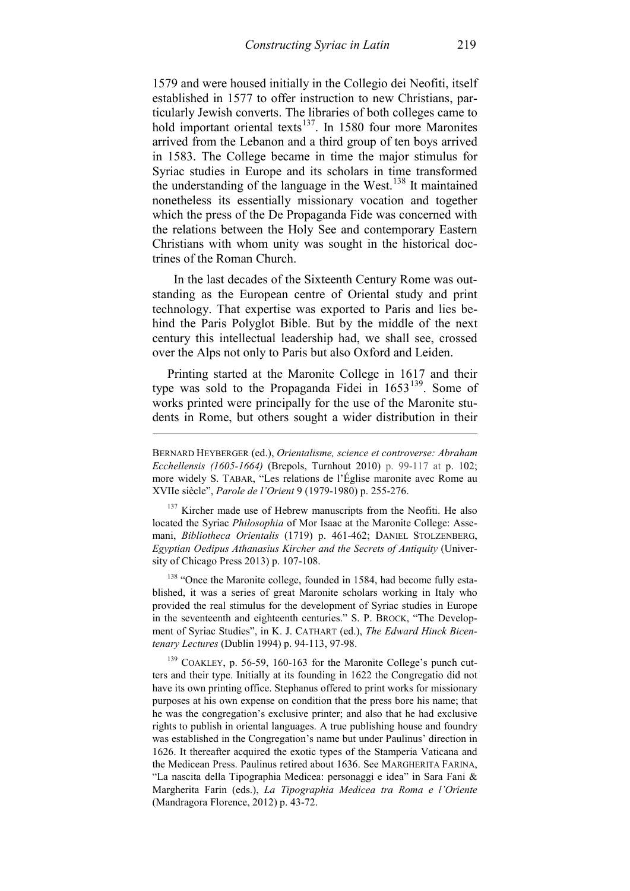1579 and were housed initially in the Collegio dei Neofiti, itself established in 1577 to offer instruction to new Christians, particularly Jewish converts. The libraries of both colleges came to hold important oriental texts<sup>137</sup>. In 1580 four more Maronites arrived from the Lebanon and a third group of ten boys arrived in 1583. The College became in time the major stimulus for Syriac studies in Europe and its scholars in time transformed the understanding of the language in the West.<sup>[138](#page-50-1)</sup> It maintained nonetheless its essentially missionary vocation and together which the press of the De Propaganda Fide was concerned with the relations between the Holy See and contemporary Eastern Christians with whom unity was sought in the historical doctrines of the Roman Church.

 In the last decades of the Sixteenth Century Rome was outstanding as the European centre of Oriental study and print technology. That expertise was exported to Paris and lies behind the Paris Polyglot Bible. But by the middle of the next century this intellectual leadership had, we shall see, crossed over the Alps not only to Paris but also Oxford and Leiden.

Printing started at the Maronite College in 1617 and their type was sold to the Propaganda Fidei in  $1653^{139}$ . Some of works printed were principally for the use of the Maronite students in Rome, but others sought a wider distribution in their

-

<span id="page-50-0"></span><sup>137</sup> Kircher made use of Hebrew manuscripts from the Neofiti. He also located the Syriac *Philosophia* of Mor Isaac at the Maronite College: Assemani, *Bibliotheca Orientalis* (1719) p. 461-462; DANIEL STOLZENBERG, *Egyptian Oedipus Athanasius Kircher and the Secrets of Antiquity* (University of Chicago Press 2013) p. 107-108.

<span id="page-50-1"></span><sup>138</sup> "Once the Maronite college, founded in 1584, had become fully established, it was a series of great Maronite scholars working in Italy who provided the real stimulus for the development of Syriac studies in Europe in the seventeenth and eighteenth centuries." S. P. BROCK, "The Development of Syriac Studies", in K. J. CATHART (ed.), *The Edward Hinck Bicentenary Lectures* (Dublin 1994) p. 94-113, 97-98.

<span id="page-50-2"></span><sup>139</sup> COAKLEY, p. 56-59, 160-163 for the Maronite College's punch cutters and their type. Initially at its founding in 1622 the Congregatio did not have its own printing office. Stephanus offered to print works for missionary purposes at his own expense on condition that the press bore his name; that he was the congregation's exclusive printer; and also that he had exclusive rights to publish in oriental languages. A true publishing house and foundry was established in the Congregation's name but under Paulinus' direction in 1626. It thereafter acquired the exotic types of the Stamperia Vaticana and the Medicean Press. Paulinus retired about 1636. See MARGHERITA FARINA, "La nascita della Tipographia Medicea: personaggi e idea" in Sara Fani & Margherita Farin (eds.), *La Tipographia Medicea tra Roma e l'Oriente* (Mandragora Florence, 2012) p. 43-72.

BERNARD HEYBERGER (ed.), *Orientalisme, science et controverse: Abraham Ecchellensis (1605-1664)* (Brepols, Turnhout 2010) p. 99-117 at p. 102; more widely S. TABAR, "Les relations de l'Église maronite avec Rome au XVIIe siècle", *Parole de l'Orient* 9 (1979-1980) p. 255-276.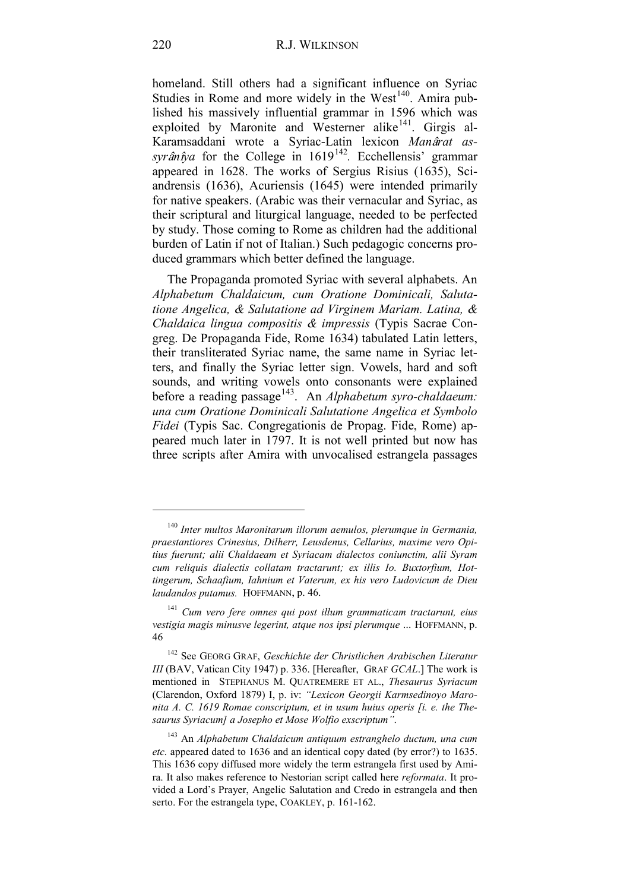homeland. Still others had a significant influence on Syriac Studies in Rome and more widely in the West<sup>140</sup>. Amira published his massively influential grammar in 1596 which was exploited by Maronite and Westerner alike<sup>141</sup>. Girgis al-Karamsaddani wrote a Syriac-Latin lexicon *Man*â*rat assyrânîya* for the College in 1619<sup>142</sup>. Ecchellensis' grammar appeared in 1628. The works of Sergius Risius (1635), Sciandrensis (1636), Acuriensis (1645) were intended primarily for native speakers. (Arabic was their vernacular and Syriac, as their scriptural and liturgical language, needed to be perfected by study. Those coming to Rome as children had the additional burden of Latin if not of Italian.) Such pedagogic concerns produced grammars which better defined the language.

The Propaganda promoted Syriac with several alphabets. An *Alphabetum Chaldaicum, cum Oratione Dominicali, Salutatione Angelica, & Salutatione ad Virginem Mariam. Latina, & Chaldaica lingua compositis & impressis* (Typis Sacrae Congreg. De Propaganda Fide, Rome 1634) tabulated Latin letters, their transliterated Syriac name, the same name in Syriac letters, and finally the Syriac letter sign. Vowels, hard and soft sounds, and writing vowels onto consonants were explained before a reading passage<sup>143</sup>. An *Alphabetum syro-chaldaeum: una cum Oratione Dominicali Salutatione Angelica et Symbolo Fidei* (Typis Sac. Congregationis de Propag. Fide, Rome) appeared much later in 1797. It is not well printed but now has three scripts after Amira with unvocalised estrangela passages

<sup>140</sup> *Inter multos Maronitarum illorum aemulos, plerumque in Germania, praestantiores Crinesius, Dilherr, Leusdenus, Cellarius, maxime vero Opitius fuerunt; alii Chaldaeam et Syriacam dialectos coniunctim, alii Syram cum reliquis dialectis collatam tractarunt; ex illis Io. Buxtorfium, Hottingerum, Schaafium, Iahnium et Vaterum, ex his vero Ludovicum de Dieu laudandos putamus.* HOFFMANN, p. 46.

<sup>141</sup> *Cum vero fere omnes qui post illum grammaticam tractarunt, eius vestigia magis minusve legerint, atque nos ipsi plerumque …* HOFFMANN, p. 46

<sup>142</sup> See GEORG GRAF, *Geschichte der Christlichen Arabischen Literatur III* (BAV, Vatican City 1947) p. 336. [Hereafter, GRAF *GCAL*.] The work is mentioned in STEPHANUS M. QUATREMERE ET AL., *Thesaurus Syriacum*  (Clarendon, Oxford 1879) I, p. iv: *"Lexicon Georgii Karmsedinoyo Maronita A. C. 1619 Romae conscriptum, et in usum huius operis [i. e. the Thesaurus Syriacum] a Josepho et Mose Wolfio exscriptum"*.

<sup>143</sup> An *Alphabetum Chaldaicum antiquum estranghelo ductum, una cum etc.* appeared dated to 1636 and an identical copy dated (by error?) to 1635. This 1636 copy diffused more widely the term estrangela first used by Amira. It also makes reference to Nestorian script called here *reformata*. It provided a Lord's Prayer, Angelic Salutation and Credo in estrangela and then serto. For the estrangela type, COAKLEY, p. 161-162.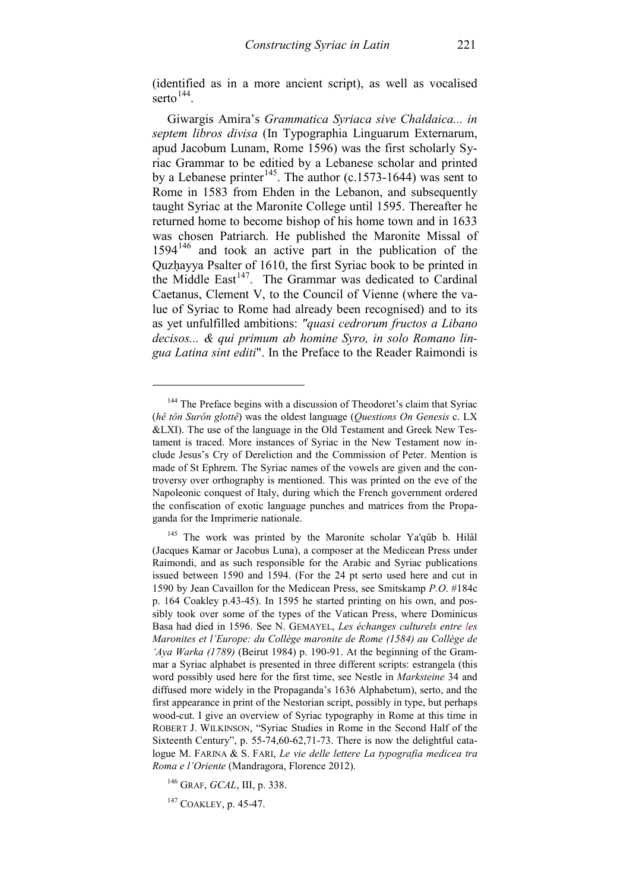(identified as in a more ancient script), as well as vocalised serto $144$ .

Giwargis Amira's *Grammatica Syriaca sive Chaldaica... in septem libros divisa* (In Typographia Linguarum Externarum, apud Jacobum Lunam, Rome 1596) was the first scholarly Syriac Grammar to be editied by a Lebanese scholar and printed by a Lebanese printer<sup>[145](#page-52-1)</sup>. The author (c.1573-1644) was sent to Rome in 1583 from Ehden in the Lebanon, and subsequently taught Syriac at the Maronite College until 1595. Thereafter he returned home to become bishop of his home town and in 1633 was chosen Patriarch. He published the Maronite Missal of  $1594<sup>146</sup>$  $1594<sup>146</sup>$  $1594<sup>146</sup>$  and took an active part in the publication of the Quzhayya Psalter of 1610, the first Syriac book to be printed in the Middle East<sup>[147](#page-52-3)</sup>. The Grammar was dedicated to Cardinal Caetanus, Clement V, to the Council of Vienne (where the value of Syriac to Rome had already been recognised) and to its as yet unfulfilled ambitions: *"quasi cedrorum fructos a Libano decisos... & qui primum ab homine Syro, in solo Romano lingua Latina sint editi*". In the Preface to the Reader Raimondi is

<span id="page-52-0"></span><sup>&</sup>lt;sup>144</sup> The Preface begins with a discussion of Theodoret's claim that Syriac (*hê tôn Surôn glottê*) was the oldest language (*Questions On Genesis* c. LX &LXI). The use of the language in the Old Testament and Greek New Testament is traced. More instances of Syriac in the New Testament now include Jesus's Cry of Dereliction and the Commission of Peter. Mention is made of St Ephrem. The Syriac names of the vowels are given and the controversy over orthography is mentioned. This was printed on the eve of the Napoleonic conquest of Italy, during which the French government ordered the confiscation of exotic language punches and matrices from the Propaganda for the Imprimerie nationale.

<span id="page-52-1"></span><sup>&</sup>lt;sup>145</sup> The work was printed by the Maronite scholar Ya'qûb b. Hilâl (Jacques Kamar or Jacobus Luna), a composer at the Medicean Press under Raimondi, and as such responsible for the Arabic and Syriac publications issued between 1590 and 1594. (For the 24 pt serto used here and cut in 1590 by Jean Cavaillon for the Medicean Press, see Smitskamp *P.O*. #184c p. 164 Coakley p.43-45). In 1595 he started printing on his own, and possibly took over some of the types of the Vatican Press, where Dominicus Basa had died in 1596. See N. GEMAYEL, *Les échanges culturels entre les Maronites et l'Europe: du Collège maronite de Rome (1584) au Collège de 'Aya Warka (1789)* (Beirut 1984) p. 190-91. At the beginning of the Grammar a Syriac alphabet is presented in three different scripts: estrangela (this word possibly used here for the first time, see Nestle in *Marksteine* 34 and diffused more widely in the Propaganda's 1636 Alphabetum), serto, and the first appearance in print of the Nestorian script, possibly in type, but perhaps wood-cut. I give an overview of Syriac typography in Rome at this time in ROBERT J. WILKINSON, "Syriac Studies in Rome in the Second Half of the Sixteenth Century", p. 55-74,60-62,71-73. There is now the delightful catalogue M. FARINA & S. FARI, *Le vie delle lettere La typografia medicea tra Roma e l'Oriente* (Mandragora, Florence 2012).

<span id="page-52-2"></span><sup>146</sup> GRAF, *GCAL*, III, p. 338.

<span id="page-52-3"></span><sup>&</sup>lt;sup>147</sup> COAKLEY, p. 45-47.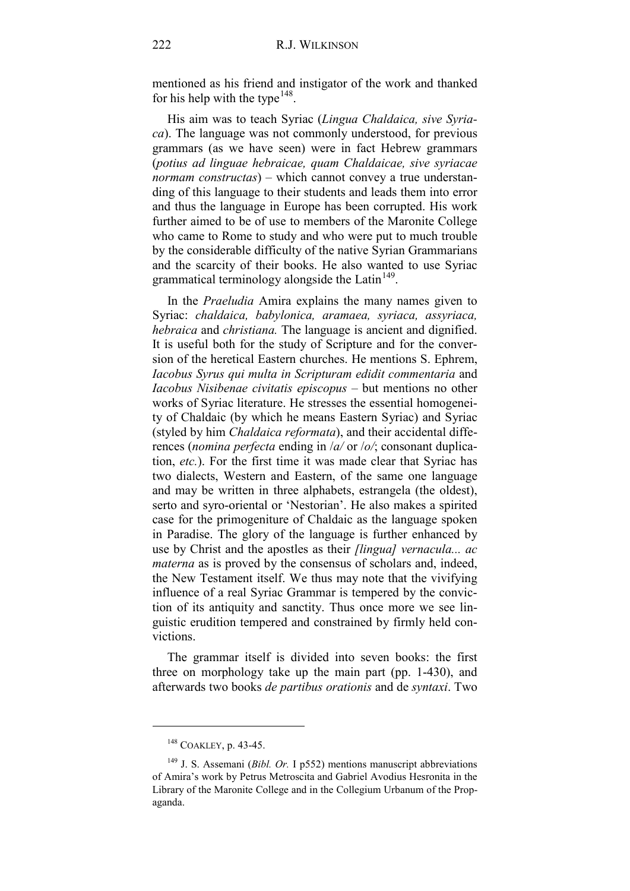mentioned as his friend and instigator of the work and thanked for his help with the type<sup>[148](#page-53-0)</sup>.

His aim was to teach Syriac (*Lingua Chaldaica, sive Syriaca*). The language was not commonly understood, for previous grammars (as we have seen) were in fact Hebrew grammars (*potius ad linguae hebraicae, quam Chaldaicae, sive syriacae normam constructas*) – which cannot convey a true understanding of this language to their students and leads them into error and thus the language in Europe has been corrupted. His work further aimed to be of use to members of the Maronite College who came to Rome to study and who were put to much trouble by the considerable difficulty of the native Syrian Grammarians and the scarcity of their books. He also wanted to use Syriac grammatical terminology alongside the Latin<sup>[149](#page-53-1)</sup>.

In the *Praeludia* Amira explains the many names given to Syriac: *chaldaica, babylonica, aramaea, syriaca, assyriaca, hebraica* and *christiana.* The language is ancient and dignified. It is useful both for the study of Scripture and for the conversion of the heretical Eastern churches. He mentions S. Ephrem, *Iacobus Syrus qui multa in Scripturam edidit commentaria* and *Iacobus Nisibenae civitatis episcopus* – but mentions no other works of Syriac literature. He stresses the essential homogeneity of Chaldaic (by which he means Eastern Syriac) and Syriac (styled by him *Chaldaica reformata*), and their accidental differences (*nomina perfecta* ending in /*a/* or /*o/*; consonant duplication, *etc.*). For the first time it was made clear that Syriac has two dialects, Western and Eastern, of the same one language and may be written in three alphabets, estrangela (the oldest), serto and syro-oriental or 'Nestorian'. He also makes a spirited case for the primogeniture of Chaldaic as the language spoken in Paradise. The glory of the language is further enhanced by use by Christ and the apostles as their *[lingua] vernacula... ac materna* as is proved by the consensus of scholars and, indeed, the New Testament itself. We thus may note that the vivifying influence of a real Syriac Grammar is tempered by the conviction of its antiquity and sanctity. Thus once more we see linguistic erudition tempered and constrained by firmly held convictions.

The grammar itself is divided into seven books: the first three on morphology take up the main part (pp. 1-430), and afterwards two books *de partibus orationis* and de *syntaxi*. Two

<sup>148</sup> COAKLEY, p. 43-45.

<span id="page-53-1"></span><span id="page-53-0"></span><sup>149</sup> J. S. Assemani (*Bibl. Or.* I p552) mentions manuscript abbreviations of Amira's work by Petrus Metroscita and Gabriel Avodius Hesronita in the Library of the Maronite College and in the Collegium Urbanum of the Propaganda.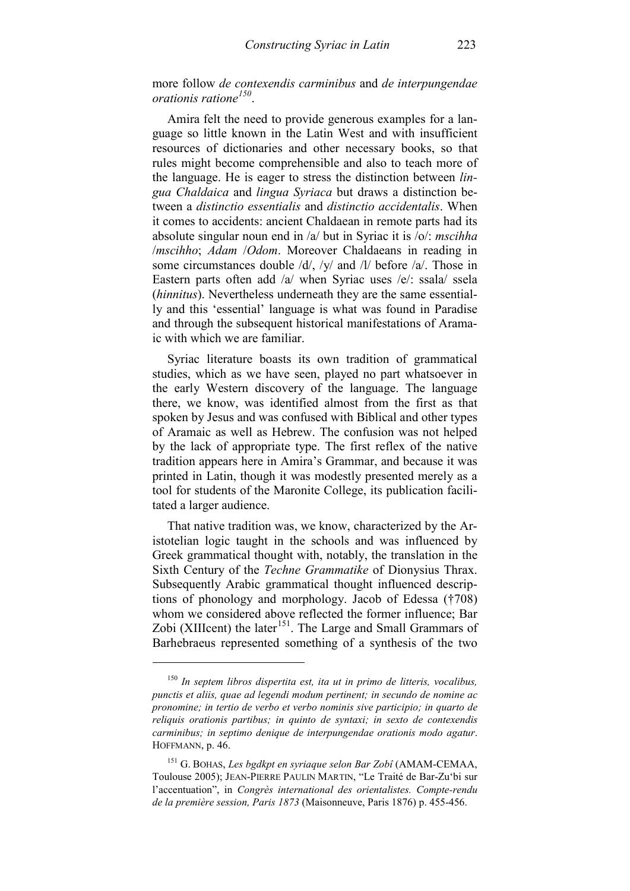more follow *de contexendis carminibus* and *de interpungendae orationis ratione[150](#page-54-0)*.

Amira felt the need to provide generous examples for a language so little known in the Latin West and with insufficient resources of dictionaries and other necessary books, so that rules might become comprehensible and also to teach more of the language. He is eager to stress the distinction between *lingua Chaldaica* and *lingua Syriaca* but draws a distinction between a *distinctio essentialis* and *distinctio accidentalis*. When it comes to accidents: ancient Chaldaean in remote parts had its absolute singular noun end in /a/ but in Syriac it is /o/: *mscihha* /*mscihho*; *Adam* /*Odom*. Moreover Chaldaeans in reading in some circumstances double /d/, /y/ and /l/ before /a/. Those in Eastern parts often add /a/ when Syriac uses /e/: ssala/ ssela (*hinnitus*). Nevertheless underneath they are the same essentially and this 'essential' language is what was found in Paradise and through the subsequent historical manifestations of Aramaic with which we are familiar.

Syriac literature boasts its own tradition of grammatical studies, which as we have seen, played no part whatsoever in the early Western discovery of the language. The language there, we know, was identified almost from the first as that spoken by Jesus and was confused with Biblical and other types of Aramaic as well as Hebrew. The confusion was not helped by the lack of appropriate type. The first reflex of the native tradition appears here in Amira's Grammar, and because it was printed in Latin, though it was modestly presented merely as a tool for students of the Maronite College, its publication facilitated a larger audience.

That native tradition was, we know, characterized by the Aristotelian logic taught in the schools and was influenced by Greek grammatical thought with, notably, the translation in the Sixth Century of the *Techne Grammatike* of Dionysius Thrax. Subsequently Arabic grammatical thought influenced descriptions of phonology and morphology. Jacob of Edessa (†708) whom we considered above reflected the former influence; Bar Zobi (XIIIcent) the later<sup>151</sup>. The Large and Small Grammars of Barhebraeus represented something of a synthesis of the two

<span id="page-54-0"></span><sup>150</sup> *In septem libros dispertita est, ita ut in primo de litteris, vocalibus, punctis et aliis, quae ad legendi modum pertinent; in secundo de nomine ac pronomine; in tertio de verbo et verbo nominis sive participio; in quarto de reliquis orationis partibus; in quinto de syntaxi; in sexto de contexendis carminibus; in septimo denique de interpungendae orationis modo agatur*. HOFFMANN, p. 46.

<span id="page-54-1"></span><sup>151</sup> G. BOHAS, *Les bgdkpt en syriaque selon Bar Zobî* (AMAM-CEMAA, Toulouse 2005); JEAN-PIERRE PAULIN MARTIN, "Le Traité de Bar-Zu'bi sur l'accentuation", in *Congrès international des orientalistes. Compte-rendu de la première session, Paris 1873* (Maisonneuve, Paris 1876) p. 455-456.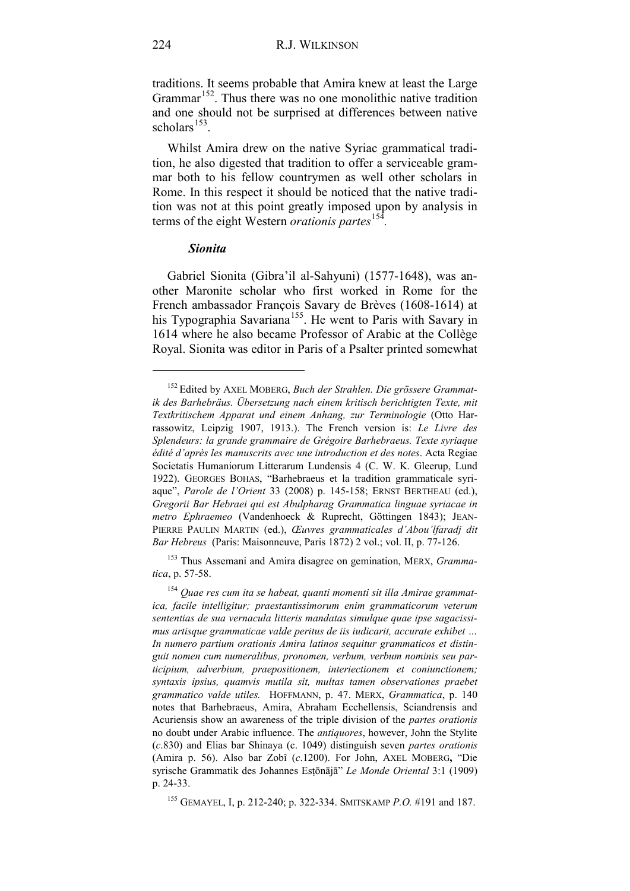traditions. It seems probable that Amira knew at least the Large Grammar<sup>152</sup>. Thus there was no one monolithic native tradition and one should not be surprised at differences between native scholars $153$ .

Whilst Amira drew on the native Syriac grammatical tradition, he also digested that tradition to offer a serviceable grammar both to his fellow countrymen as well other scholars in Rome. In this respect it should be noticed that the native tradition was not at this point greatly imposed upon by analysis in terms of the eight Western *orationis partes*[154](#page-55-2)*.*

#### *Sionita*

Gabriel Sionita (Gibra'il al-Sahyuni) (1577-1648), was another Maronite scholar who first worked in Rome for the French ambassador François Savary de Brèves (1608-1614) at his Typographia Savariana<sup>[155](#page-55-3)</sup>. He went to Paris with Savary in 1614 where he also became Professor of Arabic at the Collège Royal. Sionita was editor in Paris of a Psalter printed somewhat

<span id="page-55-1"></span><sup>153</sup> Thus Assemani and Amira disagree on gemination, MERX, *Grammatica*, p. 57-58.

<span id="page-55-0"></span><sup>152</sup> Edited by AXEL MOBERG, *Buch der Strahlen. Die grössere Grammatik des Barhebräus. Übersetzung nach einem kritisch berichtigten Texte, mit Textkritischem Apparat und einem Anhang, zur Terminologie* (Otto Harrassowitz, Leipzig 1907, 1913.). The French version is: *Le Livre des Splendeurs: la grande grammaire de Grégoire Barhebraeus. Texte syriaque édité d'après les manuscrits avec une introduction et des notes*. Acta Regiae Societatis Humaniorum Litterarum Lundensis 4 (C. W. K. Gleerup, Lund 1922). GEORGES BOHAS, "Barhebraeus et la tradition grammaticale syriaque", *Parole de l'Orient* 33 (2008) p. 145-158; ERNST BERTHEAU (ed.), *Gregorii Bar Hebraei qui est Abulpharag Grammatica linguae syriacae in metro Ephraemeo* (Vandenhoeck & Ruprecht, Göttingen 1843); JEAN-PIERRE PAULIN MARTIN (ed.), *Œuvres grammaticales d'Abou'lfaradj dit Bar Hebreus* (Paris: Maisonneuve, Paris 1872) 2 vol.; vol. II, p. 77-126.

<span id="page-55-2"></span><sup>154</sup> *Quae res cum ita se habeat, quanti momenti sit illa Amirae grammatica, facile intelligitur; praestantissimorum enim grammaticorum veterum sententias de sua vernacula litteris mandatas simulque quae ipse sagacissimus artisque grammaticae valde peritus de iis iudicarit, accurate exhibet … In numero partium orationis Amira latinos sequitur grammaticos et distinguit nomen cum numeralibus, pronomen, verbum, verbum nominis seu participium, adverbium, praepositionem, interiectionem et coniunctionem; syntaxis ipsius, quamvis mutila sit, multas tamen observationes praebet grammatico valde utiles.* HOFFMANN, p. 47. MERX, *Grammatica*, p. 140 notes that Barhebraeus, Amira, Abraham Ecchellensis, Sciandrensis and Acuriensis show an awareness of the triple division of the *partes orationis* no doubt under Arabic influence. The *antiquores*, however, John the Stylite (*c*.830) and Elias bar Shinaya (c. 1049) distinguish seven *partes orationis* (Amira p. 56). Also bar Zobî (*c*.1200). For John, AXEL MOBERG**,** "Die syrische Grammatik des Johannes Esṭōnājā" *Le Monde Oriental* 3:1 (1909) p. 24-33.

<span id="page-55-3"></span><sup>155</sup> GEMAYEL, I, p. 212-240; p. 322-334. SMITSKAMP *P.O.* #191 and 187.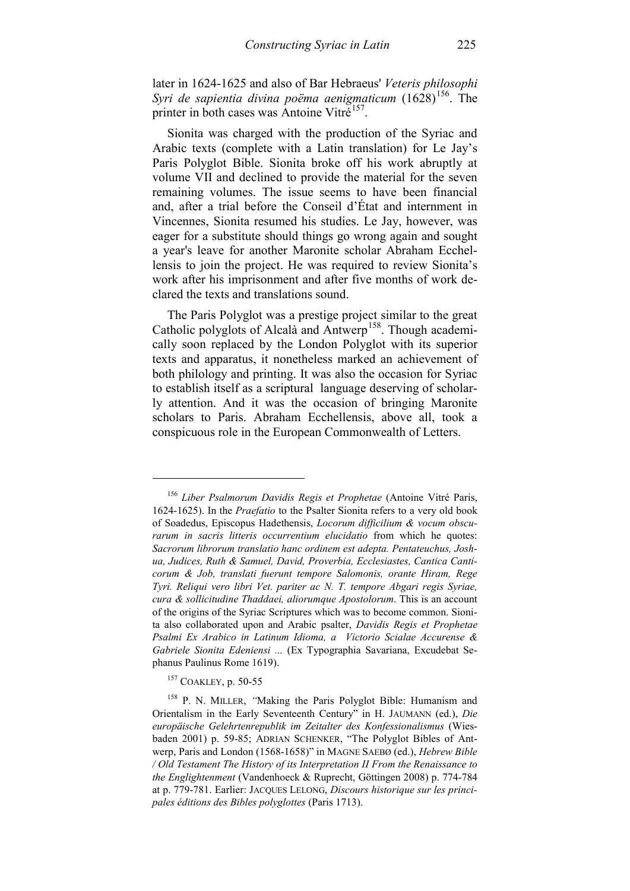later in 1624-1625 and also of Bar Hebraeus' *Veteris philosophi Syri de sapientia divina poëma aenigmaticum* (1628)<sup>156</sup>. The printer in both cases was Antoine Vitré<sup>157</sup>.

Sionita was charged with the production of the Syriac and Arabic texts (complete with a Latin translation) for Le Jay's Paris Polyglot Bible. Sionita broke off his work abruptly at volume VII and declined to provide the material for the seven remaining volumes. The issue seems to have been financial and, after a trial before the Conseil d'État and internment in Vincennes, Sionita resumed his studies. Le Jay, however, was eager for a substitute should things go wrong again and sought a year's leave for another Maronite scholar Abraham Ecchellensis to join the project. He was required to review Sionita's work after his imprisonment and after five months of work declared the texts and translations sound.

The Paris Polyglot was a prestige project similar to the great Catholic polyglots of Alcalà and Antwerp<sup>[158](#page-56-2)</sup>. Though academically soon replaced by the London Polyglot with its superior texts and apparatus, it nonetheless marked an achievement of both philology and printing. It was also the occasion for Syriac to establish itself as a scriptural language deserving of scholarly attention. And it was the occasion of bringing Maronite scholars to Paris. Abraham Ecchellensis, above all, took a conspicuous role in the European Commonwealth of Letters.

<sup>157</sup> COAKLEY, p. 50-55

<span id="page-56-0"></span><sup>156</sup> *Liber Psalmorum Davidis Regis et Prophetae* (Antoine Vitré Paris, 1624-1625). In the *Praefatio* to the Psalter Sionita refers to a very old book of Soadedus, Episcopus Hadethensis, *Locorum difficilium & vocum obscurarum in sacris litteris occurrentium elucidatio* from which he quotes: *Sacrorum librorum translatio hanc ordinem est adepta. Pentateuchus, Joshua, Judices, Ruth & Samuel, David, Proverbia, Ecclesiastes, Cantica Canticorum & Job, translati fuerunt tempore Salomonis, orante Hiram, Rege Tyri. Reliqui vero libri Vet. pariter ac N. T. tempore Abgari regis Syriae, cura & sollicitudine Thaddaei, aliorumque Apostolorum*. This is an account of the origins of the Syriac Scriptures which was to become common. Sionita also collaborated upon and Arabic psalter, *Davidis Regis et Prophetae Psalmi Ex Arabico in Latinum Idioma, a Victorio Scialae Accurense & Gabriele Sionita Edeniensi ...* (Ex Typographia Savariana, Excudebat Sephanus Paulinus Rome 1619).

<span id="page-56-2"></span><span id="page-56-1"></span><sup>&</sup>lt;sup>158</sup> P. N. MILLER, "Making the Paris Polyglot Bible: Humanism and Orientalism in the Early Seventeenth Century" in H. JAUMANN (ed.), *Die europäische Gelehrtenrepublik im Zeitalter des Konfessionalismus* (Wiesbaden 2001) p. 59-85; ADRIAN SCHENKER, "The Polyglot Bibles of Antwerp, Paris and London (1568-1658)" in MAGNE SAEBØ (ed.), *Hebrew Bible / Old Testament The History of its Interpretation II From the Renaissance to the Englightenment* (Vandenhoeck & Ruprecht, Göttingen 2008) p. 774-784 at p. 779-781. Earlier: JACQUES LELONG, *Discours historique sur les principales éditions des Bibles polyglottes* (Paris 1713).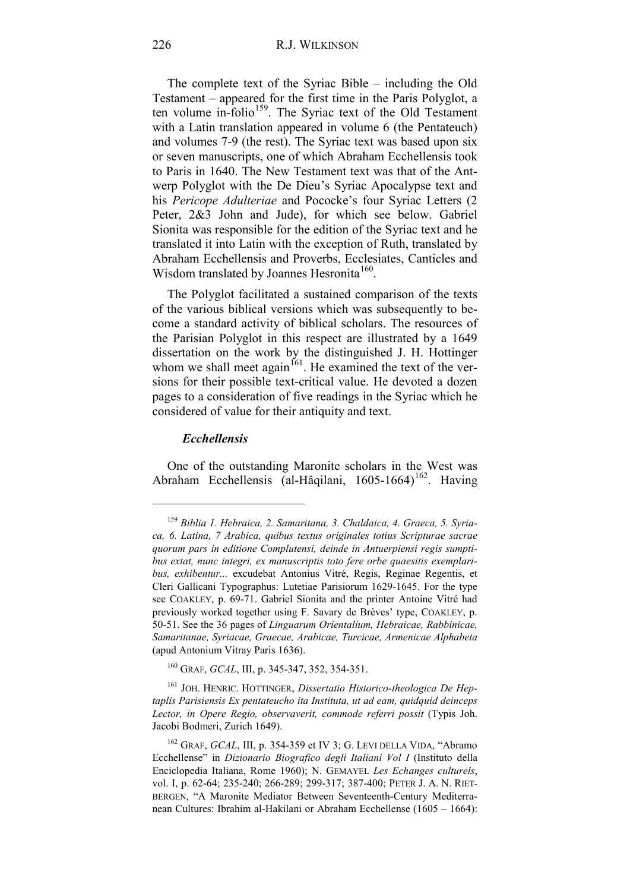The complete text of the Syriac Bible – including the Old Testament – appeared for the first time in the Paris Polyglot, a ten volume in-folio<sup>[159](#page-57-0)</sup>. The Syriac text of the Old Testament with a Latin translation appeared in volume 6 (the Pentateuch) and volumes 7-9 (the rest). The Syriac text was based upon six or seven manuscripts, one of which Abraham Ecchellensis took to Paris in 1640. The New Testament text was that of the Antwerp Polyglot with the De Dieu's Syriac Apocalypse text and his *Pericope Adulteriae* and Pococke's four Syriac Letters (2 Peter, 2&3 John and Jude), for which see below. Gabriel Sionita was responsible for the edition of the Syriac text and he translated it into Latin with the exception of Ruth, translated by Abraham Ecchellensis and Proverbs, Ecclesiates, Canticles and Wisdom translated by Joannes Hesronita<sup>160</sup>.

The Polyglot facilitated a sustained comparison of the texts of the various biblical versions which was subsequently to become a standard activity of biblical scholars. The resources of the Parisian Polyglot in this respect are illustrated by a 1649 dissertation on the work by the distinguished J. H. Hottinger whom we shall meet again<sup>161</sup>. He examined the text of the versions for their possible text-critical value. He devoted a dozen pages to a consideration of five readings in the Syriac which he considered of value for their antiquity and text.

#### *Ecchellensis*

-

One of the outstanding Maronite scholars in the West was Abraham Ecchellensis (al-Hâqilani, 1605-1664)<sup>162</sup>. Having

<span id="page-57-0"></span><sup>159</sup> *Biblia 1. Hebraica, 2. Samaritana, 3. Chaldaica, 4. Graeca, 5. Syriaca, 6. Latina, 7 Arabica, quibus textus originales totius Scripturae sacrae quorum pars in editione Complutensi, deinde in Antuerpiensi regis sumptibus extat, nunc integri, ex manuscriptis toto fere orbe quaesitis exemplaribus, exhibentur...* excudebat Antonius Vitré, Regis, Reginae Regentis, et Cleri Gallicani Typographus: Lutetiae Parisiorum 1629-1645. For the type see COAKLEY, p. 69-71. Gabriel Sionita and the printer Antoine Vitré had previously worked together using F. Savary de Brèves' type, COAKLEY, p. 50-51. See the 36 pages of *Linguarum Orientalium, Hebraicae, Rabbinicae, Samaritanae, Syriacae, Graecae, Arabicae, Turcicae, Armenicae Alphabeta* (apud Antonium Vitray Paris 1636).

<sup>160</sup> GRAF, *GCAL*, III, p. 345-347, 352, 354-351.

<span id="page-57-2"></span><span id="page-57-1"></span><sup>161</sup> JOH. HENRIC. HOTTINGER, *Dissertatio Historico-theologica De Heptaplis Parisiensis Ex pentateucho ita Instituta, ut ad eam, quidquid deinceps Lector, in Opere Regio, observaverit, commode referri possit* (Typis Joh. Jacobi Bodmeri, Zurich 1649).

<span id="page-57-3"></span><sup>162</sup> GRAF, *GCAL*, III, p. 354-359 et IV 3; G. LEVI DELLA VIDA, "Abramo Ecchellense" in *Dizionario Biografico degli Italiani Vol I* (Instituto della Enciclopedia Italiana, Rome 1960); N. GEMAYEL *Les Echanges culturels*, vol. I, p. 62-64; 235-240; 266-289; 299-317; 387-400; PETER J. A. N. RIET-BERGEN, "A Maronite Mediator Between Seventeenth-Century Mediterranean Cultures: Ibrahim al-Hakilani or Abraham Ecchellense (1605 – 1664):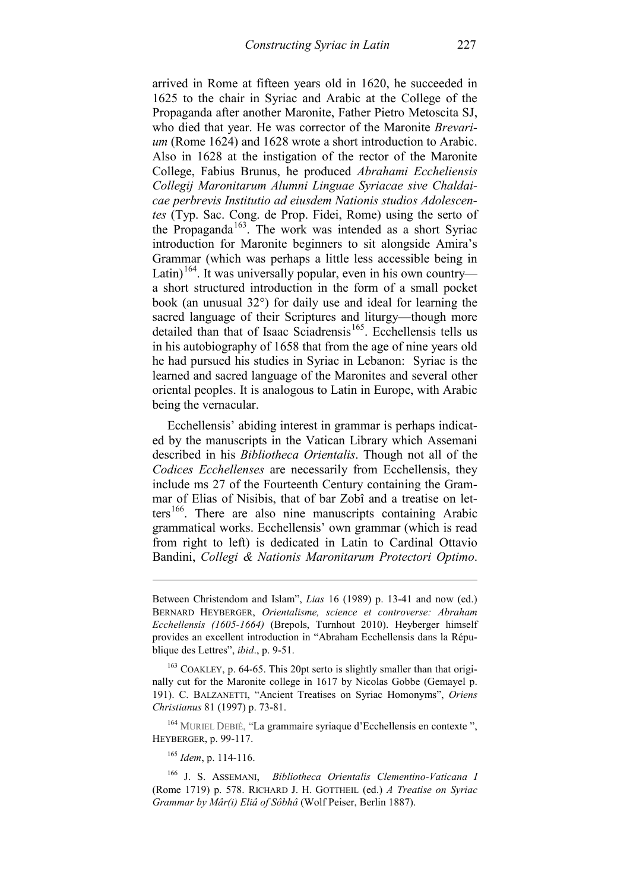arrived in Rome at fifteen years old in 1620, he succeeded in 1625 to the chair in Syriac and Arabic at the College of the Propaganda after another Maronite, Father Pietro Metoscita SJ, who died that year. He was corrector of the Maronite *Brevarium* (Rome 1624) and 1628 wrote a short introduction to Arabic. Also in 1628 at the instigation of the rector of the Maronite College, Fabius Brunus, he produced *Abrahami Eccheliensis Collegij Maronitarum Alumni Linguae Syriacae sive Chaldaicae perbrevis Institutio ad eiusdem Nationis studios Adolescentes* (Typ. Sac. Cong. de Prop. Fidei, Rome) using the serto of the Propaganda<sup>[163](#page-58-0)</sup>. The work was intended as a short Syriac introduction for Maronite beginners to sit alongside Amira's Grammar (which was perhaps a little less accessible being in Latin)<sup>[164](#page-58-1)</sup>. It was universally popular, even in his own country a short structured introduction in the form of a small pocket book (an unusual 32°) for daily use and ideal for learning the sacred language of their Scriptures and liturgy—though more detailed than that of Isaac Sciadrensis<sup>165</sup>. Ecchellensis tells us in his autobiography of 1658 that from the age of nine years old he had pursued his studies in Syriac in Lebanon: Syriac is the learned and sacred language of the Maronites and several other oriental peoples. It is analogous to Latin in Europe, with Arabic being the vernacular.

Ecchellensis' abiding interest in grammar is perhaps indicated by the manuscripts in the Vatican Library which Assemani described in his *Bibliotheca Orientalis*. Though not all of the *Codices Ecchellenses* are necessarily from Ecchellensis, they include ms 27 of the Fourteenth Century containing the Grammar of Elias of Nisibis, that of bar Zobî and a treatise on let- $ters<sup>166</sup>$  $ters<sup>166</sup>$  $ters<sup>166</sup>$ . There are also nine manuscripts containing Arabic grammatical works. Ecchellensis' own grammar (which is read from right to left) is dedicated in Latin to Cardinal Ottavio Bandini, *Collegi & Nationis Maronitarum Protectori Optimo*.

<span id="page-58-1"></span><sup>164</sup> MURIEL DEBIÉ, "La grammaire syriaque d'Ecchellensis en contexte ", HEYBERGER, p. 99-117.

<sup>165</sup> *Idem*, p. 114-116.

-

<span id="page-58-3"></span><span id="page-58-2"></span><sup>166</sup> J. S. ASSEMANI, *Bibliotheca Orientalis Clementino-Vaticana I* (Rome 1719) p. 578. RICHARD J. H. GOTTHEIL (ed.) *A Treatise on Syriac Grammar by Mâr(i) Eliâ of Sôbhâ* (Wolf Peiser, Berlin 1887).

Between Christendom and Islam", *Lias* 16 (1989) p. 13-41 and now (ed.) BERNARD HEYBERGER, *Orientalisme, science et controverse: Abraham Ecchellensis (1605-1664)* (Brepols, Turnhout 2010). Heyberger himself provides an excellent introduction in "Abraham Ecchellensis dans la République des Lettres", *ibid*., p. 9-51.

<span id="page-58-0"></span><sup>&</sup>lt;sup>163</sup> COAKLEY, p. 64-65. This 20pt serto is slightly smaller than that originally cut for the Maronite college in 1617 by Nicolas Gobbe (Gemayel p. 191). C. BALZANETTI, "Ancient Treatises on Syriac Homonyms", *Oriens Christianus* 81 (1997) p. 73-81.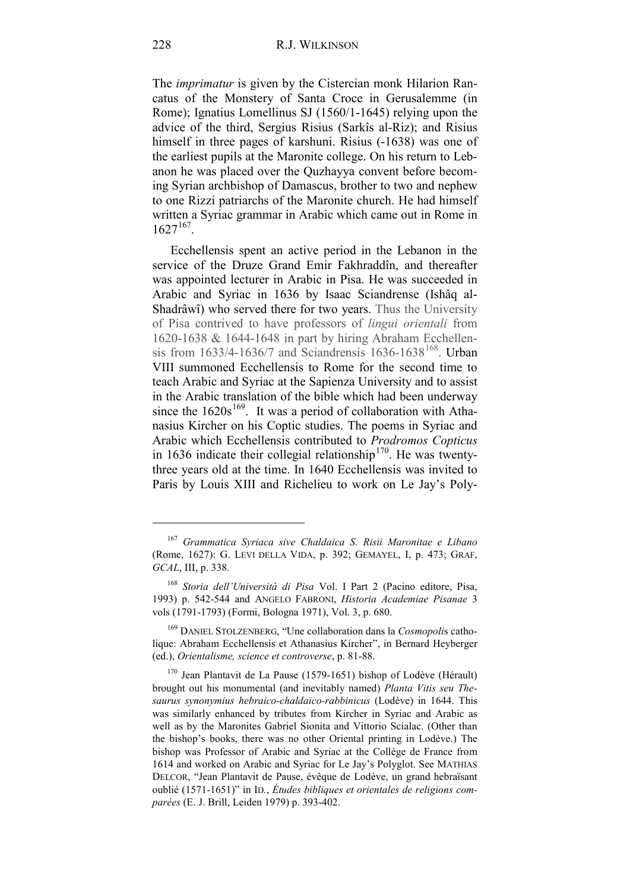The *imprimatur* is given by the Cistercian monk Hilarion Rancatus of the Monstery of Santa Croce in Gerusalemme (in Rome); Ignatius Lomellinus SJ (1560/1-1645) relying upon the advice of the third, Sergius Risius (Sarkîs al-Riz); and Risius himself in three pages of karshuni. Risius (-1638) was one of the earliest pupils at the Maronite college. On his return to Lebanon he was placed over the Quzhayya convent before becoming Syrian archbishop of Damascus, brother to two and nephew to one Rizzi patriarchs of the Maronite church. He had himself written a Syriac grammar in Arabic which came out in Rome in  $1627^{167}$ .

Ecchellensis spent an active period in the Lebanon in the service of the Druze Grand Emir Fakhraddîn, and thereafter was appointed lecturer in Arabic in Pisa. He was succeeded in Arabic and Syriac in 1636 by Isaac Sciandrense (Ishâq al-Shadrâwî) who served there for two years. Thus the University of Pisa contrived to have professors of *lingui orientali* from 1620-1638 & 1644-1648 in part by hiring Abraham Ecchellensis from  $1633/4 - 1636/7$  and Sciandrensis  $1636 - 1638^{168}$  $1636 - 1638^{168}$  $1636 - 1638^{168}$ . Urban VIII summoned Ecchellensis to Rome for the second time to teach Arabic and Syriac at the Sapienza University and to assist in the Arabic translation of the bible which had been underway since the  $1620s^{169}$ . It was a period of collaboration with Athanasius Kircher on his Coptic studies. The poems in Syriac and Arabic which Ecchellensis contributed to *Prodromos Copticus*  in 1636 indicate their collegial relationship<sup>170</sup>. He was twentythree years old at the time. In 1640 Ecchellensis was invited to Paris by Louis XIII and Richelieu to work on Le Jay's Poly-

<span id="page-59-0"></span><sup>167</sup> *Grammatica Syriaca sive Chaldaica S. Risii Maronitae e Libano* (Rome, 1627): G. LEVI DELLA VIDA, p. 392; GEMAYEL, I, p. 473; GRAF, *GCAL*, III, p. 338.

<span id="page-59-1"></span><sup>168</sup> *Storia dell'Università di Pisa* Vol. I Part 2 (Pacino editore, Pisa, 1993) p. 542-544 and ANGELO FABRONI, *Historia Academiae Pisanae* 3 vols (1791-1793) (Formi, Bologna 1971), Vol. 3, p. 680.

<span id="page-59-2"></span><sup>169</sup> DANIEL STOLZENBERG, "Une collaboration dans la *Cosmopoli*s catholique: Abraham Ecchellensis et Athanasius Kircher", in Bernard Heyberger (ed.), *Orientalisme, science et controverse*, p. 81-88.

<span id="page-59-3"></span> $170$  Jean Plantavit de La Pause (1579-1651) bishop of Lodève (Hérault) brought out his monumental (and inevitably named) *Planta Vitis seu Thesaurus synonymius hebraico-chaldaico-rabbinicus* (Lodève) in 1644. This was similarly enhanced by tributes from Kircher in Syriac and Arabic as well as by the Maronites Gabriel Sionita and Vittorio Scialac. (Other than the bishop's books, there was no other Oriental printing in Lodève.) The bishop was Professor of Arabic and Syriac at the Collège de France from 1614 and worked on Arabic and Syriac for Le Jay's Polyglot. See MATHIAS DELCOR, "Jean Plantavit de Pause, évêque de Lodève, un grand hebraïsant oublié (1571-1651)" in ID*.*, *Études bibliques et orientales de religions comparées* (E. J. Brill, Leiden 1979) p. 393-402.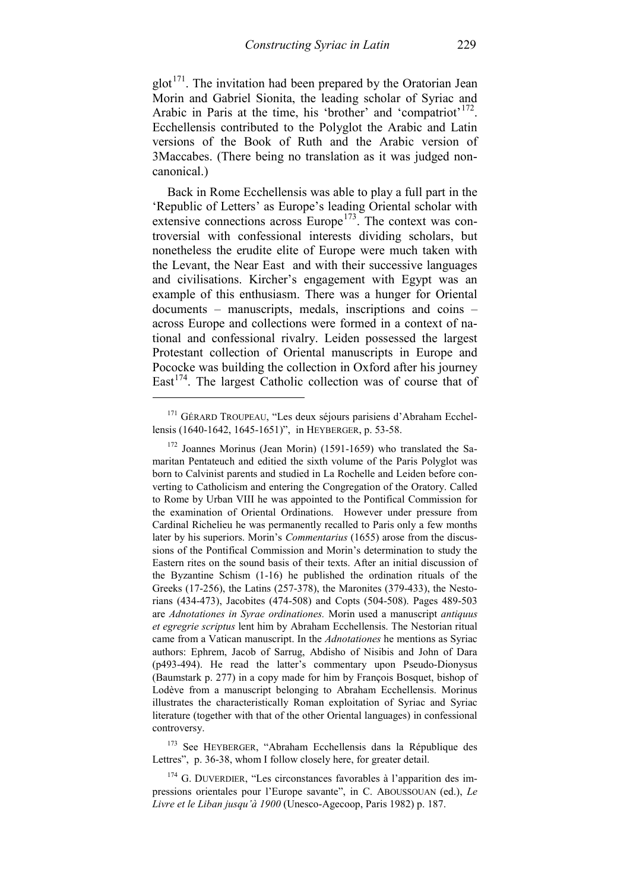$glot<sup>171</sup>$  $glot<sup>171</sup>$  $glot<sup>171</sup>$ . The invitation had been prepared by the Oratorian Jean Morin and Gabriel Sionita, the leading scholar of Syriac and Arabic in Paris at the time, his 'brother' and 'compatriot'<sup>[172](#page-60-1)</sup>. Ecchellensis contributed to the Polyglot the Arabic and Latin versions of the Book of Ruth and the Arabic version of 3Maccabes. (There being no translation as it was judged noncanonical.)

Back in Rome Ecchellensis was able to play a full part in the 'Republic of Letters' as Europe's leading Oriental scholar with extensive connections across  $Europe<sup>173</sup>$  $Europe<sup>173</sup>$  $Europe<sup>173</sup>$ . The context was controversial with confessional interests dividing scholars, but nonetheless the erudite elite of Europe were much taken with the Levant, the Near East and with their successive languages and civilisations. Kircher's engagement with Egypt was an example of this enthusiasm. There was a hunger for Oriental documents – manuscripts, medals, inscriptions and coins – across Europe and collections were formed in a context of national and confessional rivalry. Leiden possessed the largest Protestant collection of Oriental manuscripts in Europe and Pococke was building the collection in Oxford after his journey East<sup>[174](#page-60-3)</sup>. The largest Catholic collection was of course that of

-

<span id="page-60-2"></span><sup>173</sup> See HEYBERGER, "Abraham Ecchellensis dans la République des Lettres", p. 36-38, whom I follow closely here, for greater detail.

<span id="page-60-0"></span><sup>171</sup> GÉRARD TROUPEAU, "Les deux séjours parisiens d'Abraham Ecchellensis (1640-1642, 1645-1651)", in HEYBERGER, p. 53-58.

<span id="page-60-1"></span> $172$  Joannes Morinus (Jean Morin) (1591-1659) who translated the Samaritan Pentateuch and editied the sixth volume of the Paris Polyglot was born to Calvinist parents and studied in La Rochelle and Leiden before converting to Catholicism and entering the Congregation of the Oratory. Called to Rome by Urban VIII he was appointed to the Pontifical Commission for the examination of Oriental Ordinations. However under pressure from Cardinal Richelieu he was permanently recalled to Paris only a few months later by his superiors. Morin's *Commentarius* (1655) arose from the discussions of the Pontifical Commission and Morin's determination to study the Eastern rites on the sound basis of their texts. After an initial discussion of the Byzantine Schism (1-16) he published the ordination rituals of the Greeks (17-256), the Latins (257-378), the Maronites (379-433), the Nestorians (434-473), Jacobites (474-508) and Copts (504-508). Pages 489-503 are *Adnotationes in Syrae ordinationes.* Morin used a manuscript *antiquus et egregrie scriptus* lent him by Abraham Ecchellensis. The Nestorian ritual came from a Vatican manuscript. In the *Adnotationes* he mentions as Syriac authors: Ephrem, Jacob of Sarrug, Abdisho of Nisibis and John of Dara (p493-494). He read the latter's commentary upon Pseudo-Dionysus (Baumstark p. 277) in a copy made for him by François Bosquet, bishop of Lodève from a manuscript belonging to Abraham Ecchellensis. Morinus illustrates the characteristically Roman exploitation of Syriac and Syriac literature (together with that of the other Oriental languages) in confessional controversy.

<span id="page-60-3"></span><sup>&</sup>lt;sup>174</sup> G. DUVERDIER, "Les circonstances favorables à l'apparition des impressions orientales pour l'Europe savante", in C. ABOUSSOUAN (ed.), *Le Livre et le Liban jusqu'à 1900* (Unesco-Agecoop, Paris 1982) p. 187.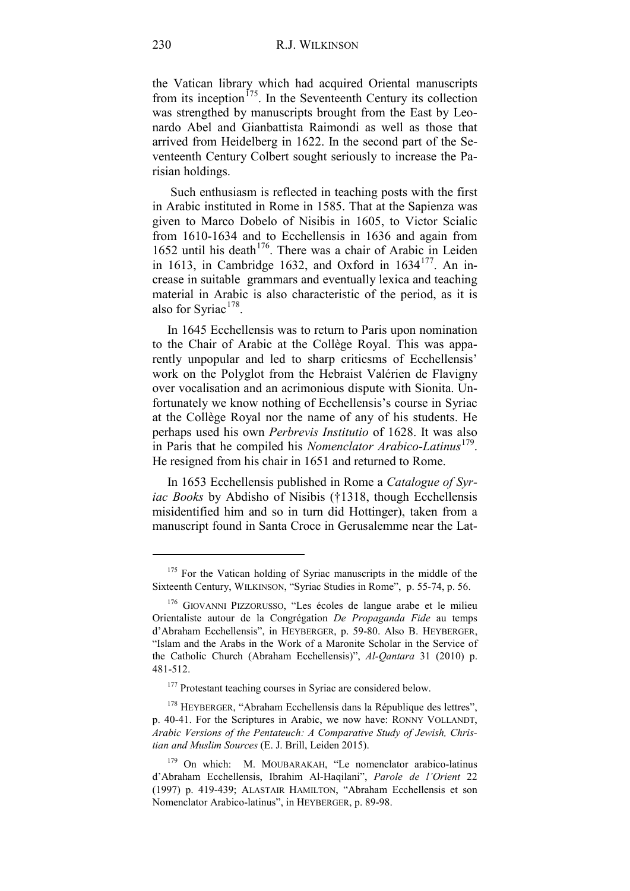the Vatican library which had acquired Oriental manuscripts from its inception<sup> $175$ </sup>. In the Seventeenth Century its collection was strengthed by manuscripts brought from the East by Leonardo Abel and Gianbattista Raimondi as well as those that arrived from Heidelberg in 1622. In the second part of the Seventeenth Century Colbert sought seriously to increase the Parisian holdings.

Such enthusiasm is reflected in teaching posts with the first in Arabic instituted in Rome in 1585. That at the Sapienza was given to Marco Dobelo of Nisibis in 1605, to Victor Scialic from 1610-1634 and to Ecchellensis in 1636 and again from 1652 until his death $176$ . There was a chair of Arabic in Leiden in 1613, in Cambridge 1632, and Oxford in  $1634^{177}$  $1634^{177}$  $1634^{177}$ . An increase in suitable grammars and eventually lexica and teaching material in Arabic is also characteristic of the period, as it is also for Syriac $178$ .

In 1645 Ecchellensis was to return to Paris upon nomination to the Chair of Arabic at the Collège Royal. This was apparently unpopular and led to sharp criticsms of Ecchellensis' work on the Polyglot from the Hebraist Valérien de Flavigny over vocalisation and an acrimonious dispute with Sionita. Unfortunately we know nothing of Ecchellensis's course in Syriac at the Collège Royal nor the name of any of his students. He perhaps used his own *Perbrevis Institutio* of 1628. It was also in Paris that he compiled his *Nomenclator Arabico-Latinus*<sup>[179](#page-61-4)</sup>. He resigned from his chair in 1651 and returned to Rome.

In 1653 Ecchellensis published in Rome a *Catalogue of Syriac Books* by Abdisho of Nisibis (†1318, though Ecchellensis misidentified him and so in turn did Hottinger), taken from a manuscript found in Santa Croce in Gerusalemme near the Lat-

<span id="page-61-0"></span><sup>&</sup>lt;sup>175</sup> For the Vatican holding of Syriac manuscripts in the middle of the Sixteenth Century, WILKINSON, "Syriac Studies in Rome", p. 55-74, p. 56.

<span id="page-61-1"></span><sup>176</sup> GIOVANNI PIZZORUSSO, "Les écoles de langue arabe et le milieu Orientaliste autour de la Congrégation *De Propaganda Fide* au temps d'Abraham Ecchellensis", in HEYBERGER, p. 59-80. Also B. HEYBERGER, "Islam and the Arabs in the Work of a Maronite Scholar in the Service of the Catholic Church (Abraham Ecchellensis)", *Al-Qantara* 31 (2010) p. 481-512.

<sup>&</sup>lt;sup>177</sup> Protestant teaching courses in Syriac are considered below.

<span id="page-61-3"></span><span id="page-61-2"></span><sup>&</sup>lt;sup>178</sup> HEYBERGER, "Abraham Ecchellensis dans la République des lettres", p. 40-41. For the Scriptures in Arabic, we now have: RONNY VOLLANDT, *Arabic Versions of the Pentateuch: A Comparative Study of Jewish, Christian and Muslim Sources* (E. J. Brill, Leiden 2015).

<span id="page-61-4"></span><sup>&</sup>lt;sup>179</sup> On which: M. MOUBARAKAH, "Le nomenclator arabico-latinus d'Abraham Ecchellensis, Ibrahim Al-Haqilani", *Parole de l'Orient* 22 (1997) p. 419-439; ALASTAIR HAMILTON, "Abraham Ecchellensis et son Nomenclator Arabico-latinus", in HEYBERGER, p. 89-98.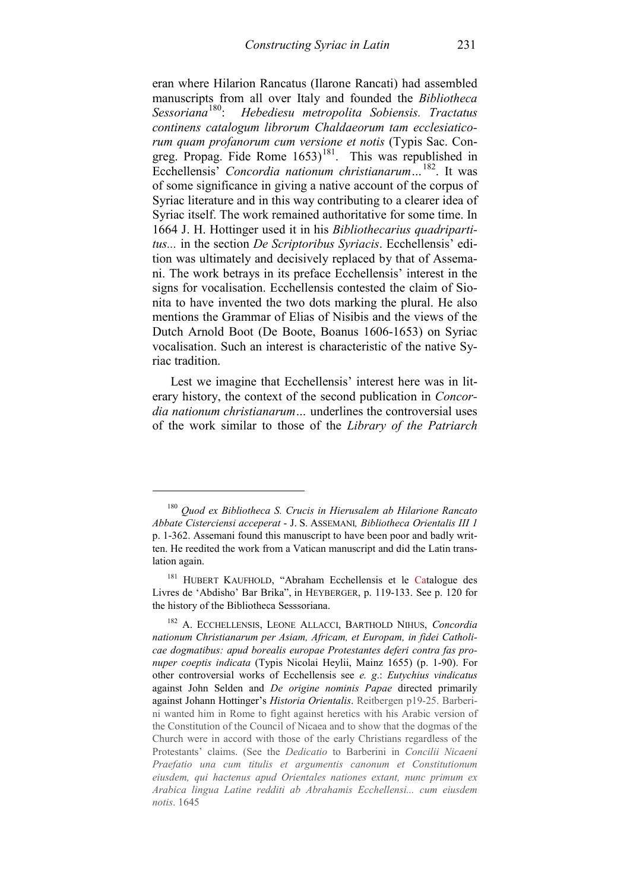eran where Hilarion Rancatus (Ilarone Rancati) had assembled manuscripts from all over Italy and founded the *Bibliotheca* Sessoriana<sup>180</sup>. Hebediesu metropolita Sobiensis Tractatus *Sessoriana*[180](#page-62-0): *Hebediesu metropolita Sobiensis. Tractatus continens catalogum librorum Chaldaeorum tam ecclesiaticorum quam profanorum cum versione et notis* (Typis Sac. Congreg. Propag. Fide Rome  $1653$ <sup>[181](#page-62-1)</sup>. This was republished in Ecchellensis' *Concordia nationum christianarum…*[182.](#page-62-2) It was of some significance in giving a native account of the corpus of Syriac literature and in this way contributing to a clearer idea of Syriac itself. The work remained authoritative for some time. In 1664 J. H. Hottinger used it in his *Bibliothecarius quadripartitus...* in the section *De Scriptoribus Syriacis*. Ecchellensis' edition was ultimately and decisively replaced by that of Assemani. The work betrays in its preface Ecchellensis' interest in the signs for vocalisation. Ecchellensis contested the claim of Sionita to have invented the two dots marking the plural. He also mentions the Grammar of Elias of Nisibis and the views of the Dutch Arnold Boot (De Boote, Boanus 1606-1653) on Syriac vocalisation. Such an interest is characteristic of the native Syriac tradition.

Lest we imagine that Ecchellensis' interest here was in literary history, the context of the second publication in *Concordia nationum christianarum…* underlines the controversial uses of the work similar to those of the *Library of the Patriarch* 

<span id="page-62-0"></span><sup>180</sup> *Quod ex Bibliotheca S. Crucis in Hierusalem ab Hilarione Rancato Abbate Cisterciensi acceperat* - J. S. ASSEMANI*, Bibliotheca Orientalis III 1* p. 1-362. Assemani found this manuscript to have been poor and badly written. He reedited the work from a Vatican manuscript and did the Latin translation again.

<span id="page-62-1"></span><sup>&</sup>lt;sup>181</sup> HUBERT KAUFHOLD, "Abraham Ecchellensis et le Catalogue des Livres de 'Abdisho' Bar Brika", in HEYBERGER, p. 119-133. See p. 120 for the history of the Bibliotheca Sesssoriana.

<span id="page-62-2"></span><sup>182</sup> A. ECCHELLENSIS, LEONE ALLACCI, BARTHOLD NIHUS, *Concordia nationum Christianarum per Asiam, Africam, et Europam, in fidei Catholicae dogmatibus: apud borealis europae Protestantes deferi contra fas pronuper coeptis indicata* (Typis Nicolai Heylii, Mainz 1655) (p. 1-90). For other controversial works of Ecchellensis see *e. g*.: *Eutychius vindicatus* against John Selden and *De origine nominis Papae* directed primarily against Johann Hottinger's *Historia Orientalis*. Reitbergen p19-25. Barberini wanted him in Rome to fight against heretics with his Arabic version of the Constitution of the Council of Nicaea and to show that the dogmas of the Church were in accord with those of the early Christians regardless of the Protestants' claims. (See the *Dedicatio* to Barberini in *Concilii Nicaeni Praefatio una cum titulis et argumentis canonum et Constitutionum eiusdem, qui hactenus apud Orientales nationes extant, nunc primum ex Arabica lingua Latine redditi ab Abrahamis Ecchellensi... cum eiusdem notis*. 1645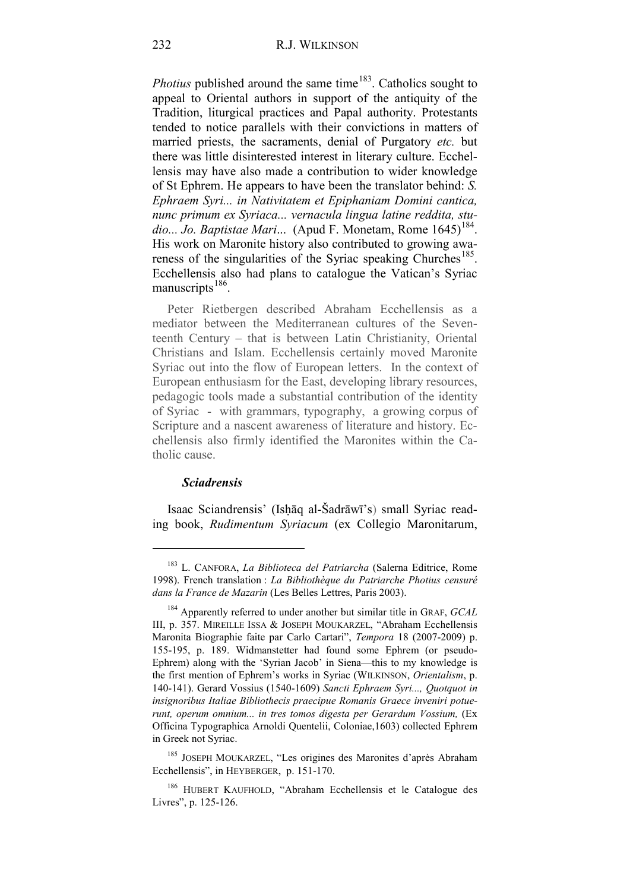*Photius* published around the same time<sup>[183](#page-63-0)</sup>. Catholics sought to appeal to Oriental authors in support of the antiquity of the Tradition, liturgical practices and Papal authority. Protestants tended to notice parallels with their convictions in matters of married priests, the sacraments, denial of Purgatory *etc.* but there was little disinterested interest in literary culture. Ecchellensis may have also made a contribution to wider knowledge of St Ephrem. He appears to have been the translator behind: *S. Ephraem Syri... in Nativitatem et Epiphaniam Domini cantica, nunc primum ex Syriaca... vernacula lingua latine reddita, studio... Jo. Baptistae Mari...* (Apud F. Monetam, Rome 1645)<sup>[184](#page-63-1)</sup>. His work on Maronite history also contributed to growing awa-reness of the singularities of the Syriac speaking Churches<sup>[185](#page-63-2)</sup>. Ecchellensis also had plans to catalogue the Vatican's Syriac manuscripts $186$ .

Peter Rietbergen described Abraham Ecchellensis as a mediator between the Mediterranean cultures of the Seventeenth Century – that is between Latin Christianity, Oriental Christians and Islam. Ecchellensis certainly moved Maronite Syriac out into the flow of European letters. In the context of European enthusiasm for the East, developing library resources, pedagogic tools made a substantial contribution of the identity of Syriac - with grammars, typography, a growing corpus of Scripture and a nascent awareness of literature and history. Ecchellensis also firmly identified the Maronites within the Catholic cause.

#### *Sciadrensis*

-

Isaac Sciandrensis' (Isḥāq al-Šadrāwī's) small Syriac reading book, *Rudimentum Syriacum* (ex Collegio Maronitarum,

<span id="page-63-0"></span><sup>183</sup> L. CANFORA, *La Biblioteca del Patriarcha* (Salerna Editrice, Rome 1998). French translation : *La Bibliothèque du Patriarche Photius censuré dans la France de Mazarin* (Les Belles Lettres, Paris 2003).

<span id="page-63-1"></span><sup>184</sup> Apparently referred to under another but similar title in GRAF, *GCAL* III, p. 357. MIREILLE ISSA & JOSEPH MOUKARZEL, "Abraham Ecchellensis Maronita Biographie faite par Carlo Cartari", *Tempora* 18 (2007-2009) p. 155-195, p. 189. Widmanstetter had found some Ephrem (or pseudo-Ephrem) along with the 'Syrian Jacob' in Siena—this to my knowledge is the first mention of Ephrem's works in Syriac (WILKINSON, *Orientalism*, p. 140-141). Gerard Vossius (1540-1609) *Sancti Ephraem Syri..., Quotquot in insignoribus Italiae Bibliothecis praecipue Romanis Graece inveniri potuerunt, operum omnium... in tres tomos digesta per Gerardum Vossium,* (Ex Officina Typographica Arnoldi Quentelii, Coloniae,1603) collected Ephrem in Greek not Syriac.

<span id="page-63-2"></span><sup>185</sup> JOSEPH MOUKARZEL, "Les origines des Maronites d'après Abraham Ecchellensis", in HEYBERGER, p. 151-170.

<span id="page-63-3"></span><sup>186</sup> HUBERT KAUFHOLD, "Abraham Ecchellensis et le Catalogue des Livres", p. 125-126.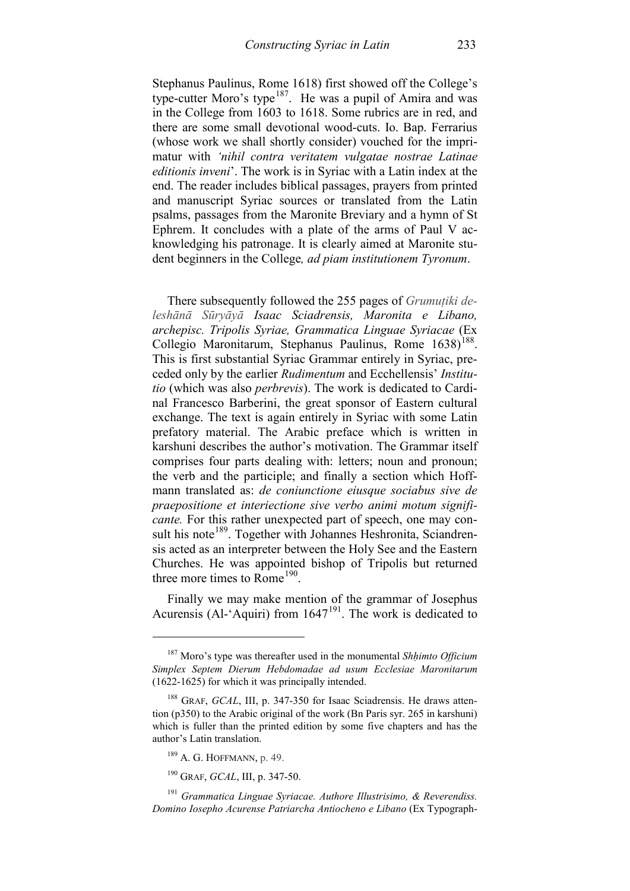Stephanus Paulinus, Rome 1618) first showed off the College's type-cutter Moro's type<sup>187</sup>. He was a pupil of Amira and was in the College from 1603 to 1618. Some rubrics are in red, and there are some small devotional wood-cuts. Io. Bap. Ferrarius (whose work we shall shortly consider) vouched for the imprimatur with *'nihil contra veritatem vulgatae nostrae Latinae editionis inveni*'. The work is in Syriac with a Latin index at the end. The reader includes biblical passages, prayers from printed and manuscript Syriac sources or translated from the Latin psalms, passages from the Maronite Breviary and a hymn of St Ephrem. It concludes with a plate of the arms of Paul V acknowledging his patronage. It is clearly aimed at Maronite student beginners in the College*, ad piam institutionem Tyronum*.

There subsequently followed the 255 pages of *Grumuṭiki deleshānā Sūryāyā Isaac Sciadrensis, Maronita e Libano, archepisc. Tripolis Syriae, Grammatica Linguae Syriacae* (Ex Collegio Maronitarum, Stephanus Paulinus, Rome 1638)<sup>[188](#page-64-1)</sup>. This is first substantial Syriac Grammar entirely in Syriac, preceded only by the earlier *Rudimentum* and Ecchellensis' *Institutio* (which was also *perbrevis*). The work is dedicated to Cardinal Francesco Barberini, the great sponsor of Eastern cultural exchange. The text is again entirely in Syriac with some Latin prefatory material. The Arabic preface which is written in karshuni describes the author's motivation. The Grammar itself comprises four parts dealing with: letters; noun and pronoun; the verb and the participle; and finally a section which Hoffmann translated as: *de coniunctione eiusque sociabus sive de praepositione et interiectione sive verbo animi motum significante.* For this rather unexpected part of speech, one may consult his note<sup>189</sup>. Together with Johannes Heshronita, Sciandrensis acted as an interpreter between the Holy See and the Eastern Churches. He was appointed bishop of Tripolis but returned three more times to Rome<sup>[190](#page-64-3)</sup>.

Finally we may make mention of the grammar of Josephus Acurensis (Al-'Aquiri) from 1647<sup>191</sup>. The work is dedicated to

<span id="page-64-0"></span><sup>187</sup> Moro's type was thereafter used in the monumental *Shḥimto Officium Simplex Septem Dierum Hebdomadae ad usum Ecclesiae Maronitarum* (1622-1625) for which it was principally intended.

<span id="page-64-1"></span><sup>&</sup>lt;sup>188</sup> GRAF, *GCAL*, III, p. 347-350 for Isaac Sciadrensis. He draws attention (p350) to the Arabic original of the work (Bn Paris syr. 265 in karshuni) which is fuller than the printed edition by some five chapters and has the author's Latin translation.

<sup>189</sup> A. G. HOFFMANN, p. 49.

<sup>190</sup> GRAF, *GCAL*, III, p. 347-50.

<span id="page-64-4"></span><span id="page-64-3"></span><span id="page-64-2"></span><sup>191</sup> *Grammatica Linguae Syriacae. Authore Illustrisimo, & Reverendiss. Domino Iosepho Acurense Patriarcha Antiocheno e Libano* (Ex Typograph-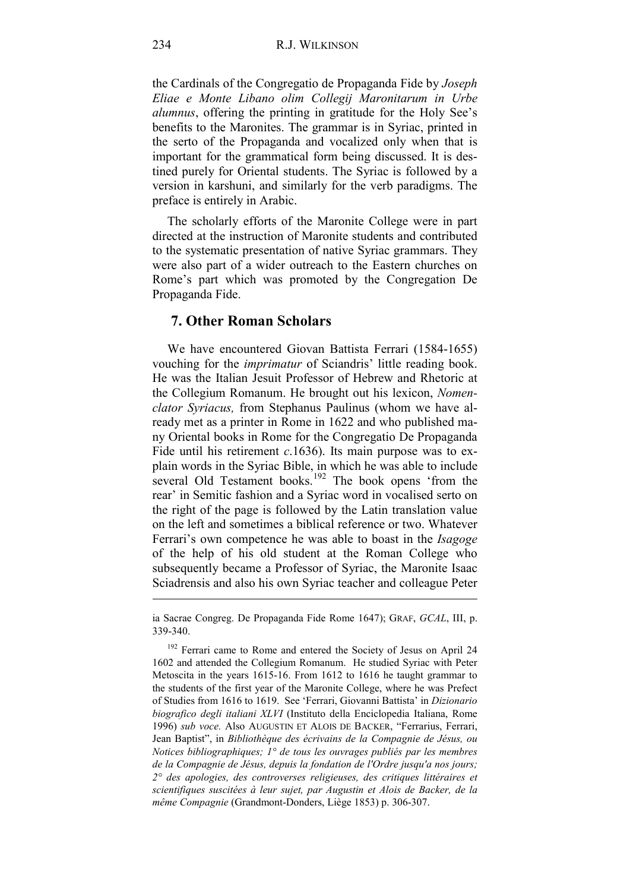the Cardinals of the Congregatio de Propaganda Fide by *Joseph Eliae e Monte Libano olim Collegij Maronitarum in Urbe alumnus*, offering the printing in gratitude for the Holy See's benefits to the Maronites. The grammar is in Syriac, printed in the serto of the Propaganda and vocalized only when that is important for the grammatical form being discussed. It is destined purely for Oriental students. The Syriac is followed by a version in karshuni, and similarly for the verb paradigms. The preface is entirely in Arabic.

The scholarly efforts of the Maronite College were in part directed at the instruction of Maronite students and contributed to the systematic presentation of native Syriac grammars. They were also part of a wider outreach to the Eastern churches on Rome's part which was promoted by the Congregation De Propaganda Fide.

# **7. Other Roman Scholars**

We have encountered Giovan Battista Ferrari (1584-1655) vouching for the *imprimatur* of Sciandris' little reading book. He was the Italian Jesuit Professor of Hebrew and Rhetoric at the Collegium Romanum. He brought out his lexicon, *Nomenclator Syriacus,* from Stephanus Paulinus (whom we have already met as a printer in Rome in 1622 and who published many Oriental books in Rome for the Congregatio De Propaganda Fide until his retirement *c*.1636). Its main purpose was to explain words in the Syriac Bible, in which he was able to include several Old Testament books.<sup>[192](#page-65-0)</sup> The book opens 'from the rear' in Semitic fashion and a Syriac word in vocalised serto on the right of the page is followed by the Latin translation value on the left and sometimes a biblical reference or two. Whatever Ferrari's own competence he was able to boast in the *Isagoge* of the help of his old student at the Roman College who subsequently became a Professor of Syriac, the Maronite Isaac Sciadrensis and also his own Syriac teacher and colleague Peter

ia Sacrae Congreg. De Propaganda Fide Rome 1647); GRAF, *GCAL*, III, p. 339-340.

<span id="page-65-0"></span><sup>&</sup>lt;sup>192</sup> Ferrari came to Rome and entered the Society of Jesus on April 24 1602 and attended the Collegium Romanum. He studied Syriac with Peter Metoscita in the years 1615-16. From 1612 to 1616 he taught grammar to the students of the first year of the Maronite College, where he was Prefect of Studies from 1616 to 1619. See 'Ferrari, Giovanni Battista' in *Dizionario biografico degli italiani XLVI* (Instituto della Enciclopedia Italiana, Rome 1996) *sub voce.* Also AUGUSTIN ET ALOIS DE BACKER, "Ferrarius, Ferrari, Jean Baptist", in *Bibliothèque des écrivains de la Compagnie de Jésus, ou Notices bibliographiques; 1° de tous les ouvrages publiés par les membres de la Compagnie de Jésus, depuis la fondation de l'Ordre jusqu'a nos jours; 2° des apologies, des controverses religieuses, des critiques littéraires et scientifiques suscitées à leur sujet, par Augustin et Alois de Backer, de la même Compagnie* (Grandmont-Donders, Liège 1853) p. 306-307.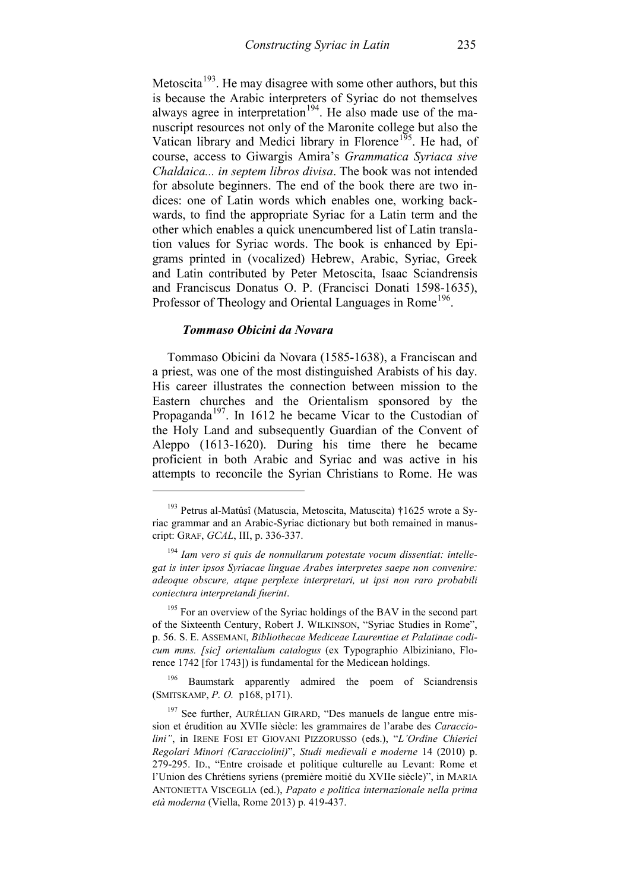Metoscita<sup>[193](#page-66-0)</sup>. He may disagree with some other authors, but this is because the Arabic interpreters of Syriac do not themselves always agree in interpretation<sup>194</sup>. He also made use of the manuscript resources not only of the Maronite college but also the Vatican library and Medici library in Florence<sup>195</sup>. He had, of course, access to Giwargis Amira's *Grammatica Syriaca sive Chaldaica... in septem libros divisa*. The book was not intended for absolute beginners. The end of the book there are two indices: one of Latin words which enables one, working backwards, to find the appropriate Syriac for a Latin term and the other which enables a quick unencumbered list of Latin translation values for Syriac words. The book is enhanced by Epigrams printed in (vocalized) Hebrew, Arabic, Syriac, Greek and Latin contributed by Peter Metoscita, Isaac Sciandrensis and Franciscus Donatus O. P. (Francisci Donati 1598-1635), Professor of Theology and Oriental Languages in Rome<sup>196</sup>.

## *Tommaso Obicini da Novara*

-

Tommaso Obicini da Novara (1585-1638), a Franciscan and a priest, was one of the most distinguished Arabists of his day. His career illustrates the connection between mission to the Eastern churches and the Orientalism sponsored by the Propaganda<sup>[197](#page-66-4)</sup>. In 1612 he became Vicar to the Custodian of the Holy Land and subsequently Guardian of the Convent of Aleppo (1613-1620). During his time there he became proficient in both Arabic and Syriac and was active in his attempts to reconcile the Syrian Christians to Rome. He was

<span id="page-66-3"></span><sup>196</sup> Baumstark apparently admired the poem of Sciandrensis (SMITSKAMP, *P. O.* p168, p171).

<span id="page-66-0"></span><sup>193</sup> Petrus al-Matûsî (Matuscia, Metoscita, Matuscita) †1625 wrote a Syriac grammar and an Arabic-Syriac dictionary but both remained in manuscript: GRAF, *GCAL*, III, p. 336-337.

<span id="page-66-1"></span><sup>194</sup> *Iam vero si quis de nonnullarum potestate vocum dissentiat: intellegat is inter ipsos Syriacae linguae Arabes interpretes saepe non convenire: adeoque obscure, atque perplexe interpretari, ut ipsi non raro probabili coniectura interpretandi fuerint*.

<span id="page-66-2"></span><sup>&</sup>lt;sup>195</sup> For an overview of the Syriac holdings of the BAV in the second part of the Sixteenth Century, Robert J. WILKINSON, "Syriac Studies in Rome", p. 56. S. E. ASSEMANI, *Bibliothecae Mediceae Laurentiae et Palatinae codicum mms. [sic] orientalium catalogus* (ex Typographio Albiziniano, Florence 1742 [for 1743]) is fundamental for the Medicean holdings.

<span id="page-66-4"></span><sup>&</sup>lt;sup>197</sup> See further, AURÉLIAN GIRARD, "Des manuels de langue entre mission et érudition au XVIIe siècle: les grammaires de l'arabe des *Caracciolini"*, in IRENE FOSI ET GIOVANI PIZZORUSSO (eds.), "*L'Ordine Chierici Regolari Minori (Caracciolini)*", *Studi medievali e moderne* 14 (2010) p. 279-295. ID., "Entre croisade et politique culturelle au Levant: Rome et l'Union des Chrétiens syriens (première moitié du XVIIe siècle)", in MARIA ANTONIETTA VISCEGLIA (ed.), *Papato e politica internazionale nella prima età moderna* (Viella, Rome 2013) p. 419-437.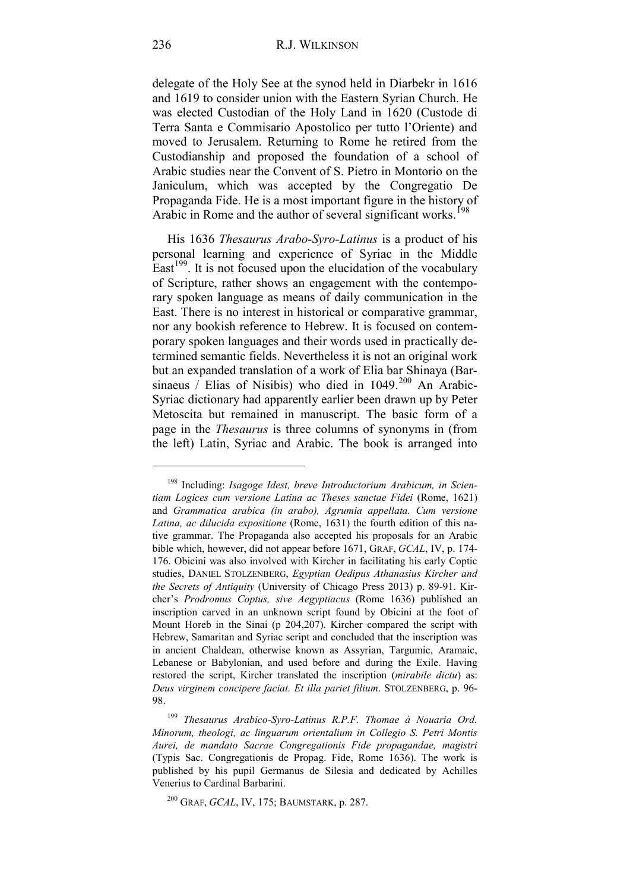delegate of the Holy See at the synod held in Diarbekr in 1616 and 1619 to consider union with the Eastern Syrian Church. He was elected Custodian of the Holy Land in 1620 (Custode di Terra Santa e Commisario Apostolico per tutto l'Oriente) and moved to Jerusalem. Returning to Rome he retired from the Custodianship and proposed the foundation of a school of Arabic studies near the Convent of S. Pietro in Montorio on the Janiculum, which was accepted by the Congregatio De Propaganda Fide. He is a most important figure in the history of Arabic in Rome and the author of several significant works.<sup>[198](#page-67-0)</sup>

His 1636 *Thesaurus Arabo-Syro-Latinus* is a product of his personal learning and experience of Syriac in the Middle East $199$ . It is not focused upon the elucidation of the vocabulary of Scripture, rather shows an engagement with the contemporary spoken language as means of daily communication in the East. There is no interest in historical or comparative grammar, nor any bookish reference to Hebrew. It is focused on contemporary spoken languages and their words used in practically determined semantic fields. Nevertheless it is not an original work but an expanded translation of a work of Elia bar Shinaya (Barsinaeus / Elias of Nisibis) who died in  $1049$ <sup>[200](#page-67-2)</sup> An Arabic-Syriac dictionary had apparently earlier been drawn up by Peter Metoscita but remained in manuscript. The basic form of a page in the *Thesaurus* is three columns of synonyms in (from the left) Latin, Syriac and Arabic. The book is arranged into

<span id="page-67-0"></span><sup>198</sup> Including: *Isagoge Idest, breve Introductorium Arabicum, in Scientiam Logices cum versione Latina ac Theses sanctae Fidei* (Rome, 1621) and *Grammatica arabica (in arabo), Agrumia appellata. Cum versione Latina, ac dilucida expositione* (Rome, 1631) the fourth edition of this native grammar. The Propaganda also accepted his proposals for an Arabic bible which, however, did not appear before 1671, GRAF, *GCAL*, IV, p. 174- 176. Obicini was also involved with Kircher in facilitating his early Coptic studies, DANIEL STOLZENBERG, *Egyptian Oedipus Athanasius Kircher and the Secrets of Antiquity* (University of Chicago Press 2013) p. 89-91. Kircher's *Prodromus Coptus, sive Aegyptiacus* (Rome 1636) published an inscription carved in an unknown script found by Obicini at the foot of Mount Horeb in the Sinai (p 204,207). Kircher compared the script with Hebrew, Samaritan and Syriac script and concluded that the inscription was in ancient Chaldean, otherwise known as Assyrian, Targumic, Aramaic, Lebanese or Babylonian, and used before and during the Exile. Having restored the script, Kircher translated the inscription (*mirabile dictu*) as: *Deus virginem concipere faciat. Et illa pariet filium*. STOLZENBERG, p. 96- 98.

<span id="page-67-1"></span><sup>199</sup> *Thesaurus Arabico-Syro-Latinus R.P.F. Thomae à Nouaria Ord. Minorum, theologi, ac linguarum orientalium in Collegio S. Petri Montis Aurei, de mandato Sacrae Congregationis Fide propagandae, magistri* (Typis Sac. Congregationis de Propag. Fide, Rome 1636). The work is published by his pupil Germanus de Silesia and dedicated by Achilles Venerius to Cardinal Barbarini.

<span id="page-67-2"></span><sup>200</sup> GRAF, *GCAL*, IV, 175; BAUMSTARK, p. 287.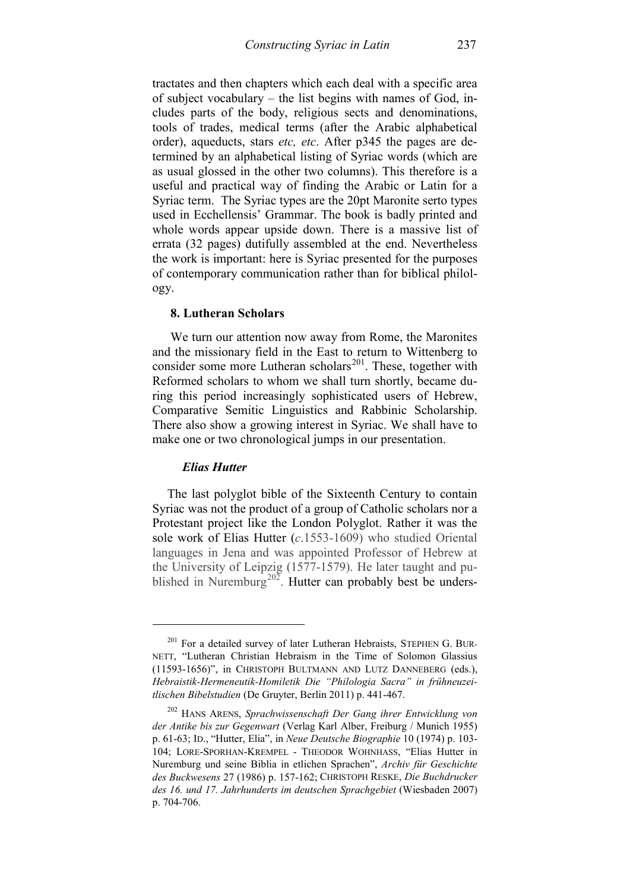tractates and then chapters which each deal with a specific area of subject vocabulary – the list begins with names of God, includes parts of the body, religious sects and denominations, tools of trades, medical terms (after the Arabic alphabetical order), aqueducts, stars *etc, etc*. After p345 the pages are determined by an alphabetical listing of Syriac words (which are as usual glossed in the other two columns). This therefore is a useful and practical way of finding the Arabic or Latin for a Syriac term. The Syriac types are the 20pt Maronite serto types used in Ecchellensis' Grammar. The book is badly printed and whole words appear upside down. There is a massive list of errata (32 pages) dutifully assembled at the end. Nevertheless the work is important: here is Syriac presented for the purposes of contemporary communication rather than for biblical philology.

## **8. Lutheran Scholars**

We turn our attention now away from Rome, the Maronites and the missionary field in the East to return to Wittenberg to consider some more Lutheran scholars<sup>[201](#page-68-0)</sup>. These, together with Reformed scholars to whom we shall turn shortly, became during this period increasingly sophisticated users of Hebrew, Comparative Semitic Linguistics and Rabbinic Scholarship. There also show a growing interest in Syriac. We shall have to make one or two chronological jumps in our presentation.

#### *Elias Hutter*

-

The last polyglot bible of the Sixteenth Century to contain Syriac was not the product of a group of Catholic scholars nor a Protestant project like the London Polyglot. Rather it was the sole work of Elias Hutter (*c*.1553-1609) who studied Oriental languages in Jena and was appointed Professor of Hebrew at the University of Leipzig (1577-1579). He later taught and pu-blished in Nuremburg<sup>[202](#page-68-1)</sup>. Hutter can probably best be unders-

<span id="page-68-0"></span><sup>&</sup>lt;sup>201</sup> For a detailed survey of later Lutheran Hebraists, STEPHEN G. BUR-NETT, "Lutheran Christian Hebraism in the Time of Solomon Glassius (11593-1656)", in CHRISTOPH BULTMANN AND LUTZ DANNEBERG (eds.), *Hebraistik-Hermeneutik-Homiletik Die "Philologia Sacra" in frühneuzeitlischen Bibelstudien* (De Gruyter, Berlin 2011) p. 441-467.

<span id="page-68-1"></span><sup>202</sup> HANS ARENS, *Sprachwissenschaft Der Gang ihrer Entwicklung von der Antike bis zur Gegenwart* (Verlag Karl Alber, Freiburg / Munich 1955) p. 61-63; ID., "Hutter, Elia", in *Neue Deutsche Biographie* 10 (1974) p. 103- 104; LORE-SPORHAN-KREMPEL - THEODOR WOHNHASS, "Elias Hutter in Nuremburg und seine Biblia in etlichen Sprachen", *Archiv für Geschichte des Buckwesens* 27 (1986) p. 157-162; CHRISTOPH RESKE, *Die Buchdrucker des 16. und 17. Jahrhunderts im deutschen Sprachgebiet* (Wiesbaden 2007) p. 704-706.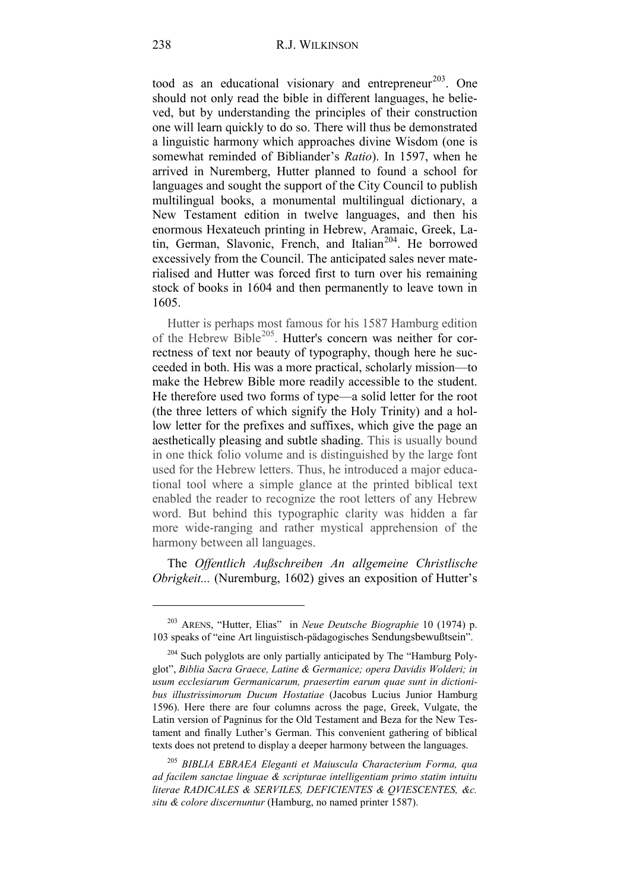tood as an educational visionary and entrepreneur<sup>[203](#page-69-0)</sup>. One should not only read the bible in different languages, he believed, but by understanding the principles of their construction one will learn quickly to do so. There will thus be demonstrated a linguistic harmony which approaches divine Wisdom (one is somewhat reminded of Bibliander's *Ratio*). In 1597, when he arrived in Nuremberg, Hutter planned to found a school for languages and sought the support of the City Council to publish multilingual books, a monumental multilingual dictionary, a New Testament edition in twelve languages, and then his enormous Hexateuch printing in Hebrew, Aramaic, Greek, Latin, German, Slavonic, French, and Italian<sup>204</sup>. He borrowed excessively from the Council. The anticipated sales never materialised and Hutter was forced first to turn over his remaining stock of books in 1604 and then permanently to leave town in 1605.

Hutter is perhaps most famous for his 1587 Hamburg edition of the Hebrew Bible<sup>205</sup>. Hutter's concern was neither for correctness of text nor beauty of typography, though here he succeeded in both. His was a more practical, scholarly mission—to make the Hebrew Bible more readily accessible to the student. He therefore used two forms of type—a solid letter for the root (the three letters of which signify the Holy Trinity) and a hollow letter for the prefixes and suffixes, which give the page an aesthetically pleasing and subtle shading. This is usually bound in one thick folio volume and is distinguished by the large font used for the Hebrew letters. Thus, he introduced a major educational tool where a simple glance at the printed biblical text enabled the reader to recognize the root letters of any Hebrew word. But behind this typographic clarity was hidden a far more wide-ranging and rather mystical apprehension of the harmony between all languages.

The *Offentlich Außschreiben An allgemeine Christlische Obrigkeit...* (Nuremburg, 1602) gives an exposition of Hutter's

<span id="page-69-2"></span><sup>205</sup> *BIBLIA EBRAEA Eleganti et Maiuscula Characterium Forma, qua ad facilem sanctae linguae & scripturae intelligentiam primo statim intuitu literae RADICALES & SERVILES, DEFICIENTES & QVIESCENTES, &c. situ & colore discernuntur* (Hamburg, no named printer 1587).

<span id="page-69-0"></span><sup>203</sup> ARENS, "Hutter, Elias" in *Neue Deutsche Biographie* 10 (1974) p. 103 speaks of "eine Art linguistisch-pädagogisches Sendungsbewußtsein".

<span id="page-69-1"></span> $204$  Such polyglots are only partially anticipated by The "Hamburg Polyglot", *Biblia Sacra Graece, Latine & Germanice; opera Davidis Wolderi; in usum ecclesiarum Germanicarum, praesertim earum quae sunt in dictionibus illustrissimorum Ducum Hostatiae* (Jacobus Lucius Junior Hamburg 1596). Here there are four columns across the page, Greek, Vulgate, the Latin version of Pagninus for the Old Testament and Beza for the New Testament and finally Luther's German. This convenient gathering of biblical texts does not pretend to display a deeper harmony between the languages.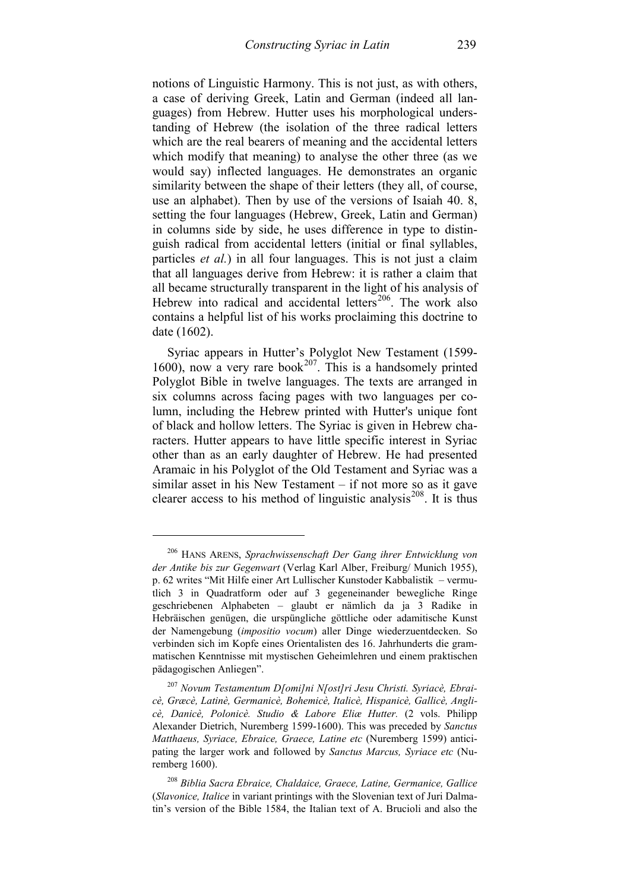notions of Linguistic Harmony. This is not just, as with others, a case of deriving Greek, Latin and German (indeed all languages) from Hebrew. Hutter uses his morphological understanding of Hebrew (the isolation of the three radical letters which are the real bearers of meaning and the accidental letters which modify that meaning) to analyse the other three (as we would say) inflected languages. He demonstrates an organic similarity between the shape of their letters (they all, of course, use an alphabet). Then by use of the versions of Isaiah 40. 8, setting the four languages (Hebrew, Greek, Latin and German) in columns side by side, he uses difference in type to distinguish radical from accidental letters (initial or final syllables, particles *et al.*) in all four languages. This is not just a claim that all languages derive from Hebrew: it is rather a claim that all became structurally transparent in the light of his analysis of Hebrew into radical and accidental letters<sup>[206](#page-70-0)</sup>. The work also contains a helpful list of his works proclaiming this doctrine to date (1602).

Syriac appears in Hutter's Polyglot New Testament (1599- 1600), now a very rare book<sup>207</sup>. This is a handsomely printed Polyglot Bible in twelve languages. The texts are arranged in six columns across facing pages with two languages per column, including the Hebrew printed with Hutter's unique font of black and hollow letters. The Syriac is given in Hebrew characters. Hutter appears to have little specific interest in Syriac other than as an early daughter of Hebrew. He had presented Aramaic in his Polyglot of the Old Testament and Syriac was a similar asset in his New Testament – if not more so as it gave clearer access to his method of linguistic analysis<sup>[208](#page-70-2)</sup>. It is thus

<span id="page-70-0"></span><sup>206</sup> HANS ARENS, *Sprachwissenschaft Der Gang ihrer Entwicklung von der Antike bis zur Gegenwart* (Verlag Karl Alber, Freiburg/ Munich 1955), p. 62 writes "Mit Hilfe einer Art Lullischer Kunstoder Kabbalistik – vermutlich 3 in Quadratform oder auf 3 gegeneinander bewegliche Ringe geschriebenen Alphabeten – glaubt er nämlich da ja 3 Radike in Hebräischen genügen, die urspüngliche göttliche oder adamitische Kunst der Namengebung (*impositio vocum*) aller Dinge wiederzuentdecken. So verbinden sich im Kopfe eines Orientalisten des 16. Jahrhunderts die grammatischen Kenntnisse mit mystischen Geheimlehren und einem praktischen pädagogischen Anliegen".

<span id="page-70-1"></span><sup>207</sup> *Novum Testamentum D[omi]ni N[ost]ri Jesu Christi. Syriacè, Ebraicè, Græcè, Latinè, Germanicè, Bohemicè, Italicè, Hispanicè, Gallicè, Anglicè, Danicè, Polonicè. Studio & Labore Eliæ Hutter.* (2 vols. Philipp Alexander Dietrich, Nuremberg 1599-1600). This was preceded by *Sanctus Matthaeus, Syriace, Ebraice, Graece, Latine etc* (Nuremberg 1599) anticipating the larger work and followed by *Sanctus Marcus, Syriace etc* (Nuremberg 1600).

<span id="page-70-2"></span><sup>208</sup> *Biblia Sacra Ebraice, Chaldaice, Graece, Latine, Germanice, Gallice* (*Slavonice, Italice* in variant printings with the Slovenian text of Juri Dalmatin's version of the Bible 1584, the Italian text of A. Brucioli and also the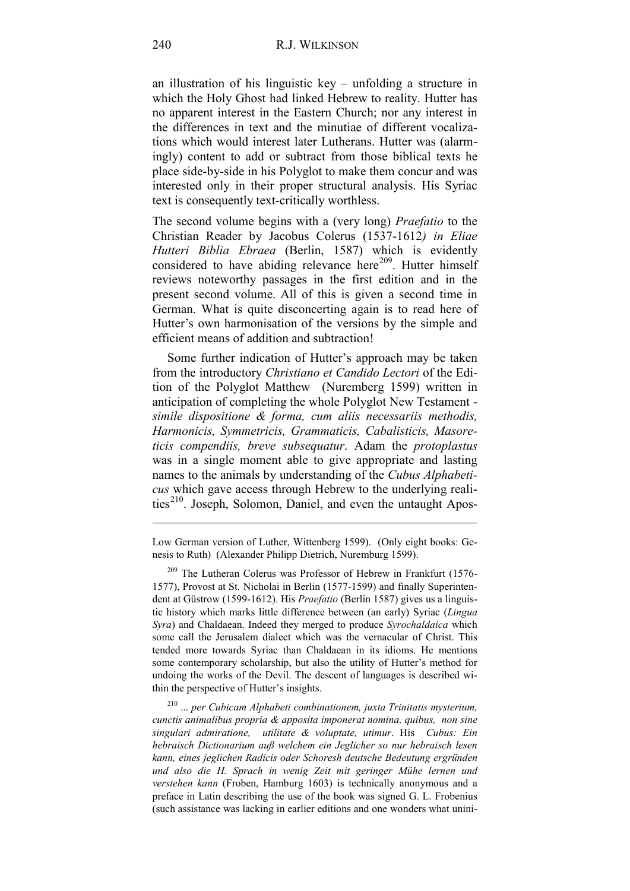an illustration of his linguistic key – unfolding a structure in which the Holy Ghost had linked Hebrew to reality. Hutter has no apparent interest in the Eastern Church; nor any interest in the differences in text and the minutiae of different vocalizations which would interest later Lutherans. Hutter was (alarmingly) content to add or subtract from those biblical texts he place side-by-side in his Polyglot to make them concur and was interested only in their proper structural analysis. His Syriac text is consequently text-critically worthless.

The second volume begins with a (very long) *Praefatio* to the Christian Reader by Jacobus Colerus (1537-1612*) in Eliae Hutteri Biblia Ebraea* (Berlin, 1587) which is evidently considered to have abiding relevance here<sup>209</sup>. Hutter himself reviews noteworthy passages in the first edition and in the present second volume. All of this is given a second time in German. What is quite disconcerting again is to read here of Hutter's own harmonisation of the versions by the simple and efficient means of addition and subtraction!

Some further indication of Hutter's approach may be taken from the introductory *Christiano et Candido Lectori* of the Edition of the Polyglot Matthew (Nuremberg 1599) written in anticipation of completing the whole Polyglot New Testament *simile dispositione & forma, cum aliis necessariis methodis, Harmonicis, Symmetricis, Grammaticis, Cabalisticis, Masoreticis compendiis, breve subsequatur*. Adam the *protoplastus* was in a single moment able to give appropriate and lasting names to the animals by understanding of the *Cubus Alphabeticus* which gave access through Hebrew to the underlying reali-ties<sup>[210](#page-71-1)</sup>. Joseph, Solomon, Daniel, and even the untaught Apos-

<span id="page-71-1"></span><sup>210</sup> ... *per Cubicam Alphabeti combinationem, juxta Trinitatis mysterium, cunctis animalibus propria & apposita imponerat nomina, quibus, non sine singulari admiratione, utilitate & voluptate, utimur*. His *Cubus: Ein hebraisch Dictionarium auß welchem ein Jeglicher so nur hebraisch lesen kann, eines jeglichen Radicis oder Schoresh deutsche Bedeutung ergründen und also die H. Sprach in wenig Zeit mit geringer Mühe lernen und verstehen kann* (Froben, Hamburg 1603) is technically anonymous and a preface in Latin describing the use of the book was signed G. L. Frobenius (such assistance was lacking in earlier editions and one wonders what unini-

Low German version of Luther, Wittenberg 1599). (Only eight books: Genesis to Ruth) (Alexander Philipp Dietrich, Nuremburg 1599).

<span id="page-71-0"></span> $209$  The Lutheran Colerus was Professor of Hebrew in Frankfurt (1576-1577), Provost at St. Nicholai in Berlin (1577-1599) and finally Superintendent at Güstrow (1599-1612). His *Praefatio* (Berlin 1587) gives us a linguistic history which marks little difference between (an early) Syriac (*Lingua Syra*) and Chaldaean. Indeed they merged to produce *Syrochaldaica* which some call the Jerusalem dialect which was the vernacular of Christ. This tended more towards Syriac than Chaldaean in its idioms. He mentions some contemporary scholarship, but also the utility of Hutter's method for undoing the works of the Devil. The descent of languages is described within the perspective of Hutter's insights.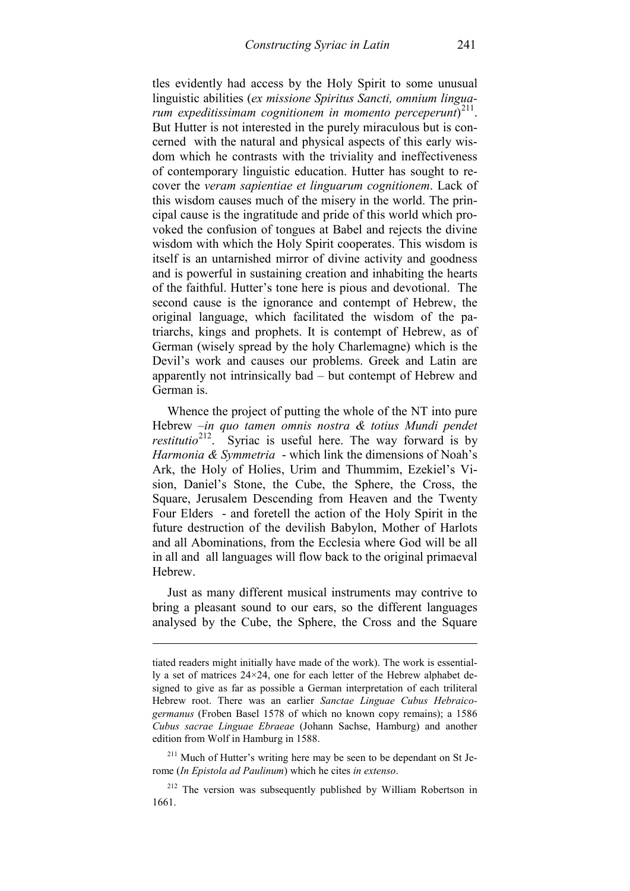tles evidently had access by the Holy Spirit to some unusual linguistic abilities (*ex missione Spiritus Sancti, omnium linguarum expeditissimam cognitionem in momento perceperunt*) [211](#page-72-0). But Hutter is not interested in the purely miraculous but is concerned with the natural and physical aspects of this early wisdom which he contrasts with the triviality and ineffectiveness of contemporary linguistic education. Hutter has sought to recover the *veram sapientiae et linguarum cognitionem*. Lack of this wisdom causes much of the misery in the world. The principal cause is the ingratitude and pride of this world which provoked the confusion of tongues at Babel and rejects the divine wisdom with which the Holy Spirit cooperates. This wisdom is itself is an untarnished mirror of divine activity and goodness and is powerful in sustaining creation and inhabiting the hearts of the faithful. Hutter's tone here is pious and devotional. The second cause is the ignorance and contempt of Hebrew, the original language, which facilitated the wisdom of the patriarchs, kings and prophets. It is contempt of Hebrew, as of German (wisely spread by the holy Charlemagne) which is the Devil's work and causes our problems. Greek and Latin are apparently not intrinsically bad – but contempt of Hebrew and German is.

Whence the project of putting the whole of the NT into pure Hebrew –*in quo tamen omnis nostra & totius Mundi pendet restitutio*[212](#page-72-1). Syriac is useful here. The way forward is by *Harmonia & Symmetria* - which link the dimensions of Noah's Ark, the Holy of Holies, Urim and Thummim, Ezekiel's Vision, Daniel's Stone, the Cube, the Sphere, the Cross, the Square, Jerusalem Descending from Heaven and the Twenty Four Elders - and foretell the action of the Holy Spirit in the future destruction of the devilish Babylon, Mother of Harlots and all Abominations, from the Ecclesia where God will be all in all and all languages will flow back to the original primaeval Hebrew.

Just as many different musical instruments may contrive to bring a pleasant sound to our ears, so the different languages analysed by the Cube, the Sphere, the Cross and the Square

tiated readers might initially have made of the work). The work is essentially a set of matrices 24×24, one for each letter of the Hebrew alphabet designed to give as far as possible a German interpretation of each triliteral Hebrew root. There was an earlier *Sanctae Linguae Cubus Hebraicogermanus* (Froben Basel 1578 of which no known copy remains); a 1586 *Cubus sacrae Linguae Ebraeae* (Johann Sachse, Hamburg) and another edition from Wolf in Hamburg in 1588.

<span id="page-72-0"></span> $2^{11}$  Much of Hutter's writing here may be seen to be dependant on St Jerome (*In Epistola ad Paulinum*) which he cites *in extenso*.

<span id="page-72-1"></span> $212$  The version was subsequently published by William Robertson in 1661.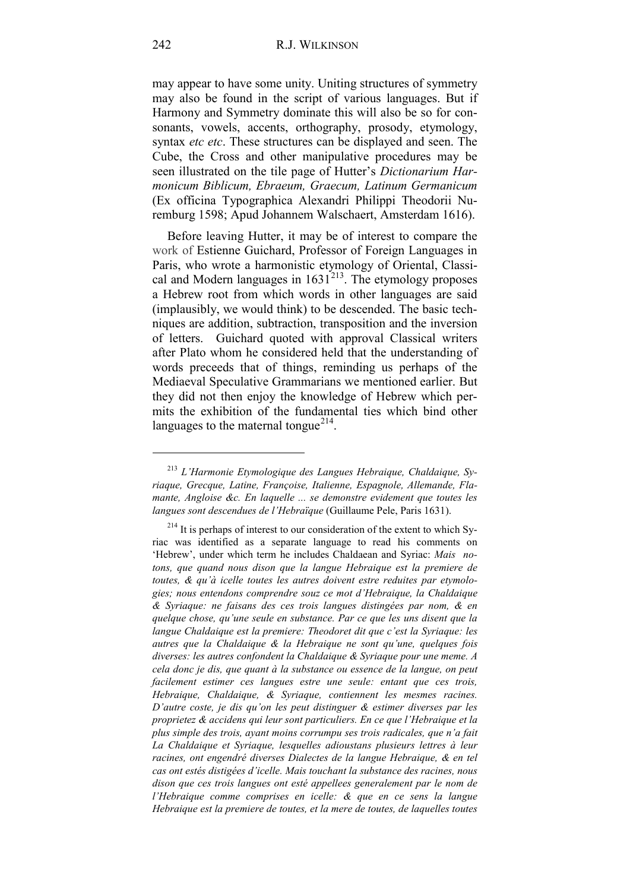may appear to have some unity. Uniting structures of symmetry may also be found in the script of various languages. But if Harmony and Symmetry dominate this will also be so for consonants, vowels, accents, orthography, prosody, etymology, syntax *etc etc*. These structures can be displayed and seen. The Cube, the Cross and other manipulative procedures may be seen illustrated on the tile page of Hutter's *Dictionarium Harmonicum Biblicum, Ebraeum, Graecum, Latinum Germanicum* (Ex officina Typographica Alexandri Philippi Theodorii Nuremburg 1598; Apud Johannem Walschaert, Amsterdam 1616).

Before leaving Hutter, it may be of interest to compare the work of Estienne Guichard, Professor of Foreign Languages in Paris, who wrote a harmonistic etymology of Oriental, Classical and Modern languages in  $1631<sup>213</sup>$  $1631<sup>213</sup>$  $1631<sup>213</sup>$ . The etymology proposes a Hebrew root from which words in other languages are said (implausibly, we would think) to be descended. The basic techniques are addition, subtraction, transposition and the inversion of letters. Guichard quoted with approval Classical writers after Plato whom he considered held that the understanding of words preceeds that of things, reminding us perhaps of the Mediaeval Speculative Grammarians we mentioned earlier. But they did not then enjoy the knowledge of Hebrew which permits the exhibition of the fundamental ties which bind other languages to the maternal tongue<sup>[214](#page-73-1)</sup>.

<span id="page-73-0"></span><sup>213</sup> *L'Harmonie Etymologique des Langues Hebraique, Chaldaique, Syriaque, Grecque, Latine, Françoise, Italienne, Espagnole, Allemande, Flamante, Angloise &c. En laquelle ... se demonstre evidement que toutes les langues sont descendues de l'Hebraïque* (Guillaume Pele, Paris 1631).

<span id="page-73-1"></span> $214$  It is perhaps of interest to our consideration of the extent to which Syriac was identified as a separate language to read his comments on 'Hebrew', under which term he includes Chaldaean and Syriac: *Mais notons, que quand nous dison que la langue Hebraique est la premiere de toutes, & qu'à icelle toutes les autres doivent estre reduites par etymologies; nous entendons comprendre souz ce mot d'Hebraique, la Chaldaique & Syriaque: ne faisans des ces trois langues distingées par nom, & en quelque chose, qu'une seule en substance. Par ce que les uns disent que la langue Chaldaique est la premiere: Theodoret dit que c'est la Syriaque: les autres que la Chaldaique & la Hebraique ne sont qu'une, quelques fois diverses: les autres confondent la Chaldaique & Syriaque pour une meme. A cela donc je dis, que quant à la substance ou essence de la langue, on peut facilement estimer ces langues estre une seule: entant que ces trois, Hebraique, Chaldaique, & Syriaque, contiennent les mesmes racines. D'autre coste, je dis qu'on les peut distinguer & estimer diverses par les proprietez & accidens qui leur sont particuliers. En ce que l'Hebraique et la plus simple des trois, ayant moins corrumpu ses trois radicales, que n'a fait La Chaldaique et Syriaque, lesquelles adioustans plusieurs lettres à leur racines, ont engendré diverses Dialectes de la langue Hebraique, & en tel cas ont estés distigées d'icelle. Mais touchant la substance des racines, nous dison que ces trois langues ont esté appellees generalement par le nom de l'Hebraique comme comprises en icelle: & que en ce sens la langue Hebraique est la premiere de toutes, et la mere de toutes, de laquelles toutes*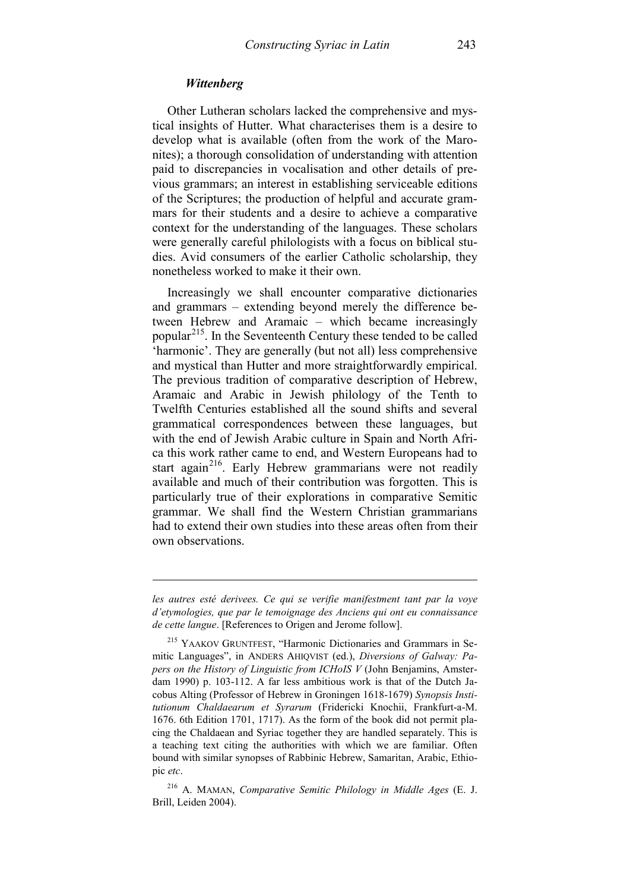### *Wittenberg*

-

Other Lutheran scholars lacked the comprehensive and mystical insights of Hutter. What characterises them is a desire to develop what is available (often from the work of the Maronites); a thorough consolidation of understanding with attention paid to discrepancies in vocalisation and other details of previous grammars; an interest in establishing serviceable editions of the Scriptures; the production of helpful and accurate grammars for their students and a desire to achieve a comparative context for the understanding of the languages. These scholars were generally careful philologists with a focus on biblical studies. Avid consumers of the earlier Catholic scholarship, they nonetheless worked to make it their own.

Increasingly we shall encounter comparative dictionaries and grammars – extending beyond merely the difference between Hebrew and Aramaic – which became increasingly popular<sup>[215](#page-74-0)</sup>. In the Seventeenth Century these tended to be called 'harmonic'. They are generally (but not all) less comprehensive and mystical than Hutter and more straightforwardly empirical. The previous tradition of comparative description of Hebrew, Aramaic and Arabic in Jewish philology of the Tenth to Twelfth Centuries established all the sound shifts and several grammatical correspondences between these languages, but with the end of Jewish Arabic culture in Spain and North Africa this work rather came to end, and Western Europeans had to start again<sup>[216](#page-74-1)</sup>. Early Hebrew grammarians were not readily available and much of their contribution was forgotten. This is particularly true of their explorations in comparative Semitic grammar. We shall find the Western Christian grammarians had to extend their own studies into these areas often from their own observations.

*les autres esté derivees. Ce qui se verifie manifestment tant par la voye d'etymologies, que par le temoignage des Anciens qui ont eu connaissance de cette langue*. [References to Origen and Jerome follow].

<span id="page-74-0"></span><sup>215</sup> YAAKOV GRUNTFEST, "Harmonic Dictionaries and Grammars in Semitic Languages", in ANDERS AHIQVIST (ed.), *Diversions of Galway: Papers on the History of Linguistic from ICHoIS V* (John Benjamins, Amsterdam 1990) p. 103-112. A far less ambitious work is that of the Dutch Jacobus Alting (Professor of Hebrew in Groningen 1618-1679) *Synopsis Institutionum Chaldaearum et Syrarum* (Fridericki Knochii, Frankfurt-a-M. 1676. 6th Edition 1701, 1717). As the form of the book did not permit placing the Chaldaean and Syriac together they are handled separately. This is a teaching text citing the authorities with which we are familiar. Often bound with similar synopses of Rabbinic Hebrew, Samaritan, Arabic, Ethiopic *etc*.

<span id="page-74-1"></span><sup>216</sup> A. MAMAN, *Comparative Semitic Philology in Middle Ages* (E. J. Brill, Leiden 2004).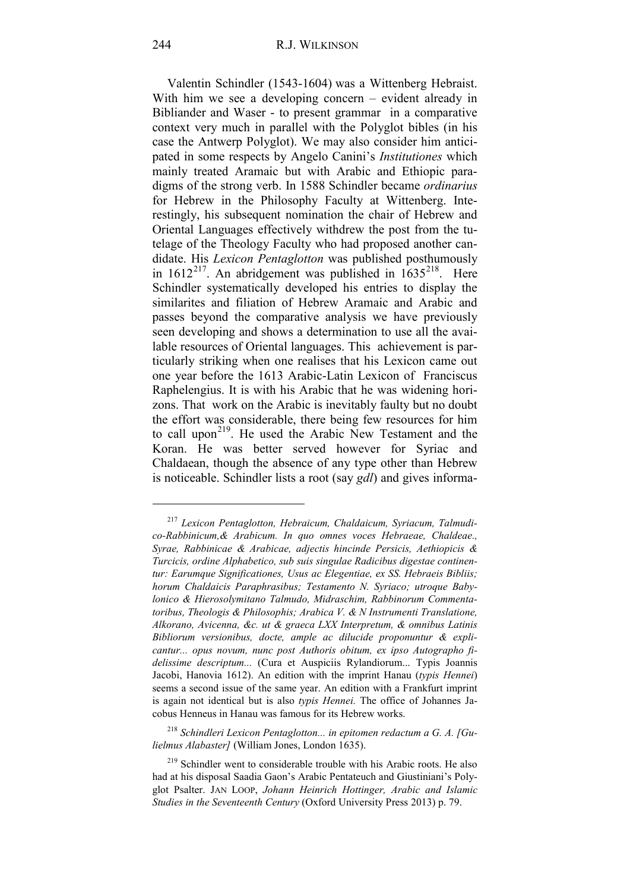Valentin Schindler (1543-1604) was a Wittenberg Hebraist. With him we see a developing concern – evident already in Bibliander and Waser - to present grammar in a comparative context very much in parallel with the Polyglot bibles (in his case the Antwerp Polyglot). We may also consider him anticipated in some respects by Angelo Canini's *Institutiones* which mainly treated Aramaic but with Arabic and Ethiopic paradigms of the strong verb. In 1588 Schindler became *ordinarius* for Hebrew in the Philosophy Faculty at Wittenberg. Interestingly, his subsequent nomination the chair of Hebrew and Oriental Languages effectively withdrew the post from the tutelage of the Theology Faculty who had proposed another candidate. His *Lexicon Pentaglotton* was published posthumously in  $1612^{217}$  $1612^{217}$  $1612^{217}$ . An abridgement was published in  $1635^{218}$  $1635^{218}$  $1635^{218}$ . Here Schindler systematically developed his entries to display the similarites and filiation of Hebrew Aramaic and Arabic and passes beyond the comparative analysis we have previously seen developing and shows a determination to use all the available resources of Oriental languages. This achievement is particularly striking when one realises that his Lexicon came out one year before the 1613 Arabic-Latin Lexicon of Franciscus Raphelengius. It is with his Arabic that he was widening horizons. That work on the Arabic is inevitably faulty but no doubt the effort was considerable, there being few resources for him to call upon<sup>[219](#page-75-2)</sup>. He used the Arabic New Testament and the Koran. He was better served however for Syriac and Chaldaean, though the absence of any type other than Hebrew is noticeable. Schindler lists a root (say *gdl*) and gives informa-

<span id="page-75-0"></span><sup>217</sup> *Lexicon Pentaglotton, Hebraicum, Chaldaicum, Syriacum, Talmudico-Rabbinicum,& Arabicum. In quo omnes voces Hebraeae, Chaldeae., Syrae, Rabbinicae & Arabicae, adjectis hincinde Persicis, Aethiopicis & Turcicis, ordine Alphabetico, sub suis singulae Radicibus digestae continentur: Earumque Significationes, Usus ac Elegentiae, ex SS. Hebraeis Bibliis; horum Chaldaicis Paraphrasibus; Testamento N. Syriaco; utroque Babylonico & Hierosolymitano Talmudo, Midraschim, Rabbinorum Commentatoribus, Theologis & Philosophis; Arabica V. & N Instrumenti Translatione, Alkorano, Avicenna, &c. ut & graeca LXX Interpretum, & omnibus Latinis Bibliorum versionibus, docte, ample ac dilucide proponuntur & explicantur... opus novum, nunc post Authoris obitum, ex ipso Autographo fidelissime descriptum...* (Cura et Auspiciis Rylandiorum... Typis Joannis Jacobi, Hanovia 1612). An edition with the imprint Hanau (*typis Hennei*) seems a second issue of the same year. An edition with a Frankfurt imprint is again not identical but is also *typis Hennei.* The office of Johannes Jacobus Henneus in Hanau was famous for its Hebrew works.

<span id="page-75-1"></span><sup>218</sup> *Schindleri Lexicon Pentaglotton... in epitomen redactum a G. A. [Gulielmus Alabaster]* (William Jones, London 1635).

<span id="page-75-2"></span><sup>219</sup> Schindler went to considerable trouble with his Arabic roots. He also had at his disposal Saadia Gaon's Arabic Pentateuch and Giustiniani's Polyglot Psalter. JAN LOOP, *Johann Heinrich Hottinger, Arabic and Islamic Studies in the Seventeenth Century* (Oxford University Press 2013) p. 79.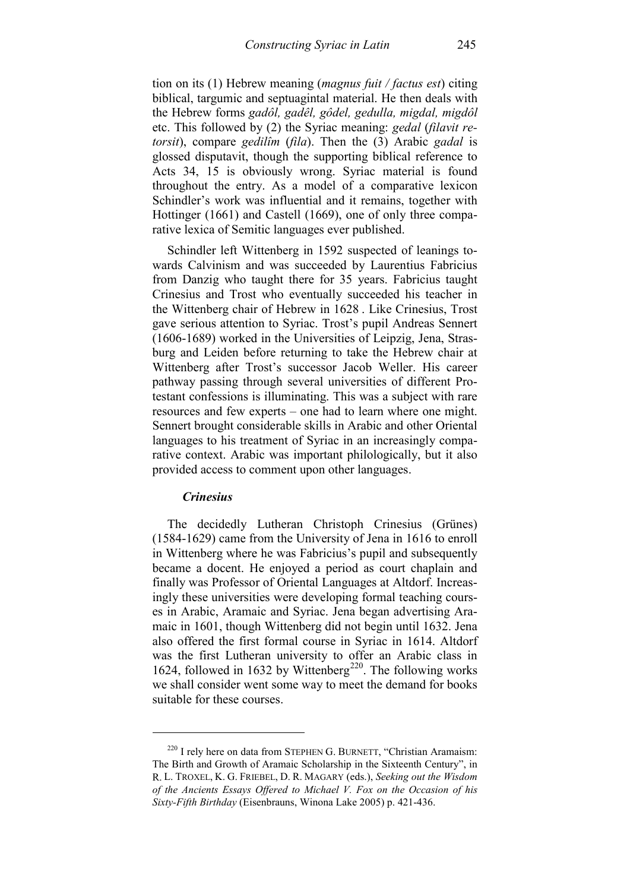tion on its (1) Hebrew meaning (*magnus fuit / factus est*) citing biblical, targumic and septuagintal material. He then deals with the Hebrew forms *gadôl, gadêl, gôdel, gedulla, migdal, migdôl* etc. This followed by (2) the Syriac meaning: *gedal* (*filavit retorsit*), compare *gedilîm* (*fila*). Then the (3) Arabic *gadal* is glossed disputavit, though the supporting biblical reference to Acts 34, 15 is obviously wrong. Syriac material is found throughout the entry. As a model of a comparative lexicon Schindler's work was influential and it remains, together with Hottinger (1661) and Castell (1669), one of only three comparative lexica of Semitic languages ever published.

Schindler left Wittenberg in 1592 suspected of leanings towards Calvinism and was succeeded by Laurentius Fabricius from Danzig who taught there for 35 years. Fabricius taught Crinesius and Trost who eventually succeeded his teacher in the Wittenberg chair of Hebrew in 1628 . Like Crinesius, Trost gave serious attention to Syriac. Trost's pupil Andreas Sennert (1606-1689) worked in the Universities of Leipzig, Jena, Strasburg and Leiden before returning to take the Hebrew chair at Wittenberg after Trost's successor Jacob Weller. His career pathway passing through several universities of different Protestant confessions is illuminating. This was a subject with rare resources and few experts – one had to learn where one might. Sennert brought considerable skills in Arabic and other Oriental languages to his treatment of Syriac in an increasingly comparative context. Arabic was important philologically, but it also provided access to comment upon other languages.

### *Crinesius*

-

The decidedly Lutheran Christoph Crinesius (Grünes) (1584-1629) came from the University of Jena in 1616 to enroll in Wittenberg where he was Fabricius's pupil and subsequently became a docent. He enjoyed a period as court chaplain and finally was Professor of Oriental Languages at Altdorf. Increasingly these universities were developing formal teaching courses in Arabic, Aramaic and Syriac. Jena began advertising Aramaic in 1601, though Wittenberg did not begin until 1632. Jena also offered the first formal course in Syriac in 1614. Altdorf was the first Lutheran university to offer an Arabic class in 1624, followed in 1632 by Wittenberg<sup>[220](#page-76-0)</sup>. The following works we shall consider went some way to meet the demand for books suitable for these courses.

<span id="page-76-0"></span><sup>&</sup>lt;sup>220</sup> I rely here on data from STEPHEN G. BURNETT, "Christian Aramaism: The Birth and Growth of Aramaic Scholarship in the Sixteenth Century", in R. L. TROXEL, K. G. FRIEBEL, D. R. MAGARY (eds.), *Seeking out the Wisdom of the Ancients Essays Offered to Michael V. Fox on the Occasion of his Sixty-Fifth Birthday* (Eisenbrauns, Winona Lake 2005) p. 421-436.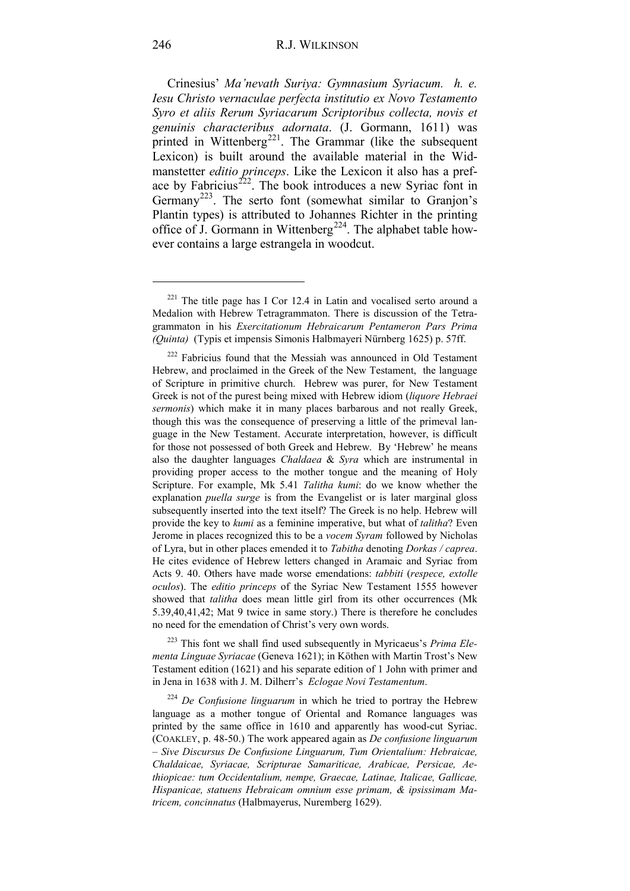Crinesius' *Ma'nevath Suriya: Gymnasium Syriacum. h. e. Iesu Christo vernaculae perfecta institutio ex Novo Testamento Syro et aliis Rerum Syriacarum Scriptoribus collecta, novis et genuinis characteribus adornata*. (J. Gormann, 1611) was printed in Wittenberg<sup>[221](#page-77-0)</sup>. The Grammar (like the subsequent Lexicon) is built around the available material in the Widmanstetter *editio princeps*. Like the Lexicon it also has a preface by Fabricius<sup>222</sup>. The book introduces a new Syriac font in Germany<sup>[223](#page-77-2)</sup>. The serto font (somewhat similar to Granjon's Plantin types) is attributed to Johannes Richter in the printing office of J. Gormann in Wittenberg<sup>224</sup>. The alphabet table however contains a large estrangela in woodcut.

<span id="page-77-2"></span><sup>223</sup> This font we shall find used subsequently in Myricaeus's *Prima Elementa Linguae Syriacae* (Geneva 1621); in Köthen with Martin Trost's New Testament edition (1621) and his separate edition of 1 John with primer and in Jena in 1638 with J. M. Dilherr's *Eclogae Novi Testamentum*.

<span id="page-77-3"></span><sup>224</sup> *De Confusione linguarum* in which he tried to portray the Hebrew language as a mother tongue of Oriental and Romance languages was printed by the same office in 1610 and apparently has wood-cut Syriac. (COAKLEY, p. 48-50.) The work appeared again as *De confusione linguarum – Sive Discursus De Confusione Linguarum, Tum Orientalium: Hebraicae, Chaldaicae, Syriacae, Scripturae Samariticae, Arabicae, Persicae, Aethiopicae: tum Occidentalium, nempe, Graecae, Latinae, Italicae, Gallicae, Hispanicae, statuens Hebraicam omnium esse primam, & ipsissimam Matricem, concinnatus* (Halbmayerus, Nuremberg 1629).

<span id="page-77-0"></span><sup>221</sup> The title page has I Cor 12.4 in Latin and vocalised serto around a Medalion with Hebrew Tetragrammaton. There is discussion of the Tetragrammaton in his *Exercitationum Hebraicarum Pentameron Pars Prima (Quinta)* (Typis et impensis Simonis Halbmayeri Nürnberg 1625) p. 57ff.

<span id="page-77-1"></span><sup>222</sup> Fabricius found that the Messiah was announced in Old Testament Hebrew, and proclaimed in the Greek of the New Testament, the language of Scripture in primitive church. Hebrew was purer, for New Testament Greek is not of the purest being mixed with Hebrew idiom (*liquore Hebraei sermonis*) which make it in many places barbarous and not really Greek, though this was the consequence of preserving a little of the primeval language in the New Testament. Accurate interpretation, however, is difficult for those not possessed of both Greek and Hebrew. By 'Hebrew' he means also the daughter languages *Chaldaea* & *Syra* which are instrumental in providing proper access to the mother tongue and the meaning of Holy Scripture. For example, Mk 5.41 *Talitha kumi*: do we know whether the explanation *puella surge* is from the Evangelist or is later marginal gloss subsequently inserted into the text itself? The Greek is no help. Hebrew will provide the key to *kumi* as a feminine imperative, but what of *talitha*? Even Jerome in places recognized this to be a *vocem Syram* followed by Nicholas of Lyra, but in other places emended it to *Tabitha* denoting *Dorkas / caprea*. He cites evidence of Hebrew letters changed in Aramaic and Syriac from Acts 9. 40. Others have made worse emendations: *tabbiti* (*respece, extolle oculos*). The *editio princeps* of the Syriac New Testament 1555 however showed that *talitha* does mean little girl from its other occurrences (Mk 5.39,40,41,42; Mat 9 twice in same story.) There is therefore he concludes no need for the emendation of Christ's very own words.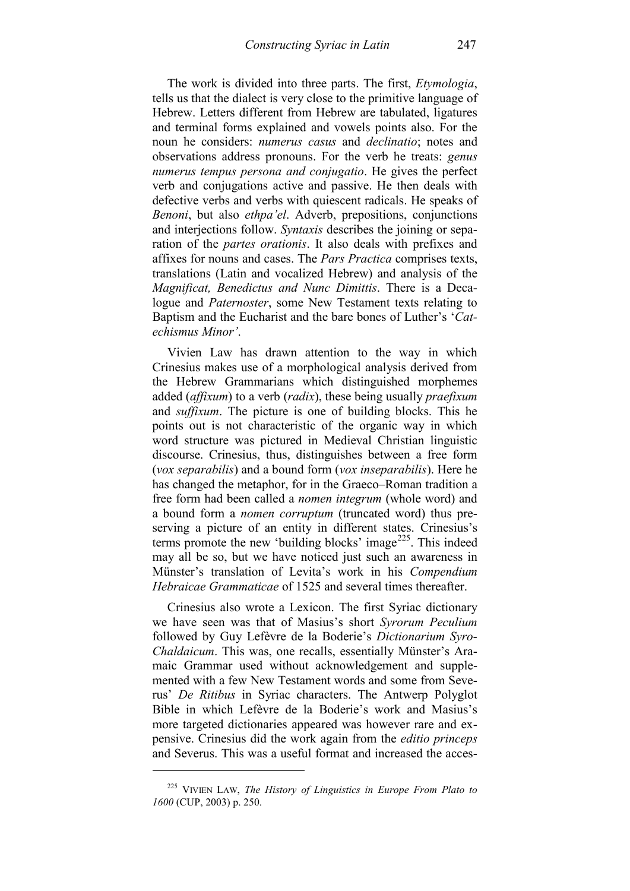The work is divided into three parts. The first, *Etymologia*, tells us that the dialect is very close to the primitive language of Hebrew. Letters different from Hebrew are tabulated, ligatures and terminal forms explained and vowels points also. For the noun he considers: *numerus casus* and *declinatio*; notes and observations address pronouns. For the verb he treats: *genus numerus tempus persona and conjugatio*. He gives the perfect verb and conjugations active and passive. He then deals with defective verbs and verbs with quiescent radicals. He speaks of *Benoni*, but also *ethpa'el*. Adverb, prepositions, conjunctions and interjections follow. *Syntaxis* describes the joining or separation of the *partes orationis*. It also deals with prefixes and affixes for nouns and cases. The *Pars Practica* comprises texts, translations (Latin and vocalized Hebrew) and analysis of the *Magnificat, Benedictus and Nunc Dimittis*. There is a Decalogue and *Paternoster*, some New Testament texts relating to Baptism and the Eucharist and the bare bones of Luther's '*Catechismus Minor'*.

Vivien Law has drawn attention to the way in which Crinesius makes use of a morphological analysis derived from the Hebrew Grammarians which distinguished morphemes added (*affixum*) to a verb (*radix*), these being usually *praefixum* and *suffixum*. The picture is one of building blocks. This he points out is not characteristic of the organic way in which word structure was pictured in Medieval Christian linguistic discourse. Crinesius, thus, distinguishes between a free form (*vox separabilis*) and a bound form (*vox inseparabilis*). Here he has changed the metaphor, for in the Graeco–Roman tradition a free form had been called a *nomen integrum* (whole word) and a bound form a *nomen corruptum* (truncated word) thus preserving a picture of an entity in different states. Crinesius's terms promote the new 'building blocks' image<sup>[225](#page-78-0)</sup>. This indeed may all be so, but we have noticed just such an awareness in Münster's translation of Levita's work in his *Compendium Hebraicae Grammaticae* of 1525 and several times thereafter.

Crinesius also wrote a Lexicon. The first Syriac dictionary we have seen was that of Masius's short *Syrorum Peculium* followed by Guy Lefèvre de la Boderie's *Dictionarium Syro-Chaldaicum*. This was, one recalls, essentially Münster's Aramaic Grammar used without acknowledgement and supplemented with a few New Testament words and some from Severus' *De Ritibus* in Syriac characters. The Antwerp Polyglot Bible in which Lefèvre de la Boderie's work and Masius's more targeted dictionaries appeared was however rare and expensive. Crinesius did the work again from the *editio princeps* and Severus. This was a useful format and increased the acces-

<span id="page-78-0"></span><sup>225</sup> VIVIEN LAW, *The History of Linguistics in Europe From Plato to 1600* (CUP, 2003) p. 250.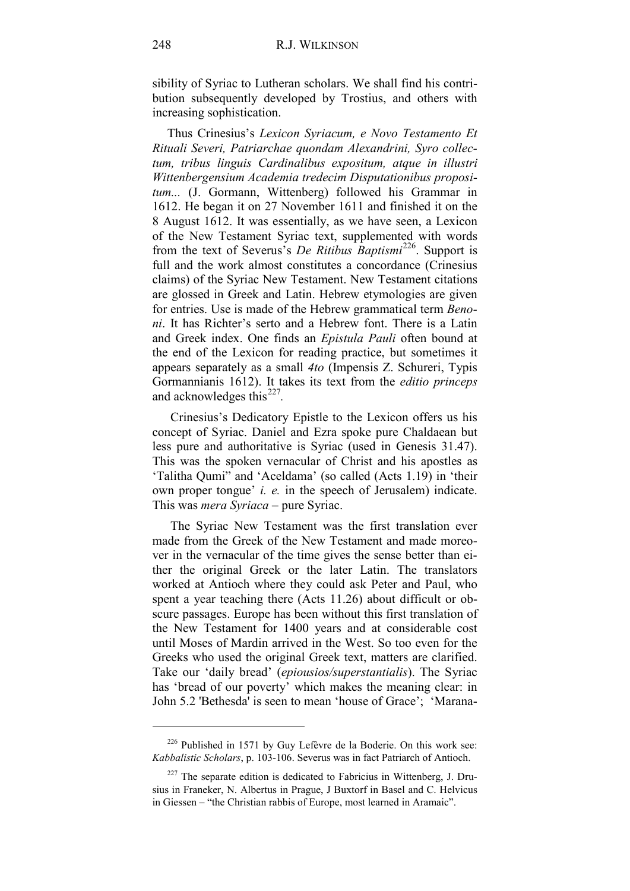sibility of Syriac to Lutheran scholars. We shall find his contribution subsequently developed by Trostius, and others with increasing sophistication.

Thus Crinesius's *Lexicon Syriacum, e Novo Testamento Et Rituali Severi, Patriarchae quondam Alexandrini, Syro collectum, tribus linguis Cardinalibus expositum, atque in illustri Wittenbergensium Academia tredecim Disputationibus propositum...* (J. Gormann, Wittenberg) followed his Grammar in 1612. He began it on 27 November 1611 and finished it on the 8 August 1612. It was essentially, as we have seen, a Lexicon of the New Testament Syriac text, supplemented with words from the text of Severus's *De Ritibus Baptismi*[226](#page-79-0). Support is full and the work almost constitutes a concordance (Crinesius claims) of the Syriac New Testament. New Testament citations are glossed in Greek and Latin. Hebrew etymologies are given for entries. Use is made of the Hebrew grammatical term *Benoni*. It has Richter's serto and a Hebrew font. There is a Latin and Greek index. One finds an *Epistula Pauli* often bound at the end of the Lexicon for reading practice, but sometimes it appears separately as a small *4to* (Impensis Z. Schureri, Typis Gormannianis 1612). It takes its text from the *editio princeps*  and acknowledges this<sup>[227](#page-79-1)</sup>.

Crinesius's Dedicatory Epistle to the Lexicon offers us his concept of Syriac. Daniel and Ezra spoke pure Chaldaean but less pure and authoritative is Syriac (used in Genesis 31.47). This was the spoken vernacular of Christ and his apostles as 'Talitha Qumi" and 'Aceldama' (so called (Acts 1.19) in 'their own proper tongue' *i. e.* in the speech of Jerusalem) indicate. This was *mera Syriaca* – pure Syriac.

The Syriac New Testament was the first translation ever made from the Greek of the New Testament and made moreover in the vernacular of the time gives the sense better than either the original Greek or the later Latin. The translators worked at Antioch where they could ask Peter and Paul, who spent a year teaching there (Acts 11.26) about difficult or obscure passages. Europe has been without this first translation of the New Testament for 1400 years and at considerable cost until Moses of Mardin arrived in the West. So too even for the Greeks who used the original Greek text, matters are clarified. Take our 'daily bread' (*epiousios/superstantialis*). The Syriac has 'bread of our poverty' which makes the meaning clear: in John 5.2 'Bethesda' is seen to mean 'house of Grace'; 'Marana-

<span id="page-79-0"></span> $226$  Published in 1571 by Guy Lefèvre de la Boderie. On this work see: *Kabbalistic Scholars*, p. 103-106. Severus was in fact Patriarch of Antioch.

<span id="page-79-1"></span> $227$  The separate edition is dedicated to Fabricius in Wittenberg, J. Drusius in Franeker, N. Albertus in Prague, J Buxtorf in Basel and C. Helvicus in Giessen – "the Christian rabbis of Europe, most learned in Aramaic".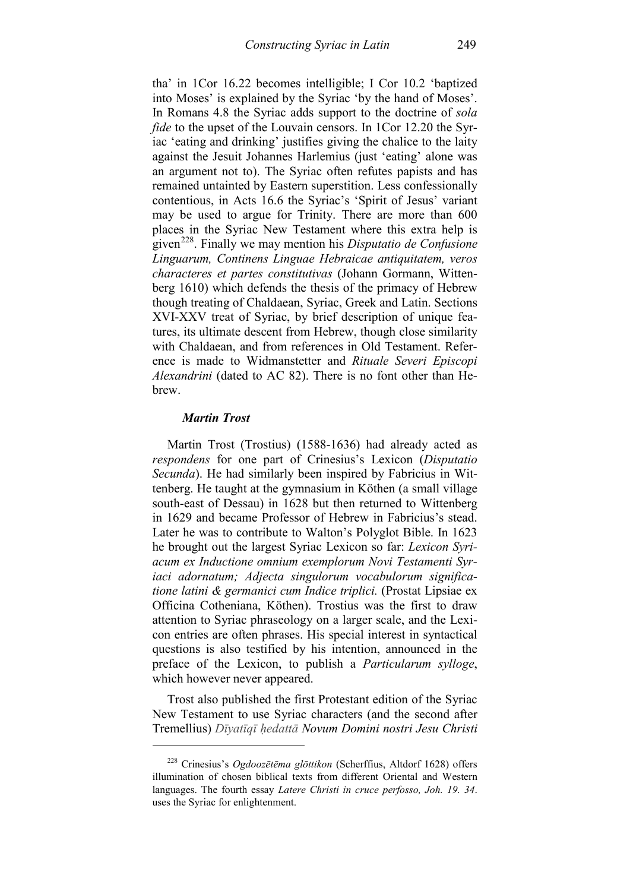tha' in 1Cor 16.22 becomes intelligible; I Cor 10.2 'baptized into Moses' is explained by the Syriac 'by the hand of Moses'. In Romans 4.8 the Syriac adds support to the doctrine of *sola fide* to the upset of the Louvain censors. In 1Cor 12.20 the Syriac 'eating and drinking' justifies giving the chalice to the laity against the Jesuit Johannes Harlemius (just 'eating' alone was an argument not to). The Syriac often refutes papists and has remained untainted by Eastern superstition. Less confessionally contentious, in Acts 16.6 the Syriac's 'Spirit of Jesus' variant may be used to argue for Trinity. There are more than 600 places in the Syriac New Testament where this extra help is given[228](#page-80-0). Finally we may mention his *Disputatio de Confusione Linguarum, Continens Linguae Hebraicae antiquitatem, veros characteres et partes constitutivas* (Johann Gormann, Wittenberg 1610) which defends the thesis of the primacy of Hebrew though treating of Chaldaean, Syriac, Greek and Latin. Sections XVI-XXV treat of Syriac, by brief description of unique features, its ultimate descent from Hebrew, though close similarity with Chaldaean, and from references in Old Testament. Reference is made to Widmanstetter and *Rituale Severi Episcopi Alexandrini* (dated to AC 82). There is no font other than Hebrew.

## *Martin Trost*

-

Martin Trost (Trostius) (1588-1636) had already acted as *respondens* for one part of Crinesius's Lexicon (*Disputatio Secunda*). He had similarly been inspired by Fabricius in Wittenberg. He taught at the gymnasium in Köthen (a small village south-east of Dessau) in 1628 but then returned to Wittenberg in 1629 and became Professor of Hebrew in Fabricius's stead. Later he was to contribute to Walton's Polyglot Bible. In 1623 he brought out the largest Syriac Lexicon so far: *Lexicon Syriacum ex Inductione omnium exemplorum Novi Testamenti Syriaci adornatum; Adjecta singulorum vocabulorum significatione latini & germanici cum Indice triplici.* (Prostat Lipsiae ex Officina Cotheniana, Köthen). Trostius was the first to draw attention to Syriac phraseology on a larger scale, and the Lexicon entries are often phrases. His special interest in syntactical questions is also testified by his intention, announced in the preface of the Lexicon, to publish a *Particularum sylloge*, which however never appeared.

Trost also published the first Protestant edition of the Syriac New Testament to use Syriac characters (and the second after Tremellius) *Dīyatīqī ḥedattā Novum Domini nostri Jesu Christi* 

<span id="page-80-0"></span><sup>228</sup> Crinesius's *Ogdoozētēma glōttikon* (Scherffius, Altdorf 1628) offers illumination of chosen biblical texts from different Oriental and Western languages. The fourth essay *Latere Christi in cruce perfosso, Joh. 19. 34*. uses the Syriac for enlightenment.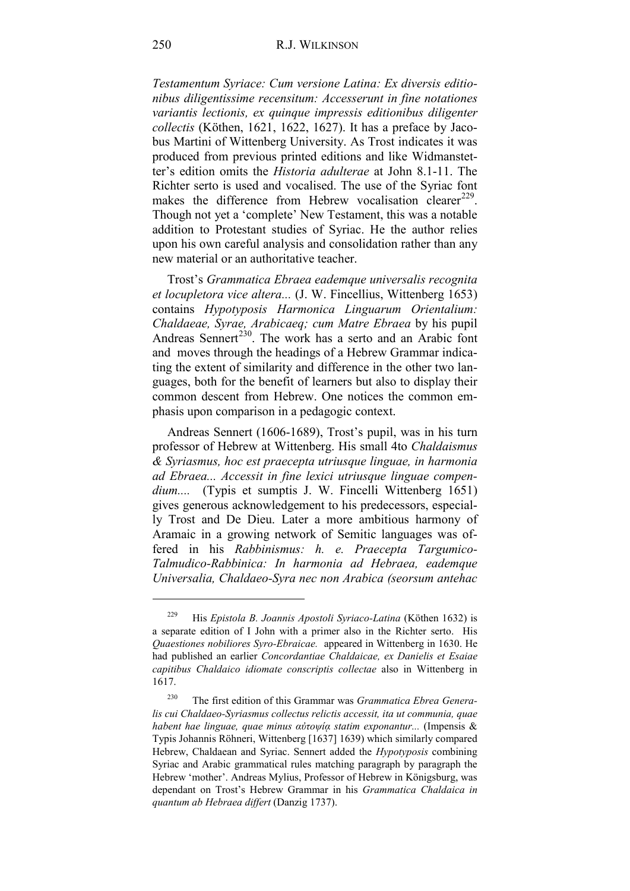*Testamentum Syriace: Cum versione Latina: Ex diversis editionibus diligentissime recensitum: Accesserunt in fine notationes variantis lectionis, ex quinque impressis editionibus diligenter collectis* (Köthen, 1621, 1622, 1627). It has a preface by Jacobus Martini of Wittenberg University. As Trost indicates it was produced from previous printed editions and like Widmanstetter's edition omits the *Historia adulterae* at John 8.1-11. The Richter serto is used and vocalised. The use of the Syriac font makes the difference from Hebrew vocalisation clearer<sup>229</sup>. Though not yet a 'complete' New Testament, this was a notable addition to Protestant studies of Syriac. He the author relies upon his own careful analysis and consolidation rather than any new material or an authoritative teacher.

Trost's *Grammatica Ebraea eademque universalis recognita et locupletora vice altera...* (J. W. Fincellius, Wittenberg 1653) contains *Hypotyposis Harmonica Linguarum Orientalium: Chaldaeae, Syrae, Arabicaeq; cum Matre Ebraea* by his pupil Andreas Sennert<sup>230</sup>. The work has a serto and an Arabic font and moves through the headings of a Hebrew Grammar indicating the extent of similarity and difference in the other two languages, both for the benefit of learners but also to display their common descent from Hebrew. One notices the common emphasis upon comparison in a pedagogic context.

Andreas Sennert (1606-1689), Trost's pupil, was in his turn professor of Hebrew at Wittenberg. His small 4to *Chaldaismus & Syriasmus, hoc est praecepta utriusque linguae, in harmonia ad Ebraea... Accessit in fine lexici utriusque linguae compen*dium.... (Typis et sumptis J. W. Fincelli Wittenberg 1651) gives generous acknowledgement to his predecessors, especially Trost and De Dieu. Later a more ambitious harmony of Aramaic in a growing network of Semitic languages was offered in his *Rabbinismus: h. e. Praecepta Targumico-Talmudico-Rabbinica: In harmonia ad Hebraea, eademque Universalia, Chaldaeo-Syra nec non Arabica (seorsum antehac* 

<sup>229</sup> His *Epistola B. Joannis Apostoli Syriaco-Latina* (Köthen 1632) is a separate edition of I John with a primer also in the Richter serto. His *Quaestiones nobiliores Syro-Ebraicae.* appeared in Wittenberg in 1630. He had published an earlier *Concordantiae Chaldaicae, ex Danielis et Esaiae capitibus Chaldaico idiomate conscriptis collectae* also in Wittenberg in 1617.

<sup>230</sup> The first edition of this Grammar was *Grammatica Ebrea Generalis cui Chaldaeo-Syriasmus collectus relictis accessit, ita ut communia, quae habent hae linguae, quae minus αὐτοψίᾳ statim exponantur...* (Impensis & Typis Johannis Röhneri, Wittenberg [1637] 1639) which similarly compared Hebrew, Chaldaean and Syriac. Sennert added the *Hypotyposis* combining Syriac and Arabic grammatical rules matching paragraph by paragraph the Hebrew 'mother'. Andreas Mylius, Professor of Hebrew in Königsburg, was dependant on Trost's Hebrew Grammar in his *Grammatica Chaldaica in quantum ab Hebraea differt* (Danzig 1737).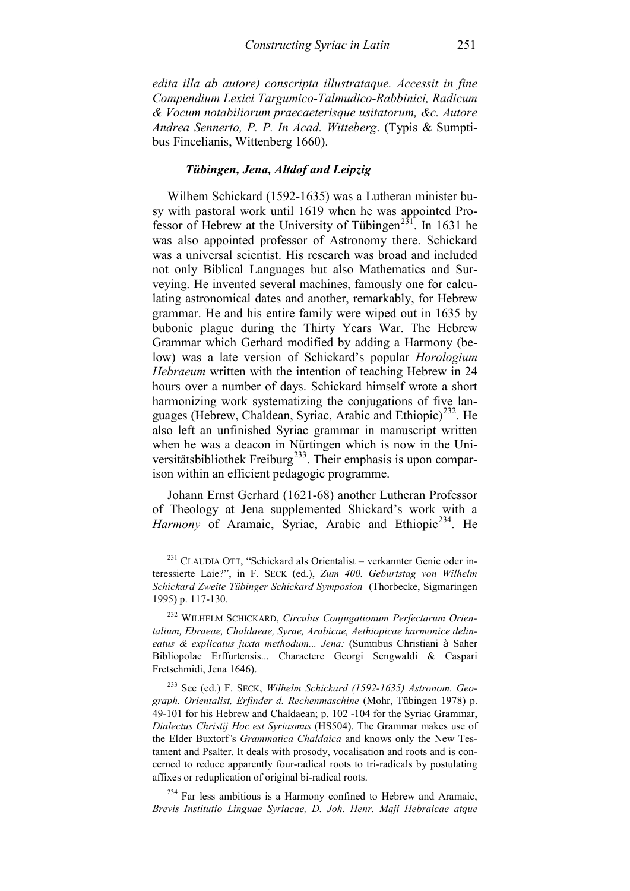*edita illa ab autore) conscripta illustrataque. Accessit in fine Compendium Lexici Targumico-Talmudico-Rabbinici, Radicum & Vocum notabiliorum praecaeterisque usitatorum, &c. Autore Andrea Sennerto, P. P. In Acad. Witteberg*. (Typis & Sumptibus Fincelianis, Wittenberg 1660).

# *Tübingen, Jena, Altdof and Leipzig*

Wilhem Schickard (1592-1635) was a Lutheran minister busy with pastoral work until 1619 when he was appointed Pro-fessor of Hebrew at the University of Tübingen<sup>[231](#page-82-0)</sup>. In 1631 he was also appointed professor of Astronomy there. Schickard was a universal scientist. His research was broad and included not only Biblical Languages but also Mathematics and Surveying. He invented several machines, famously one for calculating astronomical dates and another, remarkably, for Hebrew grammar. He and his entire family were wiped out in 1635 by bubonic plague during the Thirty Years War. The Hebrew Grammar which Gerhard modified by adding a Harmony (below) was a late version of Schickard's popular *Horologium Hebraeum* written with the intention of teaching Hebrew in 24 hours over a number of days. Schickard himself wrote a short harmonizing work systematizing the conjugations of five lan-guages (Hebrew, Chaldean, Syriac, Arabic and Ethiopic)<sup>[232](#page-82-1)</sup>. He also left an unfinished Syriac grammar in manuscript written when he was a deacon in Nürtingen which is now in the Uni-versitätsbibliothek Freiburg<sup>[233](#page-82-2)</sup>. Their emphasis is upon comparison within an efficient pedagogic programme.

Johann Ernst Gerhard (1621-68) another Lutheran Professor of Theology at Jena supplemented Shickard's work with a Harmony of Aramaic, Syriac, Arabic and Ethiopic<sup>234</sup>. He

<span id="page-82-0"></span><sup>231</sup> CLAUDIA OTT, "Schickard als Orientalist – verkannter Genie oder interessierte Laie?", in F. SECK (ed.), *Zum 400. Geburtstag von Wilhelm Schickard Zweite Tübinger Schickard Symposion* (Thorbecke, Sigmaringen 1995) p. 117-130.

<span id="page-82-1"></span><sup>232</sup> WILHELM SCHICKARD, *Circulus Conjugationum Perfectarum Orientalium, Ebraeae, Chaldaeae, Syrae, Arabicae, Aethiopicae harmonice delineatus & explicatus juxta methodum... Jena:* (Sumtibus Christiani à Saher Bibliopolae Erffurtensis... Charactere Georgi Sengwaldi & Caspari Fretschmidi, Jena 1646).

<span id="page-82-2"></span><sup>233</sup> See (ed.) F. SECK, *Wilhelm Schickard (1592-1635) Astronom. Geograph. Orientalist, Erfinder d. Rechenmaschine* (Mohr, Tübingen 1978) p. 49-101 for his Hebrew and Chaldaean; p. 102 -104 for the Syriac Grammar, *Dialectus Christij Hoc est Syriasmus* (HS504). The Grammar makes use of the Elder Buxtorf*'*s *Grammatica Chaldaica* and knows only the New Testament and Psalter. It deals with prosody, vocalisation and roots and is concerned to reduce apparently four-radical roots to tri-radicals by postulating affixes or reduplication of original bi-radical roots.

<span id="page-82-3"></span><sup>&</sup>lt;sup>234</sup> Far less ambitious is a Harmony confined to Hebrew and Aramaic, *Brevis Institutio Linguae Syriacae, D. Joh. Henr. Maji Hebraicae atque*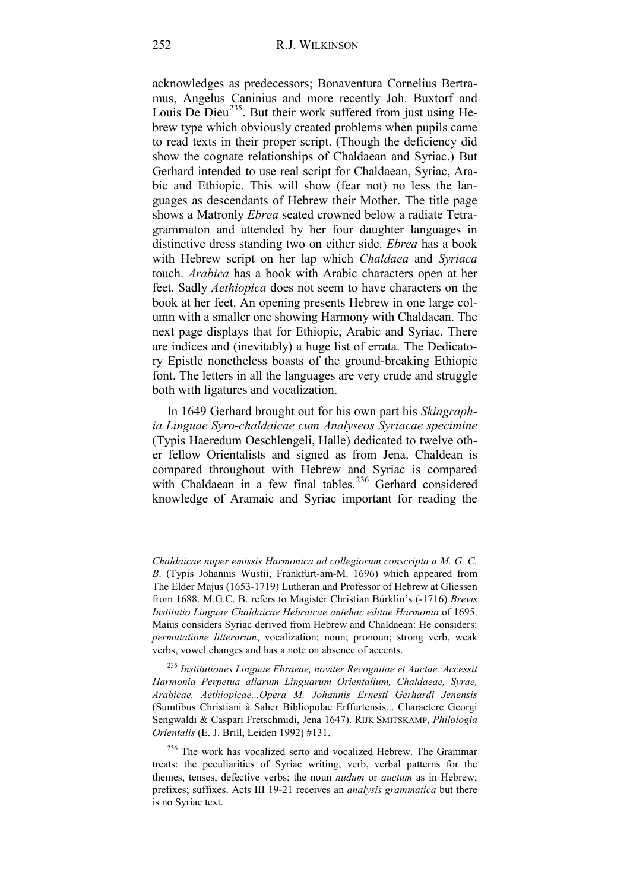acknowledges as predecessors; Bonaventura Cornelius Bertramus, Angelus Caninius and more recently Joh. Buxtorf and Louis De Dieu<sup>[235](#page-83-0)</sup>. But their work suffered from just using Hebrew type which obviously created problems when pupils came to read texts in their proper script. (Though the deficiency did show the cognate relationships of Chaldaean and Syriac.) But Gerhard intended to use real script for Chaldaean, Syriac, Arabic and Ethiopic. This will show (fear not) no less the languages as descendants of Hebrew their Mother. The title page shows a Matronly *Ebrea* seated crowned below a radiate Tetragrammaton and attended by her four daughter languages in distinctive dress standing two on either side. *Ebrea* has a book with Hebrew script on her lap which *Chaldaea* and *Syriaca* touch. *Arabica* has a book with Arabic characters open at her feet. Sadly *Aethiopica* does not seem to have characters on the book at her feet. An opening presents Hebrew in one large column with a smaller one showing Harmony with Chaldaean. The next page displays that for Ethiopic, Arabic and Syriac. There are indices and (inevitably) a huge list of errata. The Dedicatory Epistle nonetheless boasts of the ground-breaking Ethiopic font. The letters in all the languages are very crude and struggle both with ligatures and vocalization.

In 1649 Gerhard brought out for his own part his *Skiagraphia Linguae Syro-chaldaicae cum Analyseos Syriacae specimine* (Typis Haeredum Oeschlengeli, Halle) dedicated to twelve other fellow Orientalists and signed as from Jena. Chaldean is compared throughout with Hebrew and Syriac is compared with Chaldaean in a few final tables.<sup>[236](#page-83-1)</sup> Gerhard considered knowledge of Aramaic and Syriac important for reading the

*Chaldaicae nuper emissis Harmonica ad collegiorum conscripta a M. G. C. B*. (Typis Johannis Wustii, Frankfurt-am-M. 1696) which appeared from The Elder Majus (1653-1719) Lutheran and Professor of Hebrew at Gliessen from 1688. M.G.C. B. refers to Magister Christian Bürklin's (-1716) *Brevis Institutio Linguae Chaldaicae Hebraicae antehac editae Harmonia* of 1695. Maius considers Syriac derived from Hebrew and Chaldaean: He considers: *permutatione litterarum*, vocalization; noun; pronoun; strong verb, weak verbs, vowel changes and has a note on absence of accents.

<span id="page-83-0"></span><sup>235</sup> *Institutiones Linguae Ebraeae, noviter Recognitae et Auctae. Accessit Harmonia Perpetua aliarum Linguarum Orientalium, Chaldaeae, Syrae, Arabicae, Aethiopicae...Opera M. Johannis Ernesti Gerhardi Jenensis* (Sumtibus Christiani à Saher Bibliopolae Erffurtensis... Charactere Georgi Sengwaldi & Caspari Fretschmidi, Jena 1647). RIJK SMITSKAMP, *Philologia Orientalis* (E. J. Brill, Leiden 1992) #131.

<span id="page-83-1"></span><sup>&</sup>lt;sup>236</sup> The work has vocalized serto and vocalized Hebrew. The Grammar treats: the peculiarities of Syriac writing, verb, verbal patterns for the themes, tenses, defective verbs; the noun *nudum* or *auctum* as in Hebrew; prefixes; suffixes. Acts III 19-21 receives an *analysis grammatica* but there is no Syriac text.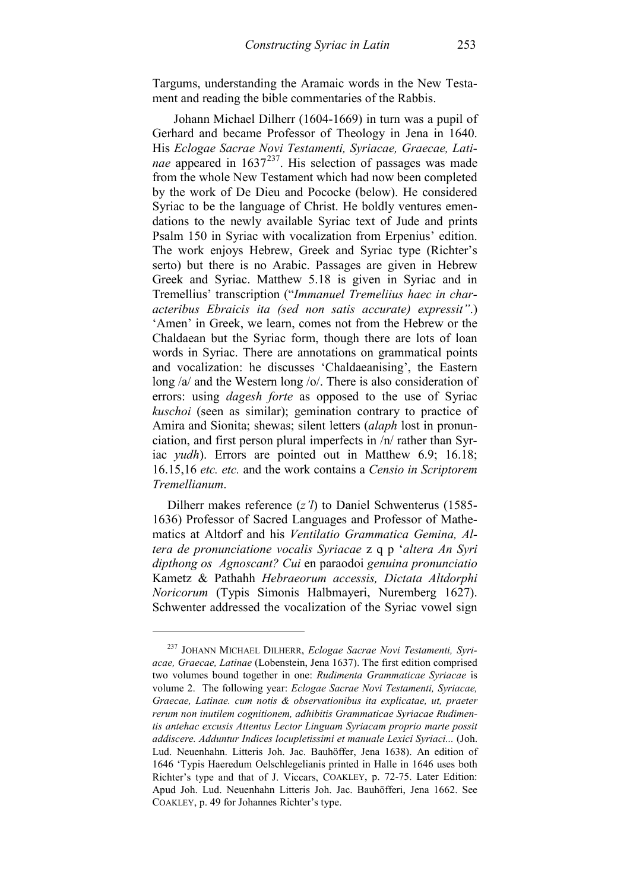Targums, understanding the Aramaic words in the New Testament and reading the bible commentaries of the Rabbis.

 Johann Michael Dilherr (1604-1669) in turn was a pupil of Gerhard and became Professor of Theology in Jena in 1640. His *Eclogae Sacrae Novi Testamenti, Syriacae, Graecae, Latinae* appeared in 1637<sup>237</sup>. His selection of passages was made from the whole New Testament which had now been completed by the work of De Dieu and Pococke (below). He considered Syriac to be the language of Christ. He boldly ventures emendations to the newly available Syriac text of Jude and prints Psalm 150 in Syriac with vocalization from Erpenius' edition. The work enjoys Hebrew, Greek and Syriac type (Richter's serto) but there is no Arabic. Passages are given in Hebrew Greek and Syriac. Matthew 5.18 is given in Syriac and in Tremellius' transcription ("*Immanuel Tremeliius haec in characteribus Ebraicis ita (sed non satis accurate) expressit"*.) 'Amen' in Greek, we learn, comes not from the Hebrew or the Chaldaean but the Syriac form, though there are lots of loan words in Syriac. There are annotations on grammatical points and vocalization: he discusses 'Chaldaeanising', the Eastern long /a/ and the Western long /o/. There is also consideration of errors: using *dagesh forte* as opposed to the use of Syriac *kuschoi* (seen as similar); gemination contrary to practice of Amira and Sionita; shewas; silent letters (*alaph* lost in pronunciation, and first person plural imperfects in /n/ rather than Syriac *yudh*). Errors are pointed out in Matthew 6.9; 16.18; 16.15,16 *etc. etc.* and the work contains a *Censio in Scriptorem Tremellianum*.

Dilherr makes reference (*z'l*) to Daniel Schwenterus (1585- 1636) Professor of Sacred Languages and Professor of Mathematics at Altdorf and his *Ventilatio Grammatica Gemina, Altera de pronunciatione vocalis Syriacae* z q p '*altera An Syri dipthong os Agnoscant? Cui* en paraodoi *genuina pronunciatio*  Kametz & Pathahh *Hebraeorum accessis, Dictata Altdorphi Noricorum* (Typis Simonis Halbmayeri, Nuremberg 1627). Schwenter addressed the vocalization of the Syriac vowel sign

<span id="page-84-0"></span><sup>237</sup> JOHANN MICHAEL DILHERR, *Eclogae Sacrae Novi Testamenti, Syriacae, Graecae, Latinae* (Lobenstein, Jena 1637). The first edition comprised two volumes bound together in one: *Rudimenta Grammaticae Syriacae* is volume 2. The following year: *Eclogae Sacrae Novi Testamenti, Syriacae, Graecae, Latinae. cum notis & observationibus ita explicatae, ut, praeter rerum non inutilem cognitionem, adhibitis Grammaticae Syriacae Rudimentis antehac excusis Attentus Lector Linguam Syriacam proprio marte possit addiscere. Adduntur Indices locupletissimi et manuale Lexici Syriaci...* (Joh. Lud. Neuenhahn. Litteris Joh. Jac. Bauhöffer, Jena 1638). An edition of 1646 'Typis Haeredum Oelschlegelianis printed in Halle in 1646 uses both Richter's type and that of J. Viccars, COAKLEY, p. 72-75. Later Edition: Apud Joh. Lud. Neuenhahn Litteris Joh. Jac. Bauhöfferi, Jena 1662. See COAKLEY, p. 49 for Johannes Richter's type.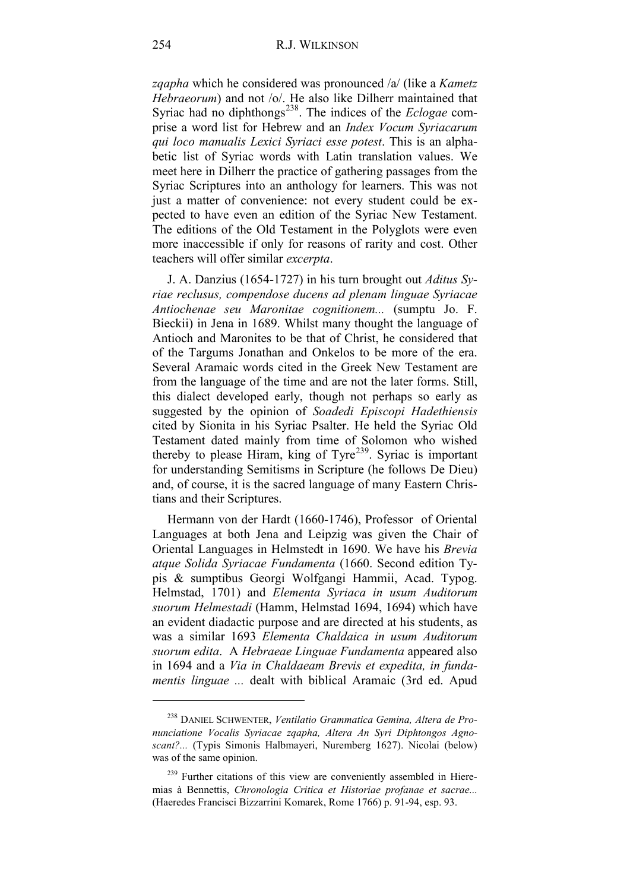*zqapha* which he considered was pronounced /a/ (like a *Kametz Hebraeorum*) and not /o/. He also like Dilherr maintained that Syriac had no diphthongs<sup>[238](#page-85-0)</sup>. The indices of the *Eclogae* comprise a word list for Hebrew and an *Index Vocum Syriacarum qui loco manualis Lexici Syriaci esse potest*. This is an alphabetic list of Syriac words with Latin translation values. We meet here in Dilherr the practice of gathering passages from the Syriac Scriptures into an anthology for learners. This was not just a matter of convenience: not every student could be expected to have even an edition of the Syriac New Testament. The editions of the Old Testament in the Polyglots were even more inaccessible if only for reasons of rarity and cost. Other teachers will offer similar *excerpta*.

J. A. Danzius (1654-1727) in his turn brought out *Aditus Syriae reclusus, compendose ducens ad plenam linguae Syriacae Antiochenae seu Maronitae cognitionem...* (sumptu Jo. F. Bieckii) in Jena in 1689. Whilst many thought the language of Antioch and Maronites to be that of Christ, he considered that of the Targums Jonathan and Onkelos to be more of the era. Several Aramaic words cited in the Greek New Testament are from the language of the time and are not the later forms. Still, this dialect developed early, though not perhaps so early as suggested by the opinion of *Soadedi Episcopi Hadethiensis* cited by Sionita in his Syriac Psalter. He held the Syriac Old Testament dated mainly from time of Solomon who wished thereby to please Hiram, king of Tyre<sup>239</sup>. Syriac is important for understanding Semitisms in Scripture (he follows De Dieu) and, of course, it is the sacred language of many Eastern Christians and their Scriptures.

Hermann von der Hardt (1660-1746), Professor of Oriental Languages at both Jena and Leipzig was given the Chair of Oriental Languages in Helmstedt in 1690. We have his *Brevia atque Solida Syriacae Fundamenta* (1660. Second edition Typis & sumptibus Georgi Wolfgangi Hammii, Acad. Typog. Helmstad, 1701) and *Elementa Syriaca in usum Auditorum suorum Helmestadi* (Hamm, Helmstad 1694, 1694) which have an evident diadactic purpose and are directed at his students, as was a similar 1693 *Elementa Chaldaica in usum Auditorum suorum edita*. A *Hebraeae Linguae Fundamenta* appeared also in 1694 and a *Via in Chaldaeam Brevis et expedita, in fundamentis linguae ...* dealt with biblical Aramaic (3rd ed. Apud

<span id="page-85-0"></span><sup>238</sup> DANIEL SCHWENTER, *Ventilatio Grammatica Gemina, Altera de Pronunciatione Vocalis Syriacae zqapha, Altera An Syri Diphtongos Agnoscant?...* (Typis Simonis Halbmayeri, Nuremberg 1627). Nicolai (below) was of the same opinion.

<span id="page-85-1"></span><sup>&</sup>lt;sup>239</sup> Further citations of this view are conveniently assembled in Hieremias à Bennettis, *Chronologia Critica et Historiae profanae et sacrae...* (Haeredes Francisci Bizzarrini Komarek, Rome 1766) p. 91-94, esp. 93.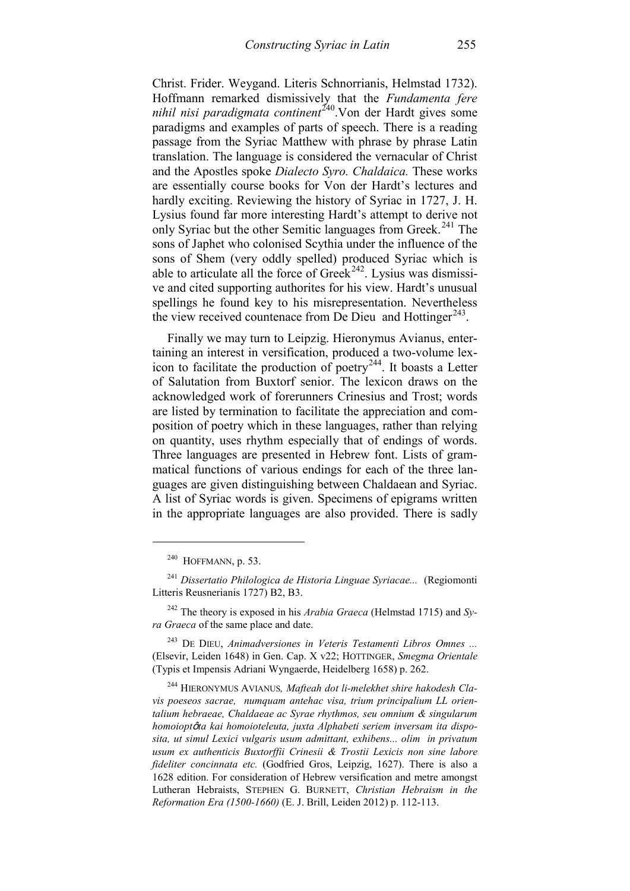Christ. Frider. Weygand. Literis Schnorrianis, Helmstad 1732). Hoffmann remarked dismissively that the *Fundamenta fere nihil nisi paradigmata continent*<sup>[240](#page-86-0)</sup>. Von der Hardt gives some paradigms and examples of parts of speech. There is a reading passage from the Syriac Matthew with phrase by phrase Latin translation. The language is considered the vernacular of Christ and the Apostles spoke *Dialecto Syro. Chaldaica.* These works are essentially course books for Von der Hardt's lectures and hardly exciting. Reviewing the history of Syriac in 1727, J. H. Lysius found far more interesting Hardt's attempt to derive not only Syriac but the other Semitic languages from Greek.<sup>[241](#page-86-1)</sup> The sons of Japhet who colonised Scythia under the influence of the sons of Shem (very oddly spelled) produced Syriac which is able to articulate all the force of Greek<sup>242</sup>. Lysius was dismissive and cited supporting authorites for his view. Hardt's unusual spellings he found key to his misrepresentation. Nevertheless the view received countenace from De Dieu and Hottinger<sup>[243](#page-86-3)</sup>.

Finally we may turn to Leipzig. Hieronymus Avianus, entertaining an interest in versification, produced a two-volume lexicon to facilitate the production of poetry[244.](#page-86-4) It boasts a Letter of Salutation from Buxtorf senior. The lexicon draws on the acknowledged work of forerunners Crinesius and Trost; words are listed by termination to facilitate the appreciation and composition of poetry which in these languages, rather than relying on quantity, uses rhythm especially that of endings of words. Three languages are presented in Hebrew font. Lists of grammatical functions of various endings for each of the three languages are given distinguishing between Chaldaean and Syriac. A list of Syriac words is given. Specimens of epigrams written in the appropriate languages are also provided. There is sadly

-

<span id="page-86-3"></span><sup>243</sup> DE DIEU, *Animadversiones in Veteris Testamenti Libros Omnes ...* (Elsevir, Leiden 1648) in Gen. Cap. X v22; HOTTINGER, *Smegma Orientale* (Typis et Impensis Adriani Wyngaerde, Heidelberg 1658) p. 262.

<span id="page-86-4"></span><sup>244</sup> HIERONYMUS AVIANUS*, Mafteah dot li-melekhet shire hakodesh Clavis poeseos sacrae, numquam antehac visa, trium principalium LL orientalium hebraeae, Chaldaeae ac Syrae rhythmos, seu omnium & singularum homoiopt*ô*ta kai homoioteleuta, juxta Alphabeti seriem inversam ita disposita, ut simul Lexici vulgaris usum admittant, exhibens... olim in privatum usum ex authenticis Buxtorffii Crinesii & Trostii Lexicis non sine labore fideliter concinnata etc.* (Godfried Gros, Leipzig, 1627). There is also a 1628 edition. For consideration of Hebrew versification and metre amongst Lutheran Hebraists, STEPHEN G. BURNETT, *Christian Hebraism in the Reformation Era (1500-1660)* (E. J. Brill, Leiden 2012) p. 112-113.

 $240$  HOFFMANN, p. 53.

<span id="page-86-1"></span><span id="page-86-0"></span><sup>241</sup> *Dissertatio Philologica de Historia Linguae Syriacae...* (Regiomonti Litteris Reusnerianis 1727) B2, B3.

<span id="page-86-2"></span><sup>242</sup> The theory is exposed in his *Arabia Graeca* (Helmstad 1715) and *Syra Graeca* of the same place and date.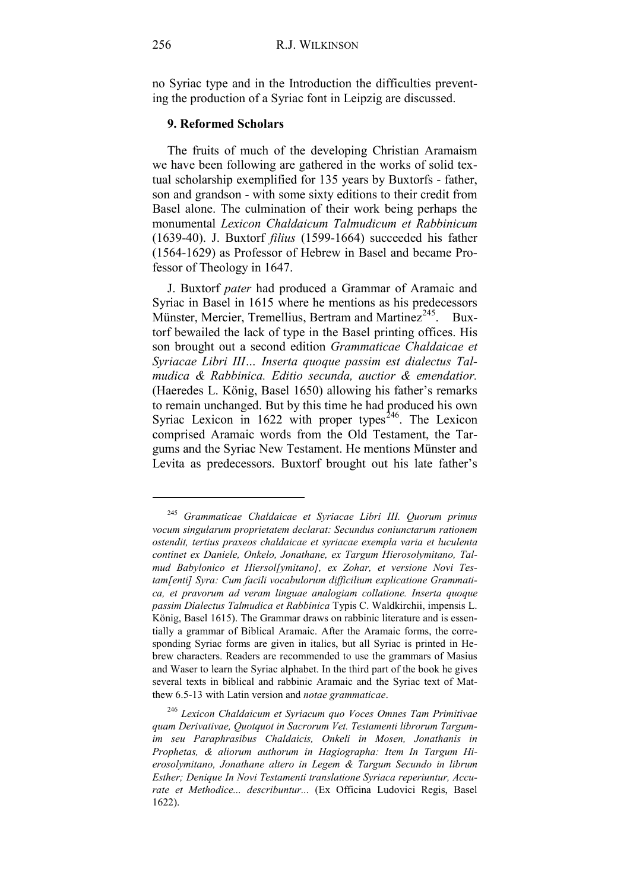no Syriac type and in the Introduction the difficulties preventing the production of a Syriac font in Leipzig are discussed.

### **9. Reformed Scholars**

The fruits of much of the developing Christian Aramaism we have been following are gathered in the works of solid textual scholarship exemplified for 135 years by Buxtorfs - father, son and grandson - with some sixty editions to their credit from Basel alone. The culmination of their work being perhaps the monumental *Lexicon Chaldaicum Talmudicum et Rabbinicum*  (1639-40). J. Buxtorf *filius* (1599-1664) succeeded his father (1564-1629) as Professor of Hebrew in Basel and became Professor of Theology in 1647.

J. Buxtorf *pater* had produced a Grammar of Aramaic and Syriac in Basel in 1615 where he mentions as his predecessors Münster, Mercier, Tremellius, Bertram and Martinez<sup>245</sup>. Buxtorf bewailed the lack of type in the Basel printing offices. His son brought out a second edition *Grammaticae Chaldaicae et Syriacae Libri III… Inserta quoque passim est dialectus Talmudica & Rabbinica. Editio secunda, auctior & emendatior.* (Haeredes L. König, Basel 1650) allowing his father's remarks to remain unchanged. But by this time he had produced his own Syriac Lexicon in 1622 with proper types<sup>[246](#page-87-1)</sup>. The Lexicon comprised Aramaic words from the Old Testament, the Targums and the Syriac New Testament. He mentions Münster and Levita as predecessors. Buxtorf brought out his late father's

<span id="page-87-0"></span><sup>245</sup> *Grammaticae Chaldaicae et Syriacae Libri III. Quorum primus vocum singularum proprietatem declarat: Secundus coniunctarum rationem ostendit, tertius praxeos chaldaicae et syriacae exempla varia et luculenta continet ex Daniele, Onkelo, Jonathane, ex Targum Hierosolymitano, Talmud Babylonico et Hiersol[ymitano], ex Zohar, et versione Novi Testam[enti] Syra: Cum facili vocabulorum difficilium explicatione Grammatica, et pravorum ad veram linguae analogiam collatione. Inserta quoque passim Dialectus Talmudica et Rabbinica* Typis C. Waldkirchii, impensis L. König, Basel 1615). The Grammar draws on rabbinic literature and is essentially a grammar of Biblical Aramaic. After the Aramaic forms, the corresponding Syriac forms are given in italics, but all Syriac is printed in Hebrew characters. Readers are recommended to use the grammars of Masius and Waser to learn the Syriac alphabet. In the third part of the book he gives several texts in biblical and rabbinic Aramaic and the Syriac text of Matthew 6.5-13 with Latin version and *notae grammaticae*.

<span id="page-87-1"></span><sup>246</sup> *Lexicon Chaldaicum et Syriacum quo Voces Omnes Tam Primitivae quam Derivativae, Quotquot in Sacrorum Vet. Testamenti librorum Targumim seu Paraphrasibus Chaldaicis, Onkeli in Mosen, Jonathanis in Prophetas, & aliorum authorum in Hagiographa: Item In Targum Hierosolymitano, Jonathane altero in Legem & Targum Secundo in librum Esther; Denique In Novi Testamenti translatione Syriaca reperiuntur, Accurate et Methodice... describuntur...* (Ex Officina Ludovici Regis, Basel 1622).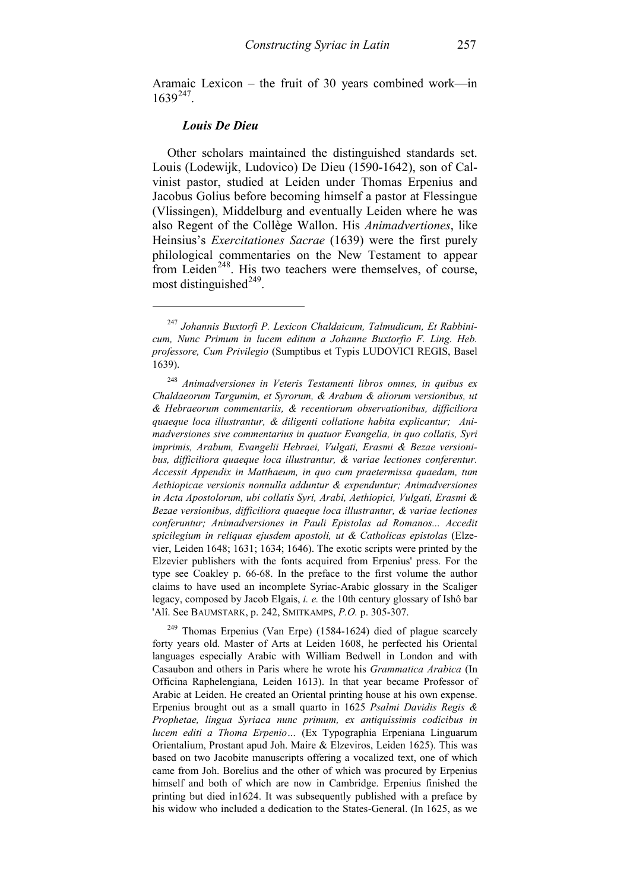Aramaic Lexicon – the fruit of 30 years combined work—in  $1639^{247}$ .

### *Louis De Dieu*

-

Other scholars maintained the distinguished standards set. Louis (Lodewijk, Ludovico) De Dieu (1590-1642), son of Calvinist pastor, studied at Leiden under Thomas Erpenius and Jacobus Golius before becoming himself a pastor at Flessingue (Vlissingen), Middelburg and eventually Leiden where he was also Regent of the Collège Wallon. His *Animadvertiones*, like Heinsius's *Exercitationes Sacrae* (1639) were the first purely philological commentaries on the New Testament to appear from Leiden<sup>[248](#page-88-1)</sup>. His two teachers were themselves, of course, most distinguished $^{249}$  $^{249}$  $^{249}$ .

<span id="page-88-2"></span><sup>249</sup> Thomas Erpenius (Van Erpe) (1584-1624) died of plague scarcely forty years old. Master of Arts at Leiden 1608, he perfected his Oriental languages especially Arabic with William Bedwell in London and with Casaubon and others in Paris where he wrote his *Grammatica Arabica* (In Officina Raphelengiana, Leiden 1613). In that year became Professor of Arabic at Leiden. He created an Oriental printing house at his own expense. Erpenius brought out as a small quarto in 1625 *Psalmi Davidis Regis & Prophetae, lingua Syriaca nunc primum, ex antiquissimis codicibus in lucem editi a Thoma Erpenio…* (Ex Typographia Erpeniana Linguarum Orientalium, Prostant apud Joh. Maire & Elzeviros, Leiden 1625). This was based on two Jacobite manuscripts offering a vocalized text, one of which came from Joh. Borelius and the other of which was procured by Erpenius himself and both of which are now in Cambridge. Erpenius finished the printing but died in1624. It was subsequently published with a preface by his widow who included a dedication to the States-General. (In 1625, as we

<span id="page-88-0"></span><sup>247</sup> *Johannis Buxtorfi P. Lexicon Chaldaicum, Talmudicum, Et Rabbinicum, Nunc Primum in lucem editum a Johanne Buxtorfio F. Ling. Heb. professore, Cum Privilegio* (Sumptibus et Typis LUDOVICI REGIS, Basel 1639).

<span id="page-88-1"></span><sup>248</sup> *Animadversiones in Veteris Testamenti libros omnes, in quibus ex Chaldaeorum Targumim, et Syrorum, & Arabum & aliorum versionibus, ut & Hebraeorum commentariis, & recentiorum observationibus, difficiliora quaeque loca illustrantur, & diligenti collatione habita explicantur; Animadversiones sive commentarius in quatuor Evangelia, in quo collatis, Syri imprimis, Arabum, Evangelii Hebraei, Vulgati, Erasmi & Bezae versionibus, difficiliora quaeque loca illustrantur, & variae lectiones conferentur. Accessit Appendix in Matthaeum, in quo cum praetermissa quaedam, tum Aethiopicae versionis nonnulla adduntur & expenduntur; Animadversiones in Acta Apostolorum, ubi collatis Syri, Arabi, Aethiopici, Vulgati, Erasmi & Bezae versionibus, difficiliora quaeque loca illustrantur, & variae lectiones conferuntur; Animadversiones in Pauli Epistolas ad Romanos... Accedit spicilegium in reliquas ejusdem apostoli, ut & Catholicas epistolas* (Elzevier, Leiden 1648; 1631; 1634; 1646). The exotic scripts were printed by the Elzevier publishers with the fonts acquired from Erpenius' press. For the type see Coakley p. 66-68. In the preface to the first volume the author claims to have used an incomplete Syriac-Arabic glossary in the Scaliger legacy, composed by Jacob Elgais, *i. e.* the 10th century glossary of Ishô bar 'Alî. See BAUMSTARK, p. 242, SMITKAMPS, *P.O.* p. 305-307.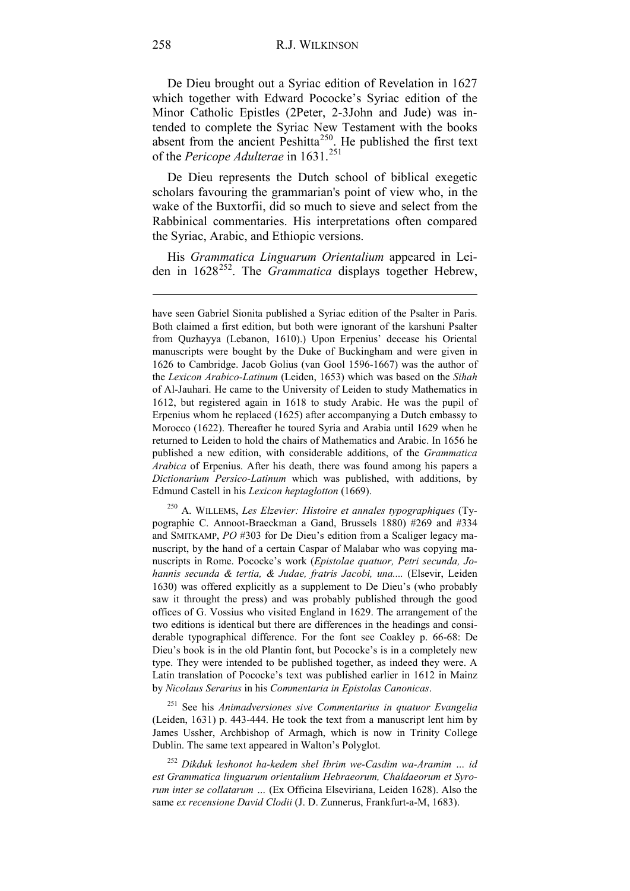De Dieu brought out a Syriac edition of Revelation in 1627 which together with Edward Pococke's Syriac edition of the Minor Catholic Epistles (2Peter, 2-3John and Jude) was intended to complete the Syriac New Testament with the books absent from the ancient Peshitta<sup>250</sup>. He published the first text of the *Pericope Adulterae* in 1631.[251](#page-89-1)

De Dieu represents the Dutch school of biblical exegetic scholars favouring the grammarian's point of view who, in the wake of the Buxtorfii, did so much to sieve and select from the Rabbinical commentaries. His interpretations often compared the Syriac, Arabic, and Ethiopic versions.

His *Grammatica Linguarum Orientalium* appeared in Lei-den in 1628<sup>[252](#page-89-2)</sup>. The *Grammatica* displays together Hebrew,

<span id="page-89-0"></span><sup>250</sup> A. WILLEMS, *Les Elzevier: Histoire et annales typographiques* (Typographie C. Annoot-Braeckman a Gand, Brussels 1880) #269 and #334 and SMITKAMP, *PO* #303 for De Dieu's edition from a Scaliger legacy manuscript, by the hand of a certain Caspar of Malabar who was copying manuscripts in Rome. Pococke's work (*Epistolae quatuor, Petri secunda, Johannis secunda & tertia, & Judae, fratris Jacobi, una....* (Elsevir, Leiden 1630) was offered explicitly as a supplement to De Dieu's (who probably saw it throught the press) and was probably published through the good offices of G. Vossius who visited England in 1629. The arrangement of the two editions is identical but there are differences in the headings and considerable typographical difference. For the font see Coakley p. 66-68: De Dieu's book is in the old Plantin font, but Pococke's is in a completely new type. They were intended to be published together, as indeed they were. A Latin translation of Pococke's text was published earlier in 1612 in Mainz by *Nicolaus Serarius* in his *Commentaria in Epistolas Canonicas*.

<span id="page-89-1"></span><sup>251</sup> See his *Animadversiones sive Commentarius in quatuor Evangelia* (Leiden, 1631) p. 443-444. He took the text from a manuscript lent him by James Ussher, Archbishop of Armagh, which is now in Trinity College Dublin. The same text appeared in Walton's Polyglot.

<span id="page-89-2"></span><sup>252</sup> *Dikduk leshonot ha-kedem shel Ibrim we-Casdim wa-Aramim … id est Grammatica linguarum orientalium Hebraeorum, Chaldaeorum et Syrorum inter se collatarum …* (Ex Officina Elseviriana, Leiden 1628). Also the same *ex recensione David Clodii* (J. D. Zunnerus, Frankfurt-a-M, 1683).

have seen Gabriel Sionita published a Syriac edition of the Psalter in Paris. Both claimed a first edition, but both were ignorant of the karshuni Psalter from Quzhayya (Lebanon, 1610).) Upon Erpenius' decease his Oriental manuscripts were bought by the Duke of Buckingham and were given in 1626 to Cambridge. Jacob Golius (van Gool 1596-1667) was the author of the *Lexicon Arabico-Latinum* (Leiden, 1653) which was based on the *Sihah* of Al-Jauhari. He came to the University of Leiden to study Mathematics in 1612, but registered again in 1618 to study Arabic. He was the pupil of Erpenius whom he replaced (1625) after accompanying a Dutch embassy to Morocco (1622). Thereafter he toured Syria and Arabia until 1629 when he returned to Leiden to hold the chairs of Mathematics and Arabic. In 1656 he published a new edition, with considerable additions, of the *Grammatica Arabica* of Erpenius. After his death, there was found among his papers a *Dictionarium Persico-Latinum* which was published, with additions, by Edmund Castell in his *Lexicon heptaglotton* (1669).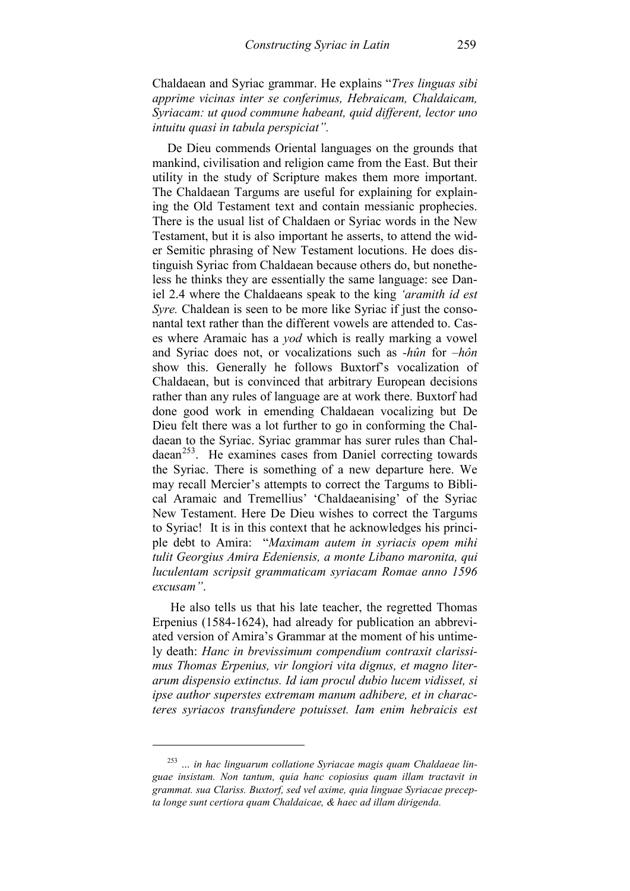Chaldaean and Syriac grammar. He explains "*Tres linguas sibi apprime vicinas inter se conferimus, Hebraicam, Chaldaicam, Syriacam: ut quod commune habeant, quid different, lector uno intuitu quasi in tabula perspiciat".*

De Dieu commends Oriental languages on the grounds that mankind, civilisation and religion came from the East. But their utility in the study of Scripture makes them more important. The Chaldaean Targums are useful for explaining for explaining the Old Testament text and contain messianic prophecies. There is the usual list of Chaldaen or Syriac words in the New Testament, but it is also important he asserts, to attend the wider Semitic phrasing of New Testament locutions. He does distinguish Syriac from Chaldaean because others do, but nonetheless he thinks they are essentially the same language: see Daniel 2.4 where the Chaldaeans speak to the king *'aramith id est Syre.* Chaldean is seen to be more like Syriac if just the consonantal text rather than the different vowels are attended to. Cases where Aramaic has a *yod* which is really marking a vowel and Syriac does not, or vocalizations such as *-hûn* for *–hôn* show this. Generally he follows Buxtorf's vocalization of Chaldaean, but is convinced that arbitrary European decisions rather than any rules of language are at work there. Buxtorf had done good work in emending Chaldaean vocalizing but De Dieu felt there was a lot further to go in conforming the Chaldaean to the Syriac. Syriac grammar has surer rules than Chal $daean<sup>253</sup>$ . He examines cases from Daniel correcting towards the Syriac. There is something of a new departure here. We may recall Mercier's attempts to correct the Targums to Biblical Aramaic and Tremellius' 'Chaldaeanising' of the Syriac New Testament. Here De Dieu wishes to correct the Targums to Syriac! It is in this context that he acknowledges his principle debt to Amira: "*Maximam autem in syriacis opem mihi tulit Georgius Amira Edeniensis, a monte Libano maronita, qui luculentam scripsit grammaticam syriacam Romae anno 1596 excusam"*.

He also tells us that his late teacher, the regretted Thomas Erpenius (1584-1624), had already for publication an abbreviated version of Amira's Grammar at the moment of his untimely death: *Hanc in brevissimum compendium contraxit clarissimus Thomas Erpenius, vir longiori vita dignus, et magno literarum dispensio extinctus. Id iam procul dubio lucem vidisset, si ipse author superstes extremam manum adhibere, et in characteres syriacos transfundere potuisset. Iam enim hebraicis est* 

<span id="page-90-0"></span><sup>253</sup> *… in hac linguarum collatione Syriacae magis quam Chaldaeae linguae insistam. Non tantum, quia hanc copiosius quam illam tractavit in grammat. sua Clariss. Buxtorf, sed vel axime, quia linguae Syriacae precepta longe sunt certiora quam Chaldaicae, & haec ad illam dirigenda.*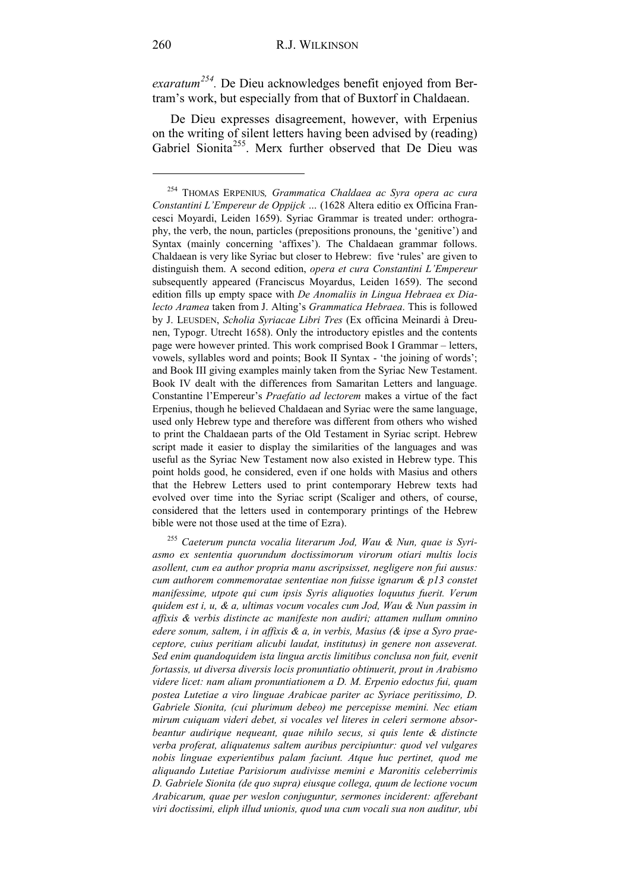*exaratum[254](#page-91-0).* De Dieu acknowledges benefit enjoyed from Bertram's work, but especially from that of Buxtorf in Chaldaean.

De Dieu expresses disagreement, however, with Erpenius on the writing of silent letters having been advised by (reading) Gabriel Sionita<sup>[255](#page-91-1)</sup>. Merx further observed that De Dieu was

<span id="page-91-1"></span><sup>255</sup> *Caeterum puncta vocalia literarum Jod, Wau & Nun, quae is Syriasmo ex sententia quorundum doctissimorum virorum otiari multis locis asollent, cum ea author propria manu ascripsisset, negligere non fui ausus: cum authorem commemoratae sententiae non fuisse ignarum & p13 constet manifessime, utpote qui cum ipsis Syris aliquoties loquutus fuerit. Verum quidem est i, u, & a, ultimas vocum vocales cum Jod, Wau & Nun passim in affixis & verbis distincte ac manifeste non audiri; attamen nullum omnino edere sonum, saltem, i in affixis & a, in verbis, Masius (& ipse a Syro praeceptore, cuius peritiam alicubi laudat, institutus) in genere non asseverat. Sed enim quandoquidem ista lingua arctis limitibus conclusa non fuit, evenit fortassis, ut diversa diversis locis pronuntiatio obtinuerit, prout in Arabismo videre licet: nam aliam pronuntiationem a D. M. Erpenio edoctus fui, quam postea Lutetiae a viro linguae Arabicae pariter ac Syriace peritissimo, D. Gabriele Sionita, (cui plurimum debeo) me percepisse memini. Nec etiam mirum cuiquam videri debet, si vocales vel literes in celeri sermone absorbeantur audirique nequeant, quae nihilo secus, si quis lente & distincte verba proferat, aliquatenus saltem auribus percipiuntur: quod vel vulgares nobis linguae experientibus palam faciunt. Atque huc pertinet, quod me aliquando Lutetiae Parisiorum audivisse memini e Maronitis celeberrimis D. Gabriele Sionita (de quo supra) eiusque collega, quum de lectione vocum Arabicarum, quae per weslon conjuguntur, sermones inciderent: afferebant viri doctissimi, eliph illud unionis, quod una cum vocali sua non auditur, ubi* 

<u>.</u>

<span id="page-91-0"></span><sup>254</sup> THOMAS ERPENIUS*, Grammatica Chaldaea ac Syra opera ac cura Constantini L'Empereur de Oppijck …* (1628 Altera editio ex Officina Francesci Moyardi, Leiden 1659). Syriac Grammar is treated under: orthography, the verb, the noun, particles (prepositions pronouns, the 'genitive') and Syntax (mainly concerning 'affixes'). The Chaldaean grammar follows. Chaldaean is very like Syriac but closer to Hebrew: five 'rules' are given to distinguish them. A second edition, *opera et cura Constantini L'Empereur* subsequently appeared (Franciscus Moyardus, Leiden 1659). The second edition fills up empty space with *De Anomaliis in Lingua Hebraea ex Dialecto Aramea* taken from J. Alting's *Grammatica Hebraea*. This is followed by J. LEUSDEN, *Scholia Syriacae Libri Tres* (Ex officina Meinardi à Dreunen, Typogr. Utrecht 1658). Only the introductory epistles and the contents page were however printed. This work comprised Book I Grammar – letters, vowels, syllables word and points; Book II Syntax - 'the joining of words'; and Book III giving examples mainly taken from the Syriac New Testament. Book IV dealt with the differences from Samaritan Letters and language. Constantine l'Empereur's *Praefatio ad lectorem* makes a virtue of the fact Erpenius, though he believed Chaldaean and Syriac were the same language, used only Hebrew type and therefore was different from others who wished to print the Chaldaean parts of the Old Testament in Syriac script. Hebrew script made it easier to display the similarities of the languages and was useful as the Syriac New Testament now also existed in Hebrew type. This point holds good, he considered, even if one holds with Masius and others that the Hebrew Letters used to print contemporary Hebrew texts had evolved over time into the Syriac script (Scaliger and others, of course, considered that the letters used in contemporary printings of the Hebrew bible were not those used at the time of Ezra).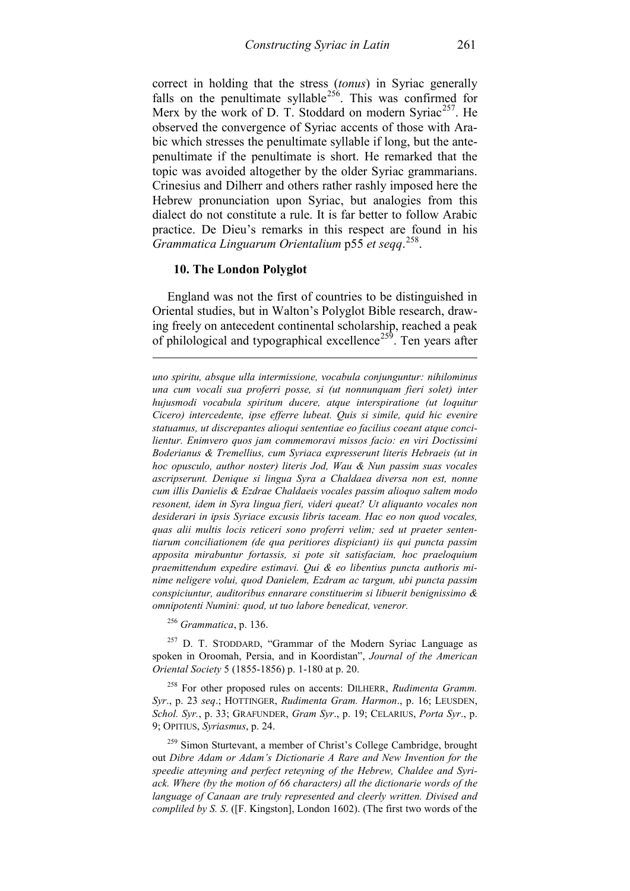correct in holding that the stress (*tonus*) in Syriac generally falls on the penultimate syllable<sup>256</sup>. This was confirmed for Merx by the work of D. T. Stoddard on modern Syriac<sup>[257](#page-92-1)</sup>. He observed the convergence of Syriac accents of those with Arabic which stresses the penultimate syllable if long, but the antepenultimate if the penultimate is short. He remarked that the topic was avoided altogether by the older Syriac grammarians. Crinesius and Dilherr and others rather rashly imposed here the Hebrew pronunciation upon Syriac, but analogies from this dialect do not constitute a rule. It is far better to follow Arabic practice. De Dieu's remarks in this respect are found in his *Grammatica Linguarum Orientalium* p55 *et seqq*. [258](#page-92-2).

#### **10. The London Polyglot**

-

England was not the first of countries to be distinguished in Oriental studies, but in Walton's Polyglot Bible research, drawing freely on antecedent continental scholarship, reached a peak of philological and typographical excellence<sup>[259](#page-92-3)</sup>. Ten years after

*uno spiritu, absque ulla intermissione, vocabula conjunguntur: nihilominus una cum vocali sua proferri posse, si (ut nonnunquam fieri solet) inter hujusmodi vocabula spiritum ducere, atque interspiratione (ut loquitur Cicero) intercedente, ipse efferre lubeat. Quis si simile, quid hic evenire statuamus, ut discrepantes alioqui sententiae eo facilius coeant atque concilientur. Enimvero quos jam commemoravi missos facio: en viri Doctissimi Boderianus & Tremellius, cum Syriaca expresserunt literis Hebraeis (ut in hoc opusculo, author noster) literis Jod, Wau & Nun passim suas vocales ascripserunt. Denique si lingua Syra a Chaldaea diversa non est, nonne cum illis Danielis & Ezdrae Chaldaeis vocales passim alioquo saltem modo resonent, idem in Syra lingua fieri, videri queat? Ut aliquanto vocales non desiderari in ipsis Syriace excusis libris taceam. Hac eo non quod vocales, quas alii multis locis reticeri sono proferri velim; sed ut praeter sententiarum conciliationem (de qua peritiores dispiciant) iis qui puncta passim apposita mirabuntur fortassis, si pote sit satisfaciam, hoc praeloquium praemittendum expedire estimavi. Qui & eo libentius puncta authoris minime neligere volui, quod Danielem, Ezdram ac targum, ubi puncta passim conspiciuntur, auditoribus ennarare constituerim si libuerit benignissimo & omnipotenti Numini: quod, ut tuo labore benedicat, veneror.*

<sup>256</sup> *Grammatica*, p. 136.

<span id="page-92-1"></span><span id="page-92-0"></span><sup>257</sup> D. T. STODDARD, "Grammar of the Modern Syriac Language as spoken in Oroomah, Persia, and in Koordistan", *Journal of the American Oriental Society* 5 (1855-1856) p. 1-180 at p. 20.

<span id="page-92-2"></span><sup>258</sup> For other proposed rules on accents: DILHERR, *Rudimenta Gramm. Syr*., p. 23 *seq*.; HOTTINGER, *Rudimenta Gram. Harmon*., p. 16; LEUSDEN, *Schol. Syr.*, p. 33; GRAFUNDER, *Gram Syr*., p. 19; CELARIUS, *Porta Syr*., p. 9; OPITIUS, *Syriasmus*, p. 24.

<span id="page-92-3"></span><sup>259</sup> Simon Sturtevant, a member of Christ's College Cambridge, brought out *Dibre Adam or Adam's Dictionarie A Rare and New Invention for the speedie atteyning and perfect reteyning of the Hebrew, Chaldee and Syriack. Where (by the motion of 66 characters) all the dictionarie words of the language of Canaan are truly represented and cleerly written. Divised and compliled by S. S*. ([F. Kingston], London 1602). (The first two words of the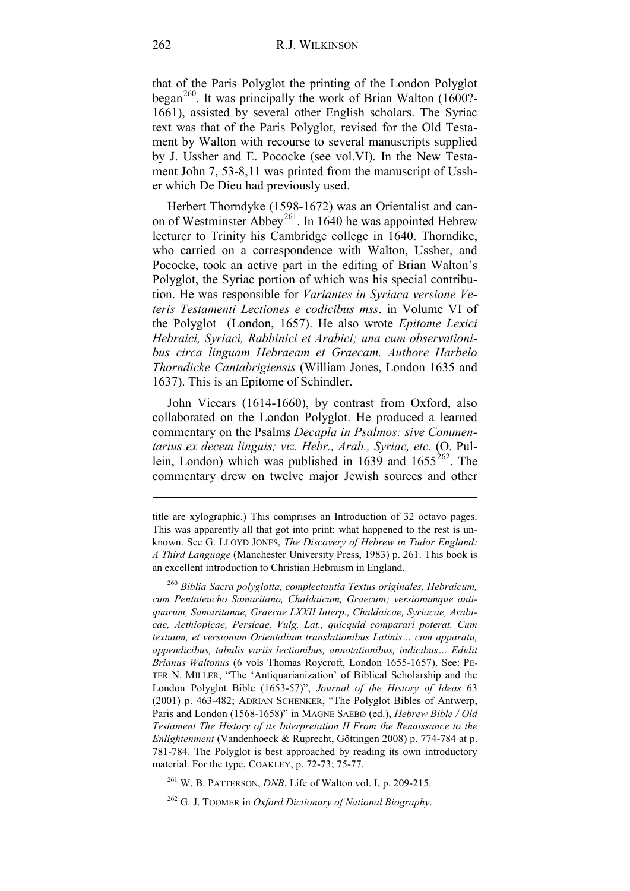that of the Paris Polyglot the printing of the London Polyglot began<sup>[260](#page-93-0)</sup>. It was principally the work of Brian Walton  $(1600)$ <sup>2</sup>-1661), assisted by several other English scholars. The Syriac text was that of the Paris Polyglot, revised for the Old Testament by Walton with recourse to several manuscripts supplied by J. Ussher and E. Pococke (see vol.VI). In the New Testament John 7, 53-8,11 was printed from the manuscript of Ussher which De Dieu had previously used.

Herbert Thorndyke (1598-1672) was an Orientalist and canon of Westminster Abbey<sup>261</sup>. In 1640 he was appointed Hebrew lecturer to Trinity his Cambridge college in 1640. Thorndike, who carried on a correspondence with Walton, Ussher, and Pococke, took an active part in the editing of Brian Walton's Polyglot, the Syriac portion of which was his special contribution. He was responsible for *Variantes in Syriaca versione Veteris Testamenti Lectiones e codicibus mss*. in Volume VI of the Polyglot (London, 1657). He also wrote *Epitome Lexici Hebraici, Syriaci, Rabbinici et Arabici; una cum observationibus circa linguam Hebraeam et Graecam. Authore Harbelo Thorndicke Cantabrigiensis* (William Jones, London 1635 and 1637). This is an Epitome of Schindler.

John Viccars (1614-1660), by contrast from Oxford, also collaborated on the London Polyglot. He produced a learned commentary on the Psalms *Decapla in Psalmos: sive Commentarius ex decem linguis; viz. Hebr., Arab., Syriac, etc.* (O. Pullein, London) which was published in 1639 and  $1655^{262}$  $1655^{262}$  $1655^{262}$ . The commentary drew on twelve major Jewish sources and other

<sup>261</sup> W. B. PATTERSON, *DNB*. Life of Walton vol. I, p. 209-215.

<span id="page-93-2"></span><span id="page-93-1"></span><sup>262</sup> G. J. TOOMER in *Oxford Dictionary of National Biography*.

title are xylographic.) This comprises an Introduction of 32 octavo pages. This was apparently all that got into print: what happened to the rest is unknown. See G. LLOYD JONES, *The Discovery of Hebrew in Tudor England: A Third Language* (Manchester University Press, 1983) p. 261. This book is an excellent introduction to Christian Hebraism in England.

<span id="page-93-0"></span><sup>260</sup> *Biblia Sacra polyglotta, complectantia Textus originales, Hebraicum, cum Pentateucho Samaritano, Chaldaicum, Graecum; versionumque antiquarum, Samaritanae, Graecae LXXII Interp., Chaldaicae, Syriacae, Arabicae, Aethiopicae, Persicae, Vulg. Lat., quicquid comparari poterat. Cum textuum, et versionum Orientalium translationibus Latinis… cum apparatu, appendicibus, tabulis variis lectionibus, annotationibus, indicibus… Edidit Brianus Waltonus* (6 vols Thomas Roycroft, London 1655-1657). See: PE-TER N. MILLER, "The 'Antiquarianization' of Biblical Scholarship and the London Polyglot Bible (1653-57)", *Journal of the History of Ideas* 63 (2001) p. 463-482; ADRIAN SCHENKER, "The Polyglot Bibles of Antwerp, Paris and London (1568-1658)" in MAGNE SAEBØ (ed.), *Hebrew Bible / Old Testament The History of its Interpretation II From the Renaissance to the Enlightenment* (Vandenhoeck & Ruprecht, Göttingen 2008) p. 774-784 at p. 781-784. The Polyglot is best approached by reading its own introductory material. For the type, COAKLEY, p. 72-73; 75-77.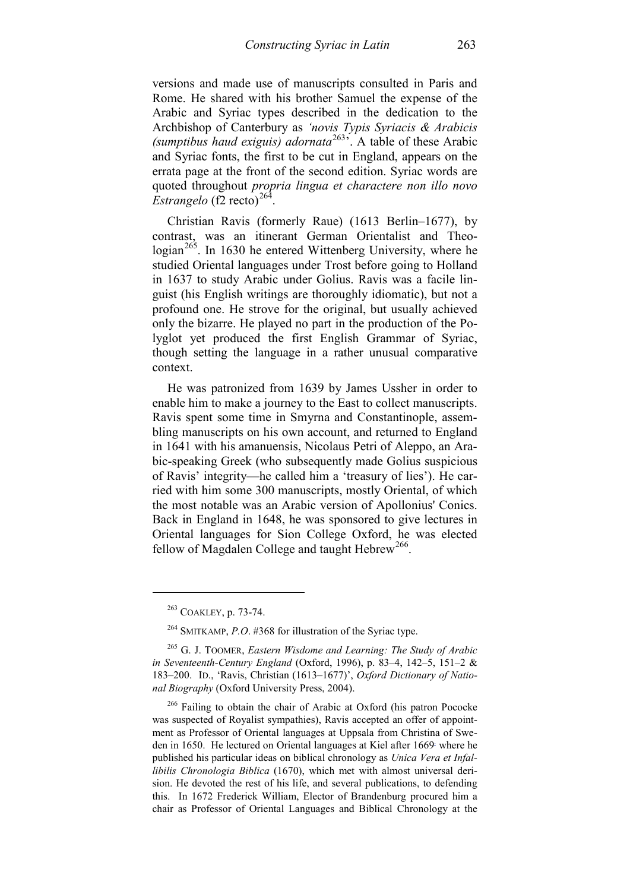versions and made use of manuscripts consulted in Paris and Rome. He shared with his brother Samuel the expense of the Arabic and Syriac types described in the dedication to the Archbishop of Canterbury as *'novis Typis Syriacis & Arabicis (sumptibus haud exiguis) adornata*[263'](#page-94-0). A table of these Arabic and Syriac fonts, the first to be cut in England, appears on the errata page at the front of the second edition. Syriac words are quoted throughout *propria lingua et charactere non illo novo*   $Estrangelo$  (f2 recto)<sup>[264](#page-94-1)</sup>

Christian Ravis (formerly Raue) (1613 Berlin–1677), by contrast, was an itinerant German Orientalist and Theo- $\log_{10}^{265}$ . In 1630 he entered Wittenberg University, where he studied Oriental languages under Trost before going to Holland in 1637 to study Arabic under Golius. Ravis was a facile linguist (his English writings are thoroughly idiomatic), but not a profound one. He strove for the original, but usually achieved only the bizarre. He played no part in the production of the Polyglot yet produced the first English Grammar of Syriac, though setting the language in a rather unusual comparative context.

He was patronized from 1639 by James Ussher in order to enable him to make a journey to the East to collect manuscripts. Ravis spent some time in Smyrna and Constantinople, assembling manuscripts on his own account, and returned to England in 1641 with his amanuensis, Nicolaus Petri of Aleppo, an Arabic-speaking Greek (who subsequently made Golius suspicious of Ravis' integrity—he called him a 'treasury of lies'). He carried with him some 300 manuscripts, mostly Oriental, of which the most notable was an Arabic version of Apollonius' Conics. Back in England in 1648, he was sponsored to give lectures in Oriental languages for Sion College Oxford, he was elected fellow of Magdalen College and taught  $Hebrew^{266}$  $Hebrew^{266}$  $Hebrew^{266}$ .

<sup>263</sup> COAKLEY, p. 73-74.

<sup>264</sup> SMITKAMP, *P.O*. #368 for illustration of the Syriac type.

<span id="page-94-2"></span><span id="page-94-1"></span><span id="page-94-0"></span><sup>265</sup> G. J. TOOMER, *Eastern Wisdome and Learning: The Study of Arabic in Seventeenth-Century England* (Oxford, 1996), p. 83–4, 142–5, 151–2 & 183–200. ID., 'Ravis, Christian (1613–1677)', *Oxford Dictionary of National Biography* (Oxford University Press, 2004).

<span id="page-94-3"></span><sup>&</sup>lt;sup>266</sup> Failing to obtain the chair of Arabic at Oxford (his patron Pococke was suspected of Royalist sympathies), Ravis accepted an offer of appointment as Professor of Oriental languages at Uppsala from Christina of Sweden in 1650. He lectured on Oriental languages at Kiel after 1669. where he published his particular ideas on biblical chronology as *Unica Vera et Infallibilis Chronologia Biblica* (1670), which met with almost universal derision. He devoted the rest of his life, and several publications, to defending this. In 1672 Frederick William, Elector of Brandenburg procured him a chair as Professor of Oriental Languages and Biblical Chronology at the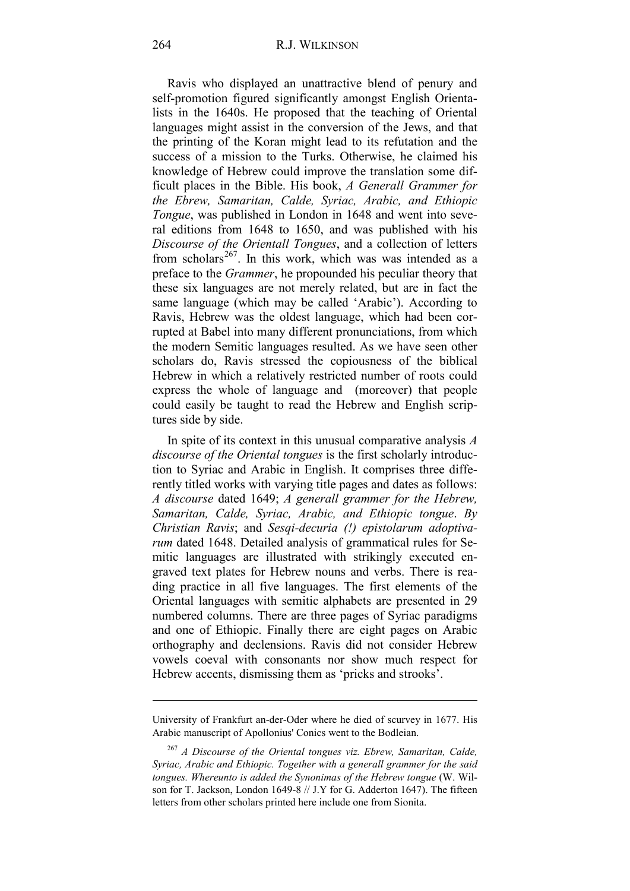Ravis who displayed an unattractive blend of penury and self-promotion figured significantly amongst English Orientalists in the 1640s. He proposed that the teaching of Oriental languages might assist in the conversion of the Jews, and that the printing of the Koran might lead to its refutation and the success of a mission to the Turks. Otherwise, he claimed his knowledge of Hebrew could improve the translation some difficult places in the Bible. His book, *A Generall Grammer for the Ebrew, Samaritan, Calde, Syriac, Arabic, and Ethiopic Tongue*, was published in London in 1648 and went into several editions from 1648 to 1650, and was published with his *Discourse of the Orientall Tongues*, and a collection of letters from scholars<sup>267</sup>. In this work, which was was intended as a preface to the *Grammer*, he propounded his peculiar theory that these six languages are not merely related, but are in fact the same language (which may be called 'Arabic'). According to Ravis, Hebrew was the oldest language, which had been corrupted at Babel into many different pronunciations, from which the modern Semitic languages resulted. As we have seen other scholars do, Ravis stressed the copiousness of the biblical Hebrew in which a relatively restricted number of roots could express the whole of language and (moreover) that people could easily be taught to read the Hebrew and English scriptures side by side.

In spite of its context in this unusual comparative analysis *A discourse of the Oriental tongues* is the first scholarly introduction to Syriac and Arabic in English. It comprises three differently titled works with varying title pages and dates as follows: *A discourse* dated 1649; *A generall grammer for the Hebrew, Samaritan, Calde, Syriac, Arabic, and Ethiopic tongue*. *By Christian Ravis*; and *Sesqi-decuria (!) epistolarum adoptivarum* dated 1648. Detailed analysis of grammatical rules for Semitic languages are illustrated with strikingly executed engraved text plates for Hebrew nouns and verbs. There is reading practice in all five languages. The first elements of the Oriental languages with semitic alphabets are presented in 29 numbered columns. There are three pages of Syriac paradigms and one of Ethiopic. Finally there are eight pages on Arabic orthography and declensions. Ravis did not consider Hebrew vowels coeval with consonants nor show much respect for Hebrew accents, dismissing them as 'pricks and strooks'.

University of Frankfurt an-der-Oder where he died of scurvey in 1677. His Arabic manuscript of Apollonius' Conics went to the Bodleian.

<span id="page-95-0"></span><sup>267</sup> *A Discourse of the Oriental tongues viz. Ebrew, Samaritan, Calde, Syriac, Arabic and Ethiopic. Together with a generall grammer for the said tongues. Whereunto is added the Synonimas of the Hebrew tongue* (W. Wilson for T. Jackson, London 1649-8 // J.Y for G. Adderton 1647). The fifteen letters from other scholars printed here include one from Sionita.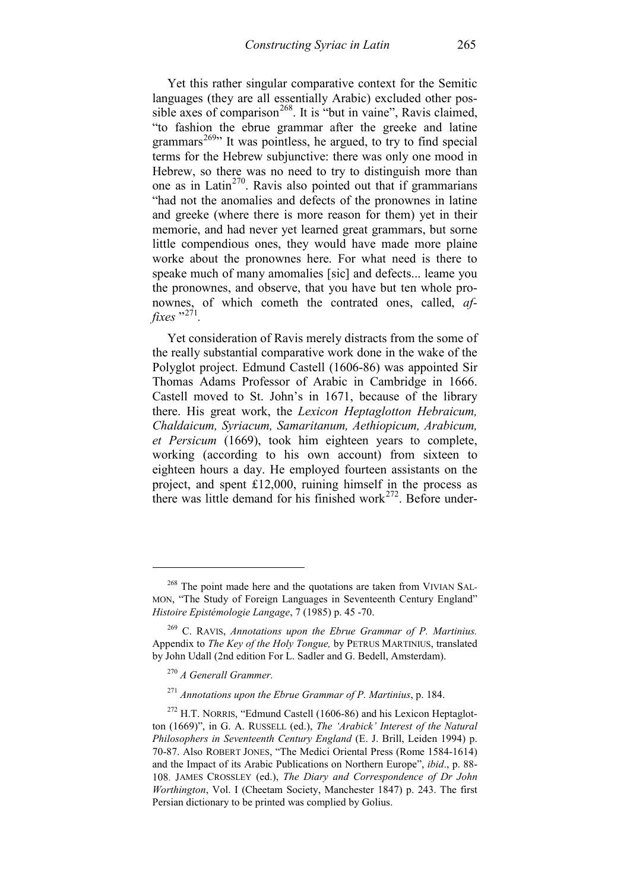Yet this rather singular comparative context for the Semitic languages (they are all essentially Arabic) excluded other possible axes of comparison<sup>268</sup>. It is "but in vaine", Ravis claimed, "to fashion the ebrue grammar after the greeke and latine grammars<sup>269</sup> $\cdot$  It was pointless, he argued, to try to find special terms for the Hebrew subjunctive: there was only one mood in Hebrew, so there was no need to try to distinguish more than one as in Latin<sup>270</sup>. Ravis also pointed out that if grammarians "had not the anomalies and defects of the pronownes in latine and greeke (where there is more reason for them) yet in their memorie, and had never yet learned great grammars, but sorne little compendious ones, they would have made more plaine worke about the pronownes here. For what need is there to speake much of many amomalies [sic] and defects... leame you the pronownes, and observe, that you have but ten whole pronownes, of which cometh the contrated ones, called, *affixes* "<sup>[271](#page-96-3)</sup>

Yet consideration of Ravis merely distracts from the some of the really substantial comparative work done in the wake of the Polyglot project. Edmund Castell (1606-86) was appointed Sir Thomas Adams Professor of Arabic in Cambridge in 1666. Castell moved to St. John's in 1671, because of the library there. His great work, the *Lexicon Heptaglotton Hebraicum, Chaldaicum, Syriacum, Samaritanum, Aethiopicum, Arabicum, et Persicum* (1669), took him eighteen years to complete, working (according to his own account) from sixteen to eighteen hours a day. He employed fourteen assistants on the project, and spent £12,000, ruining himself in the process as there was little demand for his finished work $^{272}$  $^{272}$  $^{272}$ . Before under-

<span id="page-96-0"></span><sup>&</sup>lt;sup>268</sup> The point made here and the quotations are taken from VIVIAN SAL-MON, "The Study of Foreign Languages in Seventeenth Century England" *Histoire Epistémologie Langage*, 7 (1985) p. 45 -70.

<span id="page-96-1"></span><sup>269</sup> C. RAVIS, *Annotations upon the Ebrue Grammar of P. Martinius.* Appendix to *The Key of the Holy Tongue,* by PETRUS MARTINIUS, translated by John Udall (2nd edition For L. Sadler and G. Bedell, Amsterdam).

<sup>270</sup> *A Generall Grammer.* 

<sup>271</sup> *Annotations upon the Ebrue Grammar of P. Martinius*, p. 184.

<span id="page-96-4"></span><span id="page-96-3"></span><span id="page-96-2"></span> $272$  H.T. NORRIS, "Edmund Castell (1606-86) and his Lexicon Heptaglotton (1669)", in G. A. RUSSELL (ed.), *The 'Arabick' Interest of the Natural Philosophers in Seventeenth Century England* (E. J. Brill, Leiden 1994) p. 70-87. Also ROBERT JONES, "The Medici Oriental Press (Rome 1584-1614) and the Impact of its Arabic Publications on Northern Europe", *ibid*., p. 88- 108. JAMES CROSSLEY (ed.), *The Diary and Correspondence of Dr John Worthington*, Vol. I (Cheetam Society, Manchester 1847) p. 243. The first Persian dictionary to be printed was complied by Golius.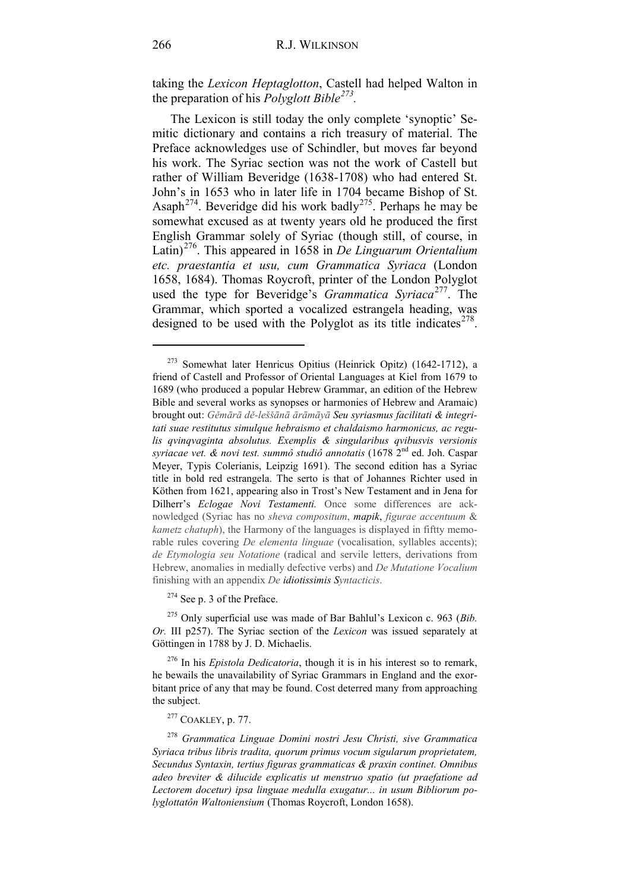taking the *Lexicon Heptaglotton*, Castell had helped Walton in the preparation of his *Polyglott Bible[273](#page-97-0).*

The Lexicon is still today the only complete 'synoptic' Semitic dictionary and contains a rich treasury of material. The Preface acknowledges use of Schindler, but moves far beyond his work. The Syriac section was not the work of Castell but rather of William Beveridge (1638-1708) who had entered St. John's in 1653 who in later life in 1704 became Bishop of St. Asaph<sup>[274](#page-97-1)</sup>. Beveridge did his work badly<sup>[275](#page-97-2)</sup>. Perhaps he may be somewhat excused as at twenty years old he produced the first English Grammar solely of Syriac (though still, of course, in Latin)[276](#page-97-3). This appeared in 1658 in *De Linguarum Orientalium etc. praestantia et usu, cum Grammatica Syriaca* (London 1658, 1684). Thomas Roycroft, printer of the London Polyglot used the type for Beveridge's *Grammatica Syriaca*<sup>[277](#page-97-4)</sup>. The Grammar, which sported a vocalized estrangela heading, was designed to be used with the Polyglot as its title indicates $278$ .

<sup>274</sup> See p. 3 of the Preface.

<span id="page-97-2"></span><span id="page-97-1"></span><sup>275</sup> Only superficial use was made of Bar Bahlul's Lexicon c. 963 (*Bib. Or.* III p257). The Syriac section of the *Lexicon* was issued separately at Göttingen in 1788 by J. D. Michaelis.

<span id="page-97-3"></span><sup>276</sup> In his *Epistola Dedicatoria*, though it is in his interest so to remark, he bewails the unavailability of Syriac Grammars in England and the exorbitant price of any that may be found. Cost deterred many from approaching the subject.

<sup>277</sup> COAKLEY, p. 77.

<span id="page-97-5"></span><span id="page-97-4"></span><sup>278</sup> *Grammatica Linguae Domini nostri Jesu Christi, sive Grammatica Syriaca tribus libris tradita, quorum primus vocum sigularum proprietatem, Secundus Syntaxin, tertius figuras grammaticas & praxin continet. Omnibus adeo breviter & dilucide explicatis ut menstruo spatio (ut praefatione ad Lectorem docetur) ipsa linguae medulla exugatur... in usum Bibliorum polyglottatôn Waltoniensium* (Thomas Roycroft, London 1658).

<span id="page-97-0"></span><sup>273</sup> Somewhat later Henricus Opitius (Heinrick Opitz) (1642-1712), a friend of Castell and Professor of Oriental Languages at Kiel from 1679 to 1689 (who produced a popular Hebrew Grammar, an edition of the Hebrew Bible and several works as synopses or harmonies of Hebrew and Aramaic) brought out: *Gěmārā dě-leššānā ārāmāyā Seu syriasmus facilitati & integritati suae restitutus simulque hebraismo et chaldaismo harmonicus, ac regulis qvinqvaginta absolutus. Exemplis & singularibus qvibusvis versionis syriacae vet. & novi test. summô studiô annotatis* (1678 2nd ed. Joh. Caspar Meyer, Typis Colerianis, Leipzig 1691). The second edition has a Syriac title in bold red estrangela. The serto is that of Johannes Richter used in Köthen from 1621, appearing also in Trost's New Testament and in Jena for Dilherr's *Eclogae Novi Testamenti.* Once some differences are acknowledged (Syriac has no *sheva compositum*, *mapik*, *figurae accentuum* & *kametz chatuph*), the Harmony of the languages is displayed in fiftty memorable rules covering *De elementa linguae* (vocalisation, syllables accents); *de Etymologia seu Notatione* (radical and servile letters, derivations from Hebrew, anomalies in medially defective verbs) and *De Mutatione Vocalium* finishing with an appendix *De idiotissimis Syntacticis*.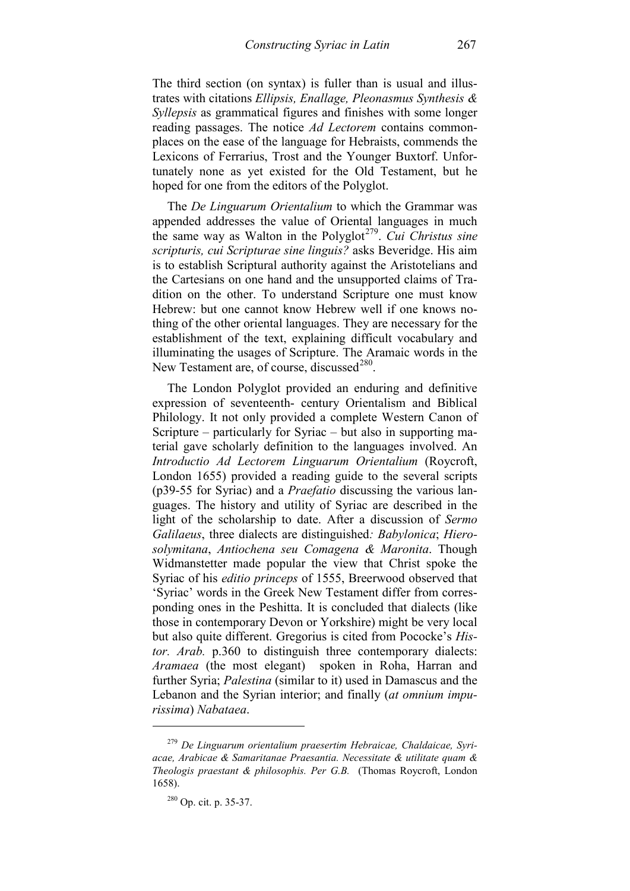The third section (on syntax) is fuller than is usual and illustrates with citations *Ellipsis, Enallage, Pleonasmus Synthesis & Syllepsis* as grammatical figures and finishes with some longer reading passages. The notice *Ad Lectorem* contains commonplaces on the ease of the language for Hebraists, commends the Lexicons of Ferrarius, Trost and the Younger Buxtorf. Unfortunately none as yet existed for the Old Testament, but he hoped for one from the editors of the Polyglot.

The *De Linguarum Orientalium* to which the Grammar was appended addresses the value of Oriental languages in much the same way as Walton in the Polyglot<sup>279</sup>. *Cui Christus sine scripturis, cui Scripturae sine linguis?* asks Beveridge. His aim is to establish Scriptural authority against the Aristotelians and the Cartesians on one hand and the unsupported claims of Tradition on the other. To understand Scripture one must know Hebrew: but one cannot know Hebrew well if one knows nothing of the other oriental languages. They are necessary for the establishment of the text, explaining difficult vocabulary and illuminating the usages of Scripture. The Aramaic words in the New Testament are, of course, discussed $^{280}$  $^{280}$  $^{280}$ .

The London Polyglot provided an enduring and definitive expression of seventeenth- century Orientalism and Biblical Philology. It not only provided a complete Western Canon of Scripture – particularly for Syriac – but also in supporting material gave scholarly definition to the languages involved. An *Introductio Ad Lectorem Linguarum Orientalium* (Roycroft, London 1655) provided a reading guide to the several scripts (p39-55 for Syriac) and a *Praefatio* discussing the various languages. The history and utility of Syriac are described in the light of the scholarship to date. After a discussion of *Sermo Galilaeus*, three dialects are distinguished*: Babylonica*; *Hierosolymitana*, *Antiochena seu Comagena & Maronita*. Though Widmanstetter made popular the view that Christ spoke the Syriac of his *editio princeps* of 1555, Breerwood observed that 'Syriac' words in the Greek New Testament differ from corresponding ones in the Peshitta. It is concluded that dialects (like those in contemporary Devon or Yorkshire) might be very local but also quite different. Gregorius is cited from Pococke's *Histor. Arab.* p.360 to distinguish three contemporary dialects: *Aramaea* (the most elegant) spoken in Roha, Harran and further Syria; *Palestina* (similar to it) used in Damascus and the Lebanon and the Syrian interior; and finally (*at omnium impurissima*) *Nabataea*.

<span id="page-98-1"></span><span id="page-98-0"></span><sup>279</sup> *De Linguarum orientalium praesertim Hebraicae, Chaldaicae, Syriacae, Arabicae & Samaritanae Praesantia. Necessitate & utilitate quam & Theologis praestant & philosophis. Per G.B.* (Thomas Roycroft, London 1658).

<sup>280</sup> Op. cit. p. 35-37.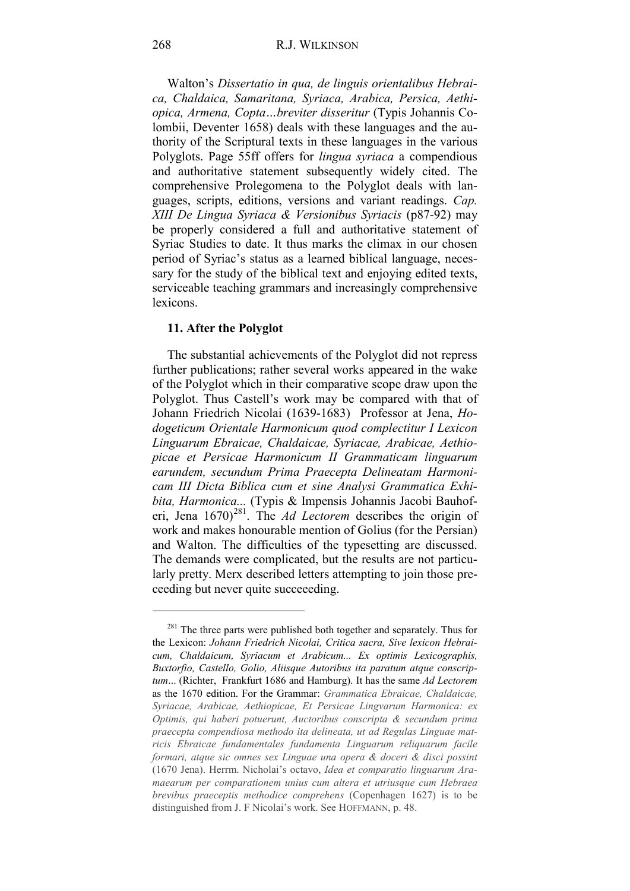Walton's *Dissertatio in qua, de linguis orientalibus Hebraica, Chaldaica, Samaritana, Syriaca, Arabica, Persica, Aethiopica, Armena, Copta…breviter disseritur* (Typis Johannis Colombii, Deventer 1658) deals with these languages and the authority of the Scriptural texts in these languages in the various Polyglots. Page 55ff offers for *lingua syriaca* a compendious and authoritative statement subsequently widely cited. The comprehensive Prolegomena to the Polyglot deals with languages, scripts, editions, versions and variant readings. *Cap. XIII De Lingua Syriaca & Versionibus Syriacis* (p87-92) may be properly considered a full and authoritative statement of Syriac Studies to date. It thus marks the climax in our chosen period of Syriac's status as a learned biblical language, necessary for the study of the biblical text and enjoying edited texts, serviceable teaching grammars and increasingly comprehensive lexicons.

#### **11. After the Polyglot**

The substantial achievements of the Polyglot did not repress further publications; rather several works appeared in the wake of the Polyglot which in their comparative scope draw upon the Polyglot. Thus Castell's work may be compared with that of Johann Friedrich Nicolai (1639-1683) Professor at Jena, *Hodogeticum Orientale Harmonicum quod complectitur I Lexicon Linguarum Ebraicae, Chaldaicae, Syriacae, Arabicae, Aethiopicae et Persicae Harmonicum II Grammaticam linguarum earundem, secundum Prima Praecepta Delineatam Harmonicam III Dicta Biblica cum et sine Analysi Grammatica Exhibita, Harmonica...* (Typis & Impensis Johannis Jacobi Bauhoferi, Jena 1670)[281](#page-99-0). The *Ad Lectorem* describes the origin of work and makes honourable mention of Golius (for the Persian) and Walton. The difficulties of the typesetting are discussed. The demands were complicated, but the results are not particularly pretty. Merx described letters attempting to join those preceeding but never quite succeeeding.

<u>.</u>

<span id="page-99-0"></span> $281$  The three parts were published both together and separately. Thus for the Lexicon: *Johann Friedrich Nicolai, Critica sacra, Sive lexicon Hebraicum, Chaldaicum, Syriacum et Arabicum... Ex optimis Lexicographis, Buxtorfio, Castello, Golio, Aliisque Autoribus ita paratum atque conscriptum*... (Richter, Frankfurt 1686 and Hamburg). It has the same *Ad Lectorem* as the 1670 edition. For the Grammar: *Grammatica Ebraicae, Chaldaicae, Syriacae, Arabicae, Aethiopicae, Et Persicae Lingvarum Harmonica: ex Optimis, qui haberi potuerunt, Auctoribus conscripta & secundum prima praecepta compendiosa methodo ita delineata, ut ad Regulas Linguae matricis Ebraicae fundamentales fundamenta Linguarum reliquarum facile formari, atque sic omnes sex Linguae una opera & doceri & disci possint* (1670 Jena). Herrm. Nicholai's octavo, *Idea et comparatio linguarum Aramaearum per comparationem unius cum altera et utriusque cum Hebraea brevibus praeceptis methodice comprehens* (Copenhagen 1627) is to be distinguished from J. F Nicolai's work. See HOFFMANN, p. 48.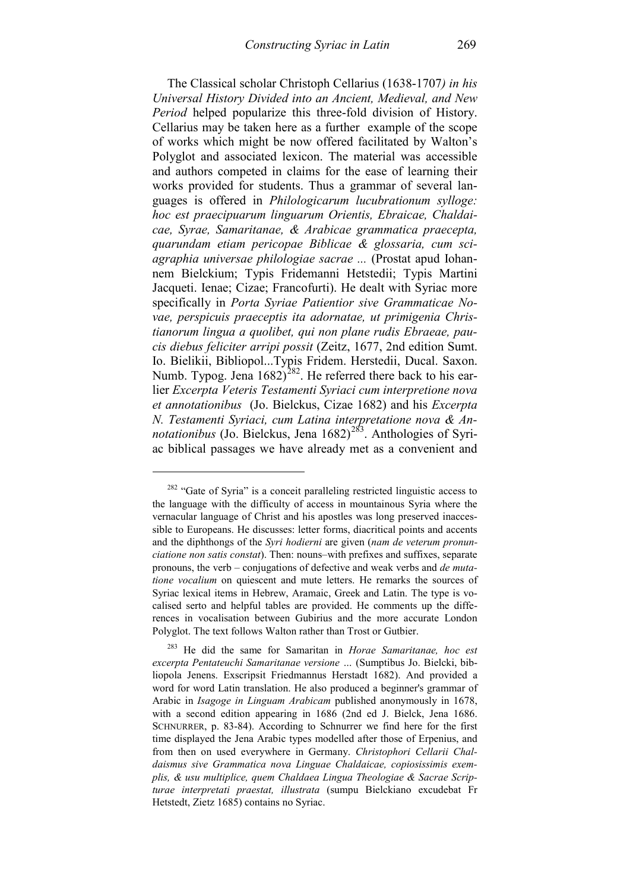The Classical scholar Christoph Cellarius (1638-1707*) in his Universal History Divided into an Ancient, Medieval, and New Period* helped popularize this three-fold division of History. Cellarius may be taken here as a further example of the scope of works which might be now offered facilitated by Walton's Polyglot and associated lexicon. The material was accessible and authors competed in claims for the ease of learning their works provided for students. Thus a grammar of several languages is offered in *Philologicarum lucubrationum sylloge: hoc est praecipuarum linguarum Orientis, Ebraicae, Chaldaicae, Syrae, Samaritanae, & Arabicae grammatica praecepta, quarundam etiam pericopae Biblicae & glossaria, cum sciagraphia universae philologiae sacrae ...* (Prostat apud Iohannem Bielckium; Typis Fridemanni Hetstedii; Typis Martini Jacqueti. Ienae; Cizae; Francofurti). He dealt with Syriac more specifically in *Porta Syriae Patientior sive Grammaticae Novae, perspicuis praeceptis ita adornatae, ut primigenia Christianorum lingua a quolibet, qui non plane rudis Ebraeae, paucis diebus feliciter arripi possit* (Zeitz, 1677, 2nd edition Sumt. Io. Bielikii, Bibliopol...Typis Fridem. Herstedii, Ducal. Saxon. Numb. Typog. Jena  $1682)^{282}$ . He referred there back to his earlier *Excerpta Veteris Testamenti Syriaci cum interpretione nova et annotationibus* (Jo. Bielckus, Cizae 1682) and his *Excerpta N. Testamenti Syriaci, cum Latina interpretatione nova & Annotationibus* (Jo. Bielckus, Jena 1682)<sup>[283](#page-100-1)</sup>. Anthologies of Syriac biblical passages we have already met as a convenient and

<span id="page-100-0"></span><sup>&</sup>lt;sup>282</sup> "Gate of Syria" is a conceit paralleling restricted linguistic access to the language with the difficulty of access in mountainous Syria where the vernacular language of Christ and his apostles was long preserved inaccessible to Europeans. He discusses: letter forms, diacritical points and accents and the diphthongs of the *Syri hodierni* are given (*nam de veterum pronunciatione non satis constat*). Then: nouns–with prefixes and suffixes, separate pronouns, the verb – conjugations of defective and weak verbs and *de mutatione vocalium* on quiescent and mute letters. He remarks the sources of Syriac lexical items in Hebrew, Aramaic, Greek and Latin. The type is vocalised serto and helpful tables are provided. He comments up the differences in vocalisation between Gubirius and the more accurate London Polyglot. The text follows Walton rather than Trost or Gutbier.

<span id="page-100-1"></span><sup>283</sup> He did the same for Samaritan in *Horae Samaritanae, hoc est excerpta Pentateuchi Samaritanae versione …* (Sumptibus Jo. Bielcki, bibliopola Jenens. Exscripsit Friedmannus Herstadt 1682). And provided a word for word Latin translation. He also produced a beginner's grammar of Arabic in *Isagoge in Linguam Arabicam* published anonymously in 1678, with a second edition appearing in 1686 (2nd ed J. Bielck, Jena 1686. SCHNURRER, p. 83-84). According to Schnurrer we find here for the first time displayed the Jena Arabic types modelled after those of Erpenius, and from then on used everywhere in Germany. *Christophori Cellarii Chaldaismus sive Grammatica nova Linguae Chaldaicae, copiosissimis exemplis, & usu multiplice, quem Chaldaea Lingua Theologiae & Sacrae Scripturae interpretati praestat, illustrata* (sumpu Bielckiano excudebat Fr Hetstedt, Zietz 1685) contains no Syriac.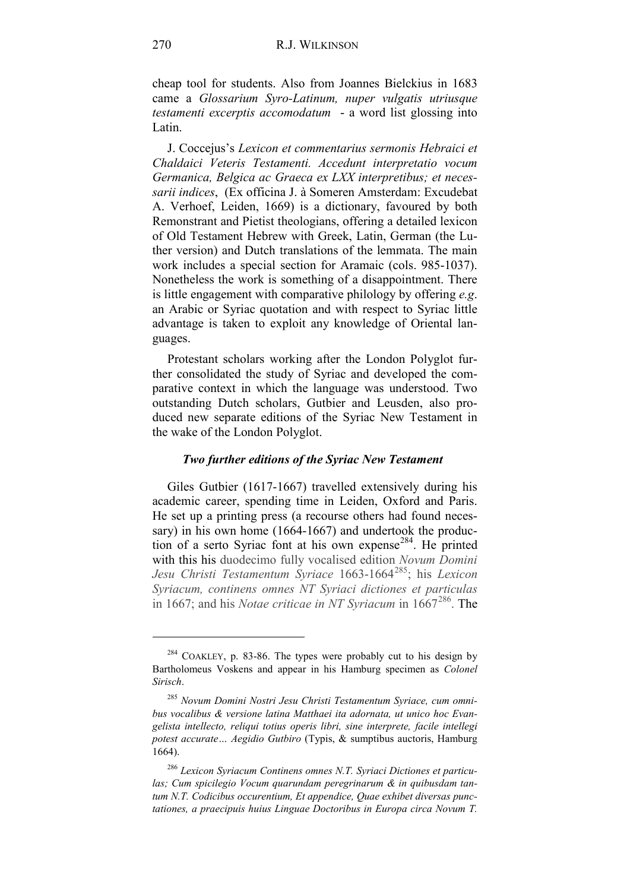# 270 R.J. WILKINSON

cheap tool for students. Also from Joannes Bielckius in 1683 came a *Glossarium Syro-Latinum, nuper vulgatis utriusque testamenti excerptis accomodatum* - a word list glossing into Latin.

J. Coccejus's *Lexicon et commentarius sermonis Hebraici et Chaldaici Veteris Testamenti. Accedunt interpretatio vocum Germanica, Belgica ac Graeca ex LXX interpretibus; et necessarii indices*, (Ex officina J. à Someren Amsterdam: Excudebat A. Verhoef, Leiden, 1669) is a dictionary, favoured by both Remonstrant and Pietist theologians, offering a detailed lexicon of Old Testament Hebrew with Greek, Latin, German (the Luther version) and Dutch translations of the lemmata. The main work includes a special section for Aramaic (cols. 985-1037). Nonetheless the work is something of a disappointment. There is little engagement with comparative philology by offering *e.g*. an Arabic or Syriac quotation and with respect to Syriac little advantage is taken to exploit any knowledge of Oriental languages.

Protestant scholars working after the London Polyglot further consolidated the study of Syriac and developed the comparative context in which the language was understood. Two outstanding Dutch scholars, Gutbier and Leusden, also produced new separate editions of the Syriac New Testament in the wake of the London Polyglot.

## *Two further editions of the Syriac New Testament*

Giles Gutbier (1617-1667) travelled extensively during his academic career, spending time in Leiden, Oxford and Paris. He set up a printing press (a recourse others had found necessary) in his own home (1664-1667) and undertook the production of a serto Syriac font at his own expense<sup>284</sup>. He printed with this his duodecimo fully vocalised edition *Novum Domini Jesu Christi Testamentum Syriace* 1663-1664<sup>[285](#page-101-1)</sup>; his *Lexicon Syriacum, continens omnes NT Syriaci dictiones et particulas* in 1667; and his *Notae criticae in NT Syriacum* in 1667<sup>[286](#page-101-2)</sup>. The

<span id="page-101-0"></span><sup>&</sup>lt;sup>284</sup> COAKLEY, p. 83-86. The types were probably cut to his design by Bartholomeus Voskens and appear in his Hamburg specimen as *Colonel Sirisch*.

<span id="page-101-1"></span><sup>285</sup> *Novum Domini Nostri Jesu Christi Testamentum Syriace, cum omnibus vocalibus & versione latina Matthaei ita adornata, ut unico hoc Evangelista intellecto, reliqui totius operis libri, sine interprete, facile intellegi potest accurate… Aegidio Gutbiro* (Typis, & sumptibus auctoris, Hamburg 1664).

<span id="page-101-2"></span><sup>286</sup> *Lexicon Syriacum Continens omnes N.T. Syriaci Dictiones et particulas; Cum spicilegio Vocum quarundam peregrinarum & in quibusdam tantum N.T. Codicibus occurentium, Et appendice, Quae exhibet diversas punctationes, a praecipuis huius Linguae Doctoribus in Europa circa Novum T.*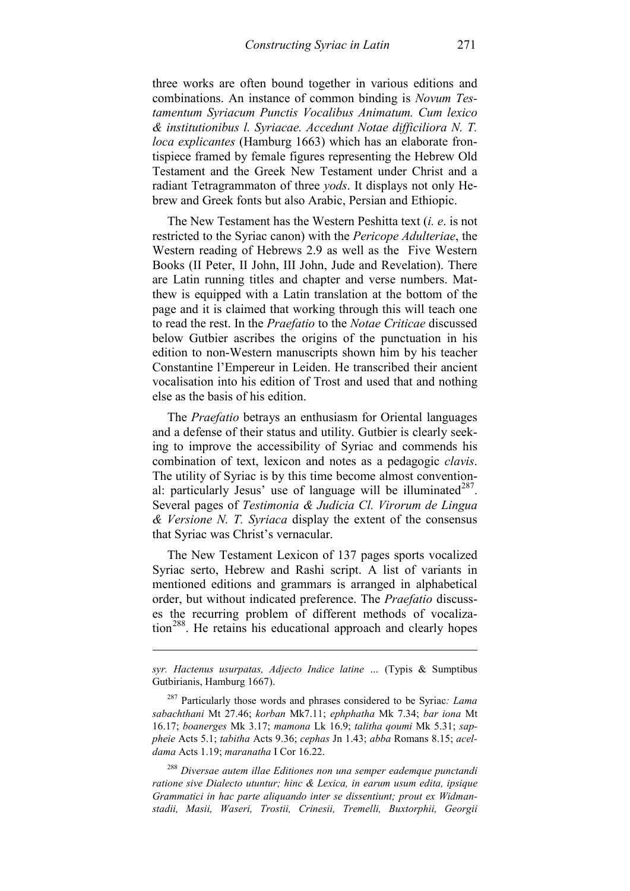three works are often bound together in various editions and combinations. An instance of common binding is *Novum Testamentum Syriacum Punctis Vocalibus Animatum. Cum lexico & institutionibus l. Syriacae. Accedunt Notae difficiliora N. T. loca explicantes* (Hamburg 1663) which has an elaborate frontispiece framed by female figures representing the Hebrew Old Testament and the Greek New Testament under Christ and a radiant Tetragrammaton of three *yods*. It displays not only Hebrew and Greek fonts but also Arabic, Persian and Ethiopic.

The New Testament has the Western Peshitta text (*i. e*. is not restricted to the Syriac canon) with the *Pericope Adulteriae*, the Western reading of Hebrews 2.9 as well as the Five Western Books (II Peter, II John, III John, Jude and Revelation). There are Latin running titles and chapter and verse numbers. Matthew is equipped with a Latin translation at the bottom of the page and it is claimed that working through this will teach one to read the rest. In the *Praefatio* to the *Notae Criticae* discussed below Gutbier ascribes the origins of the punctuation in his edition to non-Western manuscripts shown him by his teacher Constantine l'Empereur in Leiden. He transcribed their ancient vocalisation into his edition of Trost and used that and nothing else as the basis of his edition.

The *Praefatio* betrays an enthusiasm for Oriental languages and a defense of their status and utility. Gutbier is clearly seeking to improve the accessibility of Syriac and commends his combination of text, lexicon and notes as a pedagogic *clavis*. The utility of Syriac is by this time become almost conventional: particularly Jesus' use of language will be illuminated $287$ . Several pages of *Testimonia & Judicia Cl. Virorum de Lingua & Versione N. T. Syriaca* display the extent of the consensus that Syriac was Christ's vernacular.

The New Testament Lexicon of 137 pages sports vocalized Syriac serto, Hebrew and Rashi script. A list of variants in mentioned editions and grammars is arranged in alphabetical order, but without indicated preference. The *Praefatio* discusses the recurring problem of different methods of vocaliza-tion<sup>[288](#page-102-1)</sup>. He retains his educational approach and clearly hopes

-

<span id="page-102-1"></span><sup>288</sup> *Diversae autem illae Editiones non una semper eademque punctandi ratione sive Dialecto utuntur; hinc & Lexica, in earum usum edita, ipsique Grammatici in hac parte aliquando inter se dissentiunt; prout ex Widmanstadii, Masii, Waseri, Trostii, Crinesii, Tremelli, Buxtorphii, Georgii* 

*syr. Hactenus usurpatas, Adjecto Indice latine …* (Typis & Sumptibus Gutbirianis, Hamburg 1667).

<span id="page-102-0"></span><sup>287</sup> Particularly those words and phrases considered to be Syriac*: Lama sabachthani* Mt 27.46; *korban* Mk7.11; *ephphatha* Mk 7.34; *bar iona* Mt 16.17; *boanerges* Mk 3.17; *mamona* Lk 16.9; *talitha qoumi* Mk 5.31; *sappheie* Acts 5.1; *tabitha* Acts 9.36; *cephas* Jn 1.43; *abba* Romans 8.15; *aceldama* Acts 1.19; *maranatha* I Cor 16.22.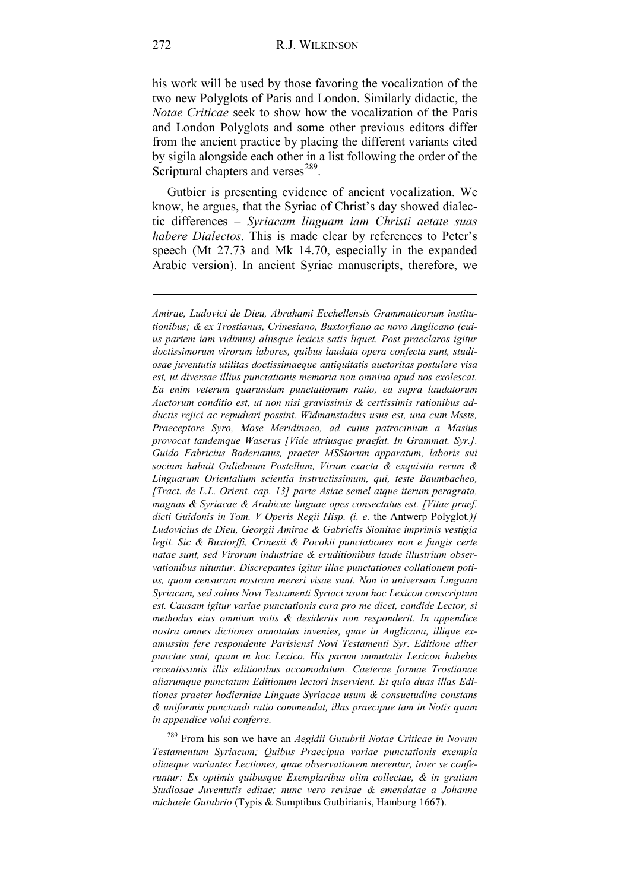his work will be used by those favoring the vocalization of the two new Polyglots of Paris and London. Similarly didactic, the *Notae Criticae* seek to show how the vocalization of the Paris and London Polyglots and some other previous editors differ from the ancient practice by placing the different variants cited by sigila alongside each other in a list following the order of the Scriptural chapters and verses<sup>[289](#page-103-0)</sup>.

Gutbier is presenting evidence of ancient vocalization. We know, he argues, that the Syriac of Christ's day showed dialectic differences – *Syriacam linguam iam Christi aetate suas habere Dialectos*. This is made clear by references to Peter's speech (Mt 27.73 and Mk 14.70, especially in the expanded Arabic version). In ancient Syriac manuscripts, therefore, we

<span id="page-103-0"></span><sup>289</sup> From his son we have an *Aegidii Gutubrii Notae Criticae in Novum Testamentum Syriacum; Quibus Praecipua variae punctationis exempla aliaeque variantes Lectiones, quae observationem merentur, inter se conferuntur: Ex optimis quibusque Exemplaribus olim collectae, & in gratiam Studiosae Juventutis editae; nunc vero revisae & emendatae a Johanne michaele Gutubrio* (Typis & Sumptibus Gutbirianis, Hamburg 1667).

*Amirae, Ludovici de Dieu, Abrahami Ecchellensis Grammaticorum institutionibus; & ex Trostianus, Crinesiano, Buxtorfiano ac novo Anglicano (cuius partem iam vidimus) aliisque lexicis satis liquet. Post praeclaros igitur doctissimorum virorum labores, quibus laudata opera confecta sunt, studiosae juventutis utilitas doctissimaeque antiquitatis auctoritas postulare visa est, ut diversae illius punctationis memoria non omnino apud nos exolescat. Ea enim veterum quarundam punctationum ratio, ea supra laudatorum Auctorum conditio est, ut non nisi gravissimis & certissimis rationibus adductis rejici ac repudiari possint. Widmanstadius usus est, una cum Mssts, Praeceptore Syro, Mose Meridinaeo, ad cuius patrocinium a Masius provocat tandemque Waserus [Vide utriusque praefat. In Grammat. Syr.]. Guido Fabricius Boderianus, praeter MSStorum apparatum, laboris sui socium habuit Gulielmum Postellum, Virum exacta & exquisita rerum & Linguarum Orientalium scientia instructissimum, qui, teste Baumbacheo, [Tract. de L.L. Orient. cap. 13] parte Asiae semel atque iterum peragrata, magnas & Syriacae & Arabicae linguae opes consectatus est. [Vitae praef. dicti Guidonis in Tom. V Operis Regii Hisp. (i. e.* the Antwerp Polyglot*.)] Ludovicius de Dieu, Georgii Amirae & Gabrielis Sionitae imprimis vestigia legit. Sic & Buxtorffi, Crinesii & Pocokii punctationes non e fungis certe natae sunt, sed Virorum industriae & eruditionibus laude illustrium observationibus nituntur. Discrepantes igitur illae punctationes collationem potius, quam censuram nostram mereri visae sunt. Non in universam Linguam Syriacam, sed solius Novi Testamenti Syriaci usum hoc Lexicon conscriptum est. Causam igitur variae punctationis cura pro me dicet, candide Lector, si methodus eius omnium votis & desideriis non responderit. In appendice nostra omnes dictiones annotatas invenies, quae in Anglicana, illique examussim fere respondente Parisiensi Novi Testamenti Syr. Editione aliter punctae sunt, quam in hoc Lexico. His parum immutatis Lexicon habebis recentissimis illis editionibus accomodatum. Caeterae formae Trostianae aliarumque punctatum Editionum lectori inservient. Et quia duas illas Editiones praeter hodierniae Linguae Syriacae usum & consuetudine constans & uniformis punctandi ratio commendat, illas praecipue tam in Notis quam in appendice volui conferre.*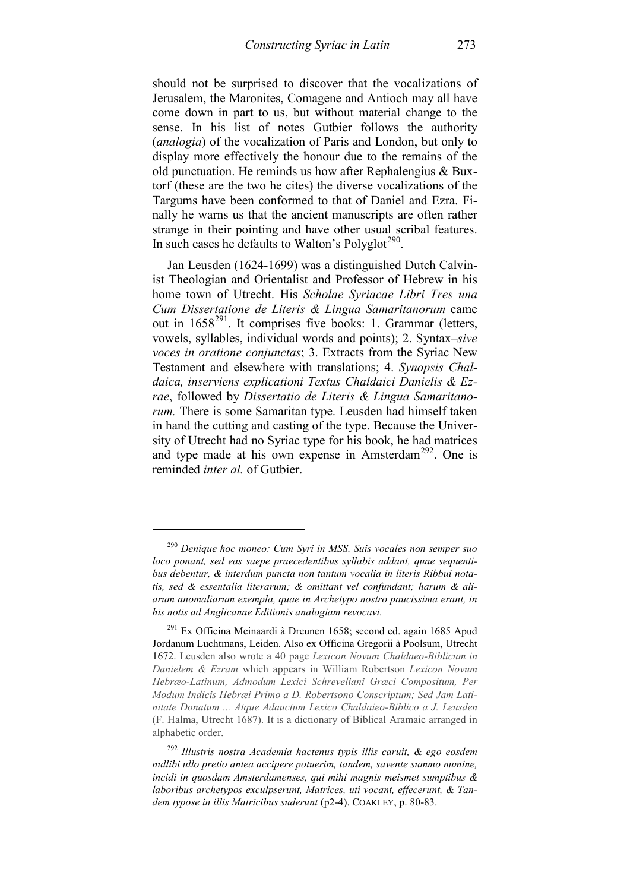should not be surprised to discover that the vocalizations of Jerusalem, the Maronites, Comagene and Antioch may all have come down in part to us, but without material change to the sense. In his list of notes Gutbier follows the authority (*analogia*) of the vocalization of Paris and London, but only to display more effectively the honour due to the remains of the old punctuation. He reminds us how after Rephalengius & Buxtorf (these are the two he cites) the diverse vocalizations of the Targums have been conformed to that of Daniel and Ezra. Finally he warns us that the ancient manuscripts are often rather strange in their pointing and have other usual scribal features. In such cases he defaults to Walton's Polyglot<sup> $290$ </sup>.

Jan Leusden (1624-1699) was a distinguished Dutch Calvinist Theologian and Orientalist and Professor of Hebrew in his home town of Utrecht. His *Scholae Syriacae Libri Tres una Cum Dissertatione de Literis & Lingua Samaritanorum* came out in  $1658^{291}$ . It comprises five books: 1. Grammar (letters, vowels, syllables, individual words and points); 2. Syntax–*sive voces in oratione conjunctas*; 3. Extracts from the Syriac New Testament and elsewhere with translations; 4. *Synopsis Chaldaica, inserviens explicationi Textus Chaldaici Danielis & Ezrae*, followed by *Dissertatio de Literis & Lingua Samaritanorum.* There is some Samaritan type. Leusden had himself taken in hand the cutting and casting of the type. Because the University of Utrecht had no Syriac type for his book, he had matrices and type made at his own expense in Amsterdam<sup>[292](#page-104-2)</sup>. One is reminded *inter al.* of Gutbier.

<span id="page-104-0"></span><sup>290</sup> *Denique hoc moneo: Cum Syri in MSS. Suis vocales non semper suo loco ponant, sed eas saepe praecedentibus syllabis addant, quae sequentibus debentur, & interdum puncta non tantum vocalia in literis Ribbui notatis, sed & essentalia literarum; & omittant vel confundant; harum & aliarum anomaliarum exempla, quae in Archetypo nostro paucissima erant, in his notis ad Anglicanae Editionis analogiam revocavi.*

<span id="page-104-1"></span><sup>&</sup>lt;sup>291</sup> Ex Officina Meinaardi à Dreunen 1658; second ed. again 1685 Apud Jordanum Luchtmans, Leiden. Also ex Officina Gregorii à Poolsum, Utrecht 1672. Leusden also wrote a 40 page *Lexicon Novum Chaldaeo-Biblicum in Danielem & Ezram* which appears in William Robertson *Lexicon Novum Hebræo-Latinum, Admodum Lexici Schreveliani Græci Compositum, Per Modum Indicis Hebræi Primo a D. Robertsono Conscriptum; Sed Jam Latinitate Donatum ... Atque Adauctum Lexico Chaldaieo-Biblico a J. Leusden* (F. Halma, Utrecht 1687). It is a dictionary of Biblical Aramaic arranged in alphabetic order.

<span id="page-104-2"></span><sup>292</sup> *Illustris nostra Academia hactenus typis illis caruit, & ego eosdem nullibi ullo pretio antea accipere potuerim, tandem, savente summo numine, incidi in quosdam Amsterdamenses, qui mihi magnis meismet sumptibus & laboribus archetypos exculpserunt, Matrices, uti vocant, effecerunt, & Tandem typose in illis Matricibus suderunt* (p2-4). COAKLEY, p. 80-83.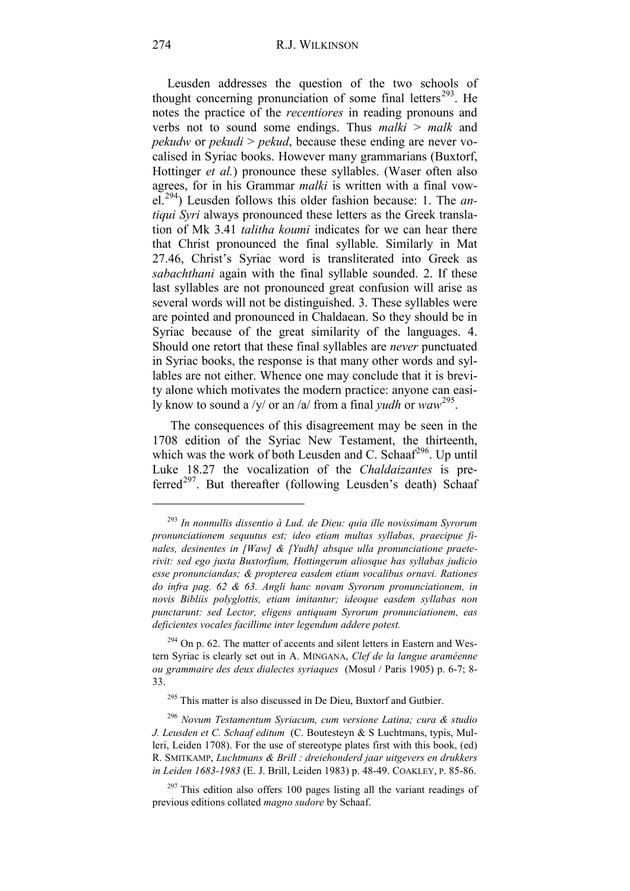Leusden addresses the question of the two schools of thought concerning pronunciation of some final letters $^{293}$ . He notes the practice of the *recentiores* in reading pronouns and verbs not to sound some endings. Thus *malki* > *malk* and *pekudw* or *pekudi* > *pekud*, because these ending are never vocalised in Syriac books. However many grammarians (Buxtorf, Hottinger *et al.*) pronounce these syllables. (Waser often also agrees, for in his Grammar *malki* is written with a final vowel.[294](#page-105-1)) Leusden follows this older fashion because: 1. The *antiqui Syri* always pronounced these letters as the Greek translation of Mk 3.41 *talitha koumi* indicates for we can hear there that Christ pronounced the final syllable. Similarly in Mat 27.46, Christ's Syriac word is transliterated into Greek as *sabachthani* again with the final syllable sounded. 2. If these last syllables are not pronounced great confusion will arise as several words will not be distinguished. 3. These syllables were are pointed and pronounced in Chaldaean. So they should be in Syriac because of the great similarity of the languages. 4. Should one retort that these final syllables are *never* punctuated in Syriac books, the response is that many other words and syllables are not either. Whence one may conclude that it is brevity alone which motivates the modern practice: anyone can easily know to sound a /y/ or an /a/ from a final *yudh* or *waw* [295](#page-105-2).

The consequences of this disagreement may be seen in the 1708 edition of the Syriac New Testament, the thirteenth, which was the work of both Leusden and C. Schaaf<sup>296</sup>. Up until Luke 18.27 the vocalization of the *Chaldaizantes* is pre-ferred<sup>[297](#page-105-4)</sup>. But thereafter (following Leusden's death) Schaaf

<span id="page-105-0"></span><sup>293</sup> *In nonnullis dissentio à Lud. de Dieu: quia ille novissimam Syrorum pronunciationem sequutus est; ideo etiam multas syllabas, praecipue finales, desinentes in [Waw] & [Yudh] absque ulla pronunciatione praeterivit: sed ego juxta Buxtorfium, Hottingerum aliosque has syllabas judicio esse pronunciandas; & propterea easdem etiam vocalibus ornavi. Rationes do infra pag. 62 & 63. Angli hanc novam Syrorum pronunciationem, in novis Bibliis polyglottis, etiam imitantur; ideoque easdem syllabas non punctarunt: sed Lector, eligens antiquam Syrorum pronunciationem, eas deficientes vocales facillime inter legendum addere potest.*

<span id="page-105-1"></span> $294$  On p. 62. The matter of accents and silent letters in Eastern and Western Syriac is clearly set out in A. MINGANA, *Clef de la langue araméenne ou grammaire des deux dialectes syriaques* (Mosul / Paris 1905) p. 6-7; 8- 33.

<sup>&</sup>lt;sup>295</sup> This matter is also discussed in De Dieu, Buxtorf and Gutbier.

<span id="page-105-3"></span><span id="page-105-2"></span><sup>296</sup> *Novum Testamentum Syriacum, cum versione Latina; cura & studio J. Leusden et C. Schaaf editum* (C. Boutesteyn & S Luchtmans, typis, Mulleri, Leiden 1708). For the use of stereotype plates first with this book, (ed) R. SMITKAMP, *Luchtmans & Brill : dreiehonderd jaar uitgevers en drukkers in Leiden 1683-1983* (E. J. Brill, Leiden 1983) p. 48-49. COAKLEY, P. 85-86.

<span id="page-105-4"></span> $297$  This edition also offers 100 pages listing all the variant readings of previous editions collated *magno sudore* by Schaaf.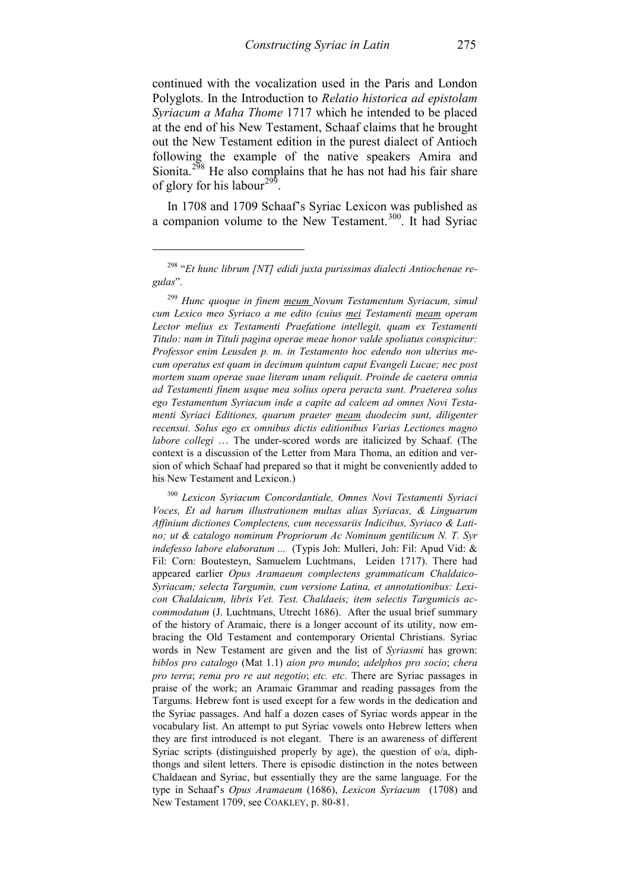continued with the vocalization used in the Paris and London Polyglots. In the Introduction to *Relatio historica ad epistolam Syriacum a Maha Thome* 1717 which he intended to be placed at the end of his New Testament, Schaaf claims that he brought out the New Testament edition in the purest dialect of Antioch following the example of the native speakers Amira and Sionita.<sup>[298](#page-106-0)</sup> He also complains that he has not had his fair share of glory for his labour<sup>299</sup>.

In 1708 and 1709 Schaaf's Syriac Lexicon was published as a companion volume to the New Testament.<sup>[300](#page-106-2)</sup>. It had Syriac

1

<span id="page-106-1"></span><sup>299</sup> *Hunc quoque in finem meum Novum Testamentum Syriacum, simul cum Lexico meo Syriaco a me edito (cuius mei Testamenti meam operam Lector melius ex Testamenti Praefatione intellegit, quam ex Testamenti Titulo: nam in Tituli pagina operae meae honor valde spoliatus conspicitur: Professor enim Leusden p. m. in Testamento hoc edendo non ulterius mecum operatus est quam in decimum quintum caput Evangeli Lucae; nec post mortem suam operae suae literam unam reliquit. Proinde de caetera omnia ad Testamenti finem usque mea solius opera peracta sunt. Praeterea solus ego Testamentum Syriacum inde a capite ad calcem ad omnes Novi Testamenti Syriaci Editiones, quarum praeter meam duodecim sunt, diligenter recensui. Solus ego ex omnibus dictis editionibus Varias Lectiones magno labore collegi* … The under-scored words are italicized by Schaaf. (The context is a discussion of the Letter from Mara Thoma, an edition and version of which Schaaf had prepared so that it might be conveniently added to his New Testament and Lexicon.)

<span id="page-106-2"></span><sup>300</sup> *Lexicon Syriacum Concordantiale, Omnes Novi Testamenti Syriaci Voces, Et ad harum illustrationem multas alias Syriacas, & Linguarum Affinium dictiones Complectens, cum necessariis Indicibus, Syriaco & Latino; ut & catalogo nominum Propriorum Ac Nominum gentilicum N. T. Syr indefesso labore elaboratum ...* (Typis Joh: Mulleri, Joh: Fil: Apud Vid: & Fil: Corn: Boutesteyn, Samuelem Luchtmans, Leiden 1717). There had appeared earlier *Opus Aramaeum complectens grammaticam Chaldaico-Syriacam; selecta Targumin, cum versione Latina, et annotationibus: Lexicon Chaldaicum, libris Vet. Test. Chaldaeis; item selectis Targumicis accommodatum* (J. Luchtmans, Utrecht 1686). After the usual brief summary of the history of Aramaic, there is a longer account of its utility, now embracing the Old Testament and contemporary Oriental Christians. Syriac words in New Testament are given and the list of *Syriasmi* has grown: *biblos pro catalogo* (Mat 1.1) *aion pro mundo*; *adelphos pro socio*; *chera pro terra*; *rema pro re aut negotio*; *etc. etc*. There are Syriac passages in praise of the work; an Aramaic Grammar and reading passages from the Targums. Hebrew font is used except for a few words in the dedication and the Syriac passages. And half a dozen cases of Syriac words appear in the vocabulary list. An attempt to put Syriac vowels onto Hebrew letters when they are first introduced is not elegant. There is an awareness of different Syriac scripts (distinguished properly by age), the question of o/a, diphthongs and silent letters. There is episodic distinction in the notes between Chaldaean and Syriac, but essentially they are the same language. For the type in Schaaf's *Opus Aramaeum* (1686), *Lexicon Syriacum* (1708) and New Testament 1709, see COAKLEY, p. 80-81.

<span id="page-106-0"></span><sup>298</sup> "*Et hunc librum [NT] edidi juxta purissimas dialecti Antiochenae regulas*".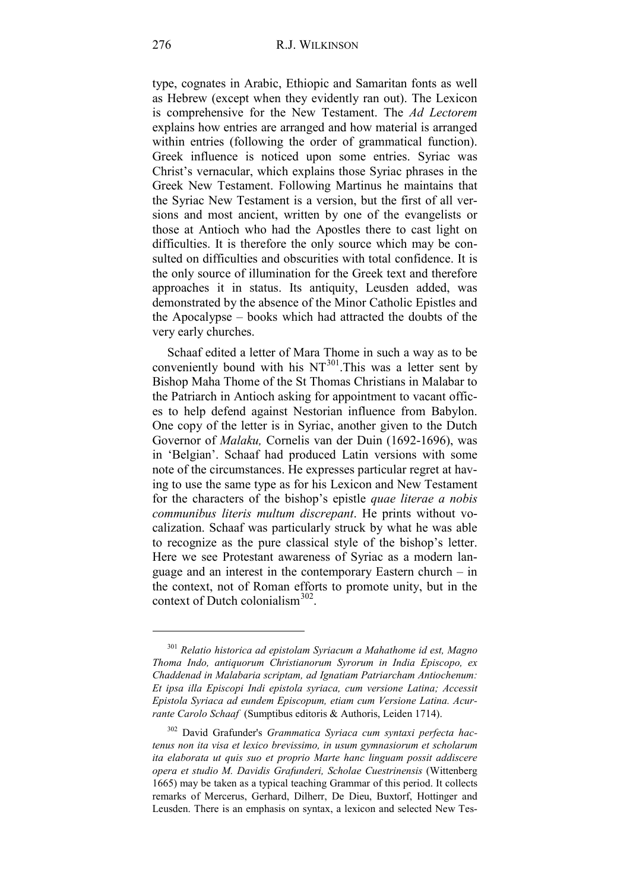type, cognates in Arabic, Ethiopic and Samaritan fonts as well as Hebrew (except when they evidently ran out). The Lexicon is comprehensive for the New Testament. The *Ad Lectorem* explains how entries are arranged and how material is arranged within entries (following the order of grammatical function). Greek influence is noticed upon some entries. Syriac was Christ's vernacular, which explains those Syriac phrases in the Greek New Testament. Following Martinus he maintains that the Syriac New Testament is a version, but the first of all versions and most ancient, written by one of the evangelists or those at Antioch who had the Apostles there to cast light on difficulties. It is therefore the only source which may be consulted on difficulties and obscurities with total confidence. It is the only source of illumination for the Greek text and therefore approaches it in status. Its antiquity, Leusden added, was demonstrated by the absence of the Minor Catholic Epistles and the Apocalypse – books which had attracted the doubts of the very early churches.

Schaaf edited a letter of Mara Thome in such a way as to be conveniently bound with his  $NT^{301}$  $NT^{301}$  $NT^{301}$ . This was a letter sent by Bishop Maha Thome of the St Thomas Christians in Malabar to the Patriarch in Antioch asking for appointment to vacant offices to help defend against Nestorian influence from Babylon. One copy of the letter is in Syriac, another given to the Dutch Governor of *Malaku,* Cornelis van der Duin (1692-1696), was in 'Belgian'. Schaaf had produced Latin versions with some note of the circumstances. He expresses particular regret at having to use the same type as for his Lexicon and New Testament for the characters of the bishop's epistle *quae literae a nobis communibus literis multum discrepant*. He prints without vocalization. Schaaf was particularly struck by what he was able to recognize as the pure classical style of the bishop's letter. Here we see Protestant awareness of Syriac as a modern language and an interest in the contemporary Eastern church – in the context, not of Roman efforts to promote unity, but in the context of Dutch colonialism<sup>[302](#page-107-1)</sup>.

<span id="page-107-0"></span><sup>301</sup> *Relatio historica ad epistolam Syriacum a Mahathome id est, Magno Thoma Indo, antiquorum Christianorum Syrorum in India Episcopo, ex Chaddenad in Malabaria scriptam, ad Ignatiam Patriarcham Antiochenum: Et ipsa illa Episcopi Indi epistola syriaca, cum versione Latina; Accessit Epistola Syriaca ad eundem Episcopum, etiam cum Versione Latina. Acurrante Carolo Schaaf* (Sumptibus editoris & Authoris, Leiden 1714).

<span id="page-107-1"></span><sup>302</sup> David Grafunder's *Grammatica Syriaca cum syntaxi perfecta hactenus non ita visa et lexico brevissimo, in usum gymnasiorum et scholarum ita elaborata ut quis suo et proprio Marte hanc linguam possit addiscere opera et studio M. Davidis Grafunderi, Scholae Cuestrinensis* (Wittenberg 1665) may be taken as a typical teaching Grammar of this period. It collects remarks of Mercerus, Gerhard, Dilherr, De Dieu, Buxtorf, Hottinger and Leusden. There is an emphasis on syntax, a lexicon and selected New Tes-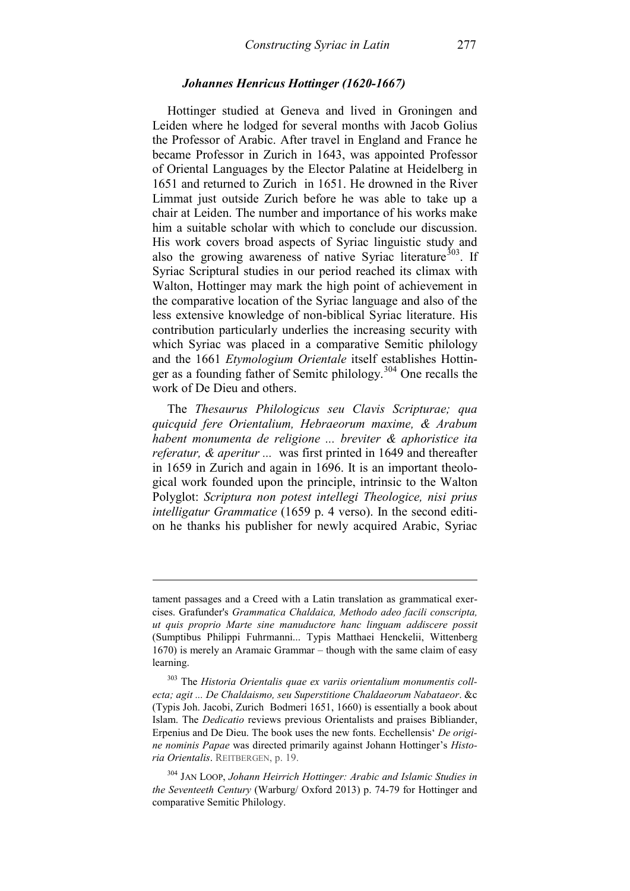## *Johannes Henricus Hottinger (1620-1667)*

Hottinger studied at Geneva and lived in Groningen and Leiden where he lodged for several months with Jacob Golius the Professor of Arabic. After travel in England and France he became Professor in Zurich in 1643, was appointed Professor of Oriental Languages by the Elector Palatine at Heidelberg in 1651 and returned to Zurich in 1651. He drowned in the River Limmat just outside Zurich before he was able to take up a chair at Leiden. The number and importance of his works make him a suitable scholar with which to conclude our discussion. His work covers broad aspects of Syriac linguistic study and also the growing awareness of native Syriac literature<sup>303</sup>. If Syriac Scriptural studies in our period reached its climax with Walton, Hottinger may mark the high point of achievement in the comparative location of the Syriac language and also of the less extensive knowledge of non-biblical Syriac literature. His contribution particularly underlies the increasing security with which Syriac was placed in a comparative Semitic philology and the 1661 *Etymologium Orientale* itself establishes Hottin-ger as a founding father of Semitc philology.<sup>[304](#page-108-1)</sup> One recalls the work of De Dieu and others.

The *Thesaurus Philologicus seu Clavis Scripturae; qua quicquid fere Orientalium, Hebraeorum maxime, & Arabum habent monumenta de religione ... breviter & aphoristice ita referatur, & aperitur ...* was first printed in 1649 and thereafter in 1659 in Zurich and again in 1696. It is an important theological work founded upon the principle, intrinsic to the Walton Polyglot: *Scriptura non potest intellegi Theologice, nisi prius intelligatur Grammatice* (1659 p. 4 verso). In the second edition he thanks his publisher for newly acquired Arabic, Syriac

tament passages and a Creed with a Latin translation as grammatical exercises. Grafunder's *Grammatica Chaldaica, Methodo adeo facili conscripta, ut quis proprio Marte sine manuductore hanc linguam addiscere possit* (Sumptibus Philippi Fuhrmanni... Typis Matthaei Henckelii, Wittenberg 1670) is merely an Aramaic Grammar – though with the same claim of easy learning.

<span id="page-108-0"></span><sup>303</sup> The *Historia Orientalis quae ex variis orientalium monumentis collecta; agit ... De Chaldaismo, seu Superstitione Chaldaeorum Nabataeor*. &c (Typis Joh. Jacobi, Zurich Bodmeri 1651, 1660) is essentially a book about Islam. The *Dedicatio* reviews previous Orientalists and praises Bibliander, Erpenius and De Dieu. The book uses the new fonts. Ecchellensis' *De origine nominis Papae* was directed primarily against Johann Hottinger's *Historia Orientalis*. REITBERGEN, p. 19.

<span id="page-108-1"></span><sup>304</sup> JAN LOOP, *Johann Heirrich Hottinger: Arabic and Islamic Studies in the Seventeeth Century* (Warburg/ Oxford 2013) p. 74-79 for Hottinger and comparative Semitic Philology.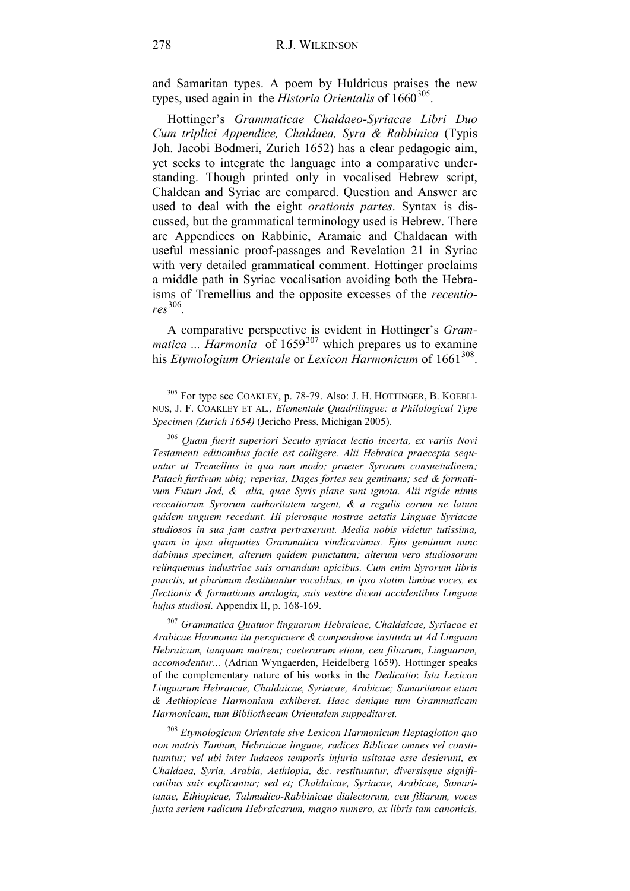and Samaritan types. A poem by Huldricus praises the new types, used again in the *Historia Orientalis* of 1660<sup>305</sup>.

Hottinger's *Grammaticae Chaldaeo-Syriacae Libri Duo Cum triplici Appendice, Chaldaea, Syra & Rabbinica* (Typis Joh. Jacobi Bodmeri, Zurich 1652) has a clear pedagogic aim, yet seeks to integrate the language into a comparative understanding. Though printed only in vocalised Hebrew script, Chaldean and Syriac are compared. Question and Answer are used to deal with the eight *orationis partes*. Syntax is discussed, but the grammatical terminology used is Hebrew. There are Appendices on Rabbinic, Aramaic and Chaldaean with useful messianic proof-passages and Revelation 21 in Syriac with very detailed grammatical comment. Hottinger proclaims a middle path in Syriac vocalisation avoiding both the Hebraisms of Tremellius and the opposite excesses of the *recentiores* [306](#page-109-1)*.*

A comparative perspective is evident in Hottinger's *Grammatica* ... *Harmonia* of 1659<sup>[307](#page-109-2)</sup> which prepares us to examine his *Etymologium Orientale* or *Lexicon Harmonicum* of  $1661^{308}$  $1661^{308}$  $1661^{308}$ .

<span id="page-109-2"></span><sup>307</sup> *Grammatica Quatuor linguarum Hebraicae, Chaldaicae, Syriacae et Arabicae Harmonia ita perspicuere & compendiose instituta ut Ad Linguam Hebraicam, tanquam matrem; caeterarum etiam, ceu filiarum, Linguarum, accomodentur...* (Adrian Wyngaerden, Heidelberg 1659). Hottinger speaks of the complementary nature of his works in the *Dedicatio*: *Ista Lexicon Linguarum Hebraicae, Chaldaicae, Syriacae, Arabicae; Samaritanae etiam & Aethiopicae Harmoniam exhiberet. Haec denique tum Grammaticam Harmonicam, tum Bibliothecam Orientalem suppeditaret.*

<span id="page-109-3"></span><sup>308</sup> *Etymologicum Orientale sive Lexicon Harmonicum Heptaglotton quo non matris Tantum, Hebraicae linguae, radices Biblicae omnes vel constituuntur; vel ubi inter Iudaeos temporis injuria usitatae esse desierunt, ex Chaldaea, Syria, Arabia, Aethiopia, &c. restituuntur, diversisque significatibus suis explicantur; sed et; Chaldaicae, Syriacae, Arabicae, Samaritanae, Ethiopicae, Talmudico-Rabbinicae dialectorum, ceu filiarum, voces juxta seriem radicum Hebraicarum, magno numero, ex libris tam canonicis,* 

<span id="page-109-0"></span><sup>305</sup> For type see COAKLEY, p. 78-79. Also: J. H. HOTTINGER, B. KOEBLI-NUS, J. F. COAKLEY ET AL*., Elementale Quadrilingue: a Philological Type Specimen (Zurich 1654)* (Jericho Press, Michigan 2005).

<span id="page-109-1"></span><sup>306</sup> *Quam fuerit superiori Seculo syriaca lectio incerta, ex variis Novi Testamenti editionibus facile est colligere. Alii Hebraica praecepta sequuntur ut Tremellius in quo non modo; praeter Syrorum consuetudinem; Patach furtivum ubiq; reperias, Dages fortes seu geminans; sed & formativum Futuri Jod, & alia, quae Syris plane sunt ignota. Alii rigide nimis recentiorum Syrorum authoritatem urgent, & a regulis eorum ne latum quidem unguem recedunt. Hi plerosque nostrae aetatis Linguae Syriacae studiosos in sua jam castra pertraxerunt. Media nobis videtur tutissima, quam in ipsa aliquoties Grammatica vindicavimus. Ejus geminum nunc dabimus specimen, alterum quidem punctatum; alterum vero studiosorum relinquemus industriae suis ornandum apicibus. Cum enim Syrorum libris punctis, ut plurimum destituantur vocalibus, in ipso statim limine voces, ex flectionis & formationis analogia, suis vestire dicent accidentibus Linguae hujus studiosi.* Appendix II, p. 168-169.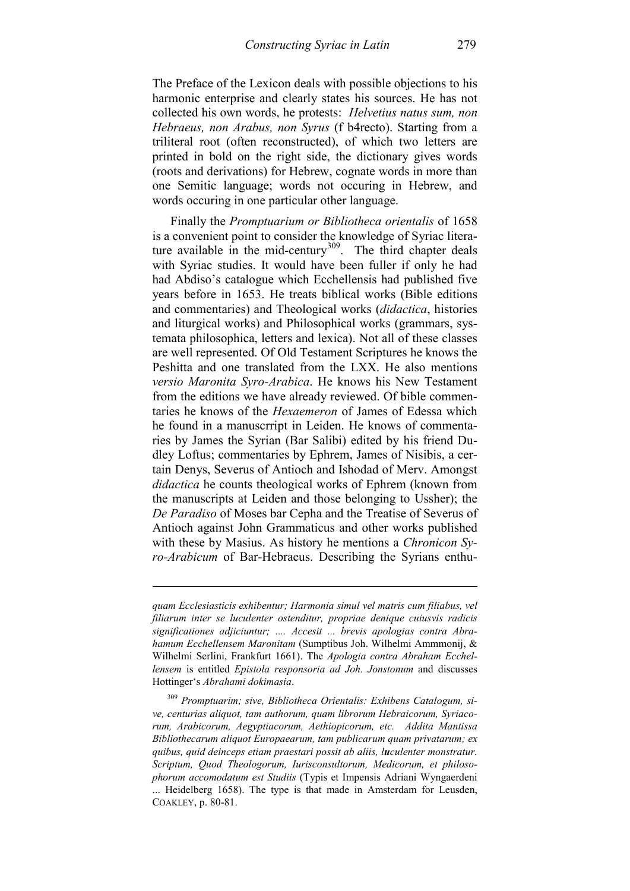The Preface of the Lexicon deals with possible objections to his harmonic enterprise and clearly states his sources. He has not collected his own words, he protests: *Helvetius natus sum, non Hebraeus, non Arabus, non Syrus* (f b4recto). Starting from a triliteral root (often reconstructed), of which two letters are printed in bold on the right side, the dictionary gives words (roots and derivations) for Hebrew, cognate words in more than one Semitic language; words not occuring in Hebrew, and words occuring in one particular other language.

Finally the *Promptuarium or Bibliotheca orientalis* of 1658 is a convenient point to consider the knowledge of Syriac literature available in the mid-century<sup>309</sup>. The third chapter deals with Syriac studies. It would have been fuller if only he had had Abdiso's catalogue which Ecchellensis had published five years before in 1653. He treats biblical works (Bible editions and commentaries) and Theological works (*didactica*, histories and liturgical works) and Philosophical works (grammars, systemata philosophica, letters and lexica). Not all of these classes are well represented. Of Old Testament Scriptures he knows the Peshitta and one translated from the LXX. He also mentions *versio Maronita Syro-Arabica*. He knows his New Testament from the editions we have already reviewed. Of bible commentaries he knows of the *Hexaemeron* of James of Edessa which he found in a manuscrript in Leiden. He knows of commentaries by James the Syrian (Bar Salibi) edited by his friend Dudley Loftus; commentaries by Ephrem, James of Nisibis, a certain Denys, Severus of Antioch and Ishodad of Merv. Amongst *didactica* he counts theological works of Ephrem (known from the manuscripts at Leiden and those belonging to Ussher); the *De Paradiso* of Moses bar Cepha and the Treatise of Severus of Antioch against John Grammaticus and other works published with these by Masius. As history he mentions a *Chronicon Syro-Arabicum* of Bar-Hebraeus. Describing the Syrians enthu-

*quam Ecclesiasticis exhibentur; Harmonia simul vel matris cum filiabus, vel filiarum inter se luculenter ostenditur, propriae denique cuiusvis radicis significationes adjiciuntur; .... Accesit ... brevis apologias contra Abrahamum Ecchellensem Maronitam* (Sumptibus Joh. Wilhelmi Ammmonij, & Wilhelmi Serlini, Frankfurt 1661). The *Apologia contra Abraham Ecchellensem* is entitled *Epistola responsoria ad Joh. Jonstonum* and discusses Hottinger's *Abrahami dokimasia*.

<span id="page-110-0"></span><sup>309</sup> *Promptuarim; sive, Bibliotheca Orientalis: Exhibens Catalogum, sive, centurias aliquot, tam authorum, quam librorum Hebraicorum, Syriacorum, Arabicorum, Aegyptiacorum, Aethiopicorum, etc. Addita Mantissa Bibliothecarum aliquot Europaearum, tam publicarum quam privatarum; ex quibus, quid deinceps etiam praestari possit ab aliis, luculenter monstratur. Scriptum, Quod Theologorum, Iurisconsultorum, Medicorum, et philosophorum accomodatum est Studiis* (Typis et Impensis Adriani Wyngaerdeni ... Heidelberg 1658). The type is that made in Amsterdam for Leusden, COAKLEY, p. 80-81.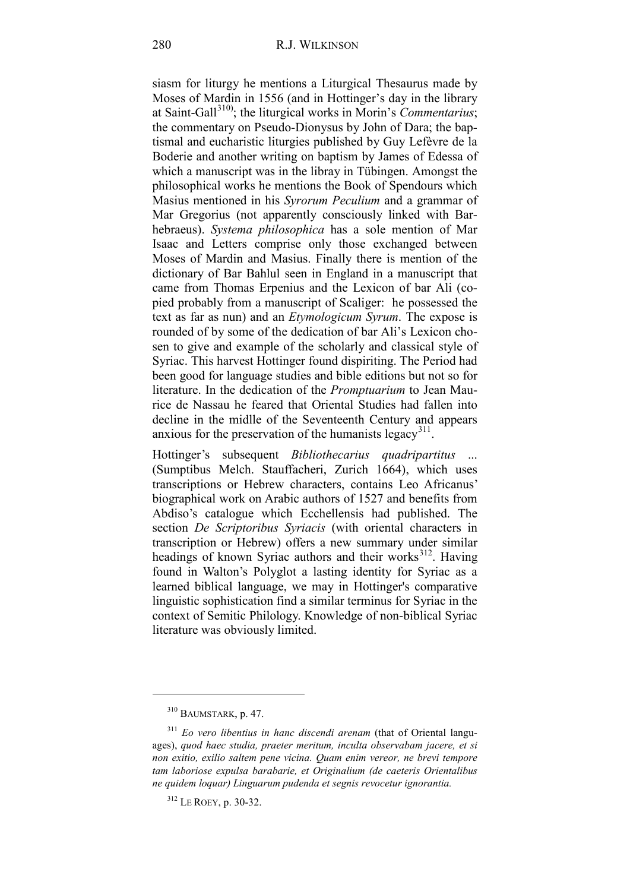siasm for liturgy he mentions a Liturgical Thesaurus made by Moses of Mardin in 1556 (and in Hottinger's day in the library at Saint-Gall<sup>[310\)](#page-111-0)</sup>; the liturgical works in Morin's *Commentarius*; the commentary on Pseudo-Dionysus by John of Dara; the baptismal and eucharistic liturgies published by Guy Lefèvre de la Boderie and another writing on baptism by James of Edessa of which a manuscript was in the libray in Tübingen. Amongst the philosophical works he mentions the Book of Spendours which Masius mentioned in his *Syrorum Peculium* and a grammar of Mar Gregorius (not apparently consciously linked with Barhebraeus). *Systema philosophica* has a sole mention of Mar Isaac and Letters comprise only those exchanged between Moses of Mardin and Masius. Finally there is mention of the dictionary of Bar Bahlul seen in England in a manuscript that came from Thomas Erpenius and the Lexicon of bar Ali (copied probably from a manuscript of Scaliger: he possessed the text as far as nun) and an *Etymologicum Syrum*. The expose is rounded of by some of the dedication of bar Ali's Lexicon chosen to give and example of the scholarly and classical style of Syriac. This harvest Hottinger found dispiriting. The Period had been good for language studies and bible editions but not so for literature. In the dedication of the *Promptuarium* to Jean Maurice de Nassau he feared that Oriental Studies had fallen into decline in the midlle of the Seventeenth Century and appears anxious for the preservation of the humanists legacy<sup>311</sup>.

Hottinger's subsequent *Bibliothecarius quadripartitus* ... (Sumptibus Melch. Stauffacheri, Zurich 1664), which uses transcriptions or Hebrew characters, contains Leo Africanus' biographical work on Arabic authors of 1527 and benefits from Abdiso's catalogue which Ecchellensis had published. The section *De Scriptoribus Syriacis* (with oriental characters in transcription or Hebrew) offers a new summary under similar headings of known Syriac authors and their works $312$ . Having found in Walton's Polyglot a lasting identity for Syriac as a learned biblical language, we may in Hottinger's comparative linguistic sophistication find a similar terminus for Syriac in the context of Semitic Philology. Knowledge of non-biblical Syriac literature was obviously limited.

<sup>310</sup> BAUMSTARK, p. 47.

<span id="page-111-1"></span><span id="page-111-0"></span><sup>311</sup> *Eo vero libentius in hanc discendi arenam* (that of Oriental languages), *quod haec studia, praeter meritum, inculta observabam jacere, et si non exitio, exilio saltem pene vicina. Quam enim vereor, ne brevi tempore tam laboriose expulsa barabarie, et Originalium (de caeteris Orientalibus ne quidem loquar) Linguarum pudenda et segnis revocetur ignorantia.*

<span id="page-111-2"></span><sup>312</sup> LE ROEY, p. 30-32.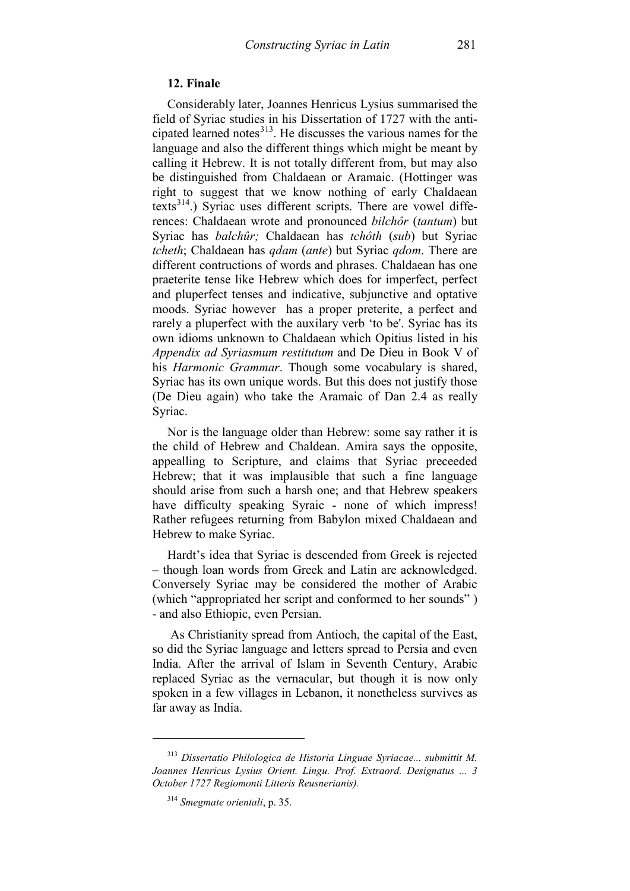## **12. Finale**

Considerably later, Joannes Henricus Lysius summarised the field of Syriac studies in his Dissertation of 1727 with the anticipated learned notes $^{313}$  $^{313}$  $^{313}$ . He discusses the various names for the language and also the different things which might be meant by calling it Hebrew. It is not totally different from, but may also be distinguished from Chaldaean or Aramaic. (Hottinger was right to suggest that we know nothing of early Chaldaean texts<sup>[314](#page-112-1)</sup>.) Syriac uses different scripts. There are vowel differences: Chaldaean wrote and pronounced *bilchôr* (*tantum*) but Syriac has *balchûr;* Chaldaean has *tchôth* (*sub*) but Syriac *tcheth*; Chaldaean has *qdam* (*ante*) but Syriac *qdom*. There are different contructions of words and phrases. Chaldaean has one praeterite tense like Hebrew which does for imperfect, perfect and pluperfect tenses and indicative, subjunctive and optative moods. Syriac however has a proper preterite, a perfect and rarely a pluperfect with the auxilary verb 'to be'. Syriac has its own idioms unknown to Chaldaean which Opitius listed in his *Appendix ad Syriasmum restitutum* and De Dieu in Book V of his *Harmonic Grammar*. Though some vocabulary is shared, Syriac has its own unique words. But this does not justify those (De Dieu again) who take the Aramaic of Dan 2.4 as really Syriac.

Nor is the language older than Hebrew: some say rather it is the child of Hebrew and Chaldean. Amira says the opposite, appealling to Scripture, and claims that Syriac preceeded Hebrew; that it was implausible that such a fine language should arise from such a harsh one; and that Hebrew speakers have difficulty speaking Syraic - none of which impress! Rather refugees returning from Babylon mixed Chaldaean and Hebrew to make Syriac.

Hardt's idea that Syriac is descended from Greek is rejected – though loan words from Greek and Latin are acknowledged. Conversely Syriac may be considered the mother of Arabic (which "appropriated her script and conformed to her sounds" ) - and also Ethiopic, even Persian.

As Christianity spread from Antioch, the capital of the East, so did the Syriac language and letters spread to Persia and even India. After the arrival of Islam in Seventh Century, Arabic replaced Syriac as the vernacular, but though it is now only spoken in a few villages in Lebanon, it nonetheless survives as far away as India.

<span id="page-112-1"></span><span id="page-112-0"></span><sup>313</sup> *Dissertatio Philologica de Historia Linguae Syriacae... submittit M. Joannes Henricus Lysius Orient. Lingu. Prof. Extraord. Designatus ... 3 October 1727 Regiomonti Litteris Reusnerianis).*

<sup>314</sup> *Smegmate orientali*, p. 35.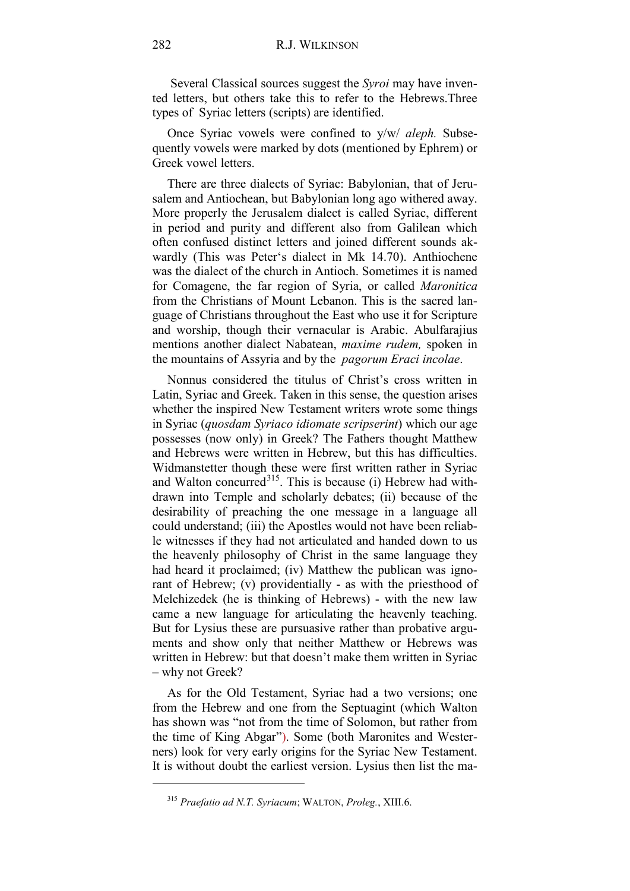Several Classical sources suggest the *Syroi* may have invented letters, but others take this to refer to the Hebrews.Three types of Syriac letters (scripts) are identified.

Once Syriac vowels were confined to y/w/ *aleph.* Subsequently vowels were marked by dots (mentioned by Ephrem) or Greek vowel letters.

There are three dialects of Syriac: Babylonian, that of Jerusalem and Antiochean, but Babylonian long ago withered away. More properly the Jerusalem dialect is called Syriac, different in period and purity and different also from Galilean which often confused distinct letters and joined different sounds akwardly (This was Peter's dialect in Mk 14.70). Anthiochene was the dialect of the church in Antioch. Sometimes it is named for Comagene, the far region of Syria, or called *Maronitica* from the Christians of Mount Lebanon. This is the sacred language of Christians throughout the East who use it for Scripture and worship, though their vernacular is Arabic. Abulfarajius mentions another dialect Nabatean, *maxime rudem,* spoken in the mountains of Assyria and by the *pagorum Eraci incolae*.

Nonnus considered the titulus of Christ's cross written in Latin, Syriac and Greek. Taken in this sense, the question arises whether the inspired New Testament writers wrote some things in Syriac (*quosdam Syriaco idiomate scripserint*) which our age possesses (now only) in Greek? The Fathers thought Matthew and Hebrews were written in Hebrew, but this has difficulties. Widmanstetter though these were first written rather in Syriac and Walton concurred $315$ . This is because (i) Hebrew had withdrawn into Temple and scholarly debates; (ii) because of the desirability of preaching the one message in a language all could understand; (iii) the Apostles would not have been reliable witnesses if they had not articulated and handed down to us the heavenly philosophy of Christ in the same language they had heard it proclaimed; (iv) Matthew the publican was ignorant of Hebrew; (v) providentially - as with the priesthood of Melchizedek (he is thinking of Hebrews) - with the new law came a new language for articulating the heavenly teaching. But for Lysius these are pursuasive rather than probative arguments and show only that neither Matthew or Hebrews was written in Hebrew: but that doesn't make them written in Syriac – why not Greek?

As for the Old Testament, Syriac had a two versions; one from the Hebrew and one from the Septuagint (which Walton has shown was "not from the time of Solomon, but rather from the time of King Abgar"). Some (both Maronites and Westerners) look for very early origins for the Syriac New Testament. It is without doubt the earliest version. Lysius then list the ma-

<span id="page-113-0"></span><sup>315</sup> *Praefatio ad N.T. Syriacum*; WALTON, *Proleg.*, XIII.6.